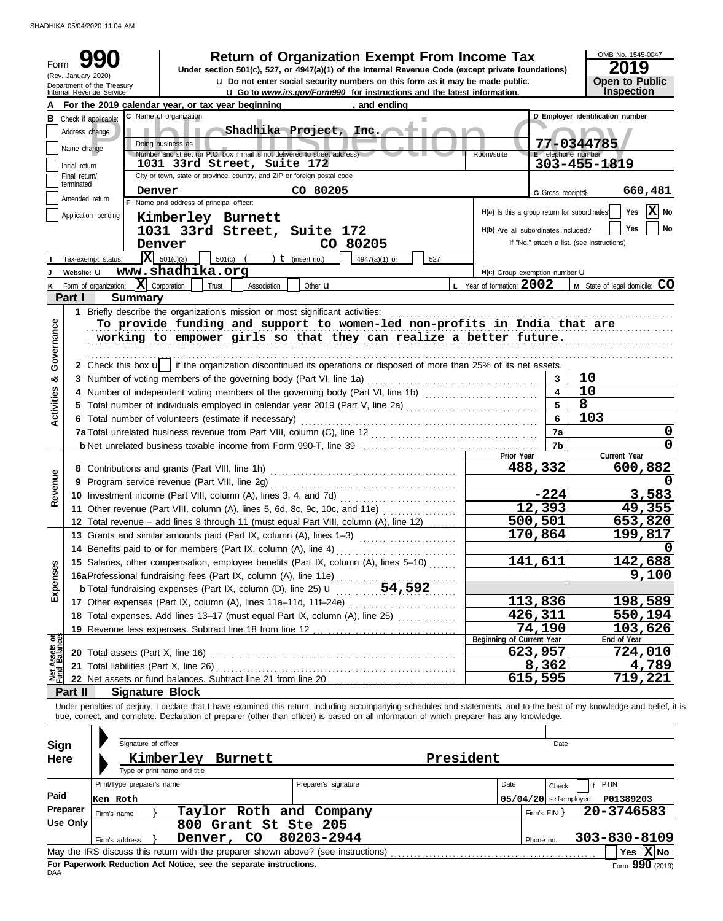SHADHIKA 05/04/2020 11:04 AM

| Form                       | (Rev. January 2020) | <b>Return of Organization Exempt From Income Tax</b><br>Under section 501(c), 527, or 4947(a)(1) of the Internal Revenue Code (except private foundations)<br><b>u</b> Do not enter social security numbers on this form as it may be made public.                                                                       |                                              |                          | OMB No. 1545-0047<br>2019<br><b>Open to Public</b> |                   |
|----------------------------|---------------------|--------------------------------------------------------------------------------------------------------------------------------------------------------------------------------------------------------------------------------------------------------------------------------------------------------------------------|----------------------------------------------|--------------------------|----------------------------------------------------|-------------------|
|                            |                     | Department of the Treasury<br>Internal Revenue Service<br><b>u</b> Go to www.irs.gov/Form990 for instructions and the latest information.                                                                                                                                                                                |                                              |                          | Inspection                                         |                   |
|                            |                     | For the 2019 calendar year, or tax year beginning<br>, and ending                                                                                                                                                                                                                                                        |                                              |                          |                                                    |                   |
|                            |                     | C Name of organization<br><b>B</b> Check if applicable:                                                                                                                                                                                                                                                                  |                                              |                          | D Employer identification number                   |                   |
|                            | Address change      | Shadhika Project, Inc.                                                                                                                                                                                                                                                                                                   |                                              |                          |                                                    |                   |
|                            | Name change         | Doing business as<br>Number and street (or P.O. box if mail is not delivered to street address)                                                                                                                                                                                                                          | Room/suite                                   | E Telephone number       | 77-0344785                                         |                   |
|                            | Initial return      | 1031 33rd Street, Suite 172                                                                                                                                                                                                                                                                                              |                                              |                          | 303-455-1819                                       |                   |
|                            | Final return/       | City or town, state or province, country, and ZIP or foreign postal code                                                                                                                                                                                                                                                 |                                              |                          |                                                    |                   |
|                            | terminated          | CO 80205<br>Denver                                                                                                                                                                                                                                                                                                       |                                              | G Gross receipts\$       | 660,481                                            |                   |
|                            | Amended return      | F Name and address of principal officer:                                                                                                                                                                                                                                                                                 |                                              |                          |                                                    |                   |
|                            |                     | Application pending<br>Kimberley Burnett                                                                                                                                                                                                                                                                                 | H(a) Is this a group return for subordinates |                          | Yes                                                | $ \mathbf{X} $ No |
|                            |                     | 1031 33rd Street, Suite 172                                                                                                                                                                                                                                                                                              | H(b) Are all subordinates included?          |                          | <b>Yes</b>                                         | No                |
|                            |                     | CO 80205<br>Denver                                                                                                                                                                                                                                                                                                       |                                              |                          | If "No," attach a list. (see instructions)         |                   |
|                            |                     | $ \mathbf{X} $ 501(c)(3)<br>501(c)<br>$t$ (insert no.)<br>4947(a)(1) or<br>Tax-exempt status:<br>527                                                                                                                                                                                                                     |                                              |                          |                                                    |                   |
|                            | Website: U          | www.shadhika.org                                                                                                                                                                                                                                                                                                         | H(c) Group exemption number U                |                          |                                                    |                   |
| κ                          |                     | $ \mathbf{X} $ Corporation<br>Form of organization:<br>Trust<br>Other <b>u</b><br>Association                                                                                                                                                                                                                            | <b>L</b> Year of formation: $2002$           |                          | M State of legal domicile: CO                      |                   |
|                            | Part I              | <b>Summary</b>                                                                                                                                                                                                                                                                                                           |                                              |                          |                                                    |                   |
|                            |                     | 1 Briefly describe the organization's mission or most significant activities:                                                                                                                                                                                                                                            |                                              |                          |                                                    |                   |
|                            |                     | To provide funding and support to women-led non-profits in India that are                                                                                                                                                                                                                                                |                                              |                          |                                                    |                   |
| Governance                 |                     | working to empower girls so that they can realize a better future.                                                                                                                                                                                                                                                       |                                              |                          |                                                    |                   |
|                            |                     |                                                                                                                                                                                                                                                                                                                          |                                              |                          |                                                    |                   |
|                            |                     | 2 Check this box $\mathbf{u}$ if the organization discontinued its operations or disposed of more than 25% of its net assets.                                                                                                                                                                                            |                                              |                          |                                                    |                   |
| න්                         |                     | 3 Number of voting members of the governing body (Part VI, line 1a)                                                                                                                                                                                                                                                      |                                              | 3                        | 10                                                 |                   |
|                            |                     | 4 Number of independent voting members of the governing body (Part VI, line 1b) [11] [11] Number of independent voting members of the governing body (Part VI, line 1b)                                                                                                                                                  |                                              | 4                        | 10                                                 |                   |
|                            |                     | 5 Total number of individuals employed in calendar year 2019 (Part V, line 2a) [[[[[[[[[[[[[[[[[[[[[[[[[[[[[[[                                                                                                                                                                                                           |                                              | $5\overline{)}$          | 8                                                  |                   |
| <b>Activities</b>          |                     | 6 Total number of volunteers (estimate if necessary)                                                                                                                                                                                                                                                                     | 6                                            | 103                      |                                                    |                   |
|                            |                     |                                                                                                                                                                                                                                                                                                                          | 7a                                           |                          | 0                                                  |                   |
|                            |                     |                                                                                                                                                                                                                                                                                                                          |                                              | 7b                       |                                                    | 0                 |
|                            |                     |                                                                                                                                                                                                                                                                                                                          | Prior Year                                   |                          | Current Year                                       |                   |
|                            |                     |                                                                                                                                                                                                                                                                                                                          |                                              | 488,332                  | 600,882                                            |                   |
|                            |                     |                                                                                                                                                                                                                                                                                                                          |                                              |                          |                                                    |                   |
| Revenue                    |                     |                                                                                                                                                                                                                                                                                                                          |                                              | $-224$                   | 3,583                                              |                   |
|                            |                     | 11 Other revenue (Part VIII, column (A), lines 5, 6d, 8c, 9c, 10c, and 11e)                                                                                                                                                                                                                                              |                                              | 12,393                   | 49,355                                             |                   |
|                            |                     | 12 Total revenue - add lines 8 through 11 (must equal Part VIII, column (A), line 12)                                                                                                                                                                                                                                    |                                              | 500,501                  | 653,820                                            |                   |
|                            |                     | 13 Grants and similar amounts paid (Part IX, column (A), lines 1-3)                                                                                                                                                                                                                                                      |                                              | 170,864                  | 199,817                                            |                   |
|                            |                     | 14 Benefits paid to or for members (Part IX, column (A), line 4)                                                                                                                                                                                                                                                         |                                              |                          |                                                    | 0                 |
|                            |                     | 15 Salaries, other compensation, employee benefits (Part IX, column (A), lines 5-10)                                                                                                                                                                                                                                     |                                              | 141,611                  | 142,688                                            |                   |
| Expenses                   |                     | 16a Professional fundraising fees (Part IX, column (A), line 11e)                                                                                                                                                                                                                                                        |                                              |                          | 9,100                                              |                   |
|                            |                     |                                                                                                                                                                                                                                                                                                                          |                                              |                          |                                                    |                   |
|                            |                     | 17 Other expenses (Part IX, column (A), lines 11a-11d, 11f-24e)                                                                                                                                                                                                                                                          |                                              | 113,836                  | 198,589                                            |                   |
|                            |                     | 18 Total expenses. Add lines 13-17 (must equal Part IX, column (A), line 25) [                                                                                                                                                                                                                                           |                                              | 426,311                  | 550,194                                            |                   |
|                            |                     | 19 Revenue less expenses. Subtract line 18 from line 12                                                                                                                                                                                                                                                                  |                                              | 74,190                   | 103,626                                            |                   |
| Assets or<br>d<br>Balances |                     |                                                                                                                                                                                                                                                                                                                          | Beginning of Current Year                    |                          | End of Year                                        |                   |
|                            |                     |                                                                                                                                                                                                                                                                                                                          |                                              | $\overline{6}$ 23,957    | 724,010                                            |                   |
| <b>PED</b>                 |                     | 21 Total liabilities (Part X, line 26)                                                                                                                                                                                                                                                                                   |                                              | 8,362                    | 4,789                                              |                   |
|                            |                     |                                                                                                                                                                                                                                                                                                                          |                                              | 615,595                  | 719,221                                            |                   |
|                            | Part II             | <b>Signature Block</b>                                                                                                                                                                                                                                                                                                   |                                              |                          |                                                    |                   |
|                            |                     | Under penalties of perjury, I declare that I have examined this return, including accompanying schedules and statements, and to the best of my knowledge and belief, it is<br>true, correct, and complete. Declaration of preparer (other than officer) is based on all information of which preparer has any knowledge. |                                              |                          |                                                    |                   |
|                            |                     |                                                                                                                                                                                                                                                                                                                          |                                              |                          |                                                    |                   |
|                            |                     | Signature of officer                                                                                                                                                                                                                                                                                                     |                                              | Date                     |                                                    |                   |
| <b>Sign</b>                |                     |                                                                                                                                                                                                                                                                                                                          |                                              |                          |                                                    |                   |
| <b>Here</b>                |                     | President<br>Kimberley<br>Burnett<br>Type or print name and title                                                                                                                                                                                                                                                        |                                              |                          |                                                    |                   |
|                            |                     |                                                                                                                                                                                                                                                                                                                          |                                              |                          |                                                    |                   |
| Paid                       |                     | Print/Type preparer's name<br>Preparer's signature                                                                                                                                                                                                                                                                       | Date                                         | Check                    | PTIN                                               |                   |
|                            | Preparer            | Ken Roth                                                                                                                                                                                                                                                                                                                 |                                              | $05/04/20$ self-employed | P01389203                                          |                   |
|                            | <b>Use Only</b>     | Taylor Roth and Company<br>Firm's name                                                                                                                                                                                                                                                                                   |                                              | Firm's $EIN$ }           | 20-3746583                                         |                   |
|                            |                     | 800 Grant St Ste 205                                                                                                                                                                                                                                                                                                     |                                              |                          |                                                    |                   |
|                            |                     | 80203-2944<br>Denver, CO<br>Firm's address                                                                                                                                                                                                                                                                               |                                              | Phone no.                | 303-830-8109                                       |                   |
|                            |                     |                                                                                                                                                                                                                                                                                                                          |                                              |                          | Yes $ X $ No                                       |                   |

| May the IRS discuss this return with the preparer shown above? (see instructions) | Yes.                    | <b>X</b> INo |        |
|-----------------------------------------------------------------------------------|-------------------------|--------------|--------|
| For Paperwork Reduction Act Notice, see the separate instructions.<br>DAA         | aan<br>F <sub>orm</sub> |              | (2019) |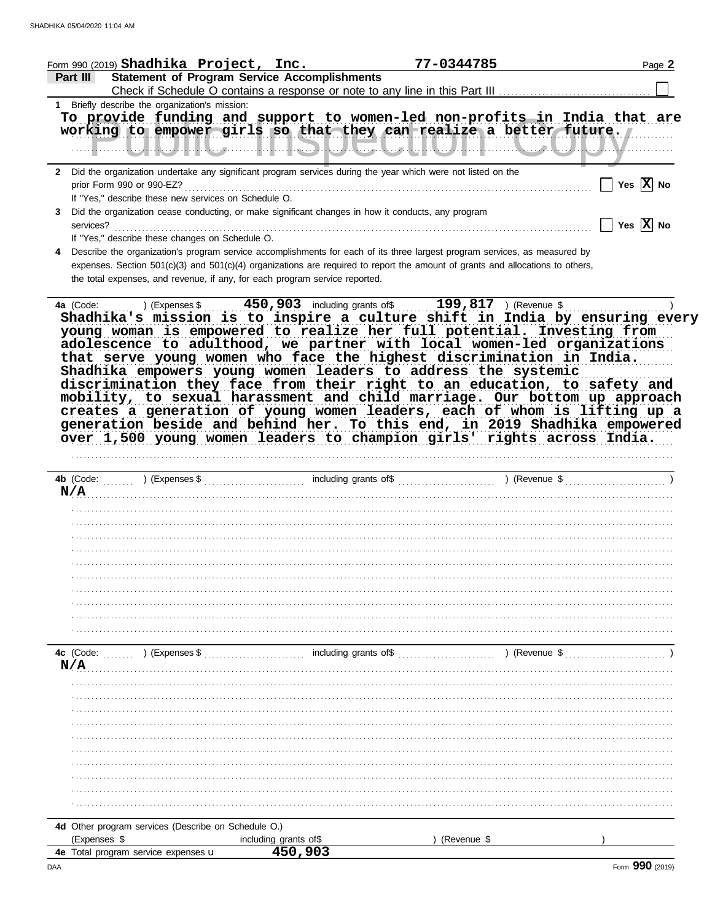| Form 990 (2019) $Shadhika$ $Project, Inc.$                                                                     |                                                     | 77-0344785                                                                                                                     | Page 2                              |
|----------------------------------------------------------------------------------------------------------------|-----------------------------------------------------|--------------------------------------------------------------------------------------------------------------------------------|-------------------------------------|
| Part III                                                                                                       | <b>Statement of Program Service Accomplishments</b> |                                                                                                                                |                                     |
|                                                                                                                |                                                     |                                                                                                                                |                                     |
| 1 Briefly describe the organization's mission:                                                                 |                                                     | To provide funding and support to women-led non-profits in India that are                                                      |                                     |
|                                                                                                                |                                                     | working to empower girls so that they can realize a better future.                                                             |                                     |
|                                                                                                                |                                                     |                                                                                                                                |                                     |
|                                                                                                                |                                                     | <b>ॱ┈┈╢┈┈┈┞╌┦╌┞╌┚┦┇╿┖╌┙┈┈┈┇╌┇╌┇╌╗┦╅┙┛┻╾┛┖╌┛┖╌╝┖╌╝╎┋╌┇</b> ┠┺╌╝┦┨╌┇╌┈┈┺╌╌┛┸┺╌┙┸┺╌┙┸┻┙                                           |                                     |
| 2 Did the organization undertake any significant program services during the year which were not listed on the |                                                     |                                                                                                                                |                                     |
|                                                                                                                |                                                     |                                                                                                                                | $\prod$ Yes $\boxed{\mathbf{X}}$ No |
| If "Yes," describe these new services on Schedule O.                                                           |                                                     |                                                                                                                                |                                     |
| Did the organization cease conducting, or make significant changes in how it conducts, any program<br>3        |                                                     |                                                                                                                                |                                     |
|                                                                                                                |                                                     |                                                                                                                                | $\Box$ Yes $\boxed{\textbf{X}}$ No  |
| If "Yes," describe these changes on Schedule O.                                                                |                                                     |                                                                                                                                |                                     |
| 4                                                                                                              |                                                     | Describe the organization's program service accomplishments for each of its three largest program services, as measured by     |                                     |
|                                                                                                                |                                                     | expenses. Section 501(c)(3) and 501(c)(4) organizations are required to report the amount of grants and allocations to others, |                                     |
| the total expenses, and revenue, if any, for each program service reported.                                    |                                                     |                                                                                                                                |                                     |
|                                                                                                                |                                                     |                                                                                                                                |                                     |
|                                                                                                                |                                                     |                                                                                                                                |                                     |
|                                                                                                                |                                                     | Shadhika's mission is to inspire a culture shift in India by ensuring every                                                    |                                     |
|                                                                                                                |                                                     | young woman is empowered to realize her full potential. Investing from                                                         |                                     |
|                                                                                                                |                                                     |                                                                                                                                |                                     |
|                                                                                                                |                                                     | adolescence to adulthood, we partner with local women-led organizations                                                        |                                     |
|                                                                                                                |                                                     | that serve young women who face the highest discrimination in India.                                                           |                                     |
|                                                                                                                |                                                     | Shadhika empowers young women leaders to address the systemic                                                                  |                                     |
|                                                                                                                |                                                     | discrimination they face from their right to an education, to safety and                                                       |                                     |
|                                                                                                                |                                                     | mobility, to sexual harassment and child marriage. Our bottom up approach                                                      |                                     |
|                                                                                                                |                                                     | creates a generation of young women leaders, each of whom is lifting up a                                                      |                                     |
|                                                                                                                |                                                     | generation beside and behind her. To this end, in 2019 Shadhika empowered                                                      |                                     |
|                                                                                                                |                                                     | over 1,500 young women leaders to champion girls' rights across India.                                                         |                                     |
|                                                                                                                |                                                     |                                                                                                                                |                                     |
|                                                                                                                |                                                     |                                                                                                                                |                                     |
|                                                                                                                |                                                     |                                                                                                                                |                                     |
|                                                                                                                |                                                     |                                                                                                                                |                                     |
|                                                                                                                |                                                     |                                                                                                                                |                                     |
| N/A                                                                                                            |                                                     |                                                                                                                                |                                     |
|                                                                                                                |                                                     |                                                                                                                                |                                     |
|                                                                                                                |                                                     |                                                                                                                                |                                     |
|                                                                                                                |                                                     |                                                                                                                                |                                     |
|                                                                                                                |                                                     |                                                                                                                                |                                     |
|                                                                                                                |                                                     |                                                                                                                                |                                     |
|                                                                                                                |                                                     |                                                                                                                                |                                     |
|                                                                                                                |                                                     |                                                                                                                                |                                     |
|                                                                                                                |                                                     |                                                                                                                                |                                     |
|                                                                                                                |                                                     |                                                                                                                                |                                     |
|                                                                                                                |                                                     |                                                                                                                                |                                     |
|                                                                                                                |                                                     |                                                                                                                                |                                     |
| 4c (Code: ) (Expenses \$                                                                                       |                                                     | $\frac{1}{2}$ including grants of \$                                                                                           | ) (Revenue \$                       |
| N/A                                                                                                            |                                                     |                                                                                                                                |                                     |
|                                                                                                                |                                                     |                                                                                                                                |                                     |
|                                                                                                                |                                                     |                                                                                                                                |                                     |
|                                                                                                                |                                                     |                                                                                                                                |                                     |
|                                                                                                                |                                                     |                                                                                                                                |                                     |
|                                                                                                                |                                                     |                                                                                                                                |                                     |
|                                                                                                                |                                                     |                                                                                                                                |                                     |
|                                                                                                                |                                                     |                                                                                                                                |                                     |
|                                                                                                                |                                                     |                                                                                                                                |                                     |
|                                                                                                                |                                                     |                                                                                                                                |                                     |
|                                                                                                                |                                                     |                                                                                                                                |                                     |
|                                                                                                                |                                                     |                                                                                                                                |                                     |
| 4d Other program services (Describe on Schedule O.)                                                            |                                                     |                                                                                                                                |                                     |
| (Expenses \$<br>4e Total program service expenses u                                                            | including grants of\$<br>450,903                    | (Revenue \$                                                                                                                    |                                     |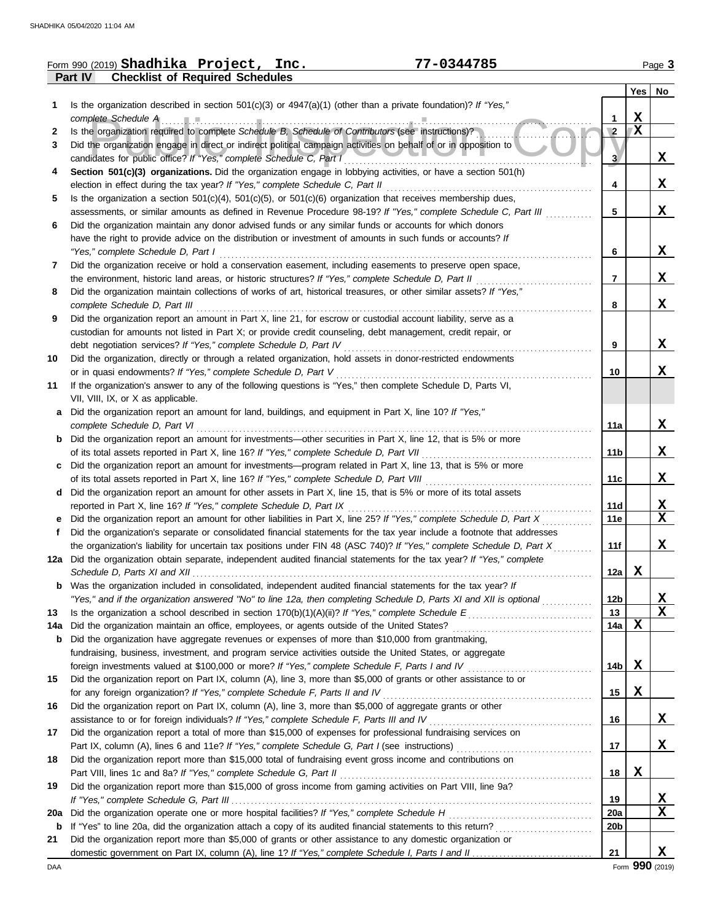|     | 77-0344785<br>Form 990 (2019) Shadhika Project, Inc.                                                                                                                                                     |                 |             | Page 3          |
|-----|----------------------------------------------------------------------------------------------------------------------------------------------------------------------------------------------------------|-----------------|-------------|-----------------|
|     | Part IV<br><b>Checklist of Required Schedules</b>                                                                                                                                                        |                 |             |                 |
|     |                                                                                                                                                                                                          |                 |             | Yes No          |
| 1.  | Is the organization described in section $501(c)(3)$ or $4947(a)(1)$ (other than a private foundation)? If "Yes,"                                                                                        |                 |             |                 |
|     | complete Schedule A                                                                                                                                                                                      | 1               | $\mathbf X$ |                 |
| 2   | Is the organization required to complete Schedule B, Schedule of Contributors (see instructions)?                                                                                                        | $\sqrt{2}$      | X           |                 |
| 3   | Did the organization engage in direct or indirect political campaign activities on behalf of or in opposition to                                                                                         |                 |             |                 |
|     | candidates for public office? If "Yes," complete Schedule C, Part I                                                                                                                                      | 3               |             | X               |
| 4   | Section 501(c)(3) organizations. Did the organization engage in lobbying activities, or have a section 501(h)                                                                                            |                 |             |                 |
|     | election in effect during the tax year? If "Yes," complete Schedule C, Part II                                                                                                                           | 4               |             | X               |
| 5   | Is the organization a section $501(c)(4)$ , $501(c)(5)$ , or $501(c)(6)$ organization that receives membership dues,                                                                                     |                 |             |                 |
|     | assessments, or similar amounts as defined in Revenue Procedure 98-19? If "Yes," complete Schedule C, Part III                                                                                           | 5               |             | X               |
| 6   | Did the organization maintain any donor advised funds or any similar funds or accounts for which donors                                                                                                  |                 |             |                 |
|     | have the right to provide advice on the distribution or investment of amounts in such funds or accounts? If                                                                                              |                 |             |                 |
|     | "Yes," complete Schedule D, Part I                                                                                                                                                                       | 6               |             | X               |
| 7   | Did the organization receive or hold a conservation easement, including easements to preserve open space,                                                                                                |                 |             |                 |
|     | the environment, historic land areas, or historic structures? If "Yes," complete Schedule D, Part II                                                                                                     | 7               |             | X               |
| 8   | Did the organization maintain collections of works of art, historical treasures, or other similar assets? If "Yes,"                                                                                      |                 |             |                 |
|     | complete Schedule D, Part III                                                                                                                                                                            | 8               |             | X               |
| 9   | Did the organization report an amount in Part X, line 21, for escrow or custodial account liability, serve as a                                                                                          |                 |             |                 |
|     | custodian for amounts not listed in Part X; or provide credit counseling, debt management, credit repair, or                                                                                             |                 |             |                 |
|     | debt negotiation services? If "Yes," complete Schedule D, Part IV                                                                                                                                        | 9               |             | X               |
| 10  | Did the organization, directly or through a related organization, hold assets in donor-restricted endowments                                                                                             |                 |             |                 |
|     | or in quasi endowments? If "Yes," complete Schedule D, Part V                                                                                                                                            | 10              |             | X               |
| 11  | If the organization's answer to any of the following questions is "Yes," then complete Schedule D, Parts VI,                                                                                             |                 |             |                 |
|     | VII, VIII, IX, or X as applicable.                                                                                                                                                                       |                 |             |                 |
| а   | Did the organization report an amount for land, buildings, and equipment in Part X, line 10? If "Yes,"                                                                                                   |                 |             | X               |
|     | complete Schedule D, Part VI                                                                                                                                                                             | 11a             |             |                 |
| b   | Did the organization report an amount for investments—other securities in Part X, line 12, that is 5% or more                                                                                            | 11 <sub>b</sub> |             | X               |
|     | of its total assets reported in Part X, line 16? If "Yes," complete Schedule D, Part VII<br>Did the organization report an amount for investments—program related in Part X, line 13, that is 5% or more |                 |             |                 |
| c   | of its total assets reported in Part X, line 16? If "Yes," complete Schedule D, Part VIII                                                                                                                | 11c             |             | X               |
| d   | Did the organization report an amount for other assets in Part X, line 15, that is 5% or more of its total assets                                                                                        |                 |             |                 |
|     | reported in Part X, line 16? If "Yes," complete Schedule D, Part IX                                                                                                                                      | 11d             |             | $\mathbf x$     |
|     | Did the organization report an amount for other liabilities in Part X, line 25? If "Yes," complete Schedule D, Part X                                                                                    | 11e             |             | X               |
| f   | Did the organization's separate or consolidated financial statements for the tax year include a footnote that addresses                                                                                  |                 |             |                 |
|     | the organization's liability for uncertain tax positions under FIN 48 (ASC 740)? If "Yes," complete Schedule D, Part X                                                                                   | 11f             |             | X               |
|     | 12a Did the organization obtain separate, independent audited financial statements for the tax year? If "Yes," complete                                                                                  |                 |             |                 |
|     |                                                                                                                                                                                                          | 12a             | X           |                 |
| b   | Was the organization included in consolidated, independent audited financial statements for the tax year? If                                                                                             |                 |             |                 |
|     | "Yes," and if the organization answered "No" to line 12a, then completing Schedule D, Parts XI and XII is optional                                                                                       | 12b             |             | X               |
| 13  |                                                                                                                                                                                                          | 13              |             | X               |
| 14a | Did the organization maintain an office, employees, or agents outside of the United States?                                                                                                              | 14a             | X           |                 |
| b   | Did the organization have aggregate revenues or expenses of more than \$10,000 from grantmaking,                                                                                                         |                 |             |                 |
|     | fundraising, business, investment, and program service activities outside the United States, or aggregate                                                                                                |                 |             |                 |
|     | foreign investments valued at \$100,000 or more? If "Yes," complete Schedule F, Parts I and IV                                                                                                           | 14b             | X           |                 |
| 15  | Did the organization report on Part IX, column (A), line 3, more than \$5,000 of grants or other assistance to or                                                                                        |                 |             |                 |
|     | for any foreign organization? If "Yes," complete Schedule F, Parts II and IV                                                                                                                             | 15              | X           |                 |
| 16  | Did the organization report on Part IX, column (A), line 3, more than \$5,000 of aggregate grants or other                                                                                               |                 |             |                 |
|     | assistance to or for foreign individuals? If "Yes," complete Schedule F, Parts III and IV                                                                                                                | 16              |             | X               |
| 17  | Did the organization report a total of more than \$15,000 of expenses for professional fundraising services on                                                                                           |                 |             |                 |
|     |                                                                                                                                                                                                          | 17              |             | X               |
| 18  | Did the organization report more than \$15,000 total of fundraising event gross income and contributions on                                                                                              |                 |             |                 |
|     |                                                                                                                                                                                                          | 18              | X           |                 |
| 19  | Did the organization report more than \$15,000 of gross income from gaming activities on Part VIII, line 9a?                                                                                             |                 |             |                 |
|     |                                                                                                                                                                                                          | 19              |             | <u>x</u>        |
| 20a | Did the organization operate one or more hospital facilities? If "Yes," complete Schedule H                                                                                                              | <b>20a</b>      |             | $\mathbf X$     |
| b   |                                                                                                                                                                                                          | 20b             |             |                 |
| 21  | Did the organization report more than \$5,000 of grants or other assistance to any domestic organization or                                                                                              |                 |             |                 |
|     |                                                                                                                                                                                                          | 21              |             | X               |
| DAA |                                                                                                                                                                                                          |                 |             | Form 990 (2019) |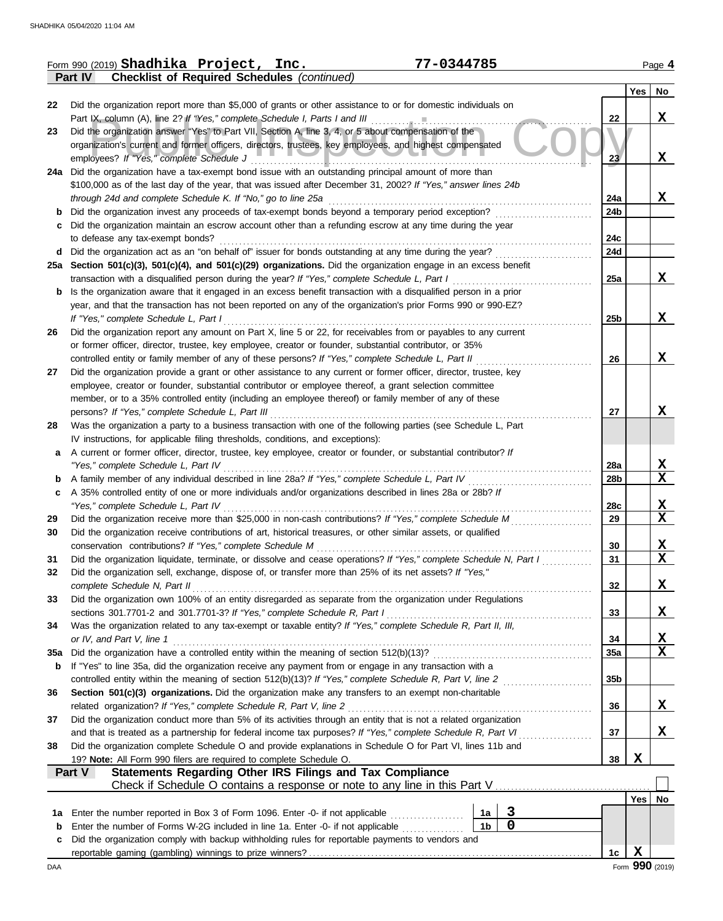|     | 77-0344785<br>Form 990 (2019) Shadhika Project, Inc.                                                                                                                               |                 |     | Page 4                  |
|-----|------------------------------------------------------------------------------------------------------------------------------------------------------------------------------------|-----------------|-----|-------------------------|
|     | <b>Checklist of Required Schedules (continued)</b><br>Part IV                                                                                                                      |                 |     |                         |
|     |                                                                                                                                                                                    |                 | Yes | No                      |
| 22  | Did the organization report more than \$5,000 of grants or other assistance to or for domestic individuals on                                                                      |                 |     |                         |
| 23  | Part IX, column (A), line 2? If "Yes," complete Schedule I, Parts I and III<br>Did the organization answer "Yes" to Part VII, Section A, line 3, 4, or 5 about compensation of the | 22              |     | X                       |
|     | organization's current and former officers, directors, trustees, key employees, and highest compensated                                                                            |                 |     |                         |
|     | employees? If "Yes," complete Schedule J                                                                                                                                           | 23              |     | X                       |
|     | 24a Did the organization have a tax-exempt bond issue with an outstanding principal amount of more than                                                                            |                 |     |                         |
|     | \$100,000 as of the last day of the year, that was issued after December 31, 2002? If "Yes," answer lines 24b                                                                      |                 |     |                         |
|     | through 24d and complete Schedule K. If "No," go to line 25a                                                                                                                       | 24a             |     | $\mathbf x$             |
|     | Did the organization invest any proceeds of tax-exempt bonds beyond a temporary period exception?                                                                                  | 24 <sub>b</sub> |     |                         |
|     | Did the organization maintain an escrow account other than a refunding escrow at any time during the year                                                                          |                 |     |                         |
|     | to defease any tax-exempt bonds?                                                                                                                                                   | 24c             |     |                         |
| d   | Did the organization act as an "on behalf of" issuer for bonds outstanding at any time during the year?                                                                            | 24d             |     |                         |
|     | 25a Section 501(c)(3), 501(c)(4), and 501(c)(29) organizations. Did the organization engage in an excess benefit                                                                   |                 |     |                         |
|     | transaction with a disqualified person during the year? If "Yes," complete Schedule L, Part I                                                                                      | 25a             |     | X                       |
| b   | Is the organization aware that it engaged in an excess benefit transaction with a disqualified person in a prior                                                                   |                 |     |                         |
|     | year, and that the transaction has not been reported on any of the organization's prior Forms 990 or 990-EZ?<br>If "Yes," complete Schedule L, Part I                              | 25 <sub>b</sub> |     | X                       |
| 26  | Did the organization report any amount on Part X, line 5 or 22, for receivables from or payables to any current                                                                    |                 |     |                         |
|     | or former officer, director, trustee, key employee, creator or founder, substantial contributor, or 35%                                                                            |                 |     |                         |
|     | controlled entity or family member of any of these persons? If "Yes," complete Schedule L, Part II                                                                                 | 26              |     | X                       |
| 27  | Did the organization provide a grant or other assistance to any current or former officer, director, trustee, key                                                                  |                 |     |                         |
|     | employee, creator or founder, substantial contributor or employee thereof, a grant selection committee                                                                             |                 |     |                         |
|     | member, or to a 35% controlled entity (including an employee thereof) or family member of any of these                                                                             |                 |     |                         |
|     | persons? If "Yes," complete Schedule L, Part III                                                                                                                                   | 27              |     | X                       |
| 28  | Was the organization a party to a business transaction with one of the following parties (see Schedule L, Part                                                                     |                 |     |                         |
|     | IV instructions, for applicable filing thresholds, conditions, and exceptions):                                                                                                    |                 |     |                         |
| a   | A current or former officer, director, trustee, key employee, creator or founder, or substantial contributor? If                                                                   |                 |     |                         |
|     | "Yes," complete Schedule L, Part IV                                                                                                                                                | 28a             |     | <u>x</u>                |
| b   | A family member of any individual described in line 28a? If "Yes," complete Schedule L, Part IV                                                                                    | 28b             |     | $\mathbf x$             |
| c   | A 35% controlled entity of one or more individuals and/or organizations described in lines 28a or 28b? If<br>"Yes," complete Schedule L, Part IV                                   | 28c             |     | <u>x</u>                |
| 29  | Did the organization receive more than \$25,000 in non-cash contributions? If "Yes," complete Schedule M                                                                           | 29              |     | X                       |
| 30  | Did the organization receive contributions of art, historical treasures, or other similar assets, or qualified                                                                     |                 |     |                         |
|     | conservation contributions? If "Yes," complete Schedule M                                                                                                                          | 30              |     | X                       |
| 31  | Did the organization liquidate, terminate, or dissolve and cease operations? If "Yes," complete Schedule N, Part I                                                                 | 31              |     | $\overline{\mathbf{x}}$ |
| 32  | Did the organization sell, exchange, dispose of, or transfer more than 25% of its net assets? If "Yes,"                                                                            |                 |     |                         |
|     | complete Schedule N, Part II                                                                                                                                                       | 32              |     | X                       |
| 33  | Did the organization own 100% of an entity disregarded as separate from the organization under Regulations                                                                         |                 |     |                         |
|     | sections 301.7701-2 and 301.7701-3? If "Yes," complete Schedule R, Part I                                                                                                          | 33              |     | X                       |
| 34  | Was the organization related to any tax-exempt or taxable entity? If "Yes," complete Schedule R, Part II, III,                                                                     |                 |     |                         |
|     | or IV, and Part V, line 1                                                                                                                                                          | 34              |     | <u>x</u>                |
| 35a | Did the organization have a controlled entity within the meaning of section 512(b)(13)?                                                                                            | 35a             |     | $\overline{\mathbf{x}}$ |
| b   | If "Yes" to line 35a, did the organization receive any payment from or engage in any transaction with a                                                                            |                 |     |                         |
|     | controlled entity within the meaning of section 512(b)(13)? If "Yes," complete Schedule R, Part V, line 2                                                                          | 35 <sub>b</sub> |     |                         |
| 36  | Section 501(c)(3) organizations. Did the organization make any transfers to an exempt non-charitable<br>related organization? If "Yes," complete Schedule R, Part V, line 2        | 36              |     | X                       |
| 37  | Did the organization conduct more than 5% of its activities through an entity that is not a related organization                                                                   |                 |     |                         |
|     | and that is treated as a partnership for federal income tax purposes? If "Yes," complete Schedule R, Part VI                                                                       | 37              |     | X                       |
| 38  | Did the organization complete Schedule O and provide explanations in Schedule O for Part VI, lines 11b and                                                                         |                 |     |                         |
|     | 19? Note: All Form 990 filers are required to complete Schedule O.                                                                                                                 | 38              | X   |                         |
|     | Statements Regarding Other IRS Filings and Tax Compliance<br>Part V                                                                                                                |                 |     |                         |
|     | Check if Schedule O contains a response or note to any line in this Part V                                                                                                         |                 |     |                         |
|     |                                                                                                                                                                                    |                 |     | Yes   No                |
| 1a  | $\overline{\mathbf{3}}$<br>Enter the number reported in Box 3 of Form 1096. Enter -0- if not applicable<br>1a                                                                      |                 |     |                         |
| b   | $\overline{\mathbf{0}}$<br>1 <sub>b</sub><br>Enter the number of Forms W-2G included in line 1a. Enter -0- if not applicable                                                       |                 |     |                         |
| c   | Did the organization comply with backup withholding rules for reportable payments to vendors and                                                                                   |                 |     |                         |
|     |                                                                                                                                                                                    | 1c              | X   |                         |
| DAA |                                                                                                                                                                                    |                 |     | Form 990 (2019)         |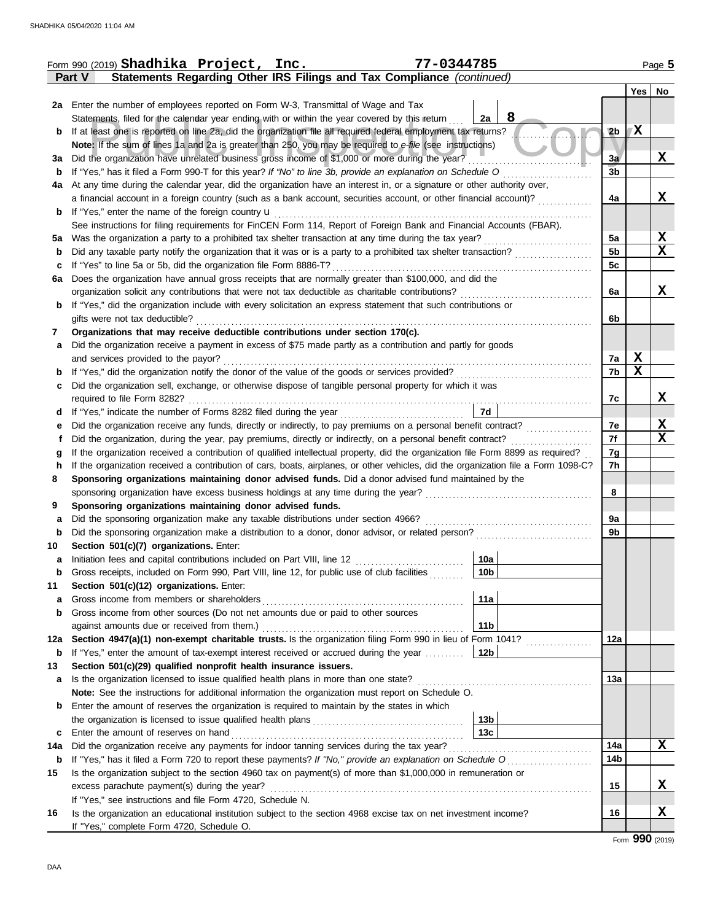|        | Form 990 (2019) Shadhika Project, Inc.<br>77-0344785                                                                                                                                                                                                                   |                 |                |    | Page 5           |
|--------|------------------------------------------------------------------------------------------------------------------------------------------------------------------------------------------------------------------------------------------------------------------------|-----------------|----------------|----|------------------|
|        | Statements Regarding Other IRS Filings and Tax Compliance (continued)<br><b>Part V</b>                                                                                                                                                                                 |                 |                |    |                  |
|        |                                                                                                                                                                                                                                                                        |                 |                |    | Yes   No         |
|        | 2a Enter the number of employees reported on Form W-3, Transmittal of Wage and Tax                                                                                                                                                                                     |                 |                |    |                  |
|        | Statements, filed for the calendar year ending with or within the year covered by this return                                                                                                                                                                          | 8<br>2a         |                |    |                  |
| b      | If at least one is reported on line 2a, did the organization file all required federal employment tax returns?                                                                                                                                                         |                 | 2 <sub>b</sub> | 7X |                  |
|        | Note: If the sum of lines 1a and 2a is greater than 250, you may be required to e-file (see instructions)                                                                                                                                                              |                 |                |    |                  |
| За     | Did the organization have unrelated business gross income of \$1,000 or more during the year?                                                                                                                                                                          |                 | 3a             |    | X                |
| b      | If "Yes," has it filed a Form 990-T for this year? If "No" to line 3b, provide an explanation on Schedule O                                                                                                                                                            |                 | 3 <sub>b</sub> |    |                  |
| 4a     | At any time during the calendar year, did the organization have an interest in, or a signature or other authority over,                                                                                                                                                |                 |                |    |                  |
|        | a financial account in a foreign country (such as a bank account, securities account, or other financial account)?                                                                                                                                                     |                 | 4a             |    | X                |
| b      | If "Yes," enter the name of the foreign country <b>u</b>                                                                                                                                                                                                               |                 |                |    |                  |
|        | See instructions for filing requirements for FinCEN Form 114, Report of Foreign Bank and Financial Accounts (FBAR).                                                                                                                                                    |                 |                |    |                  |
| 5а     | Was the organization a party to a prohibited tax shelter transaction at any time during the tax year?                                                                                                                                                                  |                 | 5a             |    | <u>x</u>         |
| b      |                                                                                                                                                                                                                                                                        |                 | 5 <sub>b</sub> |    | $\mathbf X$      |
| c      | If "Yes" to line 5a or 5b, did the organization file Form 8886-T?                                                                                                                                                                                                      |                 | 5c             |    |                  |
| 6a     | Does the organization have annual gross receipts that are normally greater than \$100,000, and did the                                                                                                                                                                 |                 |                |    |                  |
|        | organization solicit any contributions that were not tax deductible as charitable contributions?                                                                                                                                                                       |                 | 6a             |    | X                |
| b      | If "Yes," did the organization include with every solicitation an express statement that such contributions or                                                                                                                                                         |                 |                |    |                  |
|        | gifts were not tax deductible?                                                                                                                                                                                                                                         |                 | 6b             |    |                  |
| 7      | Organizations that may receive deductible contributions under section 170(c).                                                                                                                                                                                          |                 |                |    |                  |
| a      | Did the organization receive a payment in excess of \$75 made partly as a contribution and partly for goods                                                                                                                                                            |                 |                |    |                  |
|        | and services provided to the payor?                                                                                                                                                                                                                                    |                 | 7a             | X  |                  |
| b      |                                                                                                                                                                                                                                                                        |                 | 7b             | X  |                  |
| c      | Did the organization sell, exchange, or otherwise dispose of tangible personal property for which it was                                                                                                                                                               |                 |                |    |                  |
|        | required to file Form 8282?                                                                                                                                                                                                                                            |                 | 7c             |    | x                |
| d      | If "Yes," indicate the number of Forms 8282 filed during the year<br>[[[[[[[[[[[[[]]]]]]                                                                                                                                                                               | 7d              |                |    |                  |
| е      |                                                                                                                                                                                                                                                                        |                 | 7е<br>7f       |    | X<br>$\mathbf X$ |
|        | Did the organization, during the year, pay premiums, directly or indirectly, on a personal benefit contract?                                                                                                                                                           |                 |                |    |                  |
| g<br>h | If the organization received a contribution of qualified intellectual property, did the organization file Form 8899 as required?<br>If the organization received a contribution of cars, boats, airplanes, or other vehicles, did the organization file a Form 1098-C? |                 | 7g<br>7h       |    |                  |
| 8      | Sponsoring organizations maintaining donor advised funds. Did a donor advised fund maintained by the                                                                                                                                                                   |                 |                |    |                  |
|        |                                                                                                                                                                                                                                                                        |                 | 8              |    |                  |
| 9      | Sponsoring organizations maintaining donor advised funds.                                                                                                                                                                                                              |                 |                |    |                  |
| a      | Did the sponsoring organization make any taxable distributions under section 4966?                                                                                                                                                                                     |                 | 9a             |    |                  |
| b      |                                                                                                                                                                                                                                                                        |                 | 9b             |    |                  |
| 10     | Section 501(c)(7) organizations. Enter:                                                                                                                                                                                                                                |                 |                |    |                  |
| а      | Initiation fees and capital contributions included on Part VIII, line 12 [11][11][11][11][11][11][11][11][11]                                                                                                                                                          | 10a             |                |    |                  |
| b      | Gross receipts, included on Form 990, Part VIII, line 12, for public use of club facilities                                                                                                                                                                            | 10b             |                |    |                  |
| 11     | Section 501(c)(12) organizations. Enter:                                                                                                                                                                                                                               |                 |                |    |                  |
| a      | Gross income from members or shareholders                                                                                                                                                                                                                              | 11a             |                |    |                  |
| b      | Gross income from other sources (Do not net amounts due or paid to other sources                                                                                                                                                                                       |                 |                |    |                  |
|        | against amounts due or received from them.)                                                                                                                                                                                                                            | 11 <sub>b</sub> |                |    |                  |
| 12a    | Section 4947(a)(1) non-exempt charitable trusts. Is the organization filing Form 990 in lieu of Form 1041?                                                                                                                                                             |                 | 12a            |    |                  |
| b      | If "Yes," enter the amount of tax-exempt interest received or accrued during the year                                                                                                                                                                                  | 12b             |                |    |                  |
| 13     | Section 501(c)(29) qualified nonprofit health insurance issuers.                                                                                                                                                                                                       |                 |                |    |                  |
| а      | Is the organization licensed to issue qualified health plans in more than one state?                                                                                                                                                                                   |                 | 13а            |    |                  |
|        | Note: See the instructions for additional information the organization must report on Schedule O.                                                                                                                                                                      |                 |                |    |                  |
| b      | Enter the amount of reserves the organization is required to maintain by the states in which                                                                                                                                                                           |                 |                |    |                  |
|        |                                                                                                                                                                                                                                                                        | 13 <sub>b</sub> |                |    |                  |
| с      | Enter the amount of reserves on hand                                                                                                                                                                                                                                   | 13 <sub>c</sub> |                |    |                  |
| 14a    |                                                                                                                                                                                                                                                                        |                 | 14a            |    | X                |
| b      | If "Yes," has it filed a Form 720 to report these payments? If "No," provide an explanation on Schedule O                                                                                                                                                              |                 | 14b            |    |                  |
| 15     | Is the organization subject to the section 4960 tax on payment(s) of more than \$1,000,000 in remuneration or                                                                                                                                                          |                 |                |    |                  |
|        | excess parachute payment(s) during the year?                                                                                                                                                                                                                           |                 | 15             |    | X                |
|        | If "Yes," see instructions and file Form 4720, Schedule N.                                                                                                                                                                                                             |                 |                |    |                  |
| 16     | Is the organization an educational institution subject to the section 4968 excise tax on net investment income?                                                                                                                                                        |                 | 16             |    | X                |
|        | If "Yes," complete Form 4720, Schedule O.                                                                                                                                                                                                                              |                 |                |    |                  |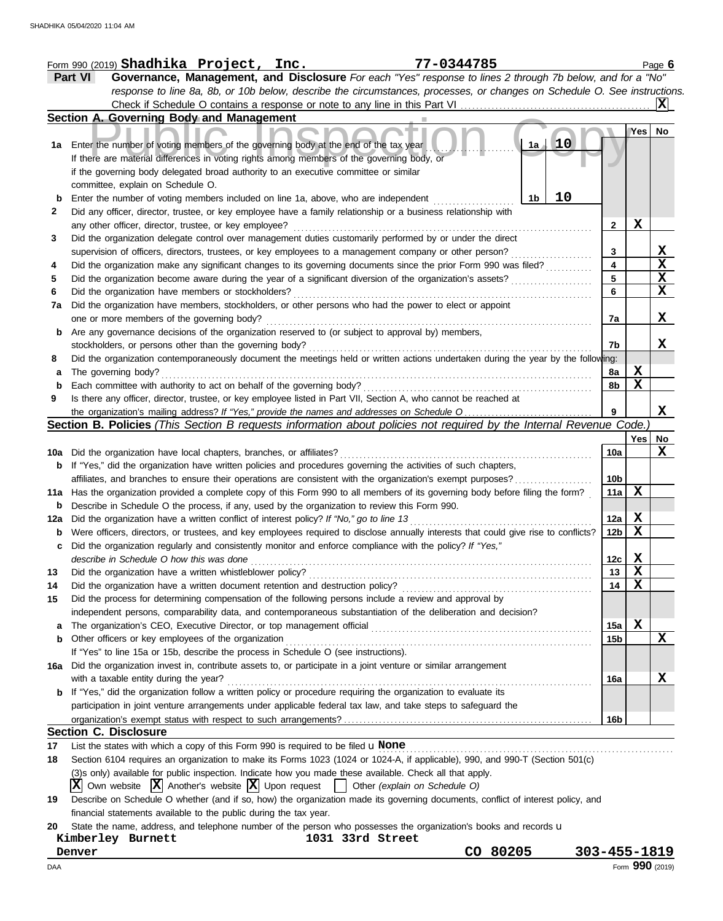|              | Form 990 (2019) Shadhika Project, Inc.<br>77-0344785                                                                                                                                         |                 |                 | Page 6                  |
|--------------|----------------------------------------------------------------------------------------------------------------------------------------------------------------------------------------------|-----------------|-----------------|-------------------------|
|              | Governance, Management, and Disclosure For each "Yes" response to lines 2 through 7b below, and for a "No"<br><b>Part VI</b>                                                                 |                 |                 |                         |
|              | response to line 8a, 8b, or 10b below, describe the circumstances, processes, or changes on Schedule O. See instructions.                                                                    |                 |                 |                         |
|              |                                                                                                                                                                                              |                 |                 | ΙXΙ                     |
|              | Section A. Governing Body and Management                                                                                                                                                     |                 |                 |                         |
|              | 10<br>1a Enter the number of voting members of the governing body at the end of the tax year<br>1a                                                                                           |                 | Yes             | No                      |
|              | If there are material differences in voting rights among members of the governing body, or<br>if the governing body delegated broad authority to an executive committee or similar           |                 |                 |                         |
|              | committee, explain on Schedule O.<br>10<br>Enter the number of voting members included on line 1a, above, who are independent<br>1b                                                          |                 |                 |                         |
| $\mathbf{2}$ | Did any officer, director, trustee, or key employee have a family relationship or a business relationship with                                                                               |                 |                 |                         |
|              | any other officer, director, trustee, or key employee?                                                                                                                                       | $\mathbf{2}$    | X               |                         |
| 3            | Did the organization delegate control over management duties customarily performed by or under the direct                                                                                    |                 |                 |                         |
|              | supervision of officers, directors, trustees, or key employees to a management company or other person?                                                                                      | 3               |                 | X                       |
| 4            | Did the organization make any significant changes to its governing documents since the prior Form 990 was filed?                                                                             | 4               |                 | $\overline{\mathbf{x}}$ |
| 5            | Did the organization become aware during the year of a significant diversion of the organization's assets?                                                                                   | 5               |                 | $\overline{\mathbf{x}}$ |
| 6            | Did the organization have members or stockholders?                                                                                                                                           | 6               |                 | $\overline{\mathbf{x}}$ |
| 7a           | Did the organization have members, stockholders, or other persons who had the power to elect or appoint                                                                                      |                 |                 |                         |
|              | one or more members of the governing body?<br>Are any governance decisions of the organization reserved to (or subject to approval by) members,                                              | 7a              |                 | X                       |
|              |                                                                                                                                                                                              |                 |                 | X                       |
| 8            | stockholders, or persons other than the governing body?<br>Did the organization contemporaneously document the meetings held or written actions undertaken during the year by the following: | 7b              |                 |                         |
|              | The governing body?                                                                                                                                                                          | 8a              | X               |                         |
| а<br>b       | Each committee with authority to act on behalf of the governing body?                                                                                                                        | 8b              | X               |                         |
| 9            | Is there any officer, director, trustee, or key employee listed in Part VII, Section A, who cannot be reached at                                                                             |                 |                 |                         |
|              |                                                                                                                                                                                              | 9               |                 | X                       |
|              | Section B. Policies (This Section B requests information about policies not required by the Internal Revenue Code.)                                                                          |                 |                 |                         |
|              |                                                                                                                                                                                              |                 | Yes             | No                      |
|              | 10a Did the organization have local chapters, branches, or affiliates?                                                                                                                       | 10a             |                 | X                       |
|              | <b>b</b> If "Yes," did the organization have written policies and procedures governing the activities of such chapters,                                                                      |                 |                 |                         |
|              | affiliates, and branches to ensure their operations are consistent with the organization's exempt purposes?                                                                                  | 10b             |                 |                         |
|              | 11a Has the organization provided a complete copy of this Form 990 to all members of its governing body before filing the form?                                                              | 11a             | X               |                         |
| b            | Describe in Schedule O the process, if any, used by the organization to review this Form 990.                                                                                                |                 |                 |                         |
| 12a          | Did the organization have a written conflict of interest policy? If "No," go to line 13                                                                                                      | 12a             | Х               |                         |
| b            | Were officers, directors, or trustees, and key employees required to disclose annually interests that could give rise to conflicts?                                                          | 12b             | X               |                         |
| с            | Did the organization regularly and consistently monitor and enforce compliance with the policy? If "Yes,"                                                                                    |                 |                 |                         |
|              | describe in Schedule O how this was done <i>communication</i> and container and container and container and container                                                                        | 12c             | X               |                         |
| 13           | Did the organization have a written whistleblower policy?                                                                                                                                    | 13              | X               |                         |
| 14           |                                                                                                                                                                                              | 14              | X               |                         |
| 15           | Did the process for determining compensation of the following persons include a review and approval by                                                                                       |                 |                 |                         |
|              | independent persons, comparability data, and contemporaneous substantiation of the deliberation and decision?                                                                                |                 |                 |                         |
| а            |                                                                                                                                                                                              | 15a             | X               |                         |
|              | Other officers or key employees of the organization                                                                                                                                          | 15b             |                 | X                       |
|              | If "Yes" to line 15a or 15b, describe the process in Schedule O (see instructions).                                                                                                          |                 |                 |                         |
| 16a          | Did the organization invest in, contribute assets to, or participate in a joint venture or similar arrangement                                                                               |                 |                 |                         |
|              | with a taxable entity during the year?                                                                                                                                                       | 16a             |                 | Х                       |
| b            | If "Yes," did the organization follow a written policy or procedure requiring the organization to evaluate its                                                                               |                 |                 |                         |
|              | participation in joint venture arrangements under applicable federal tax law, and take steps to safeguard the                                                                                |                 |                 |                         |
|              |                                                                                                                                                                                              | 16 <sub>b</sub> |                 |                         |
|              | <b>Section C. Disclosure</b>                                                                                                                                                                 |                 |                 |                         |
| 17           | List the states with which a copy of this Form 990 is required to be filed $\mathbf u$ None                                                                                                  |                 |                 |                         |
| 18           | Section 6104 requires an organization to make its Forms 1023 (1024 or 1024-A, if applicable), 990, and 990-T (Section 501(c)                                                                 |                 |                 |                         |
|              | (3)s only) available for public inspection. Indicate how you made these available. Check all that apply.                                                                                     |                 |                 |                         |
|              | $ \mathbf{X} $ Own website $ \mathbf{X} $ Another's website $ \mathbf{X} $ Upon request $ \cdot $ Other (explain on Schedule O)                                                              |                 |                 |                         |
| 19           | Describe on Schedule O whether (and if so, how) the organization made its governing documents, conflict of interest policy, and                                                              |                 |                 |                         |
|              | financial statements available to the public during the tax year.<br>State the name, address, and telephone number of the person who possesses the organization's books and records u        |                 |                 |                         |
| 20           | Kimberley Burnett<br>1031 33rd Street                                                                                                                                                        |                 |                 |                         |
|              | CO 80205<br>303-455-1819<br>Denver                                                                                                                                                           |                 |                 |                         |
| DAA          |                                                                                                                                                                                              |                 | Form 990 (2019) |                         |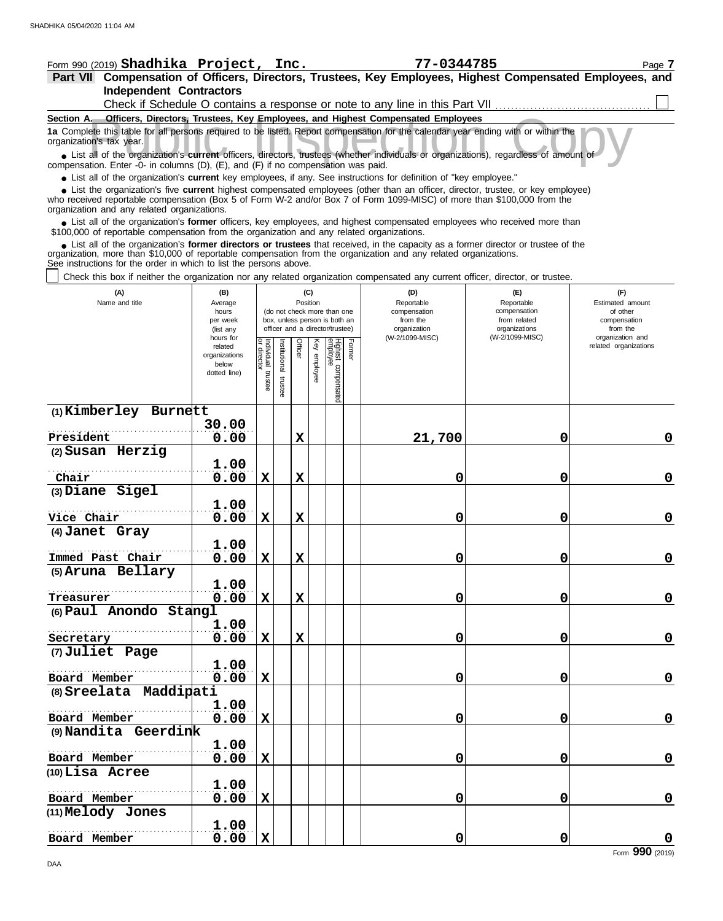| Form 990 (2019) Shadhika Project, Inc.                                                                                                                                                                                      |                          |                                   |                      |             |                                 |                                 |                                 | 77-0344785                                                                   |                              | Page 7                   |  |  |
|-----------------------------------------------------------------------------------------------------------------------------------------------------------------------------------------------------------------------------|--------------------------|-----------------------------------|----------------------|-------------|---------------------------------|---------------------------------|---------------------------------|------------------------------------------------------------------------------|------------------------------|--------------------------|--|--|
| Part VII Compensation of Officers, Directors, Trustees, Key Employees, Highest Compensated Employees, and<br><b>Independent Contractors</b>                                                                                 |                          |                                   |                      |             |                                 |                                 |                                 |                                                                              |                              |                          |  |  |
|                                                                                                                                                                                                                             |                          |                                   |                      |             |                                 |                                 |                                 | Check if Schedule O contains a response or note to any line in this Part VII |                              |                          |  |  |
| Section A. Officers, Directors, Trustees, Key Employees, and Highest Compensated Employees                                                                                                                                  |                          |                                   |                      |             |                                 |                                 |                                 |                                                                              |                              |                          |  |  |
| 1a Complete this table for all persons required to be listed. Report compensation for the calendar year ending with or within the<br>organization's tax year.                                                               |                          |                                   |                      |             |                                 |                                 |                                 |                                                                              |                              |                          |  |  |
| • List all of the organization's current officers, directors, trustees (whether individuals or organizations), regardless of amount of<br>compensation. Enter -0- in columns (D), (E), and (F) if no compensation was paid. |                          |                                   |                      |             |                                 |                                 |                                 |                                                                              |                              |                          |  |  |
| • List all of the organization's current key employees, if any. See instructions for definition of "key employee."                                                                                                          |                          |                                   |                      |             |                                 |                                 |                                 |                                                                              |                              |                          |  |  |
| • List the organization's five current highest compensated employees (other than an officer, director, trustee, or key employee)                                                                                            |                          |                                   |                      |             |                                 |                                 |                                 |                                                                              |                              |                          |  |  |
| who received reportable compensation (Box 5 of Form W-2 and/or Box 7 of Form 1099-MISC) of more than \$100,000 from the<br>organization and any related organizations.                                                      |                          |                                   |                      |             |                                 |                                 |                                 |                                                                              |                              |                          |  |  |
| • List all of the organization's former officers, key employees, and highest compensated employees who received more than<br>\$100,000 of reportable compensation from the organization and any related organizations.      |                          |                                   |                      |             |                                 |                                 |                                 |                                                                              |                              |                          |  |  |
| List all of the organization's former directors or trustees that received, in the capacity as a former director or trustee of the                                                                                           |                          |                                   |                      |             |                                 |                                 |                                 |                                                                              |                              |                          |  |  |
| organization, more than \$10,000 of reportable compensation from the organization and any related organizations.<br>See instructions for the order in which to list the persons above.                                      |                          |                                   |                      |             |                                 |                                 |                                 |                                                                              |                              |                          |  |  |
| Check this box if neither the organization nor any related organization compensated any current officer, director, or trustee.                                                                                              |                          |                                   |                      |             |                                 |                                 |                                 |                                                                              |                              |                          |  |  |
| (A)                                                                                                                                                                                                                         | (B)                      |                                   |                      |             | (C)                             |                                 |                                 | (D)                                                                          | (E)                          | (F)                      |  |  |
| Name and title                                                                                                                                                                                                              | Average                  |                                   |                      | Position    |                                 | (do not check more than one     |                                 | Reportable                                                                   | Reportable<br>compensation   | Estimated amount         |  |  |
|                                                                                                                                                                                                                             | hours<br>per week        |                                   |                      |             |                                 | box, unless person is both an   |                                 | compensation<br>from the                                                     | from related                 | of other<br>compensation |  |  |
|                                                                                                                                                                                                                             |                          |                                   |                      |             | officer and a director/trustee) |                                 | organization<br>(W-2/1099-MISC) | organizations<br>(W-2/1099-MISC)                                             | from the<br>organization and |                          |  |  |
|                                                                                                                                                                                                                             | related<br>organizations |                                   |                      | Officer     | Key employee                    |                                 | Former                          |                                                                              |                              | related organizations    |  |  |
|                                                                                                                                                                                                                             | below                    |                                   |                      |             |                                 |                                 |                                 |                                                                              |                              |                          |  |  |
|                                                                                                                                                                                                                             | dotted line)             | Individual trustee<br>or director | nstitutional trustee |             |                                 | Highest compensated<br>employee |                                 |                                                                              |                              |                          |  |  |
|                                                                                                                                                                                                                             |                          |                                   |                      |             |                                 |                                 |                                 |                                                                              |                              |                          |  |  |
| (1) Kimberley Burnett                                                                                                                                                                                                       |                          |                                   |                      |             |                                 |                                 |                                 |                                                                              |                              |                          |  |  |
|                                                                                                                                                                                                                             | 30.00                    |                                   |                      |             |                                 |                                 |                                 |                                                                              |                              |                          |  |  |
| President<br>(2) Susan Herzig                                                                                                                                                                                               | 0.00                     |                                   |                      | X           |                                 |                                 |                                 | 21,700                                                                       | 0                            | 0                        |  |  |
|                                                                                                                                                                                                                             | 1.00                     |                                   |                      |             |                                 |                                 |                                 |                                                                              |                              |                          |  |  |
| Chair                                                                                                                                                                                                                       | 0.00                     | $\mathbf x$                       |                      | $\mathbf x$ |                                 |                                 |                                 | 0                                                                            | 0                            | $\mathbf 0$              |  |  |
| (3) Diane Sigel                                                                                                                                                                                                             |                          |                                   |                      |             |                                 |                                 |                                 |                                                                              |                              |                          |  |  |
|                                                                                                                                                                                                                             | 1.00                     |                                   |                      |             |                                 |                                 |                                 |                                                                              |                              |                          |  |  |
| Vice Chair<br>(4) Janet Gray                                                                                                                                                                                                | 0.00                     | $\mathbf x$                       |                      | X           |                                 |                                 |                                 | 0                                                                            | 0                            | $\mathbf 0$              |  |  |
|                                                                                                                                                                                                                             | 1.00                     |                                   |                      |             |                                 |                                 |                                 |                                                                              |                              |                          |  |  |
| Immed Past Chair                                                                                                                                                                                                            | 0.00                     | $\mathbf X$                       |                      | $\mathbf X$ |                                 |                                 |                                 | 0                                                                            | $\mathbf 0$                  | $\mathbf 0$              |  |  |
| (5) Aruna Bellary                                                                                                                                                                                                           |                          |                                   |                      |             |                                 |                                 |                                 |                                                                              |                              |                          |  |  |
| Treasurer                                                                                                                                                                                                                   | 1.00<br>0.00             | $\mathbf X$                       |                      | $\mathbf X$ |                                 |                                 |                                 | 0                                                                            | $\Omega$                     | $\mathbf 0$              |  |  |
| (6) Paul Anondo Stangl                                                                                                                                                                                                      |                          |                                   |                      |             |                                 |                                 |                                 |                                                                              |                              |                          |  |  |
|                                                                                                                                                                                                                             | 1.00                     |                                   |                      |             |                                 |                                 |                                 |                                                                              |                              |                          |  |  |
| Secretary                                                                                                                                                                                                                   | 0.00                     | $\mathbf x$                       |                      | $\mathbf X$ |                                 |                                 |                                 | 0                                                                            | 0                            | $\mathbf 0$              |  |  |
| (7) Juliet Page                                                                                                                                                                                                             |                          |                                   |                      |             |                                 |                                 |                                 |                                                                              |                              |                          |  |  |
| Board Member                                                                                                                                                                                                                | 1.00                     | $\mathbf X$                       |                      |             |                                 |                                 |                                 |                                                                              | $\Omega$                     |                          |  |  |
| (8) Sreelata Maddipati                                                                                                                                                                                                      | 0.00                     |                                   |                      |             |                                 |                                 |                                 | 0                                                                            |                              | $\mathbf 0$              |  |  |
|                                                                                                                                                                                                                             | 1.00                     |                                   |                      |             |                                 |                                 |                                 |                                                                              |                              |                          |  |  |
| Board Member                                                                                                                                                                                                                | 0.00                     | $\mathbf x$                       |                      |             |                                 |                                 |                                 | 0                                                                            | $\Omega$                     | $\mathbf 0$              |  |  |
| (9) Nandita Geerdink                                                                                                                                                                                                        |                          |                                   |                      |             |                                 |                                 |                                 |                                                                              |                              |                          |  |  |
|                                                                                                                                                                                                                             | 1.00                     |                                   |                      |             |                                 |                                 |                                 |                                                                              |                              |                          |  |  |
| Board Member<br>$(10)$ Lisa Acree                                                                                                                                                                                           | 0.00                     | $\mathbf x$                       |                      |             |                                 |                                 |                                 | 0                                                                            | $\Omega$                     | $\mathbf 0$              |  |  |
|                                                                                                                                                                                                                             |                          |                                   |                      |             |                                 |                                 |                                 |                                                                              |                              |                          |  |  |

**0.00 X 0 0 0**

**0.00 X 0 0 0**

**(11) Melody Jones**

. . . . . . . . . . . . . . . . . . . . . . . . . . . . . . . . . . . . . . . . . . . . . . . . . . . . . **Board Member**

**1.00**

**1.00**

. . . . . . . . . . . . . . . . . . . . . . . . . . . . . . . . . . . . . . . . . . . . . . . . . . . . . **Board Member**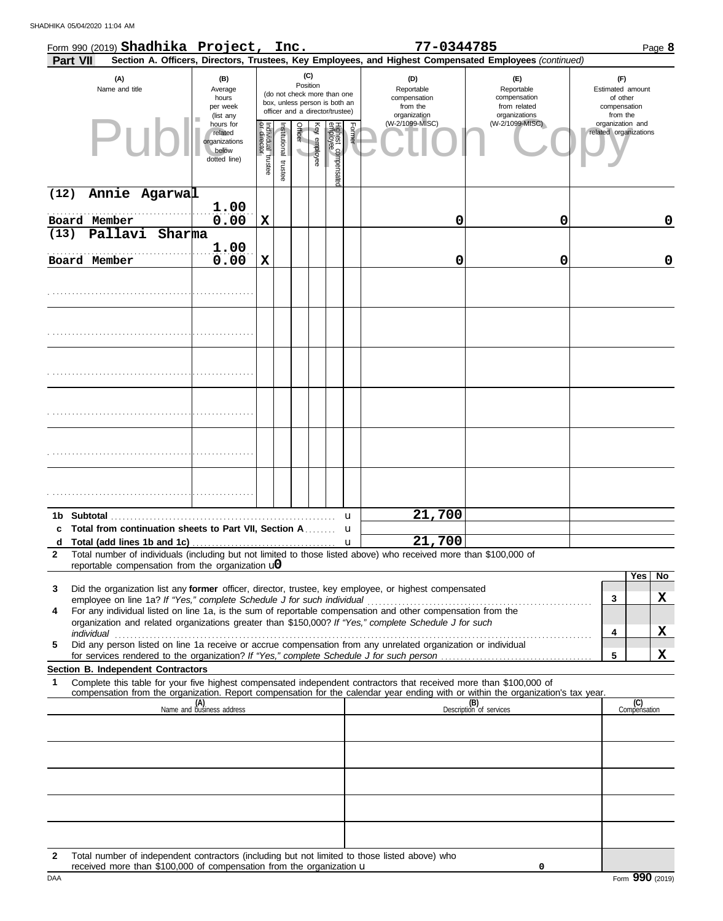|              | Form 990 (2019) Shadhika Project, Inc.                                 |        |                                                                |                                   |                       |         |                 |                                                                                                 |        | 77-0344785                                                                                                                       |                                                                    |                                                                 |                     | Page 8       |
|--------------|------------------------------------------------------------------------|--------|----------------------------------------------------------------|-----------------------------------|-----------------------|---------|-----------------|-------------------------------------------------------------------------------------------------|--------|----------------------------------------------------------------------------------------------------------------------------------|--------------------------------------------------------------------|-----------------------------------------------------------------|---------------------|--------------|
|              | <b>Part VII</b>                                                        |        |                                                                |                                   |                       |         |                 |                                                                                                 |        | Section A. Officers, Directors, Trustees, Key Employees, and Highest Compensated Employees (continued)                           |                                                                    |                                                                 |                     |              |
|              | (A)<br>Name and title                                                  |        | (B)<br>Average<br>hours<br>per week<br>(list any               |                                   |                       |         | (C)<br>Position | (do not check more than one<br>box, unless person is both an<br>officer and a director/trustee) |        | (D)<br>Reportable<br>compensation<br>from the<br>organization                                                                    | (E)<br>Reportable<br>compensation<br>from related<br>organizations | (F)<br>Estimated amount<br>of other<br>compensation<br>from the |                     |              |
|              |                                                                        |        | hours for<br>related<br>organizations<br>below<br>dotted line) | Individual trustee<br>or director | Institutional trustee | Officer | Key employee    | Highest compensate<br>amployee                                                                  | Former | (W-2/1099-MISC)                                                                                                                  | (W-2/1099-MISC)                                                    | organization and<br>related organizations                       |                     |              |
| (12)         | Annie Agarwal                                                          |        |                                                                |                                   |                       |         |                 |                                                                                                 |        |                                                                                                                                  |                                                                    |                                                                 |                     |              |
|              | Board Member                                                           |        | 1.00<br>0.00                                                   | $\mathbf x$                       |                       |         |                 |                                                                                                 |        | 0                                                                                                                                | 0                                                                  |                                                                 |                     | 0            |
| (13)         | Pallavi                                                                | Sharma |                                                                |                                   |                       |         |                 |                                                                                                 |        |                                                                                                                                  |                                                                    |                                                                 |                     |              |
|              | Board Member                                                           |        | 1.00<br>0.00                                                   | X                                 |                       |         |                 |                                                                                                 |        | 0                                                                                                                                | 0                                                                  |                                                                 |                     | 0            |
|              |                                                                        |        |                                                                |                                   |                       |         |                 |                                                                                                 |        |                                                                                                                                  |                                                                    |                                                                 |                     |              |
|              |                                                                        |        |                                                                |                                   |                       |         |                 |                                                                                                 |        |                                                                                                                                  |                                                                    |                                                                 |                     |              |
|              |                                                                        |        |                                                                |                                   |                       |         |                 |                                                                                                 |        |                                                                                                                                  |                                                                    |                                                                 |                     |              |
|              |                                                                        |        |                                                                |                                   |                       |         |                 |                                                                                                 |        |                                                                                                                                  |                                                                    |                                                                 |                     |              |
|              |                                                                        |        |                                                                |                                   |                       |         |                 |                                                                                                 |        |                                                                                                                                  |                                                                    |                                                                 |                     |              |
|              |                                                                        |        |                                                                |                                   |                       |         |                 |                                                                                                 |        |                                                                                                                                  |                                                                    |                                                                 |                     |              |
|              |                                                                        |        |                                                                |                                   |                       |         |                 |                                                                                                 | u      | 21,700                                                                                                                           |                                                                    |                                                                 |                     |              |
| d            | Total from continuation sheets to Part VII, Section A                  |        |                                                                |                                   |                       |         |                 |                                                                                                 | u<br>u | 21,700                                                                                                                           |                                                                    |                                                                 |                     |              |
| $\mathbf{2}$ | reportable compensation from the organization $\mathbf{u}$             |        |                                                                |                                   |                       |         |                 |                                                                                                 |        | Total number of individuals (including but not limited to those listed above) who received more than \$100,000 of                |                                                                    |                                                                 |                     |              |
|              |                                                                        |        |                                                                |                                   |                       |         |                 |                                                                                                 |        |                                                                                                                                  |                                                                    |                                                                 | Yes                 | No           |
| 3            | employee on line 1a? If "Yes," complete Schedule J for such individual |        |                                                                |                                   |                       |         |                 |                                                                                                 |        | Did the organization list any former officer, director, trustee, key employee, or highest compensated                            |                                                                    | 3                                                               |                     | $\mathbf{X}$ |
| 4            |                                                                        |        |                                                                |                                   |                       |         |                 |                                                                                                 |        | For any individual listed on line 1a, is the sum of reportable compensation and other compensation from the                      |                                                                    |                                                                 |                     |              |
|              |                                                                        |        |                                                                |                                   |                       |         |                 |                                                                                                 |        | organization and related organizations greater than \$150,000? If "Yes," complete Schedule J for such                            |                                                                    | 4                                                               |                     | X            |
| 5            |                                                                        |        |                                                                |                                   |                       |         |                 |                                                                                                 |        | Did any person listed on line 1a receive or accrue compensation from any unrelated organization or individual                    |                                                                    |                                                                 |                     |              |
|              |                                                                        |        |                                                                |                                   |                       |         |                 |                                                                                                 |        |                                                                                                                                  |                                                                    | 5                                                               |                     | X            |
| 1            | Section B. Independent Contractors                                     |        |                                                                |                                   |                       |         |                 |                                                                                                 |        | Complete this table for your five highest compensated independent contractors that received more than \$100,000 of               |                                                                    |                                                                 |                     |              |
|              |                                                                        |        |                                                                |                                   |                       |         |                 |                                                                                                 |        | compensation from the organization. Report compensation for the calendar year ending with or within the organization's tax year. |                                                                    |                                                                 |                     |              |
|              |                                                                        |        | (A)<br>Name and business address                               |                                   |                       |         |                 |                                                                                                 |        |                                                                                                                                  | (B)<br>Description of services                                     |                                                                 | (C)<br>Compensation |              |
|              |                                                                        |        |                                                                |                                   |                       |         |                 |                                                                                                 |        |                                                                                                                                  |                                                                    |                                                                 |                     |              |
|              |                                                                        |        |                                                                |                                   |                       |         |                 |                                                                                                 |        |                                                                                                                                  |                                                                    |                                                                 |                     |              |
|              |                                                                        |        |                                                                |                                   |                       |         |                 |                                                                                                 |        |                                                                                                                                  |                                                                    |                                                                 |                     |              |
|              |                                                                        |        |                                                                |                                   |                       |         |                 |                                                                                                 |        |                                                                                                                                  |                                                                    |                                                                 |                     |              |
|              |                                                                        |        |                                                                |                                   |                       |         |                 |                                                                                                 |        |                                                                                                                                  |                                                                    |                                                                 |                     |              |
|              |                                                                        |        |                                                                |                                   |                       |         |                 |                                                                                                 |        |                                                                                                                                  |                                                                    |                                                                 |                     |              |

**2** Total number of independent contractors (including but not limited to those listed above) who received more than \$100,000 of compensation from the organization u

**0**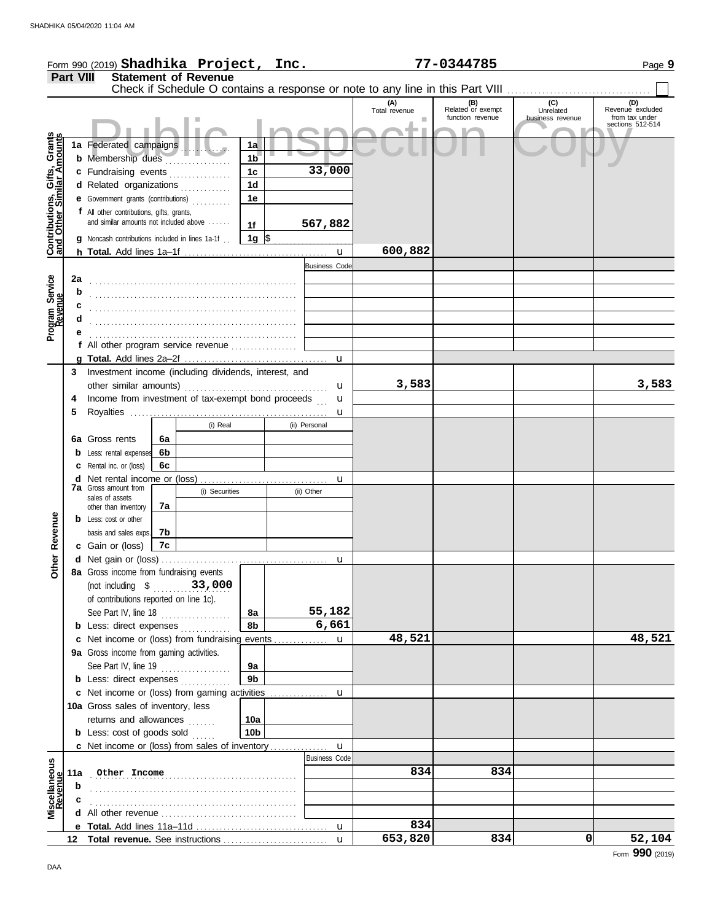|                                                                  |                  | Form 990 (2019) Shadhika Project, Inc.                                                         |          |                             |                      |               |                      |                                                                                                       | 77-0344785                                   |                  | Page 9                             |
|------------------------------------------------------------------|------------------|------------------------------------------------------------------------------------------------|----------|-----------------------------|----------------------|---------------|----------------------|-------------------------------------------------------------------------------------------------------|----------------------------------------------|------------------|------------------------------------|
|                                                                  | <b>Part VIII</b> |                                                                                                |          | <b>Statement of Revenue</b> |                      |               |                      |                                                                                                       |                                              |                  |                                    |
|                                                                  |                  |                                                                                                |          |                             |                      |               |                      | Check if Schedule O contains a response or note to any line in this Part VIII<br>(A)<br>Total revenue | (B)<br>Related or exempt<br>function revenue | (C)<br>Unrelated | (D)<br>Revenue excluded            |
|                                                                  |                  |                                                                                                |          |                             |                      |               |                      |                                                                                                       |                                              | business revenue | from tax under<br>sections 512-514 |
| <b>Contributions, Gifts, Grants</b><br>and Other Similar Amounts |                  | 1a Federated campaigns                                                                         |          |                             | 1a                   |               |                      |                                                                                                       |                                              |                  |                                    |
|                                                                  |                  | <b>b</b> Membership dues                                                                       |          |                             | 1 <sub>b</sub>       |               |                      |                                                                                                       |                                              |                  |                                    |
|                                                                  |                  | c Fundraising events                                                                           |          |                             | 1 <sub>c</sub>       |               | 33,000               |                                                                                                       |                                              |                  |                                    |
|                                                                  |                  | d Related organizations                                                                        |          |                             | 1 <sub>d</sub>       |               |                      |                                                                                                       |                                              |                  |                                    |
|                                                                  |                  | <b>e</b> Government grants (contributions)                                                     |          |                             | 1e                   |               |                      |                                                                                                       |                                              |                  |                                    |
|                                                                  |                  | f All other contributions, gifts, grants,<br>and similar amounts not included above            |          |                             |                      |               |                      |                                                                                                       |                                              |                  |                                    |
|                                                                  |                  |                                                                                                |          |                             | 1f                   | 567,882       |                      |                                                                                                       |                                              |                  |                                    |
|                                                                  |                  | <b>g</b> Noncash contributions included in lines 1a-1f.                                        |          |                             | $1g \sqrt{3}$        |               |                      | 600,882                                                                                               |                                              |                  |                                    |
|                                                                  |                  |                                                                                                |          |                             |                      |               | <b>Business Code</b> |                                                                                                       |                                              |                  |                                    |
|                                                                  | 2a               |                                                                                                |          |                             |                      |               |                      |                                                                                                       |                                              |                  |                                    |
| Program Service<br>Revenue                                       | b                |                                                                                                |          |                             |                      |               |                      |                                                                                                       |                                              |                  |                                    |
|                                                                  | с                |                                                                                                |          |                             |                      |               |                      |                                                                                                       |                                              |                  |                                    |
|                                                                  | d                |                                                                                                |          |                             |                      |               |                      |                                                                                                       |                                              |                  |                                    |
|                                                                  | е                |                                                                                                |          |                             |                      |               |                      |                                                                                                       |                                              |                  |                                    |
|                                                                  |                  | f All other program service revenue                                                            |          |                             |                      |               |                      |                                                                                                       |                                              |                  |                                    |
|                                                                  |                  |                                                                                                |          |                             |                      |               |                      |                                                                                                       |                                              |                  |                                    |
|                                                                  | 3                | Investment income (including dividends, interest, and                                          |          |                             |                      |               |                      | 3,583                                                                                                 |                                              |                  | 3,583                              |
|                                                                  | 4                | Income from investment of tax-exempt bond proceeds                                             |          |                             |                      |               | u<br>u               |                                                                                                       |                                              |                  |                                    |
|                                                                  | 5                |                                                                                                |          |                             |                      |               | u                    |                                                                                                       |                                              |                  |                                    |
|                                                                  |                  |                                                                                                |          | (i) Real                    |                      | (ii) Personal |                      |                                                                                                       |                                              |                  |                                    |
|                                                                  |                  | 6a Gross rents                                                                                 | 6a       |                             |                      |               |                      |                                                                                                       |                                              |                  |                                    |
|                                                                  |                  | <b>b</b> Less: rental expenses                                                                 | 6b       |                             |                      |               |                      |                                                                                                       |                                              |                  |                                    |
|                                                                  |                  | <b>c</b> Rental inc. or (loss)                                                                 | 6с       |                             |                      |               |                      |                                                                                                       |                                              |                  |                                    |
|                                                                  |                  | <b>7a</b> Gross amount from                                                                    |          |                             |                      |               | u                    |                                                                                                       |                                              |                  |                                    |
|                                                                  |                  | sales of assets                                                                                |          | (i) Securities              |                      | (ii) Other    |                      |                                                                                                       |                                              |                  |                                    |
|                                                                  |                  | other than inventory                                                                           | 7a       |                             |                      |               |                      |                                                                                                       |                                              |                  |                                    |
|                                                                  |                  | <b>b</b> Less: cost or other                                                                   |          |                             |                      |               |                      |                                                                                                       |                                              |                  |                                    |
| Revenue                                                          |                  | basis and sales exps.<br>c Gain or (loss)                                                      | 7b<br>7c |                             |                      |               |                      |                                                                                                       |                                              |                  |                                    |
|                                                                  |                  |                                                                                                |          |                             |                      |               | u                    |                                                                                                       |                                              |                  |                                    |
| Other                                                            |                  | 8a Gross income from fundraising events                                                        |          |                             |                      |               |                      |                                                                                                       |                                              |                  |                                    |
|                                                                  |                  | (not including \$ 33,000                                                                       |          |                             |                      |               |                      |                                                                                                       |                                              |                  |                                    |
|                                                                  |                  | of contributions reported on line 1c).                                                         |          |                             |                      |               |                      |                                                                                                       |                                              |                  |                                    |
|                                                                  |                  | See Part IV, line 18                                                                           |          |                             | 8a                   |               | 55,182               |                                                                                                       |                                              |                  |                                    |
|                                                                  |                  | <b>b</b> Less: direct expenses <i>minimum</i>                                                  |          |                             | 8b                   |               | 6,661                |                                                                                                       |                                              |                  |                                    |
|                                                                  |                  | c Net income or (loss) from fundraising events                                                 |          |                             |                      |               | u                    | 48,521                                                                                                |                                              |                  | 48,521                             |
|                                                                  |                  | 9a Gross income from gaming activities.                                                        |          |                             |                      |               |                      |                                                                                                       |                                              |                  |                                    |
|                                                                  |                  | See Part IV, line $19$                                                                         |          |                             | 9а<br>9 <sub>b</sub> |               |                      |                                                                                                       |                                              |                  |                                    |
|                                                                  |                  | <b>b</b> Less: direct expenses <i>minimum</i><br>c Net income or (loss) from gaming activities |          |                             |                      |               | u                    |                                                                                                       |                                              |                  |                                    |
|                                                                  |                  | 10a Gross sales of inventory, less                                                             |          |                             |                      |               |                      |                                                                                                       |                                              |                  |                                    |
|                                                                  |                  | returns and allowances                                                                         |          |                             | 10a                  |               |                      |                                                                                                       |                                              |                  |                                    |
|                                                                  |                  | <b>b</b> Less: cost of goods sold                                                              |          |                             | 10b                  |               |                      |                                                                                                       |                                              |                  |                                    |
|                                                                  |                  | <b>c</b> Net income or (loss) from sales of inventory                                          |          |                             |                      |               | u                    |                                                                                                       |                                              |                  |                                    |
|                                                                  |                  |                                                                                                |          |                             |                      |               | <b>Business Code</b> |                                                                                                       |                                              |                  |                                    |
| Miscellaneous<br>Revenue                                         |                  | 11a Other Income                                                                               |          |                             |                      |               |                      | 834                                                                                                   | 834                                          |                  |                                    |
|                                                                  | b                |                                                                                                |          |                             |                      |               |                      |                                                                                                       |                                              |                  |                                    |
|                                                                  |                  |                                                                                                |          |                             |                      |               |                      |                                                                                                       |                                              |                  |                                    |
|                                                                  |                  |                                                                                                |          |                             |                      |               | u                    | 834                                                                                                   |                                              |                  |                                    |
|                                                                  |                  |                                                                                                |          |                             |                      |               | $\mathbf{u}$         | 653,820                                                                                               | 834                                          | 0                | 52,104                             |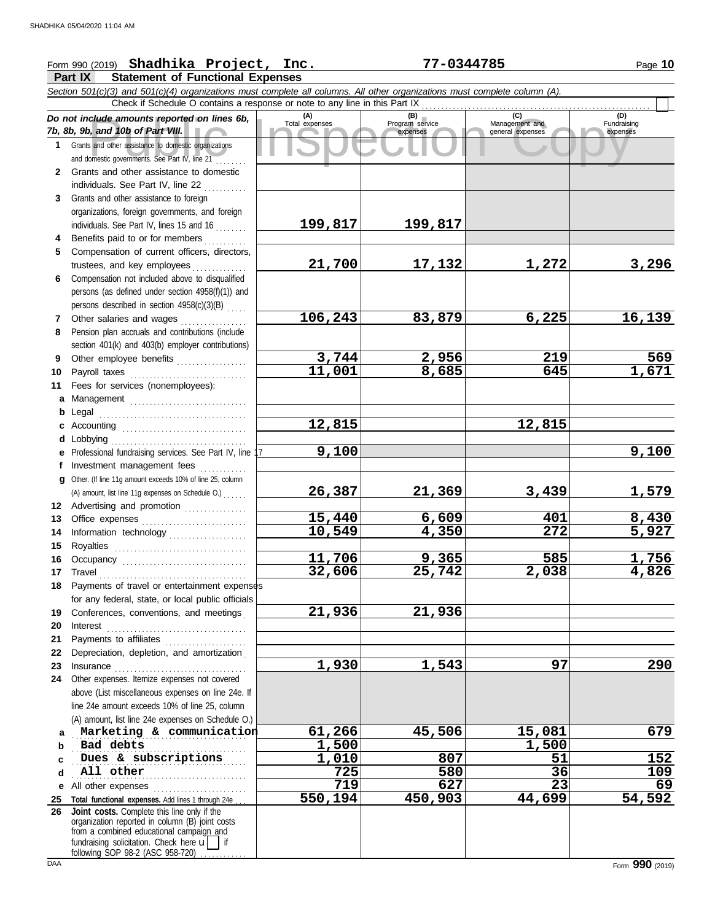## Form 990 (2019) Page **10 Shadhika Project, Inc. 77-0344785**

**Part IX Statement of Functional Expenses**

|              | <b>Fail IN</b><br>Statement of Functional Expenses<br>Section 501(c)(3) and 501(c)(4) organizations must complete all columns. All other organizations must complete column (A). |                         |                        |                       |                    |  |  |  |  |  |  |
|--------------|----------------------------------------------------------------------------------------------------------------------------------------------------------------------------------|-------------------------|------------------------|-----------------------|--------------------|--|--|--|--|--|--|
|              |                                                                                                                                                                                  |                         |                        |                       |                    |  |  |  |  |  |  |
|              | Check if Schedule O contains a response or note to any line in this Part IX                                                                                                      |                         |                        |                       |                    |  |  |  |  |  |  |
|              | Do not include amounts reported on lines 6b,                                                                                                                                     | $(A)$<br>Total expenses | (B)<br>Program service | (C)<br>Management and | (D)<br>Fundraising |  |  |  |  |  |  |
|              | 7b, 8b, 9b, and 10b of Part VIII.                                                                                                                                                |                         | expenses               | general expenses      | expenses           |  |  |  |  |  |  |
|              | 1 Grants and other assistance to domestic organizations                                                                                                                          |                         |                        |                       |                    |  |  |  |  |  |  |
|              | and domestic governments. See Part IV, line 21                                                                                                                                   |                         |                        |                       |                    |  |  |  |  |  |  |
| $\mathbf{2}$ | Grants and other assistance to domestic                                                                                                                                          |                         |                        |                       |                    |  |  |  |  |  |  |
|              | individuals. See Part IV, line 22                                                                                                                                                |                         |                        |                       |                    |  |  |  |  |  |  |
| 3            | Grants and other assistance to foreign                                                                                                                                           |                         |                        |                       |                    |  |  |  |  |  |  |
|              | organizations, foreign governments, and foreign                                                                                                                                  |                         |                        |                       |                    |  |  |  |  |  |  |
|              | individuals. See Part IV, lines 15 and 16                                                                                                                                        | 199,817                 | 199,817                |                       |                    |  |  |  |  |  |  |
| 4            | Benefits paid to or for members                                                                                                                                                  |                         |                        |                       |                    |  |  |  |  |  |  |
| 5.           | Compensation of current officers, directors,                                                                                                                                     |                         |                        |                       |                    |  |  |  |  |  |  |
|              | trustees, and key employees                                                                                                                                                      | 21,700                  | 17,132                 | 1,272                 | 3,296              |  |  |  |  |  |  |
| 6.           | Compensation not included above to disqualified                                                                                                                                  |                         |                        |                       |                    |  |  |  |  |  |  |
|              | persons (as defined under section 4958(f)(1)) and                                                                                                                                |                         |                        |                       |                    |  |  |  |  |  |  |
|              | persons described in section 4958(c)(3)(B)                                                                                                                                       |                         |                        |                       |                    |  |  |  |  |  |  |
| 7            | Other salaries and wages                                                                                                                                                         | 106,243                 | 83,879                 | 6,225                 | 16, 139            |  |  |  |  |  |  |
| 8            | Pension plan accruals and contributions (include                                                                                                                                 |                         |                        |                       |                    |  |  |  |  |  |  |
|              | section 401(k) and 403(b) employer contributions)                                                                                                                                |                         |                        |                       |                    |  |  |  |  |  |  |
| 9            |                                                                                                                                                                                  | 3,744                   | 2,956                  | 219                   | 569                |  |  |  |  |  |  |
| 10           | Payroll taxes                                                                                                                                                                    | $\overline{11}$ ,001    | 8,685                  | 645                   | 1,671              |  |  |  |  |  |  |
| 11           | Fees for services (nonemployees):                                                                                                                                                |                         |                        |                       |                    |  |  |  |  |  |  |
| a            | Management                                                                                                                                                                       |                         |                        |                       |                    |  |  |  |  |  |  |
| b            | Legal                                                                                                                                                                            |                         |                        |                       |                    |  |  |  |  |  |  |
| c            |                                                                                                                                                                                  | 12,815                  |                        | 12,815                |                    |  |  |  |  |  |  |
|              | d Lobbying                                                                                                                                                                       |                         |                        |                       |                    |  |  |  |  |  |  |
| е            | Professional fundraising services. See Part IV, line                                                                                                                             | 9,100                   |                        |                       | 9,100              |  |  |  |  |  |  |
| f.           | Investment management fees                                                                                                                                                       |                         |                        |                       |                    |  |  |  |  |  |  |
| α            | Other. (If line 11g amount exceeds 10% of line 25, column                                                                                                                        |                         |                        |                       |                    |  |  |  |  |  |  |
|              | (A) amount, list line 11g expenses on Schedule O.)                                                                                                                               | 26,387                  | 21,369                 | 3,439                 | <u>1,579</u>       |  |  |  |  |  |  |
|              | 12 Advertising and promotion                                                                                                                                                     |                         |                        |                       |                    |  |  |  |  |  |  |
| 13           |                                                                                                                                                                                  | 15,440                  | 6,609                  | 401                   | 8,430              |  |  |  |  |  |  |
| 14           | Information technology                                                                                                                                                           | $\overline{10,}$ 549    | 4,350                  | 272                   | 5,927              |  |  |  |  |  |  |
| 15           | Royalties                                                                                                                                                                        |                         |                        |                       |                    |  |  |  |  |  |  |
| 16           | Occupancy                                                                                                                                                                        | 11,706                  | 9,365                  | 585                   | 1,756              |  |  |  |  |  |  |
|              | 17 Travel                                                                                                                                                                        | 32,606                  | 25,742                 | 2,038                 | 4,826              |  |  |  |  |  |  |
|              | 18 Payments of travel or entertainment expenses                                                                                                                                  |                         |                        |                       |                    |  |  |  |  |  |  |
|              | for any federal, state, or local public officials                                                                                                                                |                         |                        |                       |                    |  |  |  |  |  |  |
| 19           | Conferences, conventions, and meetings                                                                                                                                           | 21,936                  | 21,936                 |                       |                    |  |  |  |  |  |  |
| 20           | Interest                                                                                                                                                                         |                         |                        |                       |                    |  |  |  |  |  |  |
| 21           | Payments to affiliates                                                                                                                                                           |                         |                        |                       |                    |  |  |  |  |  |  |
| 22           | Depreciation, depletion, and amortization                                                                                                                                        |                         |                        |                       |                    |  |  |  |  |  |  |
| 23           | Insurance                                                                                                                                                                        | 1,930                   | 1,543                  | 97                    | 290                |  |  |  |  |  |  |
| 24           | Other expenses. Itemize expenses not covered                                                                                                                                     |                         |                        |                       |                    |  |  |  |  |  |  |
|              | above (List miscellaneous expenses on line 24e. If                                                                                                                               |                         |                        |                       |                    |  |  |  |  |  |  |
|              | line 24e amount exceeds 10% of line 25, column                                                                                                                                   |                         |                        |                       |                    |  |  |  |  |  |  |
|              | (A) amount, list line 24e expenses on Schedule O.)                                                                                                                               |                         |                        |                       |                    |  |  |  |  |  |  |
| a            | Marketing & communication                                                                                                                                                        | 61,266                  | 45,506                 | 15,081                | 679                |  |  |  |  |  |  |
| b            | Bad debts                                                                                                                                                                        | 1,500                   |                        | 1,500                 |                    |  |  |  |  |  |  |
| c            | Dues & subscriptions                                                                                                                                                             | 1,010                   | 807                    | 51                    | 152                |  |  |  |  |  |  |
| d            | All other                                                                                                                                                                        | 725                     | 580                    | 36                    | 109                |  |  |  |  |  |  |
| е            | All other expenses                                                                                                                                                               | 719                     | 627                    | 23                    | 69                 |  |  |  |  |  |  |
| 25<br>26     | Total functional expenses. Add lines 1 through 24e.<br>Joint costs. Complete this line only if the                                                                               | 550,194                 | 450,903                | 44,699                | 54,592             |  |  |  |  |  |  |
|              | organization reported in column (B) joint costs                                                                                                                                  |                         |                        |                       |                    |  |  |  |  |  |  |
|              | from a combined educational campaign and                                                                                                                                         |                         |                        |                       |                    |  |  |  |  |  |  |
|              | fundraising solicitation. Check here $\mathbf{u}$                                                                                                                                |                         |                        |                       |                    |  |  |  |  |  |  |
|              | following SOP 98-2 (ASC 958-720)                                                                                                                                                 |                         |                        |                       |                    |  |  |  |  |  |  |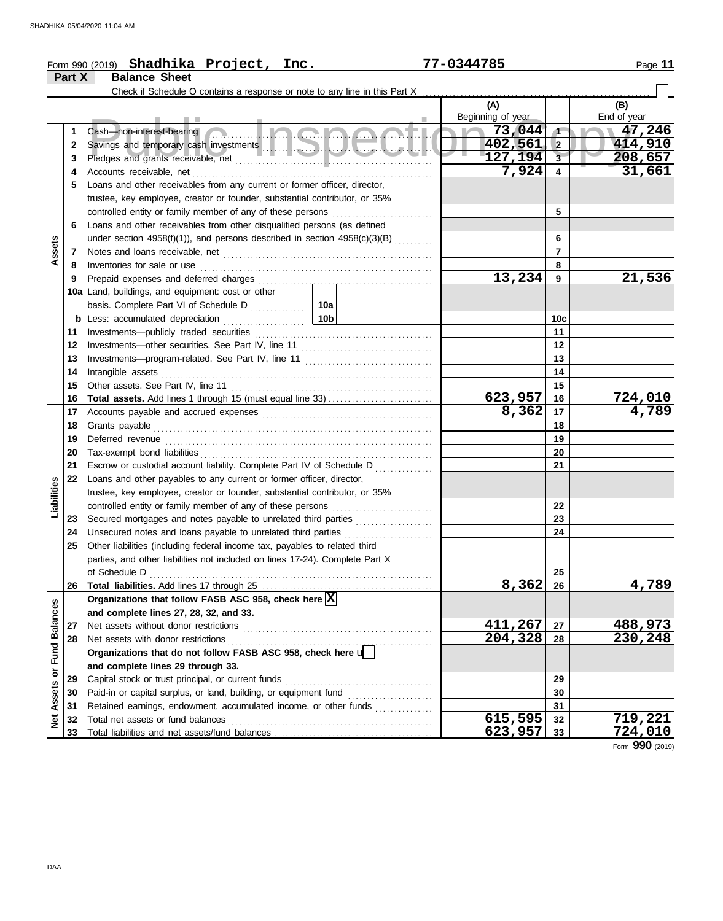|                         |        | Form 990 (2019) Shadhika Project, Inc.                                          | 77-0344785               |                         | Page 11            |
|-------------------------|--------|---------------------------------------------------------------------------------|--------------------------|-------------------------|--------------------|
|                         | Part X | <b>Balance Sheet</b>                                                            |                          |                         |                    |
|                         |        |                                                                                 |                          |                         |                    |
|                         |        |                                                                                 | (A)<br>Beginning of year |                         | (B)<br>End of year |
|                         | 1      | <u>a Inghanati</u><br>Cash-non-interest-bearing                                 | $\sim 73,044$            | $\sqrt{ }$              | 17,246             |
|                         | 2      |                                                                                 | 402,561                  | <b>2</b>                | 414,910            |
|                         | З      |                                                                                 | 127,194                  | $\overline{\mathbf{3}}$ | 208,657            |
|                         | 4      |                                                                                 | 7,924                    | $\overline{\mathbf{4}}$ | 31,661             |
|                         | 5      | Loans and other receivables from any current or former officer, director,       |                          |                         |                    |
|                         |        | trustee, key employee, creator or founder, substantial contributor, or 35%      |                          |                         |                    |
|                         |        | controlled entity or family member of any of these persons                      |                          | 5                       |                    |
|                         | 6      | Loans and other receivables from other disqualified persons (as defined         |                          |                         |                    |
|                         |        | under section 4958(f)(1)), and persons described in section $4958(c)(3)(B)$     |                          | 6                       |                    |
| Assets                  | 7      |                                                                                 |                          | $\overline{7}$          |                    |
|                         | 8      | Inventories for sale or use                                                     |                          | 8                       |                    |
|                         | 9      | Prepaid expenses and deferred charges                                           | 13,234                   | 9                       | 21,536             |
|                         |        | 10a Land, buildings, and equipment: cost or other                               |                          |                         |                    |
|                         |        |                                                                                 |                          |                         |                    |
|                         |        | 10 <sub>b</sub><br><b>b</b> Less: accumulated depreciation                      |                          | 10c                     |                    |
|                         | 11     | .                                                                               |                          | 11                      |                    |
|                         | 12     |                                                                                 |                          | 12                      |                    |
|                         | 13     |                                                                                 |                          | 13                      |                    |
|                         | 14     | Intangible assets                                                               |                          | 14                      |                    |
|                         | 15     | Other assets. See Part IV, line 11                                              |                          | 15                      |                    |
|                         | 16     |                                                                                 | 623,957                  | 16                      | 724,010            |
|                         | 17     |                                                                                 | 8,362                    | 17                      | 4,789              |
|                         | 18     | Grants payable                                                                  |                          | 18                      |                    |
|                         | 19     | Deferred revenue                                                                |                          | 19                      |                    |
|                         | 20     | Tax-exempt bond liabilities                                                     |                          | 20                      |                    |
|                         | 21     | Escrow or custodial account liability. Complete Part IV of Schedule D           |                          | 21                      |                    |
|                         | 22     | Loans and other payables to any current or former officer, director,            |                          |                         |                    |
| Liabilities             |        | trustee, key employee, creator or founder, substantial contributor, or 35%      |                          |                         |                    |
|                         |        |                                                                                 |                          | 22                      |                    |
|                         | 23     | Secured mortgages and notes payable to unrelated third parties                  |                          | 23                      |                    |
|                         | 24     | Unsecured notes and loans payable to unrelated third parties                    |                          | 24                      |                    |
|                         | 25     | .<br>Other liabilities (including federal income tax, payables to related third |                          |                         |                    |
|                         |        | parties, and other liabilities not included on lines 17-24). Complete Part X    |                          |                         |                    |
|                         |        | of Schedule D                                                                   |                          | 25                      |                    |
|                         | 26     |                                                                                 | 8,362                    | 26                      | 4,789              |
|                         |        | Organizations that follow FASB ASC 958, check here $\boxed{\mathbf{X}}$         |                          |                         |                    |
|                         |        | and complete lines 27, 28, 32, and 33.                                          |                          |                         |                    |
|                         | 27     | Net assets without donor restrictions                                           | 411,267                  | 27                      | 488,973            |
|                         | 28     | Net assets with donor restrictions                                              | 204,328                  | 28                      | 230,248            |
|                         |        | Organizations that do not follow FASB ASC 958, check here $\mathbf{u}$          |                          |                         |                    |
|                         |        | and complete lines 29 through 33.                                               |                          |                         |                    |
|                         | 29     | Capital stock or trust principal, or current funds                              |                          | 29                      |                    |
|                         | 30     | Paid-in or capital surplus, or land, building, or equipment fund                |                          | 30                      |                    |
| Assets or Fund Balances | 31     | Retained earnings, endowment, accumulated income, or other funds                |                          | 31                      |                    |
| <b>Net</b>              | 32     | Total net assets or fund balances                                               | 615,595                  | 32                      | 719,221            |
|                         | 33     |                                                                                 | 623,957                  | 33                      | 724,010            |
|                         |        |                                                                                 |                          |                         |                    |

Form **990** (2019)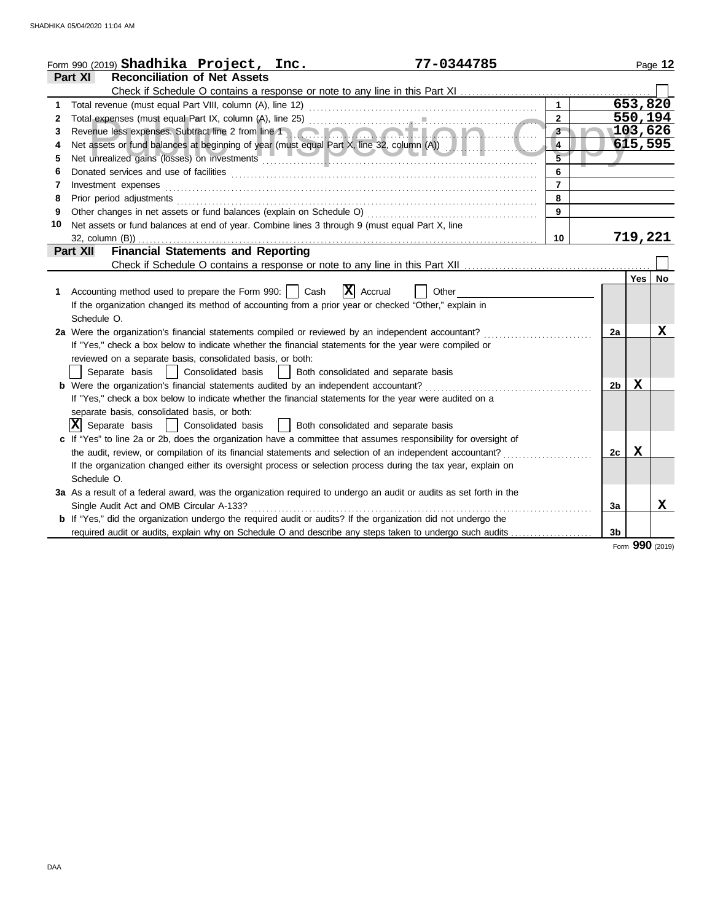| <b>Reconciliation of Net Assets</b><br>Part XI<br>653,820<br>$\mathbf{1}$<br>1<br>550,194<br>$\overline{2}$<br>2<br>$3^{\circ}$<br>$\overline{103,626}$<br>Revenue less expenses. Subtract line 2 from line 1 and 1 and 1 and 1 and 1 and 1 and 1 and 1 and 1 and 1 and 1<br>3<br>615,595<br>$\overline{4}$<br>4<br>$\overline{5}$<br>5<br>$6\phantom{a}$<br>6<br>$\overline{7}$<br>Investment expenses<br>7<br>8<br>Prior period adjustments [11, 12] and the contract of the contract of the contract of the contract of the contract of the contract of the contract of the contract of the contract of the contract of the contract of the cont<br>8<br>$\overline{9}$<br>Other changes in net assets or fund balances (explain on Schedule O) [11] content changes in net assets or fund balances (explain on Schedule O) [11] content changes in net assets or fund balances (explain on Schedule O) [<br>9<br>Net assets or fund balances at end of year. Combine lines 3 through 9 (must equal Part X, line<br>10<br>719,221<br>32, column (B)).<br>10<br><b>Financial Statements and Reporting</b><br><b>Part XII</b><br>Yes<br><b>No</b><br>$ \mathbf{X} $ Accrual<br>Accounting method used to prepare the Form 990:     Cash<br>Other<br>1.<br>If the organization changed its method of accounting from a prior year or checked "Other," explain in<br>Schedule O.<br>х<br>2a Were the organization's financial statements compiled or reviewed by an independent accountant?<br>2a<br>If "Yes," check a box below to indicate whether the financial statements for the year were compiled or<br>reviewed on a separate basis, consolidated basis, or both:<br>Separate basis     Consolidated basis     Both consolidated and separate basis<br>$\mathbf x$<br><b>b</b> Were the organization's financial statements audited by an independent accountant?<br>2b<br>If "Yes," check a box below to indicate whether the financial statements for the year were audited on a<br>separate basis, consolidated basis, or both:<br>$ \mathbf{X} $ Separate basis<br>  Consolidated basis<br>Both consolidated and separate basis<br>c If "Yes" to line 2a or 2b, does the organization have a committee that assumes responsibility for oversight of<br>Х<br>the audit, review, or compilation of its financial statements and selection of an independent accountant?<br>2c<br>If the organization changed either its oversight process or selection process during the tax year, explain on<br>Schedule O.<br>3a As a result of a federal award, was the organization required to undergo an audit or audits as set forth in the<br>X<br>Single Audit Act and OMB Circular A-133?<br>3a<br><b>b</b> If "Yes," did the organization undergo the required audit or audits? If the organization did not undergo the<br>required audit or audits, explain why on Schedule O and describe any steps taken to undergo such audits<br>3 <sub>b</sub> | 77-0344785<br>Form 990 (2019) $Shadhika$ $Project, Inc.$ |  |  | Page 12 |
|-----------------------------------------------------------------------------------------------------------------------------------------------------------------------------------------------------------------------------------------------------------------------------------------------------------------------------------------------------------------------------------------------------------------------------------------------------------------------------------------------------------------------------------------------------------------------------------------------------------------------------------------------------------------------------------------------------------------------------------------------------------------------------------------------------------------------------------------------------------------------------------------------------------------------------------------------------------------------------------------------------------------------------------------------------------------------------------------------------------------------------------------------------------------------------------------------------------------------------------------------------------------------------------------------------------------------------------------------------------------------------------------------------------------------------------------------------------------------------------------------------------------------------------------------------------------------------------------------------------------------------------------------------------------------------------------------------------------------------------------------------------------------------------------------------------------------------------------------------------------------------------------------------------------------------------------------------------------------------------------------------------------------------------------------------------------------------------------------------------------------------------------------------------------------------------------------------------------------------------------------------------------------------------------------------------------------------------------------------------------------------------------------------------------------------------------------------------------------------------------------------------------------------------------------------------------------------------------------------------------------------------------------------------------------------------------------------------------------------------------------------------------------------------------------------------------------------------------------------------------------------------------------------------------------------------------------------------|----------------------------------------------------------|--|--|---------|
|                                                                                                                                                                                                                                                                                                                                                                                                                                                                                                                                                                                                                                                                                                                                                                                                                                                                                                                                                                                                                                                                                                                                                                                                                                                                                                                                                                                                                                                                                                                                                                                                                                                                                                                                                                                                                                                                                                                                                                                                                                                                                                                                                                                                                                                                                                                                                                                                                                                                                                                                                                                                                                                                                                                                                                                                                                                                                                                                                           |                                                          |  |  |         |
|                                                                                                                                                                                                                                                                                                                                                                                                                                                                                                                                                                                                                                                                                                                                                                                                                                                                                                                                                                                                                                                                                                                                                                                                                                                                                                                                                                                                                                                                                                                                                                                                                                                                                                                                                                                                                                                                                                                                                                                                                                                                                                                                                                                                                                                                                                                                                                                                                                                                                                                                                                                                                                                                                                                                                                                                                                                                                                                                                           |                                                          |  |  |         |
|                                                                                                                                                                                                                                                                                                                                                                                                                                                                                                                                                                                                                                                                                                                                                                                                                                                                                                                                                                                                                                                                                                                                                                                                                                                                                                                                                                                                                                                                                                                                                                                                                                                                                                                                                                                                                                                                                                                                                                                                                                                                                                                                                                                                                                                                                                                                                                                                                                                                                                                                                                                                                                                                                                                                                                                                                                                                                                                                                           |                                                          |  |  |         |
|                                                                                                                                                                                                                                                                                                                                                                                                                                                                                                                                                                                                                                                                                                                                                                                                                                                                                                                                                                                                                                                                                                                                                                                                                                                                                                                                                                                                                                                                                                                                                                                                                                                                                                                                                                                                                                                                                                                                                                                                                                                                                                                                                                                                                                                                                                                                                                                                                                                                                                                                                                                                                                                                                                                                                                                                                                                                                                                                                           |                                                          |  |  |         |
|                                                                                                                                                                                                                                                                                                                                                                                                                                                                                                                                                                                                                                                                                                                                                                                                                                                                                                                                                                                                                                                                                                                                                                                                                                                                                                                                                                                                                                                                                                                                                                                                                                                                                                                                                                                                                                                                                                                                                                                                                                                                                                                                                                                                                                                                                                                                                                                                                                                                                                                                                                                                                                                                                                                                                                                                                                                                                                                                                           |                                                          |  |  |         |
|                                                                                                                                                                                                                                                                                                                                                                                                                                                                                                                                                                                                                                                                                                                                                                                                                                                                                                                                                                                                                                                                                                                                                                                                                                                                                                                                                                                                                                                                                                                                                                                                                                                                                                                                                                                                                                                                                                                                                                                                                                                                                                                                                                                                                                                                                                                                                                                                                                                                                                                                                                                                                                                                                                                                                                                                                                                                                                                                                           |                                                          |  |  |         |
|                                                                                                                                                                                                                                                                                                                                                                                                                                                                                                                                                                                                                                                                                                                                                                                                                                                                                                                                                                                                                                                                                                                                                                                                                                                                                                                                                                                                                                                                                                                                                                                                                                                                                                                                                                                                                                                                                                                                                                                                                                                                                                                                                                                                                                                                                                                                                                                                                                                                                                                                                                                                                                                                                                                                                                                                                                                                                                                                                           |                                                          |  |  |         |
|                                                                                                                                                                                                                                                                                                                                                                                                                                                                                                                                                                                                                                                                                                                                                                                                                                                                                                                                                                                                                                                                                                                                                                                                                                                                                                                                                                                                                                                                                                                                                                                                                                                                                                                                                                                                                                                                                                                                                                                                                                                                                                                                                                                                                                                                                                                                                                                                                                                                                                                                                                                                                                                                                                                                                                                                                                                                                                                                                           |                                                          |  |  |         |
|                                                                                                                                                                                                                                                                                                                                                                                                                                                                                                                                                                                                                                                                                                                                                                                                                                                                                                                                                                                                                                                                                                                                                                                                                                                                                                                                                                                                                                                                                                                                                                                                                                                                                                                                                                                                                                                                                                                                                                                                                                                                                                                                                                                                                                                                                                                                                                                                                                                                                                                                                                                                                                                                                                                                                                                                                                                                                                                                                           |                                                          |  |  |         |
|                                                                                                                                                                                                                                                                                                                                                                                                                                                                                                                                                                                                                                                                                                                                                                                                                                                                                                                                                                                                                                                                                                                                                                                                                                                                                                                                                                                                                                                                                                                                                                                                                                                                                                                                                                                                                                                                                                                                                                                                                                                                                                                                                                                                                                                                                                                                                                                                                                                                                                                                                                                                                                                                                                                                                                                                                                                                                                                                                           |                                                          |  |  |         |
|                                                                                                                                                                                                                                                                                                                                                                                                                                                                                                                                                                                                                                                                                                                                                                                                                                                                                                                                                                                                                                                                                                                                                                                                                                                                                                                                                                                                                                                                                                                                                                                                                                                                                                                                                                                                                                                                                                                                                                                                                                                                                                                                                                                                                                                                                                                                                                                                                                                                                                                                                                                                                                                                                                                                                                                                                                                                                                                                                           |                                                          |  |  |         |
|                                                                                                                                                                                                                                                                                                                                                                                                                                                                                                                                                                                                                                                                                                                                                                                                                                                                                                                                                                                                                                                                                                                                                                                                                                                                                                                                                                                                                                                                                                                                                                                                                                                                                                                                                                                                                                                                                                                                                                                                                                                                                                                                                                                                                                                                                                                                                                                                                                                                                                                                                                                                                                                                                                                                                                                                                                                                                                                                                           |                                                          |  |  |         |
|                                                                                                                                                                                                                                                                                                                                                                                                                                                                                                                                                                                                                                                                                                                                                                                                                                                                                                                                                                                                                                                                                                                                                                                                                                                                                                                                                                                                                                                                                                                                                                                                                                                                                                                                                                                                                                                                                                                                                                                                                                                                                                                                                                                                                                                                                                                                                                                                                                                                                                                                                                                                                                                                                                                                                                                                                                                                                                                                                           |                                                          |  |  |         |
|                                                                                                                                                                                                                                                                                                                                                                                                                                                                                                                                                                                                                                                                                                                                                                                                                                                                                                                                                                                                                                                                                                                                                                                                                                                                                                                                                                                                                                                                                                                                                                                                                                                                                                                                                                                                                                                                                                                                                                                                                                                                                                                                                                                                                                                                                                                                                                                                                                                                                                                                                                                                                                                                                                                                                                                                                                                                                                                                                           |                                                          |  |  |         |
|                                                                                                                                                                                                                                                                                                                                                                                                                                                                                                                                                                                                                                                                                                                                                                                                                                                                                                                                                                                                                                                                                                                                                                                                                                                                                                                                                                                                                                                                                                                                                                                                                                                                                                                                                                                                                                                                                                                                                                                                                                                                                                                                                                                                                                                                                                                                                                                                                                                                                                                                                                                                                                                                                                                                                                                                                                                                                                                                                           |                                                          |  |  |         |
|                                                                                                                                                                                                                                                                                                                                                                                                                                                                                                                                                                                                                                                                                                                                                                                                                                                                                                                                                                                                                                                                                                                                                                                                                                                                                                                                                                                                                                                                                                                                                                                                                                                                                                                                                                                                                                                                                                                                                                                                                                                                                                                                                                                                                                                                                                                                                                                                                                                                                                                                                                                                                                                                                                                                                                                                                                                                                                                                                           |                                                          |  |  |         |
|                                                                                                                                                                                                                                                                                                                                                                                                                                                                                                                                                                                                                                                                                                                                                                                                                                                                                                                                                                                                                                                                                                                                                                                                                                                                                                                                                                                                                                                                                                                                                                                                                                                                                                                                                                                                                                                                                                                                                                                                                                                                                                                                                                                                                                                                                                                                                                                                                                                                                                                                                                                                                                                                                                                                                                                                                                                                                                                                                           |                                                          |  |  |         |
|                                                                                                                                                                                                                                                                                                                                                                                                                                                                                                                                                                                                                                                                                                                                                                                                                                                                                                                                                                                                                                                                                                                                                                                                                                                                                                                                                                                                                                                                                                                                                                                                                                                                                                                                                                                                                                                                                                                                                                                                                                                                                                                                                                                                                                                                                                                                                                                                                                                                                                                                                                                                                                                                                                                                                                                                                                                                                                                                                           |                                                          |  |  |         |
|                                                                                                                                                                                                                                                                                                                                                                                                                                                                                                                                                                                                                                                                                                                                                                                                                                                                                                                                                                                                                                                                                                                                                                                                                                                                                                                                                                                                                                                                                                                                                                                                                                                                                                                                                                                                                                                                                                                                                                                                                                                                                                                                                                                                                                                                                                                                                                                                                                                                                                                                                                                                                                                                                                                                                                                                                                                                                                                                                           |                                                          |  |  |         |
|                                                                                                                                                                                                                                                                                                                                                                                                                                                                                                                                                                                                                                                                                                                                                                                                                                                                                                                                                                                                                                                                                                                                                                                                                                                                                                                                                                                                                                                                                                                                                                                                                                                                                                                                                                                                                                                                                                                                                                                                                                                                                                                                                                                                                                                                                                                                                                                                                                                                                                                                                                                                                                                                                                                                                                                                                                                                                                                                                           |                                                          |  |  |         |
|                                                                                                                                                                                                                                                                                                                                                                                                                                                                                                                                                                                                                                                                                                                                                                                                                                                                                                                                                                                                                                                                                                                                                                                                                                                                                                                                                                                                                                                                                                                                                                                                                                                                                                                                                                                                                                                                                                                                                                                                                                                                                                                                                                                                                                                                                                                                                                                                                                                                                                                                                                                                                                                                                                                                                                                                                                                                                                                                                           |                                                          |  |  |         |
|                                                                                                                                                                                                                                                                                                                                                                                                                                                                                                                                                                                                                                                                                                                                                                                                                                                                                                                                                                                                                                                                                                                                                                                                                                                                                                                                                                                                                                                                                                                                                                                                                                                                                                                                                                                                                                                                                                                                                                                                                                                                                                                                                                                                                                                                                                                                                                                                                                                                                                                                                                                                                                                                                                                                                                                                                                                                                                                                                           |                                                          |  |  |         |
|                                                                                                                                                                                                                                                                                                                                                                                                                                                                                                                                                                                                                                                                                                                                                                                                                                                                                                                                                                                                                                                                                                                                                                                                                                                                                                                                                                                                                                                                                                                                                                                                                                                                                                                                                                                                                                                                                                                                                                                                                                                                                                                                                                                                                                                                                                                                                                                                                                                                                                                                                                                                                                                                                                                                                                                                                                                                                                                                                           |                                                          |  |  |         |
|                                                                                                                                                                                                                                                                                                                                                                                                                                                                                                                                                                                                                                                                                                                                                                                                                                                                                                                                                                                                                                                                                                                                                                                                                                                                                                                                                                                                                                                                                                                                                                                                                                                                                                                                                                                                                                                                                                                                                                                                                                                                                                                                                                                                                                                                                                                                                                                                                                                                                                                                                                                                                                                                                                                                                                                                                                                                                                                                                           |                                                          |  |  |         |
|                                                                                                                                                                                                                                                                                                                                                                                                                                                                                                                                                                                                                                                                                                                                                                                                                                                                                                                                                                                                                                                                                                                                                                                                                                                                                                                                                                                                                                                                                                                                                                                                                                                                                                                                                                                                                                                                                                                                                                                                                                                                                                                                                                                                                                                                                                                                                                                                                                                                                                                                                                                                                                                                                                                                                                                                                                                                                                                                                           |                                                          |  |  |         |
|                                                                                                                                                                                                                                                                                                                                                                                                                                                                                                                                                                                                                                                                                                                                                                                                                                                                                                                                                                                                                                                                                                                                                                                                                                                                                                                                                                                                                                                                                                                                                                                                                                                                                                                                                                                                                                                                                                                                                                                                                                                                                                                                                                                                                                                                                                                                                                                                                                                                                                                                                                                                                                                                                                                                                                                                                                                                                                                                                           |                                                          |  |  |         |
|                                                                                                                                                                                                                                                                                                                                                                                                                                                                                                                                                                                                                                                                                                                                                                                                                                                                                                                                                                                                                                                                                                                                                                                                                                                                                                                                                                                                                                                                                                                                                                                                                                                                                                                                                                                                                                                                                                                                                                                                                                                                                                                                                                                                                                                                                                                                                                                                                                                                                                                                                                                                                                                                                                                                                                                                                                                                                                                                                           |                                                          |  |  |         |
|                                                                                                                                                                                                                                                                                                                                                                                                                                                                                                                                                                                                                                                                                                                                                                                                                                                                                                                                                                                                                                                                                                                                                                                                                                                                                                                                                                                                                                                                                                                                                                                                                                                                                                                                                                                                                                                                                                                                                                                                                                                                                                                                                                                                                                                                                                                                                                                                                                                                                                                                                                                                                                                                                                                                                                                                                                                                                                                                                           |                                                          |  |  |         |
|                                                                                                                                                                                                                                                                                                                                                                                                                                                                                                                                                                                                                                                                                                                                                                                                                                                                                                                                                                                                                                                                                                                                                                                                                                                                                                                                                                                                                                                                                                                                                                                                                                                                                                                                                                                                                                                                                                                                                                                                                                                                                                                                                                                                                                                                                                                                                                                                                                                                                                                                                                                                                                                                                                                                                                                                                                                                                                                                                           |                                                          |  |  |         |
|                                                                                                                                                                                                                                                                                                                                                                                                                                                                                                                                                                                                                                                                                                                                                                                                                                                                                                                                                                                                                                                                                                                                                                                                                                                                                                                                                                                                                                                                                                                                                                                                                                                                                                                                                                                                                                                                                                                                                                                                                                                                                                                                                                                                                                                                                                                                                                                                                                                                                                                                                                                                                                                                                                                                                                                                                                                                                                                                                           |                                                          |  |  |         |
|                                                                                                                                                                                                                                                                                                                                                                                                                                                                                                                                                                                                                                                                                                                                                                                                                                                                                                                                                                                                                                                                                                                                                                                                                                                                                                                                                                                                                                                                                                                                                                                                                                                                                                                                                                                                                                                                                                                                                                                                                                                                                                                                                                                                                                                                                                                                                                                                                                                                                                                                                                                                                                                                                                                                                                                                                                                                                                                                                           |                                                          |  |  |         |
|                                                                                                                                                                                                                                                                                                                                                                                                                                                                                                                                                                                                                                                                                                                                                                                                                                                                                                                                                                                                                                                                                                                                                                                                                                                                                                                                                                                                                                                                                                                                                                                                                                                                                                                                                                                                                                                                                                                                                                                                                                                                                                                                                                                                                                                                                                                                                                                                                                                                                                                                                                                                                                                                                                                                                                                                                                                                                                                                                           |                                                          |  |  |         |
|                                                                                                                                                                                                                                                                                                                                                                                                                                                                                                                                                                                                                                                                                                                                                                                                                                                                                                                                                                                                                                                                                                                                                                                                                                                                                                                                                                                                                                                                                                                                                                                                                                                                                                                                                                                                                                                                                                                                                                                                                                                                                                                                                                                                                                                                                                                                                                                                                                                                                                                                                                                                                                                                                                                                                                                                                                                                                                                                                           |                                                          |  |  |         |
|                                                                                                                                                                                                                                                                                                                                                                                                                                                                                                                                                                                                                                                                                                                                                                                                                                                                                                                                                                                                                                                                                                                                                                                                                                                                                                                                                                                                                                                                                                                                                                                                                                                                                                                                                                                                                                                                                                                                                                                                                                                                                                                                                                                                                                                                                                                                                                                                                                                                                                                                                                                                                                                                                                                                                                                                                                                                                                                                                           |                                                          |  |  |         |
|                                                                                                                                                                                                                                                                                                                                                                                                                                                                                                                                                                                                                                                                                                                                                                                                                                                                                                                                                                                                                                                                                                                                                                                                                                                                                                                                                                                                                                                                                                                                                                                                                                                                                                                                                                                                                                                                                                                                                                                                                                                                                                                                                                                                                                                                                                                                                                                                                                                                                                                                                                                                                                                                                                                                                                                                                                                                                                                                                           |                                                          |  |  |         |

Form **990** (2019)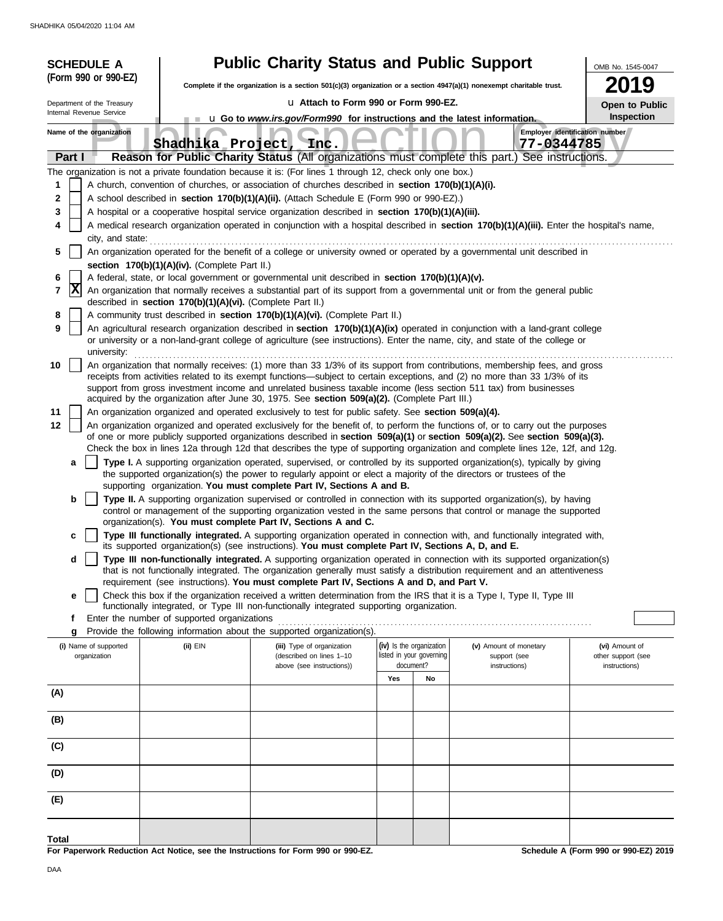| <b>SCHEDULE A</b>          |                                                            | <b>Public Charity Status and Public Support</b>                                                                                                                                                                                                                                                                                                                                 |                                       |                               | OMB No. 1545-0047                    |
|----------------------------|------------------------------------------------------------|---------------------------------------------------------------------------------------------------------------------------------------------------------------------------------------------------------------------------------------------------------------------------------------------------------------------------------------------------------------------------------|---------------------------------------|-------------------------------|--------------------------------------|
| (Form 990 or 990-EZ)       |                                                            | Complete if the organization is a section 501(c)(3) organization or a section 4947(a)(1) nonexempt charitable trust.                                                                                                                                                                                                                                                            |                                       |                               | 9                                    |
| Department of the Treasury |                                                            | u Attach to Form 990 or Form 990-EZ.                                                                                                                                                                                                                                                                                                                                            | <b>Open to Public</b>                 |                               |                                      |
| Internal Revenue Service   |                                                            | u Go to www.irs.gov/Form990 for instructions and the latest information.                                                                                                                                                                                                                                                                                                        |                                       |                               | Inspection                           |
| Name of the organization   | Shadhika Project,                                          | Inc.                                                                                                                                                                                                                                                                                                                                                                            |                                       | 77-0344785                    | Employer identification number       |
| Part I                     |                                                            | Reason for Public Charity Status (All organizations must complete this part.) See instructions.                                                                                                                                                                                                                                                                                 |                                       |                               |                                      |
|                            |                                                            | The organization is not a private foundation because it is: (For lines 1 through 12, check only one box.)                                                                                                                                                                                                                                                                       |                                       |                               |                                      |
| 1<br>2                     |                                                            | A church, convention of churches, or association of churches described in section 170(b)(1)(A)(i).<br>A school described in section 170(b)(1)(A)(ii). (Attach Schedule E (Form 990 or 990-EZ).)                                                                                                                                                                                 |                                       |                               |                                      |
| 3                          |                                                            | A hospital or a cooperative hospital service organization described in section 170(b)(1)(A)(iii).                                                                                                                                                                                                                                                                               |                                       |                               |                                      |
| 4                          |                                                            | A medical research organization operated in conjunction with a hospital described in section 170(b)(1)(A)(iii). Enter the hospital's name,                                                                                                                                                                                                                                      |                                       |                               |                                      |
| city, and state:           |                                                            |                                                                                                                                                                                                                                                                                                                                                                                 |                                       |                               |                                      |
| 5                          |                                                            | An organization operated for the benefit of a college or university owned or operated by a governmental unit described in                                                                                                                                                                                                                                                       |                                       |                               |                                      |
| 6                          | section 170(b)(1)(A)(iv). (Complete Part II.)              | A federal, state, or local government or governmental unit described in section 170(b)(1)(A)(v).                                                                                                                                                                                                                                                                                |                                       |                               |                                      |
| X<br>7                     | described in section 170(b)(1)(A)(vi). (Complete Part II.) | An organization that normally receives a substantial part of its support from a governmental unit or from the general public                                                                                                                                                                                                                                                    |                                       |                               |                                      |
| 8                          |                                                            | A community trust described in section 170(b)(1)(A)(vi). (Complete Part II.)                                                                                                                                                                                                                                                                                                    |                                       |                               |                                      |
| 9                          |                                                            | An agricultural research organization described in section 170(b)(1)(A)(ix) operated in conjunction with a land-grant college<br>or university or a non-land-grant college of agriculture (see instructions). Enter the name, city, and state of the college or                                                                                                                 |                                       |                               |                                      |
| university:<br>10          |                                                            | An organization that normally receives: (1) more than 33 1/3% of its support from contributions, membership fees, and gross<br>receipts from activities related to its exempt functions—subject to certain exceptions, and (2) no more than 33 1/3% of its<br>support from gross investment income and unrelated business taxable income (less section 511 tax) from businesses |                                       |                               |                                      |
|                            |                                                            | acquired by the organization after June 30, 1975. See section 509(a)(2). (Complete Part III.)                                                                                                                                                                                                                                                                                   |                                       |                               |                                      |
| 11<br>12                   |                                                            | An organization organized and operated exclusively to test for public safety. See section 509(a)(4).<br>An organization organized and operated exclusively for the benefit of, to perform the functions of, or to carry out the purposes                                                                                                                                        |                                       |                               |                                      |
|                            |                                                            | of one or more publicly supported organizations described in section 509(a)(1) or section 509(a)(2). See section 509(a)(3).                                                                                                                                                                                                                                                     |                                       |                               |                                      |
|                            |                                                            | Check the box in lines 12a through 12d that describes the type of supporting organization and complete lines 12e, 12f, and 12g.                                                                                                                                                                                                                                                 |                                       |                               |                                      |
| a                          |                                                            | Type I. A supporting organization operated, supervised, or controlled by its supported organization(s), typically by giving<br>the supported organization(s) the power to regularly appoint or elect a majority of the directors or trustees of the                                                                                                                             |                                       |                               |                                      |
|                            |                                                            | supporting organization. You must complete Part IV, Sections A and B.                                                                                                                                                                                                                                                                                                           |                                       |                               |                                      |
| b                          |                                                            | Type II. A supporting organization supervised or controlled in connection with its supported organization(s), by having<br>control or management of the supporting organization vested in the same persons that control or manage the supported                                                                                                                                 |                                       |                               |                                      |
| с                          |                                                            | organization(s). You must complete Part IV, Sections A and C.<br>Type III functionally integrated. A supporting organization operated in connection with, and functionally integrated with,<br>its supported organization(s) (see instructions). You must complete Part IV, Sections A, D, and E.                                                                               |                                       |                               |                                      |
| d                          |                                                            | Type III non-functionally integrated. A supporting organization operated in connection with its supported organization(s)<br>that is not functionally integrated. The organization generally must satisfy a distribution requirement and an attentiveness                                                                                                                       |                                       |                               |                                      |
|                            |                                                            | requirement (see instructions). You must complete Part IV, Sections A and D, and Part V.                                                                                                                                                                                                                                                                                        |                                       |                               |                                      |
| е                          |                                                            | Check this box if the organization received a written determination from the IRS that it is a Type I, Type II, Type III                                                                                                                                                                                                                                                         |                                       |                               |                                      |
| t.                         | Enter the number of supported organizations                | functionally integrated, or Type III non-functionally integrated supporting organization.                                                                                                                                                                                                                                                                                       |                                       |                               |                                      |
| g                          |                                                            | Provide the following information about the supported organization(s).                                                                                                                                                                                                                                                                                                          |                                       |                               |                                      |
| (i) Name of supported      | (ii) EIN                                                   | (iii) Type of organization                                                                                                                                                                                                                                                                                                                                                      | (iv) Is the organization              | (v) Amount of monetary        | (vi) Amount of                       |
| organization               |                                                            | (described on lines 1-10<br>above (see instructions))                                                                                                                                                                                                                                                                                                                           | listed in your governing<br>document? | support (see<br>instructions) | other support (see<br>instructions)  |
|                            |                                                            |                                                                                                                                                                                                                                                                                                                                                                                 | Yes<br>No                             |                               |                                      |
| (A)                        |                                                            |                                                                                                                                                                                                                                                                                                                                                                                 |                                       |                               |                                      |
| (B)                        |                                                            |                                                                                                                                                                                                                                                                                                                                                                                 |                                       |                               |                                      |
| (C)                        |                                                            |                                                                                                                                                                                                                                                                                                                                                                                 |                                       |                               |                                      |
| (D)                        |                                                            |                                                                                                                                                                                                                                                                                                                                                                                 |                                       |                               |                                      |
| (E)                        |                                                            |                                                                                                                                                                                                                                                                                                                                                                                 |                                       |                               |                                      |
|                            |                                                            |                                                                                                                                                                                                                                                                                                                                                                                 |                                       |                               |                                      |
| Total                      |                                                            | For Paperwork Reduction Act Notice, see the Instructions for Form 990 or 990-EZ.                                                                                                                                                                                                                                                                                                |                                       |                               | Schedule A (Form 990 or 990-EZ) 2019 |
|                            |                                                            |                                                                                                                                                                                                                                                                                                                                                                                 |                                       |                               |                                      |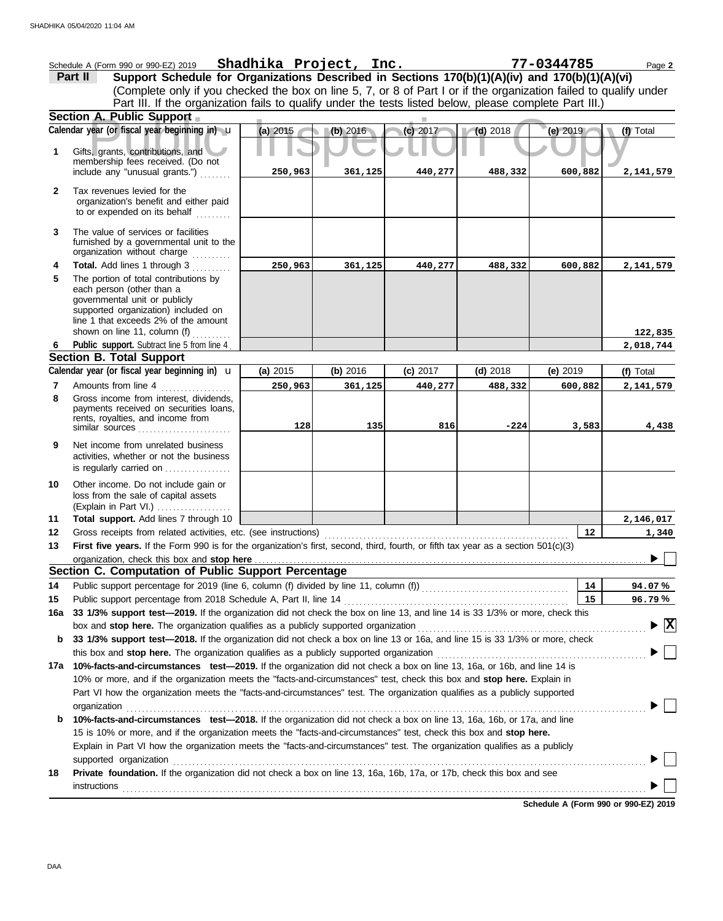|              | Schedule A (Form 990 or 990-EZ) 2019                                                                                                                                                                                           | Shadhika Project, Inc. |            |          |            | 77-0344785 | Page 2                                 |  |  |
|--------------|--------------------------------------------------------------------------------------------------------------------------------------------------------------------------------------------------------------------------------|------------------------|------------|----------|------------|------------|----------------------------------------|--|--|
|              | Support Schedule for Organizations Described in Sections 170(b)(1)(A)(iv) and 170(b)(1)(A)(vi)<br>Part II                                                                                                                      |                        |            |          |            |            |                                        |  |  |
|              | (Complete only if you checked the box on line 5, 7, or 8 of Part I or if the organization failed to qualify under<br>Part III. If the organization fails to qualify under the tests listed below, please complete Part III.)   |                        |            |          |            |            |                                        |  |  |
|              |                                                                                                                                                                                                                                |                        |            |          |            |            |                                        |  |  |
|              | Section A. Public Support                                                                                                                                                                                                      |                        |            |          |            |            |                                        |  |  |
|              | Calendar year (or fiscal year beginning in) u                                                                                                                                                                                  | $(a)$ 2015             | (b) 2016   | (c) 2017 | $(d)$ 2018 | (e) $2019$ | (f) Total                              |  |  |
| 1            | Gifts, grants, contributions, and<br>membership fees received. (Do not                                                                                                                                                         |                        |            |          |            |            |                                        |  |  |
|              | include any "unusual grants.")                                                                                                                                                                                                 | 250,963                | 361,125    | 440,277  | 488,332    | 600,882    | 2,141,579                              |  |  |
| $\mathbf{2}$ | Tax revenues levied for the<br>organization's benefit and either paid<br>to or expended on its behalf                                                                                                                          |                        |            |          |            |            |                                        |  |  |
| 3            | The value of services or facilities<br>furnished by a governmental unit to the<br>organization without charge                                                                                                                  |                        |            |          |            |            |                                        |  |  |
| 4            | Total. Add lines 1 through 3                                                                                                                                                                                                   | 250,963                | 361,125    | 440,277  | 488,332    | 600,882    | 2,141,579                              |  |  |
| 5            | The portion of total contributions by<br>each person (other than a<br>governmental unit or publicly<br>supported organization) included on<br>line 1 that exceeds 2% of the amount                                             |                        |            |          |            |            |                                        |  |  |
| 6            | shown on line 11, column $(f)$<br>Public support. Subtract line 5 from line 4                                                                                                                                                  |                        |            |          |            |            | 122,835<br>2,018,744                   |  |  |
|              | <b>Section B. Total Support</b>                                                                                                                                                                                                |                        |            |          |            |            |                                        |  |  |
|              | Calendar year (or fiscal year beginning in) <b>u</b>                                                                                                                                                                           | (a) 2015               | (b) $2016$ | (c) 2017 | $(d)$ 2018 | (e) $2019$ | (f) Total                              |  |  |
| 7            | Amounts from line 4                                                                                                                                                                                                            | 250,963                | 361,125    | 440,277  | 488,332    | 600,882    | 2,141,579                              |  |  |
| 8            | Gross income from interest, dividends,<br>payments received on securities loans,<br>rents, royalties, and income from                                                                                                          | 128                    | 135        | 816      | $-224$     | 3,583      | 4,438                                  |  |  |
| 9            | Net income from unrelated business<br>activities, whether or not the business<br>is regularly carried on                                                                                                                       |                        |            |          |            |            |                                        |  |  |
| 10           | Other income. Do not include gain or<br>loss from the sale of capital assets<br>(Explain in Part VI.)                                                                                                                          |                        |            |          |            |            |                                        |  |  |
| 11           | Total support. Add lines 7 through 10                                                                                                                                                                                          |                        |            |          |            |            | 2,146,017                              |  |  |
| 12           | Gross receipts from related activities, etc. (see instructions)                                                                                                                                                                |                        |            |          |            | $12 \,$    | 1,340                                  |  |  |
| 13           | First five years. If the Form 990 is for the organization's first, second, third, fourth, or fifth tax year as a section 501(c)(3)                                                                                             |                        |            |          |            |            |                                        |  |  |
|              | organization, check this box and stop here                                                                                                                                                                                     |                        |            |          |            |            | $\blacktriangleright \Box$             |  |  |
|              | Section C. Computation of Public Support Percentage                                                                                                                                                                            |                        |            |          |            |            |                                        |  |  |
| 14           |                                                                                                                                                                                                                                |                        |            |          |            | 14         | 94.07%                                 |  |  |
| 15           | Public support percentage from 2018 Schedule A, Part II, line 14<br>33 1/3% support test-2019. If the organization did not check the box on line 13, and line 14 is 33 1/3% or more, check this                                |                        |            |          |            | 15         | 96.79%                                 |  |  |
| 16a          |                                                                                                                                                                                                                                |                        |            |          |            |            |                                        |  |  |
| b            | box and stop here. The organization qualifies as a publicly supported organization<br>33 1/3% support test-2018. If the organization did not check a box on line 13 or 16a, and line 15 is 33 1/3% or more, check              |                        |            |          |            |            | $\blacktriangleright \boxed{\text{X}}$ |  |  |
|              | this box and stop here. The organization qualifies as a publicly supported organization [11] content content to the content of the content of the content of the content of the content of the content of the content of the c |                        |            |          |            |            |                                        |  |  |
| 17а          | 10%-facts-and-circumstances test-2019. If the organization did not check a box on line 13, 16a, or 16b, and line 14 is                                                                                                         |                        |            |          |            |            |                                        |  |  |
|              | 10% or more, and if the organization meets the "facts-and-circumstances" test, check this box and stop here. Explain in                                                                                                        |                        |            |          |            |            |                                        |  |  |
|              | Part VI how the organization meets the "facts-and-circumstances" test. The organization qualifies as a publicly supported<br>organization                                                                                      |                        |            |          |            |            |                                        |  |  |
| b            | 10%-facts-and-circumstances test-2018. If the organization did not check a box on line 13, 16a, 16b, or 17a, and line                                                                                                          |                        |            |          |            |            |                                        |  |  |
|              | 15 is 10% or more, and if the organization meets the "facts-and-circumstances" test, check this box and stop here.                                                                                                             |                        |            |          |            |            |                                        |  |  |
|              | Explain in Part VI how the organization meets the "facts-and-circumstances" test. The organization qualifies as a publicly                                                                                                     |                        |            |          |            |            |                                        |  |  |
|              | supported organization contains and contains a supported organization of the supported organization contains and contains a supported organization contains a supported or supported or supported or support of the support of |                        |            |          |            |            |                                        |  |  |
| 18           | Private foundation. If the organization did not check a box on line 13, 16a, 16b, 17a, or 17b, check this box and see                                                                                                          |                        |            |          |            |            |                                        |  |  |
|              | <b>instructions</b>                                                                                                                                                                                                            |                        |            |          |            |            |                                        |  |  |
|              |                                                                                                                                                                                                                                |                        |            |          |            |            |                                        |  |  |

**Schedule A (Form 990 or 990-EZ) 2019**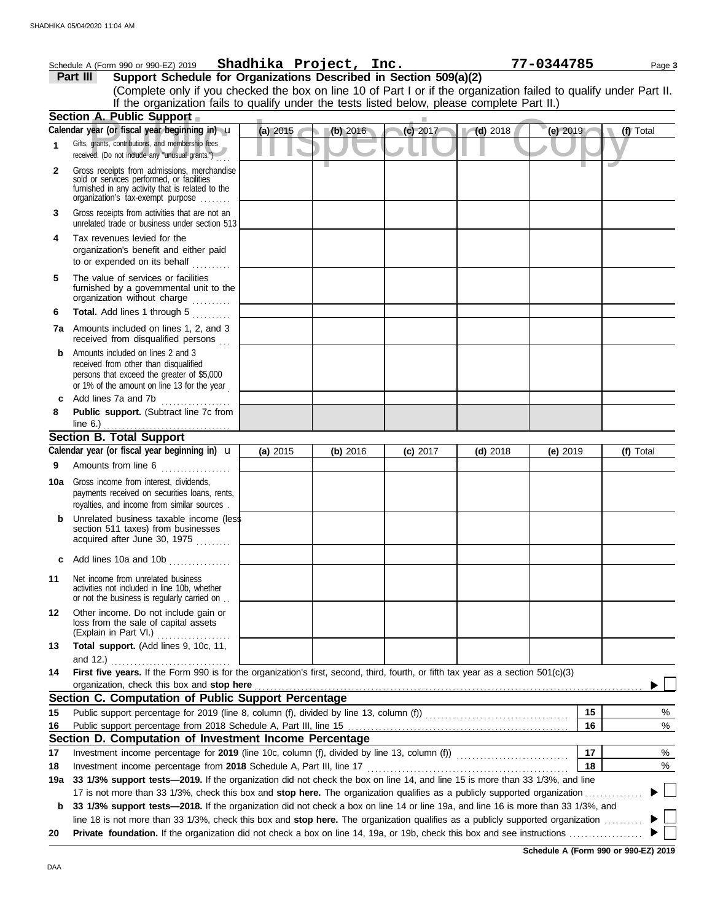|     | Schedule A (Form 990 or 990-EZ) 2019                                                                                                                                              |          | Shadhika Project, Inc. |            |            | 77-0344785 | Page 3    |
|-----|-----------------------------------------------------------------------------------------------------------------------------------------------------------------------------------|----------|------------------------|------------|------------|------------|-----------|
|     | Support Schedule for Organizations Described in Section 509(a)(2)<br>Part III                                                                                                     |          |                        |            |            |            |           |
|     | (Complete only if you checked the box on line 10 of Part I or if the organization failed to qualify under Part II.                                                                |          |                        |            |            |            |           |
|     | If the organization fails to qualify under the tests listed below, please complete Part II.)                                                                                      |          |                        |            |            |            |           |
|     | Section A. Public Support                                                                                                                                                         |          |                        |            |            |            |           |
|     | Calendar year (or fiscal year beginning in) u                                                                                                                                     | (a) 2015 | (b) 2016               | (c) 2017   | $(d)$ 2018 | (e) 2019   | (f) Total |
| 1   | Gifts, grants, contributions, and membership fees<br>received. (Do not include any "unusual grants.")                                                                             |          |                        |            |            |            |           |
| 2   | Gross receipts from admissions, merchandise<br>sold or services performed, or facilities<br>furnished in any activity that is related to the<br>organization's tax-exempt purpose |          |                        |            |            |            |           |
| 3   | Gross receipts from activities that are not an<br>unrelated trade or business under section 513                                                                                   |          |                        |            |            |            |           |
| 4   | Tax revenues levied for the<br>organization's benefit and either paid<br>to or expended on its behalf<br>in de Berlin                                                             |          |                        |            |            |            |           |
| 5   | The value of services or facilities<br>furnished by a governmental unit to the<br>organization without charge                                                                     |          |                        |            |            |            |           |
| 6   | Total. Add lines 1 through 5                                                                                                                                                      |          |                        |            |            |            |           |
|     | <b>7a</b> Amounts included on lines 1, 2, and 3<br>received from disqualified persons                                                                                             |          |                        |            |            |            |           |
| b   | Amounts included on lines 2 and 3<br>received from other than disqualified<br>persons that exceed the greater of \$5,000<br>or 1% of the amount on line 13 for the year           |          |                        |            |            |            |           |
| c   | Add lines 7a and 7b                                                                                                                                                               |          |                        |            |            |            |           |
| 8   | Public support. (Subtract line 7c from                                                                                                                                            |          |                        |            |            |            |           |
|     | <b>Section B. Total Support</b>                                                                                                                                                   |          |                        |            |            |            |           |
|     | Calendar year (or fiscal year beginning in) $\mathbf u$                                                                                                                           | (a) 2015 | (b) 2016               | $(c)$ 2017 | $(d)$ 2018 | (e) $2019$ | (f) Total |
| 9   | Amounts from line 6<br>.                                                                                                                                                          |          |                        |            |            |            |           |
| 10a | Gross income from interest, dividends,<br>payments received on securities loans, rents,<br>royalties, and income from similar sources.                                            |          |                        |            |            |            |           |
|     | Unrelated business taxable income (less<br>section 511 taxes) from businesses<br>acquired after June 30, 1975                                                                     |          |                        |            |            |            |           |
|     | Add lines 10a and 10b                                                                                                                                                             |          |                        |            |            |            |           |
| 11  | Net income from unrelated business<br>activities not included in line 10b, whether<br>or not the business is regularly carried on                                                 |          |                        |            |            |            |           |
| 12  | Other income. Do not include gain or<br>loss from the sale of capital assets<br>(Explain in Part VI.)                                                                             |          |                        |            |            |            |           |
| 13  | Total support. (Add lines 9, 10c, 11,<br>and 12.)                                                                                                                                 |          |                        |            |            |            |           |
| 14  | First five years. If the Form 990 is for the organization's first, second, third, fourth, or fifth tax year as a section 501(c)(3)<br>organization, check this box and stop here  |          |                        |            |            |            |           |
|     | Section C. Computation of Public Support Percentage                                                                                                                               |          |                        |            |            |            |           |
| 15  |                                                                                                                                                                                   |          |                        |            |            | 15         | $\%$      |
| 16  |                                                                                                                                                                                   |          |                        |            |            | 16         | %         |
|     | Section D. Computation of Investment Income Percentage                                                                                                                            |          |                        |            |            |            |           |
| 17  |                                                                                                                                                                                   |          |                        |            |            | 17         | $\%$      |
| 18  |                                                                                                                                                                                   |          |                        |            |            | 18         | %         |
| 19a | 33 1/3% support tests—2019. If the organization did not check the box on line 14, and line 15 is more than 33 1/3%, and line                                                      |          |                        |            |            |            |           |
|     | 17 is not more than 33 1/3%, check this box and stop here. The organization qualifies as a publicly supported organization                                                        |          |                        |            |            |            |           |
| b   | 33 1/3% support tests-2018. If the organization did not check a box on line 14 or line 19a, and line 16 is more than 33 1/3%, and                                                 |          |                        |            |            |            |           |
|     | line 18 is not more than 33 1/3%, check this box and stop here. The organization qualifies as a publicly supported organization                                                   |          |                        |            |            |            |           |
| 20  |                                                                                                                                                                                   |          |                        |            |            |            |           |

**Schedule A (Form 990 or 990-EZ) 2019**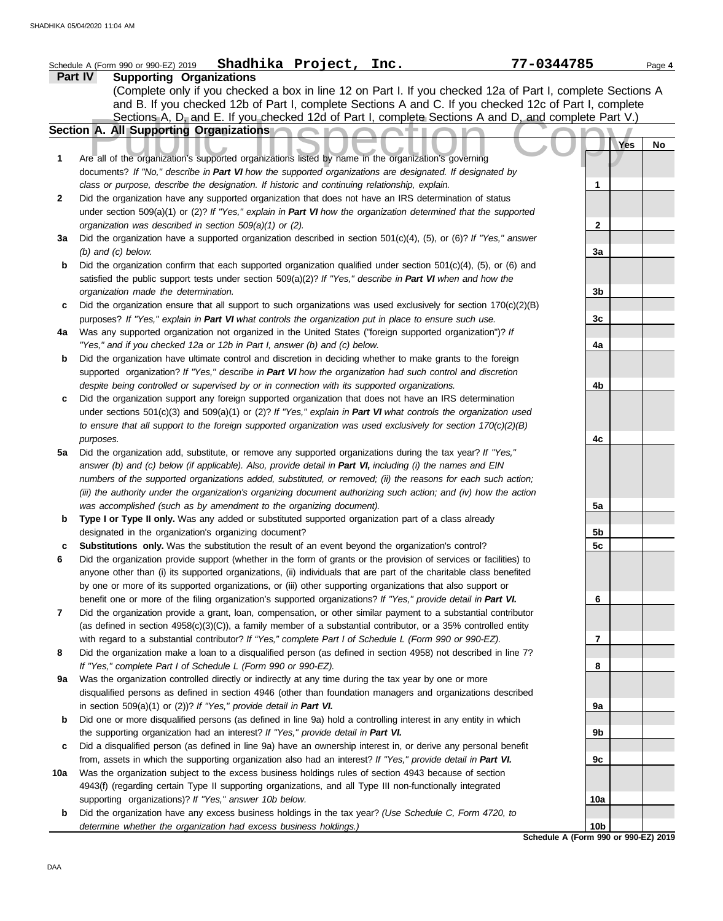| Part IV<br><b>Supporting Organizations</b><br>(Complete only if you checked a box in line 12 on Part I. If you checked 12a of Part I, complete Sections A<br>and B. If you checked 12b of Part I, complete Sections A and C. If you checked 12c of Part I, complete<br>Sections A, D, and E. If you checked 12d of Part I, complete Sections A and D, and complete Part V.)<br><b>Section A. All Supporting Organizations</b><br>Yes<br>No<br>Are all of the organization's supported organizations listed by name in the organization's governing<br>1<br>documents? If "No," describe in Part VI how the supported organizations are designated. If designated by<br>class or purpose, describe the designation. If historic and continuing relationship, explain.<br>1<br>2<br>Did the organization have any supported organization that does not have an IRS determination of status<br>under section 509(a)(1) or (2)? If "Yes," explain in Part VI how the organization determined that the supported<br>$\mathbf{2}$<br>organization was described in section 509(a)(1) or (2).<br>Did the organization have a supported organization described in section 501(c)(4), (5), or (6)? If "Yes," answer<br>3a<br>$(b)$ and $(c)$ below.<br>3a<br>Did the organization confirm that each supported organization qualified under section $501(c)(4)$ , (5), or (6) and<br>b<br>satisfied the public support tests under section 509(a)(2)? If "Yes," describe in Part VI when and how the<br>organization made the determination.<br>3b<br>Did the organization ensure that all support to such organizations was used exclusively for section $170(c)(2)(B)$<br>c<br>purposes? If "Yes," explain in Part VI what controls the organization put in place to ensure such use.<br>3c<br>Was any supported organization not organized in the United States ("foreign supported organization")? If<br>4a<br>"Yes," and if you checked 12a or 12b in Part I, answer (b) and (c) below.<br>4a<br>Did the organization have ultimate control and discretion in deciding whether to make grants to the foreign<br>b<br>supported organization? If "Yes," describe in Part VI how the organization had such control and discretion<br>despite being controlled or supervised by or in connection with its supported organizations.<br>4b<br>Did the organization support any foreign supported organization that does not have an IRS determination<br>c<br>under sections $501(c)(3)$ and $509(a)(1)$ or (2)? If "Yes," explain in Part VI what controls the organization used<br>to ensure that all support to the foreign supported organization was used exclusively for section 170(c)(2)(B)<br>4c<br>purposes.<br>Did the organization add, substitute, or remove any supported organizations during the tax year? If "Yes,"<br>5a<br>answer (b) and (c) below (if applicable). Also, provide detail in Part VI, including (i) the names and EIN<br>numbers of the supported organizations added, substituted, or removed; (ii) the reasons for each such action;<br>(iii) the authority under the organization's organizing document authorizing such action; and (iv) how the action<br>was accomplished (such as by amendment to the organizing document).<br>5a<br>Type I or Type II only. Was any added or substituted supported organization part of a class already<br>b<br>designated in the organization's organizing document?<br>5b<br>5c<br>Substitutions only. Was the substitution the result of an event beyond the organization's control?<br>6<br>Did the organization provide support (whether in the form of grants or the provision of services or facilities) to<br>anyone other than (i) its supported organizations, (ii) individuals that are part of the charitable class benefited<br>by one or more of its supported organizations, or (iii) other supporting organizations that also support or<br>benefit one or more of the filing organization's supported organizations? If "Yes," provide detail in Part VI.<br>6<br>7<br>Did the organization provide a grant, loan, compensation, or other similar payment to a substantial contributor<br>(as defined in section 4958(c)(3)(C)), a family member of a substantial contributor, or a 35% controlled entity<br>with regard to a substantial contributor? If "Yes," complete Part I of Schedule L (Form 990 or 990-EZ).<br>7<br>Did the organization make a loan to a disqualified person (as defined in section 4958) not described in line 7?<br>8<br>If "Yes," complete Part I of Schedule L (Form 990 or 990-EZ).<br>8<br>Was the organization controlled directly or indirectly at any time during the tax year by one or more<br>9a<br>disqualified persons as defined in section 4946 (other than foundation managers and organizations described<br>in section $509(a)(1)$ or $(2)$ ? If "Yes," provide detail in Part VI.<br>9а<br>Did one or more disqualified persons (as defined in line 9a) hold a controlling interest in any entity in which<br>b<br>the supporting organization had an interest? If "Yes," provide detail in Part VI.<br>9b<br>Did a disqualified person (as defined in line 9a) have an ownership interest in, or derive any personal benefit<br>c<br>from, assets in which the supporting organization also had an interest? If "Yes," provide detail in Part VI.<br>9с<br>Was the organization subject to the excess business holdings rules of section 4943 because of section<br>10a<br>4943(f) (regarding certain Type II supporting organizations, and all Type III non-functionally integrated<br>supporting organizations)? If "Yes," answer 10b below.<br>10a<br>Did the organization have any excess business holdings in the tax year? (Use Schedule C, Form 4720, to<br>b<br>determine whether the organization had excess business holdings.)<br>10b<br>Schedule A (Form 990 or 990-EZ) 2019 | Shadhika Project, Inc.<br>Schedule A (Form 990 or 990-EZ) 2019 | 77-0344785 | Page 4 |
|---------------------------------------------------------------------------------------------------------------------------------------------------------------------------------------------------------------------------------------------------------------------------------------------------------------------------------------------------------------------------------------------------------------------------------------------------------------------------------------------------------------------------------------------------------------------------------------------------------------------------------------------------------------------------------------------------------------------------------------------------------------------------------------------------------------------------------------------------------------------------------------------------------------------------------------------------------------------------------------------------------------------------------------------------------------------------------------------------------------------------------------------------------------------------------------------------------------------------------------------------------------------------------------------------------------------------------------------------------------------------------------------------------------------------------------------------------------------------------------------------------------------------------------------------------------------------------------------------------------------------------------------------------------------------------------------------------------------------------------------------------------------------------------------------------------------------------------------------------------------------------------------------------------------------------------------------------------------------------------------------------------------------------------------------------------------------------------------------------------------------------------------------------------------------------------------------------------------------------------------------------------------------------------------------------------------------------------------------------------------------------------------------------------------------------------------------------------------------------------------------------------------------------------------------------------------------------------------------------------------------------------------------------------------------------------------------------------------------------------------------------------------------------------------------------------------------------------------------------------------------------------------------------------------------------------------------------------------------------------------------------------------------------------------------------------------------------------------------------------------------------------------------------------------------------------------------------------------------------------------------------------------------------------------------------------------------------------------------------------------------------------------------------------------------------------------------------------------------------------------------------------------------------------------------------------------------------------------------------------------------------------------------------------------------------------------------------------------------------------------------------------------------------------------------------------------------------------------------------------------------------------------------------------------------------------------------------------------------------------------------------------------------------------------------------------------------------------------------------------------------------------------------------------------------------------------------------------------------------------------------------------------------------------------------------------------------------------------------------------------------------------------------------------------------------------------------------------------------------------------------------------------------------------------------------------------------------------------------------------------------------------------------------------------------------------------------------------------------------------------------------------------------------------------------------------------------------------------------------------------------------------------------------------------------------------------------------------------------------------------------------------------------------------------------------------------------------------------------------------------------------------------------------------------------------------------------------------------------------------------------------------------------------------------------------------------------------------------------------------------------------------------------------------------------------------------------------------------------------------------------------------------------------------------------------------------------------------------------------------------------------------------------------------------------------------------------------------------------------------------------------------------------------------------------------------------------------------------------------------------------------------------------------------------------|----------------------------------------------------------------|------------|--------|
|                                                                                                                                                                                                                                                                                                                                                                                                                                                                                                                                                                                                                                                                                                                                                                                                                                                                                                                                                                                                                                                                                                                                                                                                                                                                                                                                                                                                                                                                                                                                                                                                                                                                                                                                                                                                                                                                                                                                                                                                                                                                                                                                                                                                                                                                                                                                                                                                                                                                                                                                                                                                                                                                                                                                                                                                                                                                                                                                                                                                                                                                                                                                                                                                                                                                                                                                                                                                                                                                                                                                                                                                                                                                                                                                                                                                                                                                                                                                                                                                                                                                                                                                                                                                                                                                                                                                                                                                                                                                                                                                                                                                                                                                                                                                                                                                                                                                                                                                                                                                                                                                                                                                                                                                                                                                                                                                                                                                                                                                                                                                                                                                                                                                                                                                                                                                                                                                                                                           |                                                                |            |        |
|                                                                                                                                                                                                                                                                                                                                                                                                                                                                                                                                                                                                                                                                                                                                                                                                                                                                                                                                                                                                                                                                                                                                                                                                                                                                                                                                                                                                                                                                                                                                                                                                                                                                                                                                                                                                                                                                                                                                                                                                                                                                                                                                                                                                                                                                                                                                                                                                                                                                                                                                                                                                                                                                                                                                                                                                                                                                                                                                                                                                                                                                                                                                                                                                                                                                                                                                                                                                                                                                                                                                                                                                                                                                                                                                                                                                                                                                                                                                                                                                                                                                                                                                                                                                                                                                                                                                                                                                                                                                                                                                                                                                                                                                                                                                                                                                                                                                                                                                                                                                                                                                                                                                                                                                                                                                                                                                                                                                                                                                                                                                                                                                                                                                                                                                                                                                                                                                                                                           |                                                                |            |        |
|                                                                                                                                                                                                                                                                                                                                                                                                                                                                                                                                                                                                                                                                                                                                                                                                                                                                                                                                                                                                                                                                                                                                                                                                                                                                                                                                                                                                                                                                                                                                                                                                                                                                                                                                                                                                                                                                                                                                                                                                                                                                                                                                                                                                                                                                                                                                                                                                                                                                                                                                                                                                                                                                                                                                                                                                                                                                                                                                                                                                                                                                                                                                                                                                                                                                                                                                                                                                                                                                                                                                                                                                                                                                                                                                                                                                                                                                                                                                                                                                                                                                                                                                                                                                                                                                                                                                                                                                                                                                                                                                                                                                                                                                                                                                                                                                                                                                                                                                                                                                                                                                                                                                                                                                                                                                                                                                                                                                                                                                                                                                                                                                                                                                                                                                                                                                                                                                                                                           |                                                                |            |        |
|                                                                                                                                                                                                                                                                                                                                                                                                                                                                                                                                                                                                                                                                                                                                                                                                                                                                                                                                                                                                                                                                                                                                                                                                                                                                                                                                                                                                                                                                                                                                                                                                                                                                                                                                                                                                                                                                                                                                                                                                                                                                                                                                                                                                                                                                                                                                                                                                                                                                                                                                                                                                                                                                                                                                                                                                                                                                                                                                                                                                                                                                                                                                                                                                                                                                                                                                                                                                                                                                                                                                                                                                                                                                                                                                                                                                                                                                                                                                                                                                                                                                                                                                                                                                                                                                                                                                                                                                                                                                                                                                                                                                                                                                                                                                                                                                                                                                                                                                                                                                                                                                                                                                                                                                                                                                                                                                                                                                                                                                                                                                                                                                                                                                                                                                                                                                                                                                                                                           |                                                                |            |        |
|                                                                                                                                                                                                                                                                                                                                                                                                                                                                                                                                                                                                                                                                                                                                                                                                                                                                                                                                                                                                                                                                                                                                                                                                                                                                                                                                                                                                                                                                                                                                                                                                                                                                                                                                                                                                                                                                                                                                                                                                                                                                                                                                                                                                                                                                                                                                                                                                                                                                                                                                                                                                                                                                                                                                                                                                                                                                                                                                                                                                                                                                                                                                                                                                                                                                                                                                                                                                                                                                                                                                                                                                                                                                                                                                                                                                                                                                                                                                                                                                                                                                                                                                                                                                                                                                                                                                                                                                                                                                                                                                                                                                                                                                                                                                                                                                                                                                                                                                                                                                                                                                                                                                                                                                                                                                                                                                                                                                                                                                                                                                                                                                                                                                                                                                                                                                                                                                                                                           |                                                                |            |        |
|                                                                                                                                                                                                                                                                                                                                                                                                                                                                                                                                                                                                                                                                                                                                                                                                                                                                                                                                                                                                                                                                                                                                                                                                                                                                                                                                                                                                                                                                                                                                                                                                                                                                                                                                                                                                                                                                                                                                                                                                                                                                                                                                                                                                                                                                                                                                                                                                                                                                                                                                                                                                                                                                                                                                                                                                                                                                                                                                                                                                                                                                                                                                                                                                                                                                                                                                                                                                                                                                                                                                                                                                                                                                                                                                                                                                                                                                                                                                                                                                                                                                                                                                                                                                                                                                                                                                                                                                                                                                                                                                                                                                                                                                                                                                                                                                                                                                                                                                                                                                                                                                                                                                                                                                                                                                                                                                                                                                                                                                                                                                                                                                                                                                                                                                                                                                                                                                                                                           |                                                                |            |        |
|                                                                                                                                                                                                                                                                                                                                                                                                                                                                                                                                                                                                                                                                                                                                                                                                                                                                                                                                                                                                                                                                                                                                                                                                                                                                                                                                                                                                                                                                                                                                                                                                                                                                                                                                                                                                                                                                                                                                                                                                                                                                                                                                                                                                                                                                                                                                                                                                                                                                                                                                                                                                                                                                                                                                                                                                                                                                                                                                                                                                                                                                                                                                                                                                                                                                                                                                                                                                                                                                                                                                                                                                                                                                                                                                                                                                                                                                                                                                                                                                                                                                                                                                                                                                                                                                                                                                                                                                                                                                                                                                                                                                                                                                                                                                                                                                                                                                                                                                                                                                                                                                                                                                                                                                                                                                                                                                                                                                                                                                                                                                                                                                                                                                                                                                                                                                                                                                                                                           |                                                                |            |        |
|                                                                                                                                                                                                                                                                                                                                                                                                                                                                                                                                                                                                                                                                                                                                                                                                                                                                                                                                                                                                                                                                                                                                                                                                                                                                                                                                                                                                                                                                                                                                                                                                                                                                                                                                                                                                                                                                                                                                                                                                                                                                                                                                                                                                                                                                                                                                                                                                                                                                                                                                                                                                                                                                                                                                                                                                                                                                                                                                                                                                                                                                                                                                                                                                                                                                                                                                                                                                                                                                                                                                                                                                                                                                                                                                                                                                                                                                                                                                                                                                                                                                                                                                                                                                                                                                                                                                                                                                                                                                                                                                                                                                                                                                                                                                                                                                                                                                                                                                                                                                                                                                                                                                                                                                                                                                                                                                                                                                                                                                                                                                                                                                                                                                                                                                                                                                                                                                                                                           |                                                                |            |        |
|                                                                                                                                                                                                                                                                                                                                                                                                                                                                                                                                                                                                                                                                                                                                                                                                                                                                                                                                                                                                                                                                                                                                                                                                                                                                                                                                                                                                                                                                                                                                                                                                                                                                                                                                                                                                                                                                                                                                                                                                                                                                                                                                                                                                                                                                                                                                                                                                                                                                                                                                                                                                                                                                                                                                                                                                                                                                                                                                                                                                                                                                                                                                                                                                                                                                                                                                                                                                                                                                                                                                                                                                                                                                                                                                                                                                                                                                                                                                                                                                                                                                                                                                                                                                                                                                                                                                                                                                                                                                                                                                                                                                                                                                                                                                                                                                                                                                                                                                                                                                                                                                                                                                                                                                                                                                                                                                                                                                                                                                                                                                                                                                                                                                                                                                                                                                                                                                                                                           |                                                                |            |        |
|                                                                                                                                                                                                                                                                                                                                                                                                                                                                                                                                                                                                                                                                                                                                                                                                                                                                                                                                                                                                                                                                                                                                                                                                                                                                                                                                                                                                                                                                                                                                                                                                                                                                                                                                                                                                                                                                                                                                                                                                                                                                                                                                                                                                                                                                                                                                                                                                                                                                                                                                                                                                                                                                                                                                                                                                                                                                                                                                                                                                                                                                                                                                                                                                                                                                                                                                                                                                                                                                                                                                                                                                                                                                                                                                                                                                                                                                                                                                                                                                                                                                                                                                                                                                                                                                                                                                                                                                                                                                                                                                                                                                                                                                                                                                                                                                                                                                                                                                                                                                                                                                                                                                                                                                                                                                                                                                                                                                                                                                                                                                                                                                                                                                                                                                                                                                                                                                                                                           |                                                                |            |        |
|                                                                                                                                                                                                                                                                                                                                                                                                                                                                                                                                                                                                                                                                                                                                                                                                                                                                                                                                                                                                                                                                                                                                                                                                                                                                                                                                                                                                                                                                                                                                                                                                                                                                                                                                                                                                                                                                                                                                                                                                                                                                                                                                                                                                                                                                                                                                                                                                                                                                                                                                                                                                                                                                                                                                                                                                                                                                                                                                                                                                                                                                                                                                                                                                                                                                                                                                                                                                                                                                                                                                                                                                                                                                                                                                                                                                                                                                                                                                                                                                                                                                                                                                                                                                                                                                                                                                                                                                                                                                                                                                                                                                                                                                                                                                                                                                                                                                                                                                                                                                                                                                                                                                                                                                                                                                                                                                                                                                                                                                                                                                                                                                                                                                                                                                                                                                                                                                                                                           |                                                                |            |        |
|                                                                                                                                                                                                                                                                                                                                                                                                                                                                                                                                                                                                                                                                                                                                                                                                                                                                                                                                                                                                                                                                                                                                                                                                                                                                                                                                                                                                                                                                                                                                                                                                                                                                                                                                                                                                                                                                                                                                                                                                                                                                                                                                                                                                                                                                                                                                                                                                                                                                                                                                                                                                                                                                                                                                                                                                                                                                                                                                                                                                                                                                                                                                                                                                                                                                                                                                                                                                                                                                                                                                                                                                                                                                                                                                                                                                                                                                                                                                                                                                                                                                                                                                                                                                                                                                                                                                                                                                                                                                                                                                                                                                                                                                                                                                                                                                                                                                                                                                                                                                                                                                                                                                                                                                                                                                                                                                                                                                                                                                                                                                                                                                                                                                                                                                                                                                                                                                                                                           |                                                                |            |        |
|                                                                                                                                                                                                                                                                                                                                                                                                                                                                                                                                                                                                                                                                                                                                                                                                                                                                                                                                                                                                                                                                                                                                                                                                                                                                                                                                                                                                                                                                                                                                                                                                                                                                                                                                                                                                                                                                                                                                                                                                                                                                                                                                                                                                                                                                                                                                                                                                                                                                                                                                                                                                                                                                                                                                                                                                                                                                                                                                                                                                                                                                                                                                                                                                                                                                                                                                                                                                                                                                                                                                                                                                                                                                                                                                                                                                                                                                                                                                                                                                                                                                                                                                                                                                                                                                                                                                                                                                                                                                                                                                                                                                                                                                                                                                                                                                                                                                                                                                                                                                                                                                                                                                                                                                                                                                                                                                                                                                                                                                                                                                                                                                                                                                                                                                                                                                                                                                                                                           |                                                                |            |        |
|                                                                                                                                                                                                                                                                                                                                                                                                                                                                                                                                                                                                                                                                                                                                                                                                                                                                                                                                                                                                                                                                                                                                                                                                                                                                                                                                                                                                                                                                                                                                                                                                                                                                                                                                                                                                                                                                                                                                                                                                                                                                                                                                                                                                                                                                                                                                                                                                                                                                                                                                                                                                                                                                                                                                                                                                                                                                                                                                                                                                                                                                                                                                                                                                                                                                                                                                                                                                                                                                                                                                                                                                                                                                                                                                                                                                                                                                                                                                                                                                                                                                                                                                                                                                                                                                                                                                                                                                                                                                                                                                                                                                                                                                                                                                                                                                                                                                                                                                                                                                                                                                                                                                                                                                                                                                                                                                                                                                                                                                                                                                                                                                                                                                                                                                                                                                                                                                                                                           |                                                                |            |        |
|                                                                                                                                                                                                                                                                                                                                                                                                                                                                                                                                                                                                                                                                                                                                                                                                                                                                                                                                                                                                                                                                                                                                                                                                                                                                                                                                                                                                                                                                                                                                                                                                                                                                                                                                                                                                                                                                                                                                                                                                                                                                                                                                                                                                                                                                                                                                                                                                                                                                                                                                                                                                                                                                                                                                                                                                                                                                                                                                                                                                                                                                                                                                                                                                                                                                                                                                                                                                                                                                                                                                                                                                                                                                                                                                                                                                                                                                                                                                                                                                                                                                                                                                                                                                                                                                                                                                                                                                                                                                                                                                                                                                                                                                                                                                                                                                                                                                                                                                                                                                                                                                                                                                                                                                                                                                                                                                                                                                                                                                                                                                                                                                                                                                                                                                                                                                                                                                                                                           |                                                                |            |        |
|                                                                                                                                                                                                                                                                                                                                                                                                                                                                                                                                                                                                                                                                                                                                                                                                                                                                                                                                                                                                                                                                                                                                                                                                                                                                                                                                                                                                                                                                                                                                                                                                                                                                                                                                                                                                                                                                                                                                                                                                                                                                                                                                                                                                                                                                                                                                                                                                                                                                                                                                                                                                                                                                                                                                                                                                                                                                                                                                                                                                                                                                                                                                                                                                                                                                                                                                                                                                                                                                                                                                                                                                                                                                                                                                                                                                                                                                                                                                                                                                                                                                                                                                                                                                                                                                                                                                                                                                                                                                                                                                                                                                                                                                                                                                                                                                                                                                                                                                                                                                                                                                                                                                                                                                                                                                                                                                                                                                                                                                                                                                                                                                                                                                                                                                                                                                                                                                                                                           |                                                                |            |        |
|                                                                                                                                                                                                                                                                                                                                                                                                                                                                                                                                                                                                                                                                                                                                                                                                                                                                                                                                                                                                                                                                                                                                                                                                                                                                                                                                                                                                                                                                                                                                                                                                                                                                                                                                                                                                                                                                                                                                                                                                                                                                                                                                                                                                                                                                                                                                                                                                                                                                                                                                                                                                                                                                                                                                                                                                                                                                                                                                                                                                                                                                                                                                                                                                                                                                                                                                                                                                                                                                                                                                                                                                                                                                                                                                                                                                                                                                                                                                                                                                                                                                                                                                                                                                                                                                                                                                                                                                                                                                                                                                                                                                                                                                                                                                                                                                                                                                                                                                                                                                                                                                                                                                                                                                                                                                                                                                                                                                                                                                                                                                                                                                                                                                                                                                                                                                                                                                                                                           |                                                                |            |        |
|                                                                                                                                                                                                                                                                                                                                                                                                                                                                                                                                                                                                                                                                                                                                                                                                                                                                                                                                                                                                                                                                                                                                                                                                                                                                                                                                                                                                                                                                                                                                                                                                                                                                                                                                                                                                                                                                                                                                                                                                                                                                                                                                                                                                                                                                                                                                                                                                                                                                                                                                                                                                                                                                                                                                                                                                                                                                                                                                                                                                                                                                                                                                                                                                                                                                                                                                                                                                                                                                                                                                                                                                                                                                                                                                                                                                                                                                                                                                                                                                                                                                                                                                                                                                                                                                                                                                                                                                                                                                                                                                                                                                                                                                                                                                                                                                                                                                                                                                                                                                                                                                                                                                                                                                                                                                                                                                                                                                                                                                                                                                                                                                                                                                                                                                                                                                                                                                                                                           |                                                                |            |        |
|                                                                                                                                                                                                                                                                                                                                                                                                                                                                                                                                                                                                                                                                                                                                                                                                                                                                                                                                                                                                                                                                                                                                                                                                                                                                                                                                                                                                                                                                                                                                                                                                                                                                                                                                                                                                                                                                                                                                                                                                                                                                                                                                                                                                                                                                                                                                                                                                                                                                                                                                                                                                                                                                                                                                                                                                                                                                                                                                                                                                                                                                                                                                                                                                                                                                                                                                                                                                                                                                                                                                                                                                                                                                                                                                                                                                                                                                                                                                                                                                                                                                                                                                                                                                                                                                                                                                                                                                                                                                                                                                                                                                                                                                                                                                                                                                                                                                                                                                                                                                                                                                                                                                                                                                                                                                                                                                                                                                                                                                                                                                                                                                                                                                                                                                                                                                                                                                                                                           |                                                                |            |        |
|                                                                                                                                                                                                                                                                                                                                                                                                                                                                                                                                                                                                                                                                                                                                                                                                                                                                                                                                                                                                                                                                                                                                                                                                                                                                                                                                                                                                                                                                                                                                                                                                                                                                                                                                                                                                                                                                                                                                                                                                                                                                                                                                                                                                                                                                                                                                                                                                                                                                                                                                                                                                                                                                                                                                                                                                                                                                                                                                                                                                                                                                                                                                                                                                                                                                                                                                                                                                                                                                                                                                                                                                                                                                                                                                                                                                                                                                                                                                                                                                                                                                                                                                                                                                                                                                                                                                                                                                                                                                                                                                                                                                                                                                                                                                                                                                                                                                                                                                                                                                                                                                                                                                                                                                                                                                                                                                                                                                                                                                                                                                                                                                                                                                                                                                                                                                                                                                                                                           |                                                                |            |        |
|                                                                                                                                                                                                                                                                                                                                                                                                                                                                                                                                                                                                                                                                                                                                                                                                                                                                                                                                                                                                                                                                                                                                                                                                                                                                                                                                                                                                                                                                                                                                                                                                                                                                                                                                                                                                                                                                                                                                                                                                                                                                                                                                                                                                                                                                                                                                                                                                                                                                                                                                                                                                                                                                                                                                                                                                                                                                                                                                                                                                                                                                                                                                                                                                                                                                                                                                                                                                                                                                                                                                                                                                                                                                                                                                                                                                                                                                                                                                                                                                                                                                                                                                                                                                                                                                                                                                                                                                                                                                                                                                                                                                                                                                                                                                                                                                                                                                                                                                                                                                                                                                                                                                                                                                                                                                                                                                                                                                                                                                                                                                                                                                                                                                                                                                                                                                                                                                                                                           |                                                                |            |        |
|                                                                                                                                                                                                                                                                                                                                                                                                                                                                                                                                                                                                                                                                                                                                                                                                                                                                                                                                                                                                                                                                                                                                                                                                                                                                                                                                                                                                                                                                                                                                                                                                                                                                                                                                                                                                                                                                                                                                                                                                                                                                                                                                                                                                                                                                                                                                                                                                                                                                                                                                                                                                                                                                                                                                                                                                                                                                                                                                                                                                                                                                                                                                                                                                                                                                                                                                                                                                                                                                                                                                                                                                                                                                                                                                                                                                                                                                                                                                                                                                                                                                                                                                                                                                                                                                                                                                                                                                                                                                                                                                                                                                                                                                                                                                                                                                                                                                                                                                                                                                                                                                                                                                                                                                                                                                                                                                                                                                                                                                                                                                                                                                                                                                                                                                                                                                                                                                                                                           |                                                                |            |        |
|                                                                                                                                                                                                                                                                                                                                                                                                                                                                                                                                                                                                                                                                                                                                                                                                                                                                                                                                                                                                                                                                                                                                                                                                                                                                                                                                                                                                                                                                                                                                                                                                                                                                                                                                                                                                                                                                                                                                                                                                                                                                                                                                                                                                                                                                                                                                                                                                                                                                                                                                                                                                                                                                                                                                                                                                                                                                                                                                                                                                                                                                                                                                                                                                                                                                                                                                                                                                                                                                                                                                                                                                                                                                                                                                                                                                                                                                                                                                                                                                                                                                                                                                                                                                                                                                                                                                                                                                                                                                                                                                                                                                                                                                                                                                                                                                                                                                                                                                                                                                                                                                                                                                                                                                                                                                                                                                                                                                                                                                                                                                                                                                                                                                                                                                                                                                                                                                                                                           |                                                                |            |        |
|                                                                                                                                                                                                                                                                                                                                                                                                                                                                                                                                                                                                                                                                                                                                                                                                                                                                                                                                                                                                                                                                                                                                                                                                                                                                                                                                                                                                                                                                                                                                                                                                                                                                                                                                                                                                                                                                                                                                                                                                                                                                                                                                                                                                                                                                                                                                                                                                                                                                                                                                                                                                                                                                                                                                                                                                                                                                                                                                                                                                                                                                                                                                                                                                                                                                                                                                                                                                                                                                                                                                                                                                                                                                                                                                                                                                                                                                                                                                                                                                                                                                                                                                                                                                                                                                                                                                                                                                                                                                                                                                                                                                                                                                                                                                                                                                                                                                                                                                                                                                                                                                                                                                                                                                                                                                                                                                                                                                                                                                                                                                                                                                                                                                                                                                                                                                                                                                                                                           |                                                                |            |        |
|                                                                                                                                                                                                                                                                                                                                                                                                                                                                                                                                                                                                                                                                                                                                                                                                                                                                                                                                                                                                                                                                                                                                                                                                                                                                                                                                                                                                                                                                                                                                                                                                                                                                                                                                                                                                                                                                                                                                                                                                                                                                                                                                                                                                                                                                                                                                                                                                                                                                                                                                                                                                                                                                                                                                                                                                                                                                                                                                                                                                                                                                                                                                                                                                                                                                                                                                                                                                                                                                                                                                                                                                                                                                                                                                                                                                                                                                                                                                                                                                                                                                                                                                                                                                                                                                                                                                                                                                                                                                                                                                                                                                                                                                                                                                                                                                                                                                                                                                                                                                                                                                                                                                                                                                                                                                                                                                                                                                                                                                                                                                                                                                                                                                                                                                                                                                                                                                                                                           |                                                                |            |        |
|                                                                                                                                                                                                                                                                                                                                                                                                                                                                                                                                                                                                                                                                                                                                                                                                                                                                                                                                                                                                                                                                                                                                                                                                                                                                                                                                                                                                                                                                                                                                                                                                                                                                                                                                                                                                                                                                                                                                                                                                                                                                                                                                                                                                                                                                                                                                                                                                                                                                                                                                                                                                                                                                                                                                                                                                                                                                                                                                                                                                                                                                                                                                                                                                                                                                                                                                                                                                                                                                                                                                                                                                                                                                                                                                                                                                                                                                                                                                                                                                                                                                                                                                                                                                                                                                                                                                                                                                                                                                                                                                                                                                                                                                                                                                                                                                                                                                                                                                                                                                                                                                                                                                                                                                                                                                                                                                                                                                                                                                                                                                                                                                                                                                                                                                                                                                                                                                                                                           |                                                                |            |        |
|                                                                                                                                                                                                                                                                                                                                                                                                                                                                                                                                                                                                                                                                                                                                                                                                                                                                                                                                                                                                                                                                                                                                                                                                                                                                                                                                                                                                                                                                                                                                                                                                                                                                                                                                                                                                                                                                                                                                                                                                                                                                                                                                                                                                                                                                                                                                                                                                                                                                                                                                                                                                                                                                                                                                                                                                                                                                                                                                                                                                                                                                                                                                                                                                                                                                                                                                                                                                                                                                                                                                                                                                                                                                                                                                                                                                                                                                                                                                                                                                                                                                                                                                                                                                                                                                                                                                                                                                                                                                                                                                                                                                                                                                                                                                                                                                                                                                                                                                                                                                                                                                                                                                                                                                                                                                                                                                                                                                                                                                                                                                                                                                                                                                                                                                                                                                                                                                                                                           |                                                                |            |        |
|                                                                                                                                                                                                                                                                                                                                                                                                                                                                                                                                                                                                                                                                                                                                                                                                                                                                                                                                                                                                                                                                                                                                                                                                                                                                                                                                                                                                                                                                                                                                                                                                                                                                                                                                                                                                                                                                                                                                                                                                                                                                                                                                                                                                                                                                                                                                                                                                                                                                                                                                                                                                                                                                                                                                                                                                                                                                                                                                                                                                                                                                                                                                                                                                                                                                                                                                                                                                                                                                                                                                                                                                                                                                                                                                                                                                                                                                                                                                                                                                                                                                                                                                                                                                                                                                                                                                                                                                                                                                                                                                                                                                                                                                                                                                                                                                                                                                                                                                                                                                                                                                                                                                                                                                                                                                                                                                                                                                                                                                                                                                                                                                                                                                                                                                                                                                                                                                                                                           |                                                                |            |        |
|                                                                                                                                                                                                                                                                                                                                                                                                                                                                                                                                                                                                                                                                                                                                                                                                                                                                                                                                                                                                                                                                                                                                                                                                                                                                                                                                                                                                                                                                                                                                                                                                                                                                                                                                                                                                                                                                                                                                                                                                                                                                                                                                                                                                                                                                                                                                                                                                                                                                                                                                                                                                                                                                                                                                                                                                                                                                                                                                                                                                                                                                                                                                                                                                                                                                                                                                                                                                                                                                                                                                                                                                                                                                                                                                                                                                                                                                                                                                                                                                                                                                                                                                                                                                                                                                                                                                                                                                                                                                                                                                                                                                                                                                                                                                                                                                                                                                                                                                                                                                                                                                                                                                                                                                                                                                                                                                                                                                                                                                                                                                                                                                                                                                                                                                                                                                                                                                                                                           |                                                                |            |        |
|                                                                                                                                                                                                                                                                                                                                                                                                                                                                                                                                                                                                                                                                                                                                                                                                                                                                                                                                                                                                                                                                                                                                                                                                                                                                                                                                                                                                                                                                                                                                                                                                                                                                                                                                                                                                                                                                                                                                                                                                                                                                                                                                                                                                                                                                                                                                                                                                                                                                                                                                                                                                                                                                                                                                                                                                                                                                                                                                                                                                                                                                                                                                                                                                                                                                                                                                                                                                                                                                                                                                                                                                                                                                                                                                                                                                                                                                                                                                                                                                                                                                                                                                                                                                                                                                                                                                                                                                                                                                                                                                                                                                                                                                                                                                                                                                                                                                                                                                                                                                                                                                                                                                                                                                                                                                                                                                                                                                                                                                                                                                                                                                                                                                                                                                                                                                                                                                                                                           |                                                                |            |        |
|                                                                                                                                                                                                                                                                                                                                                                                                                                                                                                                                                                                                                                                                                                                                                                                                                                                                                                                                                                                                                                                                                                                                                                                                                                                                                                                                                                                                                                                                                                                                                                                                                                                                                                                                                                                                                                                                                                                                                                                                                                                                                                                                                                                                                                                                                                                                                                                                                                                                                                                                                                                                                                                                                                                                                                                                                                                                                                                                                                                                                                                                                                                                                                                                                                                                                                                                                                                                                                                                                                                                                                                                                                                                                                                                                                                                                                                                                                                                                                                                                                                                                                                                                                                                                                                                                                                                                                                                                                                                                                                                                                                                                                                                                                                                                                                                                                                                                                                                                                                                                                                                                                                                                                                                                                                                                                                                                                                                                                                                                                                                                                                                                                                                                                                                                                                                                                                                                                                           |                                                                |            |        |
|                                                                                                                                                                                                                                                                                                                                                                                                                                                                                                                                                                                                                                                                                                                                                                                                                                                                                                                                                                                                                                                                                                                                                                                                                                                                                                                                                                                                                                                                                                                                                                                                                                                                                                                                                                                                                                                                                                                                                                                                                                                                                                                                                                                                                                                                                                                                                                                                                                                                                                                                                                                                                                                                                                                                                                                                                                                                                                                                                                                                                                                                                                                                                                                                                                                                                                                                                                                                                                                                                                                                                                                                                                                                                                                                                                                                                                                                                                                                                                                                                                                                                                                                                                                                                                                                                                                                                                                                                                                                                                                                                                                                                                                                                                                                                                                                                                                                                                                                                                                                                                                                                                                                                                                                                                                                                                                                                                                                                                                                                                                                                                                                                                                                                                                                                                                                                                                                                                                           |                                                                |            |        |
|                                                                                                                                                                                                                                                                                                                                                                                                                                                                                                                                                                                                                                                                                                                                                                                                                                                                                                                                                                                                                                                                                                                                                                                                                                                                                                                                                                                                                                                                                                                                                                                                                                                                                                                                                                                                                                                                                                                                                                                                                                                                                                                                                                                                                                                                                                                                                                                                                                                                                                                                                                                                                                                                                                                                                                                                                                                                                                                                                                                                                                                                                                                                                                                                                                                                                                                                                                                                                                                                                                                                                                                                                                                                                                                                                                                                                                                                                                                                                                                                                                                                                                                                                                                                                                                                                                                                                                                                                                                                                                                                                                                                                                                                                                                                                                                                                                                                                                                                                                                                                                                                                                                                                                                                                                                                                                                                                                                                                                                                                                                                                                                                                                                                                                                                                                                                                                                                                                                           |                                                                |            |        |
|                                                                                                                                                                                                                                                                                                                                                                                                                                                                                                                                                                                                                                                                                                                                                                                                                                                                                                                                                                                                                                                                                                                                                                                                                                                                                                                                                                                                                                                                                                                                                                                                                                                                                                                                                                                                                                                                                                                                                                                                                                                                                                                                                                                                                                                                                                                                                                                                                                                                                                                                                                                                                                                                                                                                                                                                                                                                                                                                                                                                                                                                                                                                                                                                                                                                                                                                                                                                                                                                                                                                                                                                                                                                                                                                                                                                                                                                                                                                                                                                                                                                                                                                                                                                                                                                                                                                                                                                                                                                                                                                                                                                                                                                                                                                                                                                                                                                                                                                                                                                                                                                                                                                                                                                                                                                                                                                                                                                                                                                                                                                                                                                                                                                                                                                                                                                                                                                                                                           |                                                                |            |        |
|                                                                                                                                                                                                                                                                                                                                                                                                                                                                                                                                                                                                                                                                                                                                                                                                                                                                                                                                                                                                                                                                                                                                                                                                                                                                                                                                                                                                                                                                                                                                                                                                                                                                                                                                                                                                                                                                                                                                                                                                                                                                                                                                                                                                                                                                                                                                                                                                                                                                                                                                                                                                                                                                                                                                                                                                                                                                                                                                                                                                                                                                                                                                                                                                                                                                                                                                                                                                                                                                                                                                                                                                                                                                                                                                                                                                                                                                                                                                                                                                                                                                                                                                                                                                                                                                                                                                                                                                                                                                                                                                                                                                                                                                                                                                                                                                                                                                                                                                                                                                                                                                                                                                                                                                                                                                                                                                                                                                                                                                                                                                                                                                                                                                                                                                                                                                                                                                                                                           |                                                                |            |        |
|                                                                                                                                                                                                                                                                                                                                                                                                                                                                                                                                                                                                                                                                                                                                                                                                                                                                                                                                                                                                                                                                                                                                                                                                                                                                                                                                                                                                                                                                                                                                                                                                                                                                                                                                                                                                                                                                                                                                                                                                                                                                                                                                                                                                                                                                                                                                                                                                                                                                                                                                                                                                                                                                                                                                                                                                                                                                                                                                                                                                                                                                                                                                                                                                                                                                                                                                                                                                                                                                                                                                                                                                                                                                                                                                                                                                                                                                                                                                                                                                                                                                                                                                                                                                                                                                                                                                                                                                                                                                                                                                                                                                                                                                                                                                                                                                                                                                                                                                                                                                                                                                                                                                                                                                                                                                                                                                                                                                                                                                                                                                                                                                                                                                                                                                                                                                                                                                                                                           |                                                                |            |        |
|                                                                                                                                                                                                                                                                                                                                                                                                                                                                                                                                                                                                                                                                                                                                                                                                                                                                                                                                                                                                                                                                                                                                                                                                                                                                                                                                                                                                                                                                                                                                                                                                                                                                                                                                                                                                                                                                                                                                                                                                                                                                                                                                                                                                                                                                                                                                                                                                                                                                                                                                                                                                                                                                                                                                                                                                                                                                                                                                                                                                                                                                                                                                                                                                                                                                                                                                                                                                                                                                                                                                                                                                                                                                                                                                                                                                                                                                                                                                                                                                                                                                                                                                                                                                                                                                                                                                                                                                                                                                                                                                                                                                                                                                                                                                                                                                                                                                                                                                                                                                                                                                                                                                                                                                                                                                                                                                                                                                                                                                                                                                                                                                                                                                                                                                                                                                                                                                                                                           |                                                                |            |        |
|                                                                                                                                                                                                                                                                                                                                                                                                                                                                                                                                                                                                                                                                                                                                                                                                                                                                                                                                                                                                                                                                                                                                                                                                                                                                                                                                                                                                                                                                                                                                                                                                                                                                                                                                                                                                                                                                                                                                                                                                                                                                                                                                                                                                                                                                                                                                                                                                                                                                                                                                                                                                                                                                                                                                                                                                                                                                                                                                                                                                                                                                                                                                                                                                                                                                                                                                                                                                                                                                                                                                                                                                                                                                                                                                                                                                                                                                                                                                                                                                                                                                                                                                                                                                                                                                                                                                                                                                                                                                                                                                                                                                                                                                                                                                                                                                                                                                                                                                                                                                                                                                                                                                                                                                                                                                                                                                                                                                                                                                                                                                                                                                                                                                                                                                                                                                                                                                                                                           |                                                                |            |        |
|                                                                                                                                                                                                                                                                                                                                                                                                                                                                                                                                                                                                                                                                                                                                                                                                                                                                                                                                                                                                                                                                                                                                                                                                                                                                                                                                                                                                                                                                                                                                                                                                                                                                                                                                                                                                                                                                                                                                                                                                                                                                                                                                                                                                                                                                                                                                                                                                                                                                                                                                                                                                                                                                                                                                                                                                                                                                                                                                                                                                                                                                                                                                                                                                                                                                                                                                                                                                                                                                                                                                                                                                                                                                                                                                                                                                                                                                                                                                                                                                                                                                                                                                                                                                                                                                                                                                                                                                                                                                                                                                                                                                                                                                                                                                                                                                                                                                                                                                                                                                                                                                                                                                                                                                                                                                                                                                                                                                                                                                                                                                                                                                                                                                                                                                                                                                                                                                                                                           |                                                                |            |        |
|                                                                                                                                                                                                                                                                                                                                                                                                                                                                                                                                                                                                                                                                                                                                                                                                                                                                                                                                                                                                                                                                                                                                                                                                                                                                                                                                                                                                                                                                                                                                                                                                                                                                                                                                                                                                                                                                                                                                                                                                                                                                                                                                                                                                                                                                                                                                                                                                                                                                                                                                                                                                                                                                                                                                                                                                                                                                                                                                                                                                                                                                                                                                                                                                                                                                                                                                                                                                                                                                                                                                                                                                                                                                                                                                                                                                                                                                                                                                                                                                                                                                                                                                                                                                                                                                                                                                                                                                                                                                                                                                                                                                                                                                                                                                                                                                                                                                                                                                                                                                                                                                                                                                                                                                                                                                                                                                                                                                                                                                                                                                                                                                                                                                                                                                                                                                                                                                                                                           |                                                                |            |        |
|                                                                                                                                                                                                                                                                                                                                                                                                                                                                                                                                                                                                                                                                                                                                                                                                                                                                                                                                                                                                                                                                                                                                                                                                                                                                                                                                                                                                                                                                                                                                                                                                                                                                                                                                                                                                                                                                                                                                                                                                                                                                                                                                                                                                                                                                                                                                                                                                                                                                                                                                                                                                                                                                                                                                                                                                                                                                                                                                                                                                                                                                                                                                                                                                                                                                                                                                                                                                                                                                                                                                                                                                                                                                                                                                                                                                                                                                                                                                                                                                                                                                                                                                                                                                                                                                                                                                                                                                                                                                                                                                                                                                                                                                                                                                                                                                                                                                                                                                                                                                                                                                                                                                                                                                                                                                                                                                                                                                                                                                                                                                                                                                                                                                                                                                                                                                                                                                                                                           |                                                                |            |        |
|                                                                                                                                                                                                                                                                                                                                                                                                                                                                                                                                                                                                                                                                                                                                                                                                                                                                                                                                                                                                                                                                                                                                                                                                                                                                                                                                                                                                                                                                                                                                                                                                                                                                                                                                                                                                                                                                                                                                                                                                                                                                                                                                                                                                                                                                                                                                                                                                                                                                                                                                                                                                                                                                                                                                                                                                                                                                                                                                                                                                                                                                                                                                                                                                                                                                                                                                                                                                                                                                                                                                                                                                                                                                                                                                                                                                                                                                                                                                                                                                                                                                                                                                                                                                                                                                                                                                                                                                                                                                                                                                                                                                                                                                                                                                                                                                                                                                                                                                                                                                                                                                                                                                                                                                                                                                                                                                                                                                                                                                                                                                                                                                                                                                                                                                                                                                                                                                                                                           |                                                                |            |        |
|                                                                                                                                                                                                                                                                                                                                                                                                                                                                                                                                                                                                                                                                                                                                                                                                                                                                                                                                                                                                                                                                                                                                                                                                                                                                                                                                                                                                                                                                                                                                                                                                                                                                                                                                                                                                                                                                                                                                                                                                                                                                                                                                                                                                                                                                                                                                                                                                                                                                                                                                                                                                                                                                                                                                                                                                                                                                                                                                                                                                                                                                                                                                                                                                                                                                                                                                                                                                                                                                                                                                                                                                                                                                                                                                                                                                                                                                                                                                                                                                                                                                                                                                                                                                                                                                                                                                                                                                                                                                                                                                                                                                                                                                                                                                                                                                                                                                                                                                                                                                                                                                                                                                                                                                                                                                                                                                                                                                                                                                                                                                                                                                                                                                                                                                                                                                                                                                                                                           |                                                                |            |        |
|                                                                                                                                                                                                                                                                                                                                                                                                                                                                                                                                                                                                                                                                                                                                                                                                                                                                                                                                                                                                                                                                                                                                                                                                                                                                                                                                                                                                                                                                                                                                                                                                                                                                                                                                                                                                                                                                                                                                                                                                                                                                                                                                                                                                                                                                                                                                                                                                                                                                                                                                                                                                                                                                                                                                                                                                                                                                                                                                                                                                                                                                                                                                                                                                                                                                                                                                                                                                                                                                                                                                                                                                                                                                                                                                                                                                                                                                                                                                                                                                                                                                                                                                                                                                                                                                                                                                                                                                                                                                                                                                                                                                                                                                                                                                                                                                                                                                                                                                                                                                                                                                                                                                                                                                                                                                                                                                                                                                                                                                                                                                                                                                                                                                                                                                                                                                                                                                                                                           |                                                                |            |        |
|                                                                                                                                                                                                                                                                                                                                                                                                                                                                                                                                                                                                                                                                                                                                                                                                                                                                                                                                                                                                                                                                                                                                                                                                                                                                                                                                                                                                                                                                                                                                                                                                                                                                                                                                                                                                                                                                                                                                                                                                                                                                                                                                                                                                                                                                                                                                                                                                                                                                                                                                                                                                                                                                                                                                                                                                                                                                                                                                                                                                                                                                                                                                                                                                                                                                                                                                                                                                                                                                                                                                                                                                                                                                                                                                                                                                                                                                                                                                                                                                                                                                                                                                                                                                                                                                                                                                                                                                                                                                                                                                                                                                                                                                                                                                                                                                                                                                                                                                                                                                                                                                                                                                                                                                                                                                                                                                                                                                                                                                                                                                                                                                                                                                                                                                                                                                                                                                                                                           |                                                                |            |        |
|                                                                                                                                                                                                                                                                                                                                                                                                                                                                                                                                                                                                                                                                                                                                                                                                                                                                                                                                                                                                                                                                                                                                                                                                                                                                                                                                                                                                                                                                                                                                                                                                                                                                                                                                                                                                                                                                                                                                                                                                                                                                                                                                                                                                                                                                                                                                                                                                                                                                                                                                                                                                                                                                                                                                                                                                                                                                                                                                                                                                                                                                                                                                                                                                                                                                                                                                                                                                                                                                                                                                                                                                                                                                                                                                                                                                                                                                                                                                                                                                                                                                                                                                                                                                                                                                                                                                                                                                                                                                                                                                                                                                                                                                                                                                                                                                                                                                                                                                                                                                                                                                                                                                                                                                                                                                                                                                                                                                                                                                                                                                                                                                                                                                                                                                                                                                                                                                                                                           |                                                                |            |        |
|                                                                                                                                                                                                                                                                                                                                                                                                                                                                                                                                                                                                                                                                                                                                                                                                                                                                                                                                                                                                                                                                                                                                                                                                                                                                                                                                                                                                                                                                                                                                                                                                                                                                                                                                                                                                                                                                                                                                                                                                                                                                                                                                                                                                                                                                                                                                                                                                                                                                                                                                                                                                                                                                                                                                                                                                                                                                                                                                                                                                                                                                                                                                                                                                                                                                                                                                                                                                                                                                                                                                                                                                                                                                                                                                                                                                                                                                                                                                                                                                                                                                                                                                                                                                                                                                                                                                                                                                                                                                                                                                                                                                                                                                                                                                                                                                                                                                                                                                                                                                                                                                                                                                                                                                                                                                                                                                                                                                                                                                                                                                                                                                                                                                                                                                                                                                                                                                                                                           |                                                                |            |        |
|                                                                                                                                                                                                                                                                                                                                                                                                                                                                                                                                                                                                                                                                                                                                                                                                                                                                                                                                                                                                                                                                                                                                                                                                                                                                                                                                                                                                                                                                                                                                                                                                                                                                                                                                                                                                                                                                                                                                                                                                                                                                                                                                                                                                                                                                                                                                                                                                                                                                                                                                                                                                                                                                                                                                                                                                                                                                                                                                                                                                                                                                                                                                                                                                                                                                                                                                                                                                                                                                                                                                                                                                                                                                                                                                                                                                                                                                                                                                                                                                                                                                                                                                                                                                                                                                                                                                                                                                                                                                                                                                                                                                                                                                                                                                                                                                                                                                                                                                                                                                                                                                                                                                                                                                                                                                                                                                                                                                                                                                                                                                                                                                                                                                                                                                                                                                                                                                                                                           |                                                                |            |        |
|                                                                                                                                                                                                                                                                                                                                                                                                                                                                                                                                                                                                                                                                                                                                                                                                                                                                                                                                                                                                                                                                                                                                                                                                                                                                                                                                                                                                                                                                                                                                                                                                                                                                                                                                                                                                                                                                                                                                                                                                                                                                                                                                                                                                                                                                                                                                                                                                                                                                                                                                                                                                                                                                                                                                                                                                                                                                                                                                                                                                                                                                                                                                                                                                                                                                                                                                                                                                                                                                                                                                                                                                                                                                                                                                                                                                                                                                                                                                                                                                                                                                                                                                                                                                                                                                                                                                                                                                                                                                                                                                                                                                                                                                                                                                                                                                                                                                                                                                                                                                                                                                                                                                                                                                                                                                                                                                                                                                                                                                                                                                                                                                                                                                                                                                                                                                                                                                                                                           |                                                                |            |        |
|                                                                                                                                                                                                                                                                                                                                                                                                                                                                                                                                                                                                                                                                                                                                                                                                                                                                                                                                                                                                                                                                                                                                                                                                                                                                                                                                                                                                                                                                                                                                                                                                                                                                                                                                                                                                                                                                                                                                                                                                                                                                                                                                                                                                                                                                                                                                                                                                                                                                                                                                                                                                                                                                                                                                                                                                                                                                                                                                                                                                                                                                                                                                                                                                                                                                                                                                                                                                                                                                                                                                                                                                                                                                                                                                                                                                                                                                                                                                                                                                                                                                                                                                                                                                                                                                                                                                                                                                                                                                                                                                                                                                                                                                                                                                                                                                                                                                                                                                                                                                                                                                                                                                                                                                                                                                                                                                                                                                                                                                                                                                                                                                                                                                                                                                                                                                                                                                                                                           |                                                                |            |        |
|                                                                                                                                                                                                                                                                                                                                                                                                                                                                                                                                                                                                                                                                                                                                                                                                                                                                                                                                                                                                                                                                                                                                                                                                                                                                                                                                                                                                                                                                                                                                                                                                                                                                                                                                                                                                                                                                                                                                                                                                                                                                                                                                                                                                                                                                                                                                                                                                                                                                                                                                                                                                                                                                                                                                                                                                                                                                                                                                                                                                                                                                                                                                                                                                                                                                                                                                                                                                                                                                                                                                                                                                                                                                                                                                                                                                                                                                                                                                                                                                                                                                                                                                                                                                                                                                                                                                                                                                                                                                                                                                                                                                                                                                                                                                                                                                                                                                                                                                                                                                                                                                                                                                                                                                                                                                                                                                                                                                                                                                                                                                                                                                                                                                                                                                                                                                                                                                                                                           |                                                                |            |        |
|                                                                                                                                                                                                                                                                                                                                                                                                                                                                                                                                                                                                                                                                                                                                                                                                                                                                                                                                                                                                                                                                                                                                                                                                                                                                                                                                                                                                                                                                                                                                                                                                                                                                                                                                                                                                                                                                                                                                                                                                                                                                                                                                                                                                                                                                                                                                                                                                                                                                                                                                                                                                                                                                                                                                                                                                                                                                                                                                                                                                                                                                                                                                                                                                                                                                                                                                                                                                                                                                                                                                                                                                                                                                                                                                                                                                                                                                                                                                                                                                                                                                                                                                                                                                                                                                                                                                                                                                                                                                                                                                                                                                                                                                                                                                                                                                                                                                                                                                                                                                                                                                                                                                                                                                                                                                                                                                                                                                                                                                                                                                                                                                                                                                                                                                                                                                                                                                                                                           |                                                                |            |        |
|                                                                                                                                                                                                                                                                                                                                                                                                                                                                                                                                                                                                                                                                                                                                                                                                                                                                                                                                                                                                                                                                                                                                                                                                                                                                                                                                                                                                                                                                                                                                                                                                                                                                                                                                                                                                                                                                                                                                                                                                                                                                                                                                                                                                                                                                                                                                                                                                                                                                                                                                                                                                                                                                                                                                                                                                                                                                                                                                                                                                                                                                                                                                                                                                                                                                                                                                                                                                                                                                                                                                                                                                                                                                                                                                                                                                                                                                                                                                                                                                                                                                                                                                                                                                                                                                                                                                                                                                                                                                                                                                                                                                                                                                                                                                                                                                                                                                                                                                                                                                                                                                                                                                                                                                                                                                                                                                                                                                                                                                                                                                                                                                                                                                                                                                                                                                                                                                                                                           |                                                                |            |        |
|                                                                                                                                                                                                                                                                                                                                                                                                                                                                                                                                                                                                                                                                                                                                                                                                                                                                                                                                                                                                                                                                                                                                                                                                                                                                                                                                                                                                                                                                                                                                                                                                                                                                                                                                                                                                                                                                                                                                                                                                                                                                                                                                                                                                                                                                                                                                                                                                                                                                                                                                                                                                                                                                                                                                                                                                                                                                                                                                                                                                                                                                                                                                                                                                                                                                                                                                                                                                                                                                                                                                                                                                                                                                                                                                                                                                                                                                                                                                                                                                                                                                                                                                                                                                                                                                                                                                                                                                                                                                                                                                                                                                                                                                                                                                                                                                                                                                                                                                                                                                                                                                                                                                                                                                                                                                                                                                                                                                                                                                                                                                                                                                                                                                                                                                                                                                                                                                                                                           |                                                                |            |        |
|                                                                                                                                                                                                                                                                                                                                                                                                                                                                                                                                                                                                                                                                                                                                                                                                                                                                                                                                                                                                                                                                                                                                                                                                                                                                                                                                                                                                                                                                                                                                                                                                                                                                                                                                                                                                                                                                                                                                                                                                                                                                                                                                                                                                                                                                                                                                                                                                                                                                                                                                                                                                                                                                                                                                                                                                                                                                                                                                                                                                                                                                                                                                                                                                                                                                                                                                                                                                                                                                                                                                                                                                                                                                                                                                                                                                                                                                                                                                                                                                                                                                                                                                                                                                                                                                                                                                                                                                                                                                                                                                                                                                                                                                                                                                                                                                                                                                                                                                                                                                                                                                                                                                                                                                                                                                                                                                                                                                                                                                                                                                                                                                                                                                                                                                                                                                                                                                                                                           |                                                                |            |        |
|                                                                                                                                                                                                                                                                                                                                                                                                                                                                                                                                                                                                                                                                                                                                                                                                                                                                                                                                                                                                                                                                                                                                                                                                                                                                                                                                                                                                                                                                                                                                                                                                                                                                                                                                                                                                                                                                                                                                                                                                                                                                                                                                                                                                                                                                                                                                                                                                                                                                                                                                                                                                                                                                                                                                                                                                                                                                                                                                                                                                                                                                                                                                                                                                                                                                                                                                                                                                                                                                                                                                                                                                                                                                                                                                                                                                                                                                                                                                                                                                                                                                                                                                                                                                                                                                                                                                                                                                                                                                                                                                                                                                                                                                                                                                                                                                                                                                                                                                                                                                                                                                                                                                                                                                                                                                                                                                                                                                                                                                                                                                                                                                                                                                                                                                                                                                                                                                                                                           |                                                                |            |        |
|                                                                                                                                                                                                                                                                                                                                                                                                                                                                                                                                                                                                                                                                                                                                                                                                                                                                                                                                                                                                                                                                                                                                                                                                                                                                                                                                                                                                                                                                                                                                                                                                                                                                                                                                                                                                                                                                                                                                                                                                                                                                                                                                                                                                                                                                                                                                                                                                                                                                                                                                                                                                                                                                                                                                                                                                                                                                                                                                                                                                                                                                                                                                                                                                                                                                                                                                                                                                                                                                                                                                                                                                                                                                                                                                                                                                                                                                                                                                                                                                                                                                                                                                                                                                                                                                                                                                                                                                                                                                                                                                                                                                                                                                                                                                                                                                                                                                                                                                                                                                                                                                                                                                                                                                                                                                                                                                                                                                                                                                                                                                                                                                                                                                                                                                                                                                                                                                                                                           |                                                                |            |        |
|                                                                                                                                                                                                                                                                                                                                                                                                                                                                                                                                                                                                                                                                                                                                                                                                                                                                                                                                                                                                                                                                                                                                                                                                                                                                                                                                                                                                                                                                                                                                                                                                                                                                                                                                                                                                                                                                                                                                                                                                                                                                                                                                                                                                                                                                                                                                                                                                                                                                                                                                                                                                                                                                                                                                                                                                                                                                                                                                                                                                                                                                                                                                                                                                                                                                                                                                                                                                                                                                                                                                                                                                                                                                                                                                                                                                                                                                                                                                                                                                                                                                                                                                                                                                                                                                                                                                                                                                                                                                                                                                                                                                                                                                                                                                                                                                                                                                                                                                                                                                                                                                                                                                                                                                                                                                                                                                                                                                                                                                                                                                                                                                                                                                                                                                                                                                                                                                                                                           |                                                                |            |        |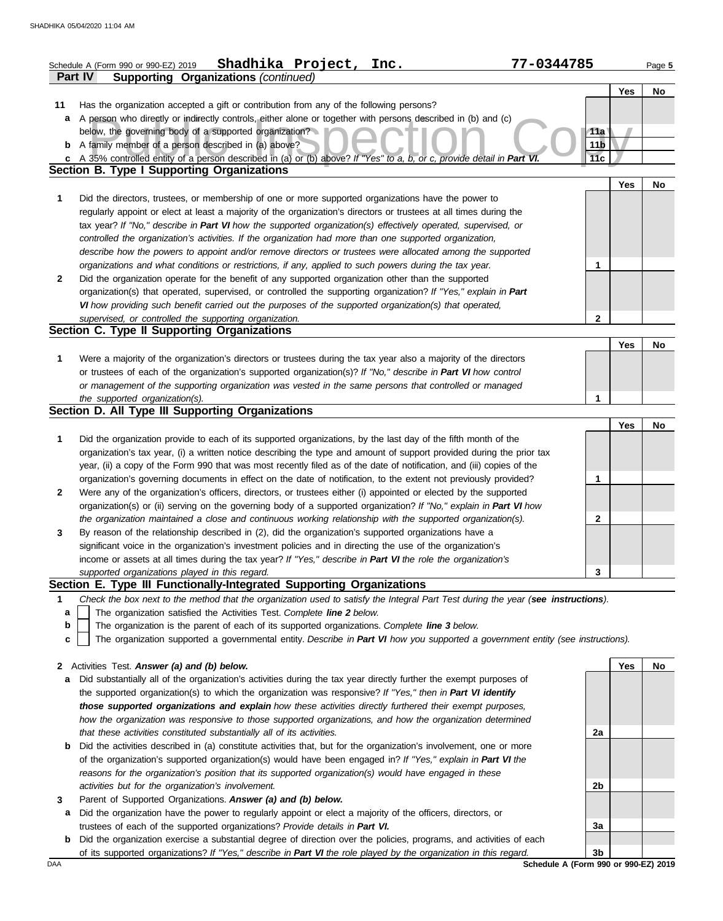| <b>Supporting Organizations (continued)</b><br>Part IV<br><b>Yes</b><br>No<br>11<br>Has the organization accepted a gift or contribution from any of the following persons?<br>A person who directly or indirectly controls, either alone or together with persons described in (b) and (c)<br>a<br>below, the governing body of a supported organization?<br>11a<br>11 <sub>b</sub><br><b>b</b> A family member of a person described in (a) above?<br>11c<br>A 35% controlled entity of a person described in (a) or (b) above? If "Yes" to a, b, or c, provide detail in Part VI.<br>C.<br><b>Section B. Type I Supporting Organizations</b><br><b>Yes</b><br>No<br>1<br>Did the directors, trustees, or membership of one or more supported organizations have the power to<br>regularly appoint or elect at least a majority of the organization's directors or trustees at all times during the<br>tax year? If "No," describe in Part VI how the supported organization(s) effectively operated, supervised, or<br>controlled the organization's activities. If the organization had more than one supported organization,<br>describe how the powers to appoint and/or remove directors or trustees were allocated among the supported<br>organizations and what conditions or restrictions, if any, applied to such powers during the tax year.<br>1<br>$\mathbf{2}$<br>Did the organization operate for the benefit of any supported organization other than the supported<br>organization(s) that operated, supervised, or controlled the supporting organization? If "Yes," explain in Part<br>VI how providing such benefit carried out the purposes of the supported organization(s) that operated,<br>supervised, or controlled the supporting organization.<br>2<br>Section C. Type II Supporting Organizations<br><b>Yes</b><br>No<br>1<br>Were a majority of the organization's directors or trustees during the tax year also a majority of the directors<br>or trustees of each of the organization's supported organization(s)? If "No," describe in Part VI how control<br>or management of the supporting organization was vested in the same persons that controlled or managed<br>1<br>the supported organization(s).<br>Section D. All Type III Supporting Organizations<br>Yes<br>No<br>1<br>Did the organization provide to each of its supported organizations, by the last day of the fifth month of the<br>organization's tax year, (i) a written notice describing the type and amount of support provided during the prior tax<br>year, (ii) a copy of the Form 990 that was most recently filed as of the date of notification, and (iii) copies of the<br>organization's governing documents in effect on the date of notification, to the extent not previously provided?<br>1<br>Were any of the organization's officers, directors, or trustees either (i) appointed or elected by the supported<br>2<br>organization(s) or (ii) serving on the governing body of a supported organization? If "No," explain in Part VI how<br>2<br>the organization maintained a close and continuous working relationship with the supported organization(s).<br>By reason of the relationship described in (2), did the organization's supported organizations have a<br>3<br>significant voice in the organization's investment policies and in directing the use of the organization's<br>income or assets at all times during the tax year? If "Yes," describe in Part VI the role the organization's<br>3<br>supported organizations played in this regard.<br>Section E. Type III Functionally-Integrated Supporting Organizations<br>Check the box next to the method that the organization used to satisfy the Integral Part Test during the year (see instructions).<br>1<br>The organization satisfied the Activities Test. Complete line 2 below.<br>a<br>The organization is the parent of each of its supported organizations. Complete line 3 below.<br>b<br>The organization supported a governmental entity. Describe in Part VI how you supported a government entity (see instructions).<br>c<br>2 Activities Test. Answer (a) and (b) below.<br>Yes<br><b>No</b><br>Did substantially all of the organization's activities during the tax year directly further the exempt purposes of<br>a<br>the supported organization(s) to which the organization was responsive? If "Yes," then in Part VI identify<br>those supported organizations and explain how these activities directly furthered their exempt purposes,<br>how the organization was responsive to those supported organizations, and how the organization determined<br>that these activities constituted substantially all of its activities.<br>2a<br>Did the activities described in (a) constitute activities that, but for the organization's involvement, one or more<br>b<br>of the organization's supported organization(s) would have been engaged in? If "Yes," explain in Part VI the<br>reasons for the organization's position that its supported organization(s) would have engaged in these<br>activities but for the organization's involvement.<br>2b<br>Parent of Supported Organizations. Answer (a) and (b) below.<br>3<br>Did the organization have the power to regularly appoint or elect a majority of the officers, directors, or<br>a | Shadhika Project, Inc.<br>Schedule A (Form 990 or 990-EZ) 2019               | 77-0344785 | Page 5 |
|--------------------------------------------------------------------------------------------------------------------------------------------------------------------------------------------------------------------------------------------------------------------------------------------------------------------------------------------------------------------------------------------------------------------------------------------------------------------------------------------------------------------------------------------------------------------------------------------------------------------------------------------------------------------------------------------------------------------------------------------------------------------------------------------------------------------------------------------------------------------------------------------------------------------------------------------------------------------------------------------------------------------------------------------------------------------------------------------------------------------------------------------------------------------------------------------------------------------------------------------------------------------------------------------------------------------------------------------------------------------------------------------------------------------------------------------------------------------------------------------------------------------------------------------------------------------------------------------------------------------------------------------------------------------------------------------------------------------------------------------------------------------------------------------------------------------------------------------------------------------------------------------------------------------------------------------------------------------------------------------------------------------------------------------------------------------------------------------------------------------------------------------------------------------------------------------------------------------------------------------------------------------------------------------------------------------------------------------------------------------------------------------------------------------------------------------------------------------------------------------------------------------------------------------------------------------------------------------------------------------------------------------------------------------------------------------------------------------------------------------------------------------------------------------------------------------------------------------------------------------------------------------------------------------------------------------------------------------------------------------------------------------------------------------------------------------------------------------------------------------------------------------------------------------------------------------------------------------------------------------------------------------------------------------------------------------------------------------------------------------------------------------------------------------------------------------------------------------------------------------------------------------------------------------------------------------------------------------------------------------------------------------------------------------------------------------------------------------------------------------------------------------------------------------------------------------------------------------------------------------------------------------------------------------------------------------------------------------------------------------------------------------------------------------------------------------------------------------------------------------------------------------------------------------------------------------------------------------------------------------------------------------------------------------------------------------------------------------------------------------------------------------------------------------------------------------------------------------------------------------------------------------------------------------------------------------------------------------------------------------------------------------------------------------------------------------------------------------------------------------------------------------------------------------------------------------------------------------------------------------------------------------------------------------------------------------------------------------------------------------------------------------------------------------------------------------------------------------------------------------------------------------------------------------------------------------------------------------------------------------------------------------------------------------------------------------------------------------------------------------------|------------------------------------------------------------------------------|------------|--------|
|                                                                                                                                                                                                                                                                                                                                                                                                                                                                                                                                                                                                                                                                                                                                                                                                                                                                                                                                                                                                                                                                                                                                                                                                                                                                                                                                                                                                                                                                                                                                                                                                                                                                                                                                                                                                                                                                                                                                                                                                                                                                                                                                                                                                                                                                                                                                                                                                                                                                                                                                                                                                                                                                                                                                                                                                                                                                                                                                                                                                                                                                                                                                                                                                                                                                                                                                                                                                                                                                                                                                                                                                                                                                                                                                                                                                                                                                                                                                                                                                                                                                                                                                                                                                                                                                                                                                                                                                                                                                                                                                                                                                                                                                                                                                                                                                                                                                                                                                                                                                                                                                                                                                                                                                                                                                                                                                                                          |                                                                              |            |        |
|                                                                                                                                                                                                                                                                                                                                                                                                                                                                                                                                                                                                                                                                                                                                                                                                                                                                                                                                                                                                                                                                                                                                                                                                                                                                                                                                                                                                                                                                                                                                                                                                                                                                                                                                                                                                                                                                                                                                                                                                                                                                                                                                                                                                                                                                                                                                                                                                                                                                                                                                                                                                                                                                                                                                                                                                                                                                                                                                                                                                                                                                                                                                                                                                                                                                                                                                                                                                                                                                                                                                                                                                                                                                                                                                                                                                                                                                                                                                                                                                                                                                                                                                                                                                                                                                                                                                                                                                                                                                                                                                                                                                                                                                                                                                                                                                                                                                                                                                                                                                                                                                                                                                                                                                                                                                                                                                                                          |                                                                              |            |        |
|                                                                                                                                                                                                                                                                                                                                                                                                                                                                                                                                                                                                                                                                                                                                                                                                                                                                                                                                                                                                                                                                                                                                                                                                                                                                                                                                                                                                                                                                                                                                                                                                                                                                                                                                                                                                                                                                                                                                                                                                                                                                                                                                                                                                                                                                                                                                                                                                                                                                                                                                                                                                                                                                                                                                                                                                                                                                                                                                                                                                                                                                                                                                                                                                                                                                                                                                                                                                                                                                                                                                                                                                                                                                                                                                                                                                                                                                                                                                                                                                                                                                                                                                                                                                                                                                                                                                                                                                                                                                                                                                                                                                                                                                                                                                                                                                                                                                                                                                                                                                                                                                                                                                                                                                                                                                                                                                                                          |                                                                              |            |        |
|                                                                                                                                                                                                                                                                                                                                                                                                                                                                                                                                                                                                                                                                                                                                                                                                                                                                                                                                                                                                                                                                                                                                                                                                                                                                                                                                                                                                                                                                                                                                                                                                                                                                                                                                                                                                                                                                                                                                                                                                                                                                                                                                                                                                                                                                                                                                                                                                                                                                                                                                                                                                                                                                                                                                                                                                                                                                                                                                                                                                                                                                                                                                                                                                                                                                                                                                                                                                                                                                                                                                                                                                                                                                                                                                                                                                                                                                                                                                                                                                                                                                                                                                                                                                                                                                                                                                                                                                                                                                                                                                                                                                                                                                                                                                                                                                                                                                                                                                                                                                                                                                                                                                                                                                                                                                                                                                                                          |                                                                              |            |        |
|                                                                                                                                                                                                                                                                                                                                                                                                                                                                                                                                                                                                                                                                                                                                                                                                                                                                                                                                                                                                                                                                                                                                                                                                                                                                                                                                                                                                                                                                                                                                                                                                                                                                                                                                                                                                                                                                                                                                                                                                                                                                                                                                                                                                                                                                                                                                                                                                                                                                                                                                                                                                                                                                                                                                                                                                                                                                                                                                                                                                                                                                                                                                                                                                                                                                                                                                                                                                                                                                                                                                                                                                                                                                                                                                                                                                                                                                                                                                                                                                                                                                                                                                                                                                                                                                                                                                                                                                                                                                                                                                                                                                                                                                                                                                                                                                                                                                                                                                                                                                                                                                                                                                                                                                                                                                                                                                                                          |                                                                              |            |        |
|                                                                                                                                                                                                                                                                                                                                                                                                                                                                                                                                                                                                                                                                                                                                                                                                                                                                                                                                                                                                                                                                                                                                                                                                                                                                                                                                                                                                                                                                                                                                                                                                                                                                                                                                                                                                                                                                                                                                                                                                                                                                                                                                                                                                                                                                                                                                                                                                                                                                                                                                                                                                                                                                                                                                                                                                                                                                                                                                                                                                                                                                                                                                                                                                                                                                                                                                                                                                                                                                                                                                                                                                                                                                                                                                                                                                                                                                                                                                                                                                                                                                                                                                                                                                                                                                                                                                                                                                                                                                                                                                                                                                                                                                                                                                                                                                                                                                                                                                                                                                                                                                                                                                                                                                                                                                                                                                                                          |                                                                              |            |        |
|                                                                                                                                                                                                                                                                                                                                                                                                                                                                                                                                                                                                                                                                                                                                                                                                                                                                                                                                                                                                                                                                                                                                                                                                                                                                                                                                                                                                                                                                                                                                                                                                                                                                                                                                                                                                                                                                                                                                                                                                                                                                                                                                                                                                                                                                                                                                                                                                                                                                                                                                                                                                                                                                                                                                                                                                                                                                                                                                                                                                                                                                                                                                                                                                                                                                                                                                                                                                                                                                                                                                                                                                                                                                                                                                                                                                                                                                                                                                                                                                                                                                                                                                                                                                                                                                                                                                                                                                                                                                                                                                                                                                                                                                                                                                                                                                                                                                                                                                                                                                                                                                                                                                                                                                                                                                                                                                                                          |                                                                              |            |        |
|                                                                                                                                                                                                                                                                                                                                                                                                                                                                                                                                                                                                                                                                                                                                                                                                                                                                                                                                                                                                                                                                                                                                                                                                                                                                                                                                                                                                                                                                                                                                                                                                                                                                                                                                                                                                                                                                                                                                                                                                                                                                                                                                                                                                                                                                                                                                                                                                                                                                                                                                                                                                                                                                                                                                                                                                                                                                                                                                                                                                                                                                                                                                                                                                                                                                                                                                                                                                                                                                                                                                                                                                                                                                                                                                                                                                                                                                                                                                                                                                                                                                                                                                                                                                                                                                                                                                                                                                                                                                                                                                                                                                                                                                                                                                                                                                                                                                                                                                                                                                                                                                                                                                                                                                                                                                                                                                                                          |                                                                              |            |        |
|                                                                                                                                                                                                                                                                                                                                                                                                                                                                                                                                                                                                                                                                                                                                                                                                                                                                                                                                                                                                                                                                                                                                                                                                                                                                                                                                                                                                                                                                                                                                                                                                                                                                                                                                                                                                                                                                                                                                                                                                                                                                                                                                                                                                                                                                                                                                                                                                                                                                                                                                                                                                                                                                                                                                                                                                                                                                                                                                                                                                                                                                                                                                                                                                                                                                                                                                                                                                                                                                                                                                                                                                                                                                                                                                                                                                                                                                                                                                                                                                                                                                                                                                                                                                                                                                                                                                                                                                                                                                                                                                                                                                                                                                                                                                                                                                                                                                                                                                                                                                                                                                                                                                                                                                                                                                                                                                                                          |                                                                              |            |        |
|                                                                                                                                                                                                                                                                                                                                                                                                                                                                                                                                                                                                                                                                                                                                                                                                                                                                                                                                                                                                                                                                                                                                                                                                                                                                                                                                                                                                                                                                                                                                                                                                                                                                                                                                                                                                                                                                                                                                                                                                                                                                                                                                                                                                                                                                                                                                                                                                                                                                                                                                                                                                                                                                                                                                                                                                                                                                                                                                                                                                                                                                                                                                                                                                                                                                                                                                                                                                                                                                                                                                                                                                                                                                                                                                                                                                                                                                                                                                                                                                                                                                                                                                                                                                                                                                                                                                                                                                                                                                                                                                                                                                                                                                                                                                                                                                                                                                                                                                                                                                                                                                                                                                                                                                                                                                                                                                                                          |                                                                              |            |        |
|                                                                                                                                                                                                                                                                                                                                                                                                                                                                                                                                                                                                                                                                                                                                                                                                                                                                                                                                                                                                                                                                                                                                                                                                                                                                                                                                                                                                                                                                                                                                                                                                                                                                                                                                                                                                                                                                                                                                                                                                                                                                                                                                                                                                                                                                                                                                                                                                                                                                                                                                                                                                                                                                                                                                                                                                                                                                                                                                                                                                                                                                                                                                                                                                                                                                                                                                                                                                                                                                                                                                                                                                                                                                                                                                                                                                                                                                                                                                                                                                                                                                                                                                                                                                                                                                                                                                                                                                                                                                                                                                                                                                                                                                                                                                                                                                                                                                                                                                                                                                                                                                                                                                                                                                                                                                                                                                                                          |                                                                              |            |        |
|                                                                                                                                                                                                                                                                                                                                                                                                                                                                                                                                                                                                                                                                                                                                                                                                                                                                                                                                                                                                                                                                                                                                                                                                                                                                                                                                                                                                                                                                                                                                                                                                                                                                                                                                                                                                                                                                                                                                                                                                                                                                                                                                                                                                                                                                                                                                                                                                                                                                                                                                                                                                                                                                                                                                                                                                                                                                                                                                                                                                                                                                                                                                                                                                                                                                                                                                                                                                                                                                                                                                                                                                                                                                                                                                                                                                                                                                                                                                                                                                                                                                                                                                                                                                                                                                                                                                                                                                                                                                                                                                                                                                                                                                                                                                                                                                                                                                                                                                                                                                                                                                                                                                                                                                                                                                                                                                                                          |                                                                              |            |        |
|                                                                                                                                                                                                                                                                                                                                                                                                                                                                                                                                                                                                                                                                                                                                                                                                                                                                                                                                                                                                                                                                                                                                                                                                                                                                                                                                                                                                                                                                                                                                                                                                                                                                                                                                                                                                                                                                                                                                                                                                                                                                                                                                                                                                                                                                                                                                                                                                                                                                                                                                                                                                                                                                                                                                                                                                                                                                                                                                                                                                                                                                                                                                                                                                                                                                                                                                                                                                                                                                                                                                                                                                                                                                                                                                                                                                                                                                                                                                                                                                                                                                                                                                                                                                                                                                                                                                                                                                                                                                                                                                                                                                                                                                                                                                                                                                                                                                                                                                                                                                                                                                                                                                                                                                                                                                                                                                                                          |                                                                              |            |        |
|                                                                                                                                                                                                                                                                                                                                                                                                                                                                                                                                                                                                                                                                                                                                                                                                                                                                                                                                                                                                                                                                                                                                                                                                                                                                                                                                                                                                                                                                                                                                                                                                                                                                                                                                                                                                                                                                                                                                                                                                                                                                                                                                                                                                                                                                                                                                                                                                                                                                                                                                                                                                                                                                                                                                                                                                                                                                                                                                                                                                                                                                                                                                                                                                                                                                                                                                                                                                                                                                                                                                                                                                                                                                                                                                                                                                                                                                                                                                                                                                                                                                                                                                                                                                                                                                                                                                                                                                                                                                                                                                                                                                                                                                                                                                                                                                                                                                                                                                                                                                                                                                                                                                                                                                                                                                                                                                                                          |                                                                              |            |        |
|                                                                                                                                                                                                                                                                                                                                                                                                                                                                                                                                                                                                                                                                                                                                                                                                                                                                                                                                                                                                                                                                                                                                                                                                                                                                                                                                                                                                                                                                                                                                                                                                                                                                                                                                                                                                                                                                                                                                                                                                                                                                                                                                                                                                                                                                                                                                                                                                                                                                                                                                                                                                                                                                                                                                                                                                                                                                                                                                                                                                                                                                                                                                                                                                                                                                                                                                                                                                                                                                                                                                                                                                                                                                                                                                                                                                                                                                                                                                                                                                                                                                                                                                                                                                                                                                                                                                                                                                                                                                                                                                                                                                                                                                                                                                                                                                                                                                                                                                                                                                                                                                                                                                                                                                                                                                                                                                                                          |                                                                              |            |        |
|                                                                                                                                                                                                                                                                                                                                                                                                                                                                                                                                                                                                                                                                                                                                                                                                                                                                                                                                                                                                                                                                                                                                                                                                                                                                                                                                                                                                                                                                                                                                                                                                                                                                                                                                                                                                                                                                                                                                                                                                                                                                                                                                                                                                                                                                                                                                                                                                                                                                                                                                                                                                                                                                                                                                                                                                                                                                                                                                                                                                                                                                                                                                                                                                                                                                                                                                                                                                                                                                                                                                                                                                                                                                                                                                                                                                                                                                                                                                                                                                                                                                                                                                                                                                                                                                                                                                                                                                                                                                                                                                                                                                                                                                                                                                                                                                                                                                                                                                                                                                                                                                                                                                                                                                                                                                                                                                                                          |                                                                              |            |        |
|                                                                                                                                                                                                                                                                                                                                                                                                                                                                                                                                                                                                                                                                                                                                                                                                                                                                                                                                                                                                                                                                                                                                                                                                                                                                                                                                                                                                                                                                                                                                                                                                                                                                                                                                                                                                                                                                                                                                                                                                                                                                                                                                                                                                                                                                                                                                                                                                                                                                                                                                                                                                                                                                                                                                                                                                                                                                                                                                                                                                                                                                                                                                                                                                                                                                                                                                                                                                                                                                                                                                                                                                                                                                                                                                                                                                                                                                                                                                                                                                                                                                                                                                                                                                                                                                                                                                                                                                                                                                                                                                                                                                                                                                                                                                                                                                                                                                                                                                                                                                                                                                                                                                                                                                                                                                                                                                                                          |                                                                              |            |        |
|                                                                                                                                                                                                                                                                                                                                                                                                                                                                                                                                                                                                                                                                                                                                                                                                                                                                                                                                                                                                                                                                                                                                                                                                                                                                                                                                                                                                                                                                                                                                                                                                                                                                                                                                                                                                                                                                                                                                                                                                                                                                                                                                                                                                                                                                                                                                                                                                                                                                                                                                                                                                                                                                                                                                                                                                                                                                                                                                                                                                                                                                                                                                                                                                                                                                                                                                                                                                                                                                                                                                                                                                                                                                                                                                                                                                                                                                                                                                                                                                                                                                                                                                                                                                                                                                                                                                                                                                                                                                                                                                                                                                                                                                                                                                                                                                                                                                                                                                                                                                                                                                                                                                                                                                                                                                                                                                                                          |                                                                              |            |        |
|                                                                                                                                                                                                                                                                                                                                                                                                                                                                                                                                                                                                                                                                                                                                                                                                                                                                                                                                                                                                                                                                                                                                                                                                                                                                                                                                                                                                                                                                                                                                                                                                                                                                                                                                                                                                                                                                                                                                                                                                                                                                                                                                                                                                                                                                                                                                                                                                                                                                                                                                                                                                                                                                                                                                                                                                                                                                                                                                                                                                                                                                                                                                                                                                                                                                                                                                                                                                                                                                                                                                                                                                                                                                                                                                                                                                                                                                                                                                                                                                                                                                                                                                                                                                                                                                                                                                                                                                                                                                                                                                                                                                                                                                                                                                                                                                                                                                                                                                                                                                                                                                                                                                                                                                                                                                                                                                                                          |                                                                              |            |        |
|                                                                                                                                                                                                                                                                                                                                                                                                                                                                                                                                                                                                                                                                                                                                                                                                                                                                                                                                                                                                                                                                                                                                                                                                                                                                                                                                                                                                                                                                                                                                                                                                                                                                                                                                                                                                                                                                                                                                                                                                                                                                                                                                                                                                                                                                                                                                                                                                                                                                                                                                                                                                                                                                                                                                                                                                                                                                                                                                                                                                                                                                                                                                                                                                                                                                                                                                                                                                                                                                                                                                                                                                                                                                                                                                                                                                                                                                                                                                                                                                                                                                                                                                                                                                                                                                                                                                                                                                                                                                                                                                                                                                                                                                                                                                                                                                                                                                                                                                                                                                                                                                                                                                                                                                                                                                                                                                                                          |                                                                              |            |        |
|                                                                                                                                                                                                                                                                                                                                                                                                                                                                                                                                                                                                                                                                                                                                                                                                                                                                                                                                                                                                                                                                                                                                                                                                                                                                                                                                                                                                                                                                                                                                                                                                                                                                                                                                                                                                                                                                                                                                                                                                                                                                                                                                                                                                                                                                                                                                                                                                                                                                                                                                                                                                                                                                                                                                                                                                                                                                                                                                                                                                                                                                                                                                                                                                                                                                                                                                                                                                                                                                                                                                                                                                                                                                                                                                                                                                                                                                                                                                                                                                                                                                                                                                                                                                                                                                                                                                                                                                                                                                                                                                                                                                                                                                                                                                                                                                                                                                                                                                                                                                                                                                                                                                                                                                                                                                                                                                                                          |                                                                              |            |        |
|                                                                                                                                                                                                                                                                                                                                                                                                                                                                                                                                                                                                                                                                                                                                                                                                                                                                                                                                                                                                                                                                                                                                                                                                                                                                                                                                                                                                                                                                                                                                                                                                                                                                                                                                                                                                                                                                                                                                                                                                                                                                                                                                                                                                                                                                                                                                                                                                                                                                                                                                                                                                                                                                                                                                                                                                                                                                                                                                                                                                                                                                                                                                                                                                                                                                                                                                                                                                                                                                                                                                                                                                                                                                                                                                                                                                                                                                                                                                                                                                                                                                                                                                                                                                                                                                                                                                                                                                                                                                                                                                                                                                                                                                                                                                                                                                                                                                                                                                                                                                                                                                                                                                                                                                                                                                                                                                                                          |                                                                              |            |        |
|                                                                                                                                                                                                                                                                                                                                                                                                                                                                                                                                                                                                                                                                                                                                                                                                                                                                                                                                                                                                                                                                                                                                                                                                                                                                                                                                                                                                                                                                                                                                                                                                                                                                                                                                                                                                                                                                                                                                                                                                                                                                                                                                                                                                                                                                                                                                                                                                                                                                                                                                                                                                                                                                                                                                                                                                                                                                                                                                                                                                                                                                                                                                                                                                                                                                                                                                                                                                                                                                                                                                                                                                                                                                                                                                                                                                                                                                                                                                                                                                                                                                                                                                                                                                                                                                                                                                                                                                                                                                                                                                                                                                                                                                                                                                                                                                                                                                                                                                                                                                                                                                                                                                                                                                                                                                                                                                                                          |                                                                              |            |        |
|                                                                                                                                                                                                                                                                                                                                                                                                                                                                                                                                                                                                                                                                                                                                                                                                                                                                                                                                                                                                                                                                                                                                                                                                                                                                                                                                                                                                                                                                                                                                                                                                                                                                                                                                                                                                                                                                                                                                                                                                                                                                                                                                                                                                                                                                                                                                                                                                                                                                                                                                                                                                                                                                                                                                                                                                                                                                                                                                                                                                                                                                                                                                                                                                                                                                                                                                                                                                                                                                                                                                                                                                                                                                                                                                                                                                                                                                                                                                                                                                                                                                                                                                                                                                                                                                                                                                                                                                                                                                                                                                                                                                                                                                                                                                                                                                                                                                                                                                                                                                                                                                                                                                                                                                                                                                                                                                                                          |                                                                              |            |        |
|                                                                                                                                                                                                                                                                                                                                                                                                                                                                                                                                                                                                                                                                                                                                                                                                                                                                                                                                                                                                                                                                                                                                                                                                                                                                                                                                                                                                                                                                                                                                                                                                                                                                                                                                                                                                                                                                                                                                                                                                                                                                                                                                                                                                                                                                                                                                                                                                                                                                                                                                                                                                                                                                                                                                                                                                                                                                                                                                                                                                                                                                                                                                                                                                                                                                                                                                                                                                                                                                                                                                                                                                                                                                                                                                                                                                                                                                                                                                                                                                                                                                                                                                                                                                                                                                                                                                                                                                                                                                                                                                                                                                                                                                                                                                                                                                                                                                                                                                                                                                                                                                                                                                                                                                                                                                                                                                                                          |                                                                              |            |        |
|                                                                                                                                                                                                                                                                                                                                                                                                                                                                                                                                                                                                                                                                                                                                                                                                                                                                                                                                                                                                                                                                                                                                                                                                                                                                                                                                                                                                                                                                                                                                                                                                                                                                                                                                                                                                                                                                                                                                                                                                                                                                                                                                                                                                                                                                                                                                                                                                                                                                                                                                                                                                                                                                                                                                                                                                                                                                                                                                                                                                                                                                                                                                                                                                                                                                                                                                                                                                                                                                                                                                                                                                                                                                                                                                                                                                                                                                                                                                                                                                                                                                                                                                                                                                                                                                                                                                                                                                                                                                                                                                                                                                                                                                                                                                                                                                                                                                                                                                                                                                                                                                                                                                                                                                                                                                                                                                                                          |                                                                              |            |        |
|                                                                                                                                                                                                                                                                                                                                                                                                                                                                                                                                                                                                                                                                                                                                                                                                                                                                                                                                                                                                                                                                                                                                                                                                                                                                                                                                                                                                                                                                                                                                                                                                                                                                                                                                                                                                                                                                                                                                                                                                                                                                                                                                                                                                                                                                                                                                                                                                                                                                                                                                                                                                                                                                                                                                                                                                                                                                                                                                                                                                                                                                                                                                                                                                                                                                                                                                                                                                                                                                                                                                                                                                                                                                                                                                                                                                                                                                                                                                                                                                                                                                                                                                                                                                                                                                                                                                                                                                                                                                                                                                                                                                                                                                                                                                                                                                                                                                                                                                                                                                                                                                                                                                                                                                                                                                                                                                                                          |                                                                              |            |        |
|                                                                                                                                                                                                                                                                                                                                                                                                                                                                                                                                                                                                                                                                                                                                                                                                                                                                                                                                                                                                                                                                                                                                                                                                                                                                                                                                                                                                                                                                                                                                                                                                                                                                                                                                                                                                                                                                                                                                                                                                                                                                                                                                                                                                                                                                                                                                                                                                                                                                                                                                                                                                                                                                                                                                                                                                                                                                                                                                                                                                                                                                                                                                                                                                                                                                                                                                                                                                                                                                                                                                                                                                                                                                                                                                                                                                                                                                                                                                                                                                                                                                                                                                                                                                                                                                                                                                                                                                                                                                                                                                                                                                                                                                                                                                                                                                                                                                                                                                                                                                                                                                                                                                                                                                                                                                                                                                                                          |                                                                              |            |        |
|                                                                                                                                                                                                                                                                                                                                                                                                                                                                                                                                                                                                                                                                                                                                                                                                                                                                                                                                                                                                                                                                                                                                                                                                                                                                                                                                                                                                                                                                                                                                                                                                                                                                                                                                                                                                                                                                                                                                                                                                                                                                                                                                                                                                                                                                                                                                                                                                                                                                                                                                                                                                                                                                                                                                                                                                                                                                                                                                                                                                                                                                                                                                                                                                                                                                                                                                                                                                                                                                                                                                                                                                                                                                                                                                                                                                                                                                                                                                                                                                                                                                                                                                                                                                                                                                                                                                                                                                                                                                                                                                                                                                                                                                                                                                                                                                                                                                                                                                                                                                                                                                                                                                                                                                                                                                                                                                                                          |                                                                              |            |        |
|                                                                                                                                                                                                                                                                                                                                                                                                                                                                                                                                                                                                                                                                                                                                                                                                                                                                                                                                                                                                                                                                                                                                                                                                                                                                                                                                                                                                                                                                                                                                                                                                                                                                                                                                                                                                                                                                                                                                                                                                                                                                                                                                                                                                                                                                                                                                                                                                                                                                                                                                                                                                                                                                                                                                                                                                                                                                                                                                                                                                                                                                                                                                                                                                                                                                                                                                                                                                                                                                                                                                                                                                                                                                                                                                                                                                                                                                                                                                                                                                                                                                                                                                                                                                                                                                                                                                                                                                                                                                                                                                                                                                                                                                                                                                                                                                                                                                                                                                                                                                                                                                                                                                                                                                                                                                                                                                                                          |                                                                              |            |        |
|                                                                                                                                                                                                                                                                                                                                                                                                                                                                                                                                                                                                                                                                                                                                                                                                                                                                                                                                                                                                                                                                                                                                                                                                                                                                                                                                                                                                                                                                                                                                                                                                                                                                                                                                                                                                                                                                                                                                                                                                                                                                                                                                                                                                                                                                                                                                                                                                                                                                                                                                                                                                                                                                                                                                                                                                                                                                                                                                                                                                                                                                                                                                                                                                                                                                                                                                                                                                                                                                                                                                                                                                                                                                                                                                                                                                                                                                                                                                                                                                                                                                                                                                                                                                                                                                                                                                                                                                                                                                                                                                                                                                                                                                                                                                                                                                                                                                                                                                                                                                                                                                                                                                                                                                                                                                                                                                                                          |                                                                              |            |        |
|                                                                                                                                                                                                                                                                                                                                                                                                                                                                                                                                                                                                                                                                                                                                                                                                                                                                                                                                                                                                                                                                                                                                                                                                                                                                                                                                                                                                                                                                                                                                                                                                                                                                                                                                                                                                                                                                                                                                                                                                                                                                                                                                                                                                                                                                                                                                                                                                                                                                                                                                                                                                                                                                                                                                                                                                                                                                                                                                                                                                                                                                                                                                                                                                                                                                                                                                                                                                                                                                                                                                                                                                                                                                                                                                                                                                                                                                                                                                                                                                                                                                                                                                                                                                                                                                                                                                                                                                                                                                                                                                                                                                                                                                                                                                                                                                                                                                                                                                                                                                                                                                                                                                                                                                                                                                                                                                                                          |                                                                              |            |        |
|                                                                                                                                                                                                                                                                                                                                                                                                                                                                                                                                                                                                                                                                                                                                                                                                                                                                                                                                                                                                                                                                                                                                                                                                                                                                                                                                                                                                                                                                                                                                                                                                                                                                                                                                                                                                                                                                                                                                                                                                                                                                                                                                                                                                                                                                                                                                                                                                                                                                                                                                                                                                                                                                                                                                                                                                                                                                                                                                                                                                                                                                                                                                                                                                                                                                                                                                                                                                                                                                                                                                                                                                                                                                                                                                                                                                                                                                                                                                                                                                                                                                                                                                                                                                                                                                                                                                                                                                                                                                                                                                                                                                                                                                                                                                                                                                                                                                                                                                                                                                                                                                                                                                                                                                                                                                                                                                                                          |                                                                              |            |        |
|                                                                                                                                                                                                                                                                                                                                                                                                                                                                                                                                                                                                                                                                                                                                                                                                                                                                                                                                                                                                                                                                                                                                                                                                                                                                                                                                                                                                                                                                                                                                                                                                                                                                                                                                                                                                                                                                                                                                                                                                                                                                                                                                                                                                                                                                                                                                                                                                                                                                                                                                                                                                                                                                                                                                                                                                                                                                                                                                                                                                                                                                                                                                                                                                                                                                                                                                                                                                                                                                                                                                                                                                                                                                                                                                                                                                                                                                                                                                                                                                                                                                                                                                                                                                                                                                                                                                                                                                                                                                                                                                                                                                                                                                                                                                                                                                                                                                                                                                                                                                                                                                                                                                                                                                                                                                                                                                                                          |                                                                              |            |        |
|                                                                                                                                                                                                                                                                                                                                                                                                                                                                                                                                                                                                                                                                                                                                                                                                                                                                                                                                                                                                                                                                                                                                                                                                                                                                                                                                                                                                                                                                                                                                                                                                                                                                                                                                                                                                                                                                                                                                                                                                                                                                                                                                                                                                                                                                                                                                                                                                                                                                                                                                                                                                                                                                                                                                                                                                                                                                                                                                                                                                                                                                                                                                                                                                                                                                                                                                                                                                                                                                                                                                                                                                                                                                                                                                                                                                                                                                                                                                                                                                                                                                                                                                                                                                                                                                                                                                                                                                                                                                                                                                                                                                                                                                                                                                                                                                                                                                                                                                                                                                                                                                                                                                                                                                                                                                                                                                                                          |                                                                              |            |        |
|                                                                                                                                                                                                                                                                                                                                                                                                                                                                                                                                                                                                                                                                                                                                                                                                                                                                                                                                                                                                                                                                                                                                                                                                                                                                                                                                                                                                                                                                                                                                                                                                                                                                                                                                                                                                                                                                                                                                                                                                                                                                                                                                                                                                                                                                                                                                                                                                                                                                                                                                                                                                                                                                                                                                                                                                                                                                                                                                                                                                                                                                                                                                                                                                                                                                                                                                                                                                                                                                                                                                                                                                                                                                                                                                                                                                                                                                                                                                                                                                                                                                                                                                                                                                                                                                                                                                                                                                                                                                                                                                                                                                                                                                                                                                                                                                                                                                                                                                                                                                                                                                                                                                                                                                                                                                                                                                                                          |                                                                              |            |        |
|                                                                                                                                                                                                                                                                                                                                                                                                                                                                                                                                                                                                                                                                                                                                                                                                                                                                                                                                                                                                                                                                                                                                                                                                                                                                                                                                                                                                                                                                                                                                                                                                                                                                                                                                                                                                                                                                                                                                                                                                                                                                                                                                                                                                                                                                                                                                                                                                                                                                                                                                                                                                                                                                                                                                                                                                                                                                                                                                                                                                                                                                                                                                                                                                                                                                                                                                                                                                                                                                                                                                                                                                                                                                                                                                                                                                                                                                                                                                                                                                                                                                                                                                                                                                                                                                                                                                                                                                                                                                                                                                                                                                                                                                                                                                                                                                                                                                                                                                                                                                                                                                                                                                                                                                                                                                                                                                                                          |                                                                              |            |        |
|                                                                                                                                                                                                                                                                                                                                                                                                                                                                                                                                                                                                                                                                                                                                                                                                                                                                                                                                                                                                                                                                                                                                                                                                                                                                                                                                                                                                                                                                                                                                                                                                                                                                                                                                                                                                                                                                                                                                                                                                                                                                                                                                                                                                                                                                                                                                                                                                                                                                                                                                                                                                                                                                                                                                                                                                                                                                                                                                                                                                                                                                                                                                                                                                                                                                                                                                                                                                                                                                                                                                                                                                                                                                                                                                                                                                                                                                                                                                                                                                                                                                                                                                                                                                                                                                                                                                                                                                                                                                                                                                                                                                                                                                                                                                                                                                                                                                                                                                                                                                                                                                                                                                                                                                                                                                                                                                                                          |                                                                              |            |        |
|                                                                                                                                                                                                                                                                                                                                                                                                                                                                                                                                                                                                                                                                                                                                                                                                                                                                                                                                                                                                                                                                                                                                                                                                                                                                                                                                                                                                                                                                                                                                                                                                                                                                                                                                                                                                                                                                                                                                                                                                                                                                                                                                                                                                                                                                                                                                                                                                                                                                                                                                                                                                                                                                                                                                                                                                                                                                                                                                                                                                                                                                                                                                                                                                                                                                                                                                                                                                                                                                                                                                                                                                                                                                                                                                                                                                                                                                                                                                                                                                                                                                                                                                                                                                                                                                                                                                                                                                                                                                                                                                                                                                                                                                                                                                                                                                                                                                                                                                                                                                                                                                                                                                                                                                                                                                                                                                                                          |                                                                              |            |        |
|                                                                                                                                                                                                                                                                                                                                                                                                                                                                                                                                                                                                                                                                                                                                                                                                                                                                                                                                                                                                                                                                                                                                                                                                                                                                                                                                                                                                                                                                                                                                                                                                                                                                                                                                                                                                                                                                                                                                                                                                                                                                                                                                                                                                                                                                                                                                                                                                                                                                                                                                                                                                                                                                                                                                                                                                                                                                                                                                                                                                                                                                                                                                                                                                                                                                                                                                                                                                                                                                                                                                                                                                                                                                                                                                                                                                                                                                                                                                                                                                                                                                                                                                                                                                                                                                                                                                                                                                                                                                                                                                                                                                                                                                                                                                                                                                                                                                                                                                                                                                                                                                                                                                                                                                                                                                                                                                                                          |                                                                              |            |        |
|                                                                                                                                                                                                                                                                                                                                                                                                                                                                                                                                                                                                                                                                                                                                                                                                                                                                                                                                                                                                                                                                                                                                                                                                                                                                                                                                                                                                                                                                                                                                                                                                                                                                                                                                                                                                                                                                                                                                                                                                                                                                                                                                                                                                                                                                                                                                                                                                                                                                                                                                                                                                                                                                                                                                                                                                                                                                                                                                                                                                                                                                                                                                                                                                                                                                                                                                                                                                                                                                                                                                                                                                                                                                                                                                                                                                                                                                                                                                                                                                                                                                                                                                                                                                                                                                                                                                                                                                                                                                                                                                                                                                                                                                                                                                                                                                                                                                                                                                                                                                                                                                                                                                                                                                                                                                                                                                                                          |                                                                              |            |        |
|                                                                                                                                                                                                                                                                                                                                                                                                                                                                                                                                                                                                                                                                                                                                                                                                                                                                                                                                                                                                                                                                                                                                                                                                                                                                                                                                                                                                                                                                                                                                                                                                                                                                                                                                                                                                                                                                                                                                                                                                                                                                                                                                                                                                                                                                                                                                                                                                                                                                                                                                                                                                                                                                                                                                                                                                                                                                                                                                                                                                                                                                                                                                                                                                                                                                                                                                                                                                                                                                                                                                                                                                                                                                                                                                                                                                                                                                                                                                                                                                                                                                                                                                                                                                                                                                                                                                                                                                                                                                                                                                                                                                                                                                                                                                                                                                                                                                                                                                                                                                                                                                                                                                                                                                                                                                                                                                                                          |                                                                              |            |        |
|                                                                                                                                                                                                                                                                                                                                                                                                                                                                                                                                                                                                                                                                                                                                                                                                                                                                                                                                                                                                                                                                                                                                                                                                                                                                                                                                                                                                                                                                                                                                                                                                                                                                                                                                                                                                                                                                                                                                                                                                                                                                                                                                                                                                                                                                                                                                                                                                                                                                                                                                                                                                                                                                                                                                                                                                                                                                                                                                                                                                                                                                                                                                                                                                                                                                                                                                                                                                                                                                                                                                                                                                                                                                                                                                                                                                                                                                                                                                                                                                                                                                                                                                                                                                                                                                                                                                                                                                                                                                                                                                                                                                                                                                                                                                                                                                                                                                                                                                                                                                                                                                                                                                                                                                                                                                                                                                                                          |                                                                              |            |        |
|                                                                                                                                                                                                                                                                                                                                                                                                                                                                                                                                                                                                                                                                                                                                                                                                                                                                                                                                                                                                                                                                                                                                                                                                                                                                                                                                                                                                                                                                                                                                                                                                                                                                                                                                                                                                                                                                                                                                                                                                                                                                                                                                                                                                                                                                                                                                                                                                                                                                                                                                                                                                                                                                                                                                                                                                                                                                                                                                                                                                                                                                                                                                                                                                                                                                                                                                                                                                                                                                                                                                                                                                                                                                                                                                                                                                                                                                                                                                                                                                                                                                                                                                                                                                                                                                                                                                                                                                                                                                                                                                                                                                                                                                                                                                                                                                                                                                                                                                                                                                                                                                                                                                                                                                                                                                                                                                                                          |                                                                              |            |        |
|                                                                                                                                                                                                                                                                                                                                                                                                                                                                                                                                                                                                                                                                                                                                                                                                                                                                                                                                                                                                                                                                                                                                                                                                                                                                                                                                                                                                                                                                                                                                                                                                                                                                                                                                                                                                                                                                                                                                                                                                                                                                                                                                                                                                                                                                                                                                                                                                                                                                                                                                                                                                                                                                                                                                                                                                                                                                                                                                                                                                                                                                                                                                                                                                                                                                                                                                                                                                                                                                                                                                                                                                                                                                                                                                                                                                                                                                                                                                                                                                                                                                                                                                                                                                                                                                                                                                                                                                                                                                                                                                                                                                                                                                                                                                                                                                                                                                                                                                                                                                                                                                                                                                                                                                                                                                                                                                                                          |                                                                              |            |        |
|                                                                                                                                                                                                                                                                                                                                                                                                                                                                                                                                                                                                                                                                                                                                                                                                                                                                                                                                                                                                                                                                                                                                                                                                                                                                                                                                                                                                                                                                                                                                                                                                                                                                                                                                                                                                                                                                                                                                                                                                                                                                                                                                                                                                                                                                                                                                                                                                                                                                                                                                                                                                                                                                                                                                                                                                                                                                                                                                                                                                                                                                                                                                                                                                                                                                                                                                                                                                                                                                                                                                                                                                                                                                                                                                                                                                                                                                                                                                                                                                                                                                                                                                                                                                                                                                                                                                                                                                                                                                                                                                                                                                                                                                                                                                                                                                                                                                                                                                                                                                                                                                                                                                                                                                                                                                                                                                                                          |                                                                              |            |        |
|                                                                                                                                                                                                                                                                                                                                                                                                                                                                                                                                                                                                                                                                                                                                                                                                                                                                                                                                                                                                                                                                                                                                                                                                                                                                                                                                                                                                                                                                                                                                                                                                                                                                                                                                                                                                                                                                                                                                                                                                                                                                                                                                                                                                                                                                                                                                                                                                                                                                                                                                                                                                                                                                                                                                                                                                                                                                                                                                                                                                                                                                                                                                                                                                                                                                                                                                                                                                                                                                                                                                                                                                                                                                                                                                                                                                                                                                                                                                                                                                                                                                                                                                                                                                                                                                                                                                                                                                                                                                                                                                                                                                                                                                                                                                                                                                                                                                                                                                                                                                                                                                                                                                                                                                                                                                                                                                                                          |                                                                              |            |        |
|                                                                                                                                                                                                                                                                                                                                                                                                                                                                                                                                                                                                                                                                                                                                                                                                                                                                                                                                                                                                                                                                                                                                                                                                                                                                                                                                                                                                                                                                                                                                                                                                                                                                                                                                                                                                                                                                                                                                                                                                                                                                                                                                                                                                                                                                                                                                                                                                                                                                                                                                                                                                                                                                                                                                                                                                                                                                                                                                                                                                                                                                                                                                                                                                                                                                                                                                                                                                                                                                                                                                                                                                                                                                                                                                                                                                                                                                                                                                                                                                                                                                                                                                                                                                                                                                                                                                                                                                                                                                                                                                                                                                                                                                                                                                                                                                                                                                                                                                                                                                                                                                                                                                                                                                                                                                                                                                                                          |                                                                              |            |        |
|                                                                                                                                                                                                                                                                                                                                                                                                                                                                                                                                                                                                                                                                                                                                                                                                                                                                                                                                                                                                                                                                                                                                                                                                                                                                                                                                                                                                                                                                                                                                                                                                                                                                                                                                                                                                                                                                                                                                                                                                                                                                                                                                                                                                                                                                                                                                                                                                                                                                                                                                                                                                                                                                                                                                                                                                                                                                                                                                                                                                                                                                                                                                                                                                                                                                                                                                                                                                                                                                                                                                                                                                                                                                                                                                                                                                                                                                                                                                                                                                                                                                                                                                                                                                                                                                                                                                                                                                                                                                                                                                                                                                                                                                                                                                                                                                                                                                                                                                                                                                                                                                                                                                                                                                                                                                                                                                                                          |                                                                              |            |        |
|                                                                                                                                                                                                                                                                                                                                                                                                                                                                                                                                                                                                                                                                                                                                                                                                                                                                                                                                                                                                                                                                                                                                                                                                                                                                                                                                                                                                                                                                                                                                                                                                                                                                                                                                                                                                                                                                                                                                                                                                                                                                                                                                                                                                                                                                                                                                                                                                                                                                                                                                                                                                                                                                                                                                                                                                                                                                                                                                                                                                                                                                                                                                                                                                                                                                                                                                                                                                                                                                                                                                                                                                                                                                                                                                                                                                                                                                                                                                                                                                                                                                                                                                                                                                                                                                                                                                                                                                                                                                                                                                                                                                                                                                                                                                                                                                                                                                                                                                                                                                                                                                                                                                                                                                                                                                                                                                                                          |                                                                              |            |        |
|                                                                                                                                                                                                                                                                                                                                                                                                                                                                                                                                                                                                                                                                                                                                                                                                                                                                                                                                                                                                                                                                                                                                                                                                                                                                                                                                                                                                                                                                                                                                                                                                                                                                                                                                                                                                                                                                                                                                                                                                                                                                                                                                                                                                                                                                                                                                                                                                                                                                                                                                                                                                                                                                                                                                                                                                                                                                                                                                                                                                                                                                                                                                                                                                                                                                                                                                                                                                                                                                                                                                                                                                                                                                                                                                                                                                                                                                                                                                                                                                                                                                                                                                                                                                                                                                                                                                                                                                                                                                                                                                                                                                                                                                                                                                                                                                                                                                                                                                                                                                                                                                                                                                                                                                                                                                                                                                                                          |                                                                              |            |        |
|                                                                                                                                                                                                                                                                                                                                                                                                                                                                                                                                                                                                                                                                                                                                                                                                                                                                                                                                                                                                                                                                                                                                                                                                                                                                                                                                                                                                                                                                                                                                                                                                                                                                                                                                                                                                                                                                                                                                                                                                                                                                                                                                                                                                                                                                                                                                                                                                                                                                                                                                                                                                                                                                                                                                                                                                                                                                                                                                                                                                                                                                                                                                                                                                                                                                                                                                                                                                                                                                                                                                                                                                                                                                                                                                                                                                                                                                                                                                                                                                                                                                                                                                                                                                                                                                                                                                                                                                                                                                                                                                                                                                                                                                                                                                                                                                                                                                                                                                                                                                                                                                                                                                                                                                                                                                                                                                                                          |                                                                              |            |        |
|                                                                                                                                                                                                                                                                                                                                                                                                                                                                                                                                                                                                                                                                                                                                                                                                                                                                                                                                                                                                                                                                                                                                                                                                                                                                                                                                                                                                                                                                                                                                                                                                                                                                                                                                                                                                                                                                                                                                                                                                                                                                                                                                                                                                                                                                                                                                                                                                                                                                                                                                                                                                                                                                                                                                                                                                                                                                                                                                                                                                                                                                                                                                                                                                                                                                                                                                                                                                                                                                                                                                                                                                                                                                                                                                                                                                                                                                                                                                                                                                                                                                                                                                                                                                                                                                                                                                                                                                                                                                                                                                                                                                                                                                                                                                                                                                                                                                                                                                                                                                                                                                                                                                                                                                                                                                                                                                                                          |                                                                              |            |        |
|                                                                                                                                                                                                                                                                                                                                                                                                                                                                                                                                                                                                                                                                                                                                                                                                                                                                                                                                                                                                                                                                                                                                                                                                                                                                                                                                                                                                                                                                                                                                                                                                                                                                                                                                                                                                                                                                                                                                                                                                                                                                                                                                                                                                                                                                                                                                                                                                                                                                                                                                                                                                                                                                                                                                                                                                                                                                                                                                                                                                                                                                                                                                                                                                                                                                                                                                                                                                                                                                                                                                                                                                                                                                                                                                                                                                                                                                                                                                                                                                                                                                                                                                                                                                                                                                                                                                                                                                                                                                                                                                                                                                                                                                                                                                                                                                                                                                                                                                                                                                                                                                                                                                                                                                                                                                                                                                                                          |                                                                              |            |        |
|                                                                                                                                                                                                                                                                                                                                                                                                                                                                                                                                                                                                                                                                                                                                                                                                                                                                                                                                                                                                                                                                                                                                                                                                                                                                                                                                                                                                                                                                                                                                                                                                                                                                                                                                                                                                                                                                                                                                                                                                                                                                                                                                                                                                                                                                                                                                                                                                                                                                                                                                                                                                                                                                                                                                                                                                                                                                                                                                                                                                                                                                                                                                                                                                                                                                                                                                                                                                                                                                                                                                                                                                                                                                                                                                                                                                                                                                                                                                                                                                                                                                                                                                                                                                                                                                                                                                                                                                                                                                                                                                                                                                                                                                                                                                                                                                                                                                                                                                                                                                                                                                                                                                                                                                                                                                                                                                                                          |                                                                              |            |        |
|                                                                                                                                                                                                                                                                                                                                                                                                                                                                                                                                                                                                                                                                                                                                                                                                                                                                                                                                                                                                                                                                                                                                                                                                                                                                                                                                                                                                                                                                                                                                                                                                                                                                                                                                                                                                                                                                                                                                                                                                                                                                                                                                                                                                                                                                                                                                                                                                                                                                                                                                                                                                                                                                                                                                                                                                                                                                                                                                                                                                                                                                                                                                                                                                                                                                                                                                                                                                                                                                                                                                                                                                                                                                                                                                                                                                                                                                                                                                                                                                                                                                                                                                                                                                                                                                                                                                                                                                                                                                                                                                                                                                                                                                                                                                                                                                                                                                                                                                                                                                                                                                                                                                                                                                                                                                                                                                                                          | trustees of each of the supported organizations? Provide details in Part VI. | 3a         |        |

**b** Did the organization exercise a substantial degree of direction over the policies, programs, and activities of each of its supported organizations? *If "Yes," describe in Part VI the role played by the organization in this regard.* **3b**

DAA **Schedule A (Form 990 or 990-EZ) 2019**

| on B. Type I Supporting Organizations                                                                              |              |            |    |
|--------------------------------------------------------------------------------------------------------------------|--------------|------------|----|
|                                                                                                                    |              | Yes        | No |
| Did the directors, trustees, or membership of one or more supported organizations have the power to                |              |            |    |
| regularly appoint or elect at least a majority of the organization's directors or trustees at all times during the |              |            |    |
| tax year? If "No," describe in Part VI how the supported organization(s) effectively operated, supervised, or      |              |            |    |
| controlled the organization's activities. If the organization had more than one supported organization,            |              |            |    |
| describe how the powers to appoint and/or remove directors or trustees were allocated among the supported          |              |            |    |
| organizations and what conditions or restrictions, if any, applied to such powers during the tax year.             |              |            |    |
| Did the organization operate for the benefit of any supported organization other than the supported                |              |            |    |
| organization(s) that operated, supervised, or controlled the supporting organization? If "Yes," explain in Part    |              |            |    |
| VI how providing such benefit carried out the purposes of the supported organization(s) that operated,             |              |            |    |
| supervised, or controlled the supporting organization.                                                             | $\mathbf{2}$ |            |    |
| on C. Type II Supporting Organizations                                                                             |              |            |    |
|                                                                                                                    |              | <b>Yes</b> | No |
| Were a majority of the organization's directors or trustees during the tax year also a majority of the directors   |              |            |    |
| or trustees of each of the organization's supported organization(s)? If "No," describe in Part VI how control      |              |            |    |
| or management of the supporting organization was vested in the same persons that controlled or managed             |              |            |    |
| the supported organization(s).                                                                                     |              |            |    |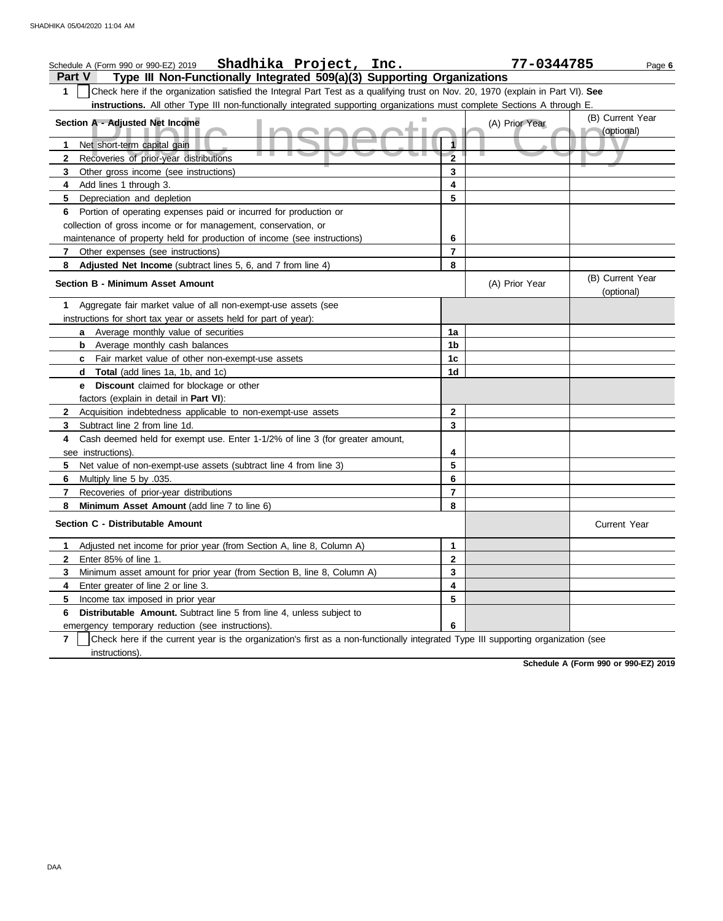| Shadhika Project, Inc.<br>Schedule A (Form 990 or 990-EZ) 2019                                                                                      |                | 77-0344785     | Page 6                         |
|-----------------------------------------------------------------------------------------------------------------------------------------------------|----------------|----------------|--------------------------------|
| <b>Part V</b><br>Type III Non-Functionally Integrated 509(a)(3) Supporting Organizations                                                            |                |                |                                |
| Check here if the organization satisfied the Integral Part Test as a qualifying trust on Nov. 20, 1970 (explain in Part VI). See<br>1               |                |                |                                |
| instructions. All other Type III non-functionally integrated supporting organizations must complete Sections A through E.                           |                |                |                                |
| Section A - Adjusted Net Income                                                                                                                     |                |                | (B) Current Year               |
|                                                                                                                                                     |                | (A) Prior Year | (optional)                     |
| Net short-term capital gain<br>1                                                                                                                    | 1              |                |                                |
| <u> Tanzania de la pro</u><br>Recoveries of prior-year distributions<br>2                                                                           | $\overline{2}$ |                |                                |
| Other gross income (see instructions)<br>3                                                                                                          | 3              |                |                                |
| Add lines 1 through 3.<br>4                                                                                                                         | 4              |                |                                |
| Depreciation and depletion<br>5                                                                                                                     | 5              |                |                                |
| Portion of operating expenses paid or incurred for production or<br>6                                                                               |                |                |                                |
| collection of gross income or for management, conservation, or                                                                                      |                |                |                                |
| maintenance of property held for production of income (see instructions)                                                                            | 6              |                |                                |
| 7<br>Other expenses (see instructions)                                                                                                              | $\overline{7}$ |                |                                |
| Adjusted Net Income (subtract lines 5, 6, and 7 from line 4)<br>8                                                                                   | 8              |                |                                |
| <b>Section B - Minimum Asset Amount</b>                                                                                                             |                | (A) Prior Year | (B) Current Year<br>(optional) |
| Aggregate fair market value of all non-exempt-use assets (see<br>1                                                                                  |                |                |                                |
| instructions for short tax year or assets held for part of year):                                                                                   |                |                |                                |
| Average monthly value of securities<br>a                                                                                                            | 1a             |                |                                |
| Average monthly cash balances<br>b                                                                                                                  | 1b             |                |                                |
| Fair market value of other non-exempt-use assets<br>c                                                                                               | 1c             |                |                                |
| Total (add lines 1a, 1b, and 1c)<br>d                                                                                                               | 1d             |                |                                |
| <b>Discount</b> claimed for blockage or other<br>е                                                                                                  |                |                |                                |
| factors (explain in detail in Part VI):                                                                                                             |                |                |                                |
| Acquisition indebtedness applicable to non-exempt-use assets<br>2                                                                                   | $\overline{2}$ |                |                                |
| Subtract line 2 from line 1d.<br>3                                                                                                                  | 3              |                |                                |
| Cash deemed held for exempt use. Enter 1-1/2% of line 3 (for greater amount,<br>4                                                                   |                |                |                                |
| see instructions).                                                                                                                                  | 4              |                |                                |
| Net value of non-exempt-use assets (subtract line 4 from line 3)<br>5                                                                               | 5              |                |                                |
| Multiply line 5 by .035.<br>6                                                                                                                       | 6              |                |                                |
| Recoveries of prior-year distributions<br>7                                                                                                         | $\overline{7}$ |                |                                |
| 8<br>Minimum Asset Amount (add line 7 to line 6)                                                                                                    | 8              |                |                                |
| Section C - Distributable Amount                                                                                                                    |                |                | <b>Current Year</b>            |
| Adjusted net income for prior year (from Section A, line 8, Column A)<br>1.                                                                         | $\mathbf 1$    |                |                                |
| Enter 85% of line 1.<br>2                                                                                                                           | $\mathbf{2}$   |                |                                |
| 3<br>Minimum asset amount for prior year (from Section B, line 8, Column A)                                                                         | 3              |                |                                |
| Enter greater of line 2 or line 3.<br>4                                                                                                             | 4              |                |                                |
| 5<br>Income tax imposed in prior year                                                                                                               | 5              |                |                                |
| Distributable Amount. Subtract line 5 from line 4, unless subject to<br>6                                                                           |                |                |                                |
| emergency temporary reduction (see instructions).                                                                                                   | 6              |                |                                |
| Check here if the current year is the organization's first as a non-functionally integrated Type III supporting organization (see<br>$\overline{7}$ |                |                |                                |

instructions).

**Schedule A (Form 990 or 990-EZ) 2019**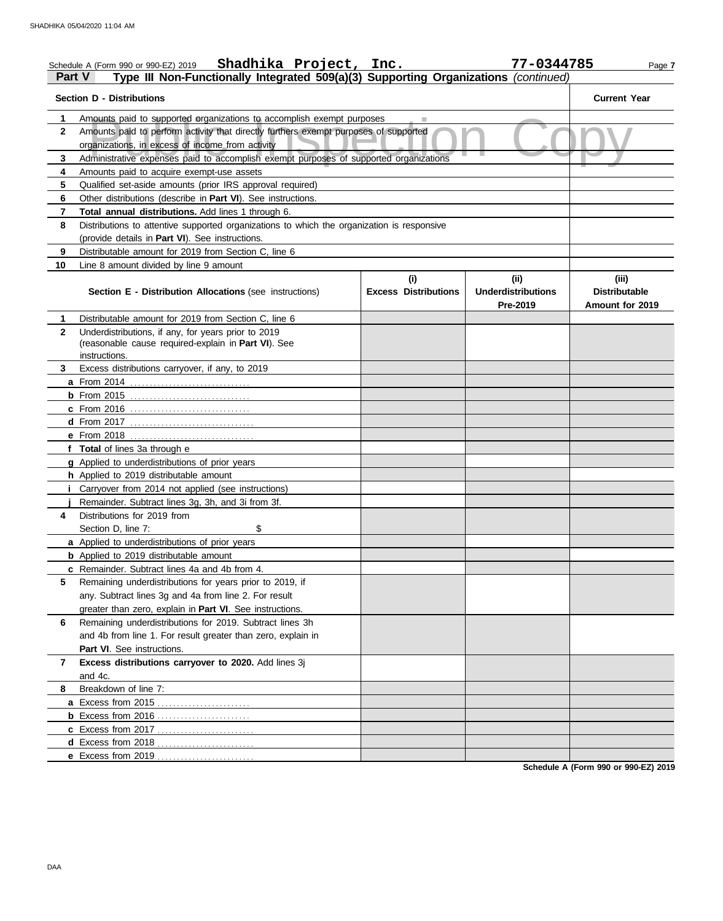|              | Shadhika Project, Inc.<br>Schedule A (Form 990 or 990-EZ) 2019                                                                           |                                    | 77-0344785                                    | Page 7                                           |
|--------------|------------------------------------------------------------------------------------------------------------------------------------------|------------------------------------|-----------------------------------------------|--------------------------------------------------|
|              | Type III Non-Functionally Integrated 509(a)(3) Supporting Organizations (continued)<br>Part V                                            |                                    |                                               |                                                  |
|              | <b>Section D - Distributions</b>                                                                                                         |                                    |                                               | <b>Current Year</b>                              |
| 1            | Amounts paid to supported organizations to accomplish exempt purposes                                                                    |                                    |                                               |                                                  |
| $\mathbf{2}$ | Amounts paid to perform activity that directly furthers exempt purposes of supported<br>organizations, in excess of income from activity |                                    |                                               |                                                  |
| 3            | Administrative expenses paid to accomplish exempt purposes of supported organizations                                                    |                                    |                                               |                                                  |
| 4            | Amounts paid to acquire exempt-use assets                                                                                                |                                    |                                               |                                                  |
| 5            | Qualified set-aside amounts (prior IRS approval required)                                                                                |                                    |                                               |                                                  |
| 6            | Other distributions (describe in Part VI). See instructions.                                                                             |                                    |                                               |                                                  |
| 7            | Total annual distributions. Add lines 1 through 6.                                                                                       |                                    |                                               |                                                  |
| 8            | Distributions to attentive supported organizations to which the organization is responsive                                               |                                    |                                               |                                                  |
|              | (provide details in Part VI). See instructions.                                                                                          |                                    |                                               |                                                  |
| 9            | Distributable amount for 2019 from Section C, line 6                                                                                     |                                    |                                               |                                                  |
| 10           | Line 8 amount divided by line 9 amount                                                                                                   |                                    |                                               |                                                  |
|              | Section E - Distribution Allocations (see instructions)                                                                                  | (i)<br><b>Excess Distributions</b> | (ii)<br><b>Underdistributions</b><br>Pre-2019 | (iii)<br><b>Distributable</b><br>Amount for 2019 |
| 1            | Distributable amount for 2019 from Section C, line 6                                                                                     |                                    |                                               |                                                  |
| $\mathbf{2}$ | Underdistributions, if any, for years prior to 2019                                                                                      |                                    |                                               |                                                  |
|              | (reasonable cause required-explain in Part VI). See                                                                                      |                                    |                                               |                                                  |
|              | instructions.                                                                                                                            |                                    |                                               |                                                  |
| 3            | Excess distributions carryover, if any, to 2019                                                                                          |                                    |                                               |                                                  |
|              |                                                                                                                                          |                                    |                                               |                                                  |
|              |                                                                                                                                          |                                    |                                               |                                                  |
|              |                                                                                                                                          |                                    |                                               |                                                  |
|              |                                                                                                                                          |                                    |                                               |                                                  |
|              | e From 2018                                                                                                                              |                                    |                                               |                                                  |
|              | f Total of lines 3a through e                                                                                                            |                                    |                                               |                                                  |
|              | g Applied to underdistributions of prior years                                                                                           |                                    |                                               |                                                  |
|              | <b>h</b> Applied to 2019 distributable amount                                                                                            |                                    |                                               |                                                  |
|              | <i>i</i> Carryover from 2014 not applied (see instructions)                                                                              |                                    |                                               |                                                  |
| 4            | Remainder. Subtract lines 3q, 3h, and 3i from 3f.<br>Distributions for 2019 from                                                         |                                    |                                               |                                                  |
|              | \$<br>Section D, line 7:                                                                                                                 |                                    |                                               |                                                  |
|              | a Applied to underdistributions of prior years                                                                                           |                                    |                                               |                                                  |
|              | <b>b</b> Applied to 2019 distributable amount                                                                                            |                                    |                                               |                                                  |
|              | c Remainder. Subtract lines 4a and 4b from 4.                                                                                            |                                    |                                               |                                                  |
| 5            | Remaining underdistributions for years prior to 2019, if                                                                                 |                                    |                                               |                                                  |
|              | any. Subtract lines 3g and 4a from line 2. For result                                                                                    |                                    |                                               |                                                  |
|              | greater than zero, explain in <b>Part VI</b> . See instructions.                                                                         |                                    |                                               |                                                  |
| 6            | Remaining underdistributions for 2019. Subtract lines 3h                                                                                 |                                    |                                               |                                                  |
|              | and 4b from line 1. For result greater than zero, explain in                                                                             |                                    |                                               |                                                  |
|              | Part VI. See instructions.                                                                                                               |                                    |                                               |                                                  |
| 7            | Excess distributions carryover to 2020. Add lines 3j                                                                                     |                                    |                                               |                                                  |
|              | and 4c.                                                                                                                                  |                                    |                                               |                                                  |
| 8            | Breakdown of line 7:                                                                                                                     |                                    |                                               |                                                  |
|              |                                                                                                                                          |                                    |                                               |                                                  |
|              | <b>b</b> Excess from 2016                                                                                                                |                                    |                                               |                                                  |
|              | c Excess from 2017                                                                                                                       |                                    |                                               |                                                  |
|              | d Excess from 2018                                                                                                                       |                                    |                                               |                                                  |
|              |                                                                                                                                          |                                    |                                               |                                                  |
|              |                                                                                                                                          |                                    |                                               |                                                  |

**Schedule A (Form 990 or 990-EZ) 2019**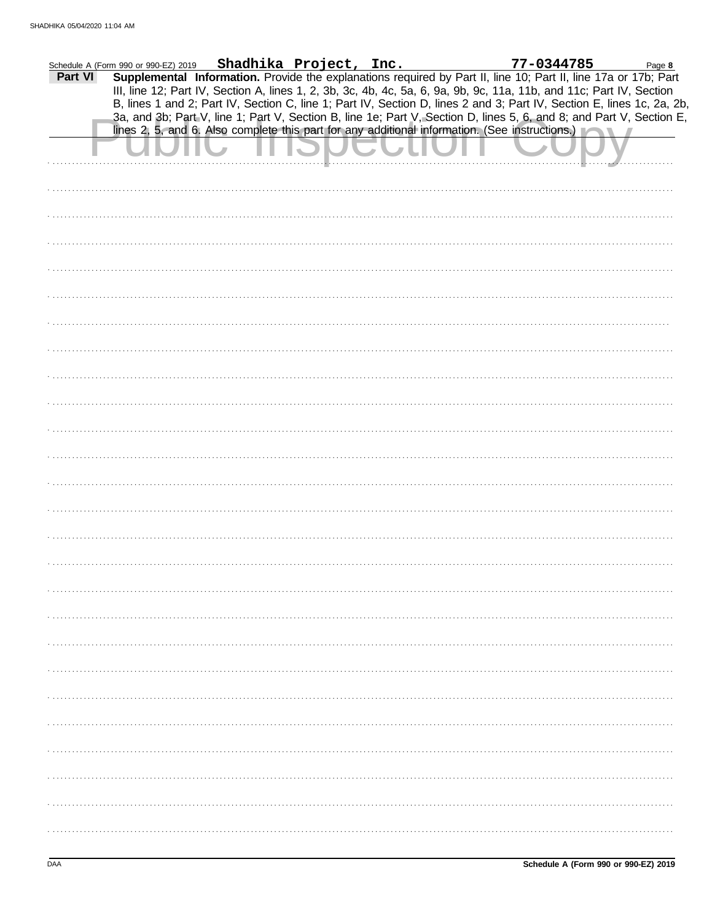|         | Schedule A (Form 990 or 990-EZ) 2019 | Shadhika Project, Inc. |  | 77-0344785                                                                                                                                                                                                                                                                                                                                       | Page 8 |  |
|---------|--------------------------------------|------------------------|--|--------------------------------------------------------------------------------------------------------------------------------------------------------------------------------------------------------------------------------------------------------------------------------------------------------------------------------------------------|--------|--|
| Part VI |                                      |                        |  | Supplemental Information. Provide the explanations required by Part II, line 10; Part II, line 17a or 17b; Part<br>III, line 12; Part IV, Section A, lines 1, 2, 3b, 3c, 4b, 4c, 5a, 6, 9a, 9b, 9c, 11a, 11b, and 11c; Part IV, Section                                                                                                          |        |  |
|         |                                      |                        |  | B, lines 1 and 2; Part IV, Section C, line 1; Part IV, Section D, lines 2 and 3; Part IV, Section E, lines 1c, 2a, 2b,<br>3a, and 3b; Part V, line 1; Part V, Section B, line 1e; Part V, Section D, lines 5, 6, and 8; and Part V, Section E,<br>lines 2, 5, and 6. Also complete this part for any additional information. (See instructions.) |        |  |
|         |                                      |                        |  |                                                                                                                                                                                                                                                                                                                                                  |        |  |
|         |                                      |                        |  |                                                                                                                                                                                                                                                                                                                                                  |        |  |
|         |                                      |                        |  |                                                                                                                                                                                                                                                                                                                                                  |        |  |
|         |                                      |                        |  |                                                                                                                                                                                                                                                                                                                                                  |        |  |
|         |                                      |                        |  |                                                                                                                                                                                                                                                                                                                                                  |        |  |
|         |                                      |                        |  |                                                                                                                                                                                                                                                                                                                                                  |        |  |
|         |                                      |                        |  |                                                                                                                                                                                                                                                                                                                                                  |        |  |
|         |                                      |                        |  |                                                                                                                                                                                                                                                                                                                                                  |        |  |
|         |                                      |                        |  |                                                                                                                                                                                                                                                                                                                                                  |        |  |
|         |                                      |                        |  |                                                                                                                                                                                                                                                                                                                                                  |        |  |
|         |                                      |                        |  |                                                                                                                                                                                                                                                                                                                                                  |        |  |
|         |                                      |                        |  |                                                                                                                                                                                                                                                                                                                                                  |        |  |
|         |                                      |                        |  |                                                                                                                                                                                                                                                                                                                                                  |        |  |
|         |                                      |                        |  |                                                                                                                                                                                                                                                                                                                                                  |        |  |
|         |                                      |                        |  |                                                                                                                                                                                                                                                                                                                                                  |        |  |
|         |                                      |                        |  |                                                                                                                                                                                                                                                                                                                                                  |        |  |
|         |                                      |                        |  |                                                                                                                                                                                                                                                                                                                                                  |        |  |
|         |                                      |                        |  |                                                                                                                                                                                                                                                                                                                                                  |        |  |
|         |                                      |                        |  |                                                                                                                                                                                                                                                                                                                                                  |        |  |
|         |                                      |                        |  |                                                                                                                                                                                                                                                                                                                                                  |        |  |
|         |                                      |                        |  |                                                                                                                                                                                                                                                                                                                                                  |        |  |
|         |                                      |                        |  |                                                                                                                                                                                                                                                                                                                                                  |        |  |
|         |                                      |                        |  |                                                                                                                                                                                                                                                                                                                                                  |        |  |
|         |                                      |                        |  |                                                                                                                                                                                                                                                                                                                                                  |        |  |
|         |                                      |                        |  |                                                                                                                                                                                                                                                                                                                                                  |        |  |
|         |                                      |                        |  |                                                                                                                                                                                                                                                                                                                                                  |        |  |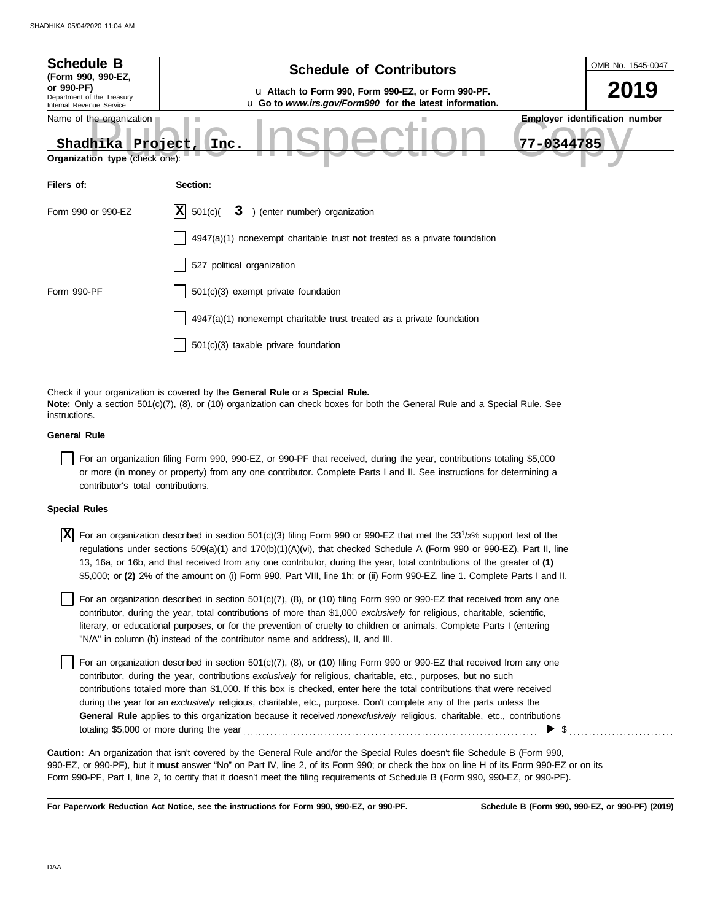| <b>Schedule B</b><br>(Form 990, 990-EZ,                                        | <b>Schedule of Contributors</b>                                                                                                                                                                             | OMB No. 1545-0047                                   |
|--------------------------------------------------------------------------------|-------------------------------------------------------------------------------------------------------------------------------------------------------------------------------------------------------------|-----------------------------------------------------|
| or 990-PF)<br>Department of the Treasury<br>Internal Revenue Service           | u Attach to Form 990, Form 990-EZ, or Form 990-PF.<br>u Go to www.irs.gov/Form990 for the latest information.                                                                                               | 2019                                                |
| Name of the organization<br>Shadhika Project<br>Organization type (check one): | Inc.                                                                                                                                                                                                        | <b>Employer identification number</b><br>77-0344785 |
| Filers of:                                                                     | Section:                                                                                                                                                                                                    |                                                     |
| Form 990 or 990-EZ                                                             | X <br>) (enter number) organization<br>501(c)<br>3                                                                                                                                                          |                                                     |
|                                                                                | $4947(a)(1)$ nonexempt charitable trust not treated as a private foundation                                                                                                                                 |                                                     |
|                                                                                | 527 political organization                                                                                                                                                                                  |                                                     |
| Form 990-PF                                                                    | 501(c)(3) exempt private foundation                                                                                                                                                                         |                                                     |
|                                                                                | 4947(a)(1) nonexempt charitable trust treated as a private foundation                                                                                                                                       |                                                     |
|                                                                                | 501(c)(3) taxable private foundation                                                                                                                                                                        |                                                     |
|                                                                                |                                                                                                                                                                                                             |                                                     |
| instructions.                                                                  | Check if your organization is covered by the General Rule or a Special Rule.<br>Note: Only a section 501(c)(7), (8), or (10) organization can check boxes for both the General Rule and a Special Rule. See |                                                     |
| <b>General Rule</b>                                                            |                                                                                                                                                                                                             |                                                     |
|                                                                                | For an organization filing Form 990, 990-FZ or 990-PF that received during the year contributions totaling \$5,000                                                                                          |                                                     |

For an organization filing that received, during the year, contributions totaling \$5,000 or more (in money or property) from any one contributor. Complete Parts I and II. See instructions for determining a contributor's total contributions.

## **Special Rules**

 $\overline{X}$  For an organization described in section 501(c)(3) filing Form 990 or 990-EZ that met the 33<sup>1</sup>/3% support test of the regulations under sections 509(a)(1) and 170(b)(1)(A)(vi), that checked Schedule A (Form 990 or 990-EZ), Part II, line 13, 16a, or 16b, and that received from any one contributor, during the year, total contributions of the greater of **(1)** \$5,000; or **(2)** 2% of the amount on (i) Form 990, Part VIII, line 1h; or (ii) Form 990-EZ, line 1. Complete Parts I and II.

literary, or educational purposes, or for the prevention of cruelty to children or animals. Complete Parts I (entering For an organization described in section  $501(c)(7)$ ,  $(8)$ , or  $(10)$  filing Form 990 or 990-EZ that received from any one contributor, during the year, total contributions of more than \$1,000 *exclusively* for religious, charitable, scientific, "N/A" in column (b) instead of the contributor name and address), II, and III.

For an organization described in section 501(c)(7), (8), or (10) filing Form 990 or 990-EZ that received from any one contributor, during the year, contributions *exclusively* for religious, charitable, etc., purposes, but no such contributions totaled more than \$1,000. If this box is checked, enter here the total contributions that were received during the year for an *exclusively* religious, charitable, etc., purpose. Don't complete any of the parts unless the **General Rule** applies to this organization because it received *nonexclusively* religious, charitable, etc., contributions totaling \$5,000 or more during the year . . . . . . . . . . . . . . . . . . . . . . . . . . . . . . . . . . . . . . . . . . . . . . . . . . . . . . . . . . . . . . . . . . . . . . . . . . . .  $\triangleright$  \$

990-EZ, or 990-PF), but it **must** answer "No" on Part IV, line 2, of its Form 990; or check the box on line H of its Form 990-EZ or on its Form 990-PF, Part I, line 2, to certify that it doesn't meet the filing requirements of Schedule B (Form 990, 990-EZ, or 990-PF). **Caution:** An organization that isn't covered by the General Rule and/or the Special Rules doesn't file Schedule B (Form 990,

**For Paperwork Reduction Act Notice, see the instructions for Form 990, 990-EZ, or 990-PF.**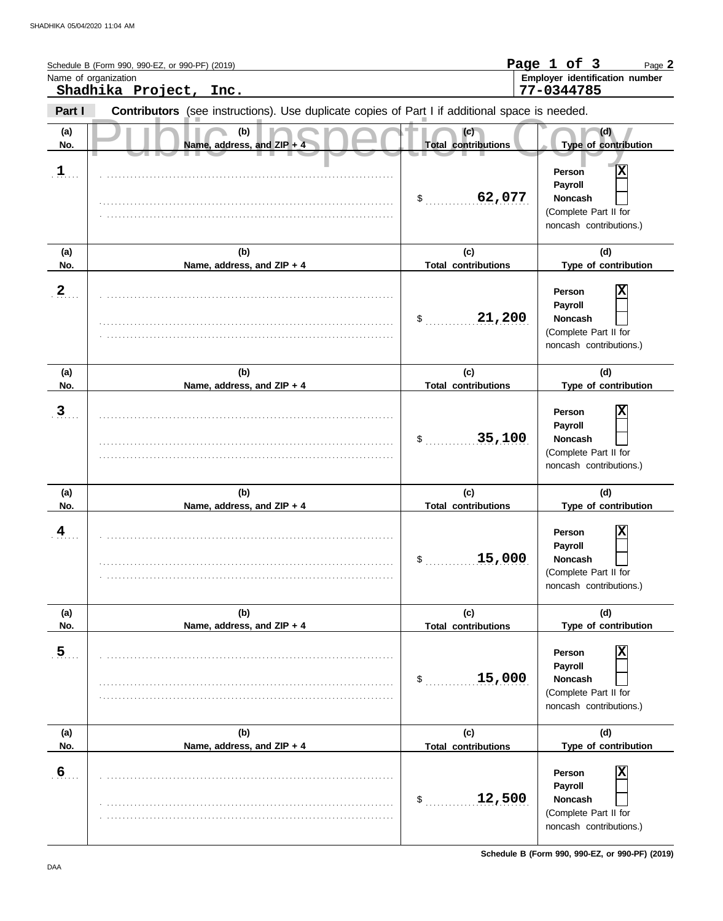|                  | Schedule B (Form 990, 990-EZ, or 990-PF) (2019)<br>Name of organization<br>Shadhika Project, Inc.     |                                   | Page 1 of 3<br>Page 2<br>Employer identification number<br>77-0344785                        |
|------------------|-------------------------------------------------------------------------------------------------------|-----------------------------------|----------------------------------------------------------------------------------------------|
| Part I           | <b>Contributors</b> (see instructions). Use duplicate copies of Part I if additional space is needed. |                                   |                                                                                              |
| (a)<br>No.       | (b)<br>Name, address, and ZIP + 4                                                                     | (c)<br><b>Total contributions</b> | (d)<br>Type of contribution                                                                  |
| $\frac{1}{2}$    |                                                                                                       | 62,077<br>$\mathsf{\$}$           | X<br>Person<br>Payroll<br><b>Noncash</b><br>(Complete Part II for<br>noncash contributions.) |
| (a)<br>No.       | (b)<br>Name, address, and ZIP + 4                                                                     | (c)<br><b>Total contributions</b> | (d)<br>Type of contribution                                                                  |
| $\mathbf{2}$     |                                                                                                       | 21,200<br>\$                      | X<br>Person<br>Payroll<br>Noncash<br>(Complete Part II for<br>noncash contributions.)        |
| (a)<br>No.       | (b)<br>Name, address, and ZIP + 4                                                                     | (c)<br><b>Total contributions</b> | (d)<br>Type of contribution                                                                  |
| $\mathbf{3}$     |                                                                                                       | 35,100<br>\$                      | Person<br>Payroll<br><b>Noncash</b><br>(Complete Part II for<br>noncash contributions.)      |
| (a)<br>No.       | (b)<br>Name, address, and ZIP + 4                                                                     | (c)<br><b>Total contributions</b> | (d)<br>Type of contribution                                                                  |
| $\overline{4}$   |                                                                                                       | 15,000<br>P.                      | Χ<br>Person<br>Payroll<br><b>Noncash</b><br>(Complete Part II for<br>noncash contributions.) |
| (a)<br>No.       | (b)<br>Name, address, and ZIP + 4                                                                     | (c)<br><b>Total contributions</b> | (d)<br>Type of contribution                                                                  |
| $\overline{5}$   |                                                                                                       | 15,000<br>\$                      | Х<br>Person<br>Payroll<br><b>Noncash</b><br>(Complete Part II for<br>noncash contributions.) |
| (a)<br>No.       | (b)<br>Name, address, and ZIP + 4                                                                     | (c)<br><b>Total contributions</b> | (d)<br>Type of contribution                                                                  |
| $6 \overline{6}$ |                                                                                                       | 12,500<br>\$                      | Х<br>Person<br>Payroll<br><b>Noncash</b><br>(Complete Part II for<br>noncash contributions.) |

**Schedule B (Form 990, 990-EZ, or 990-PF) (2019)**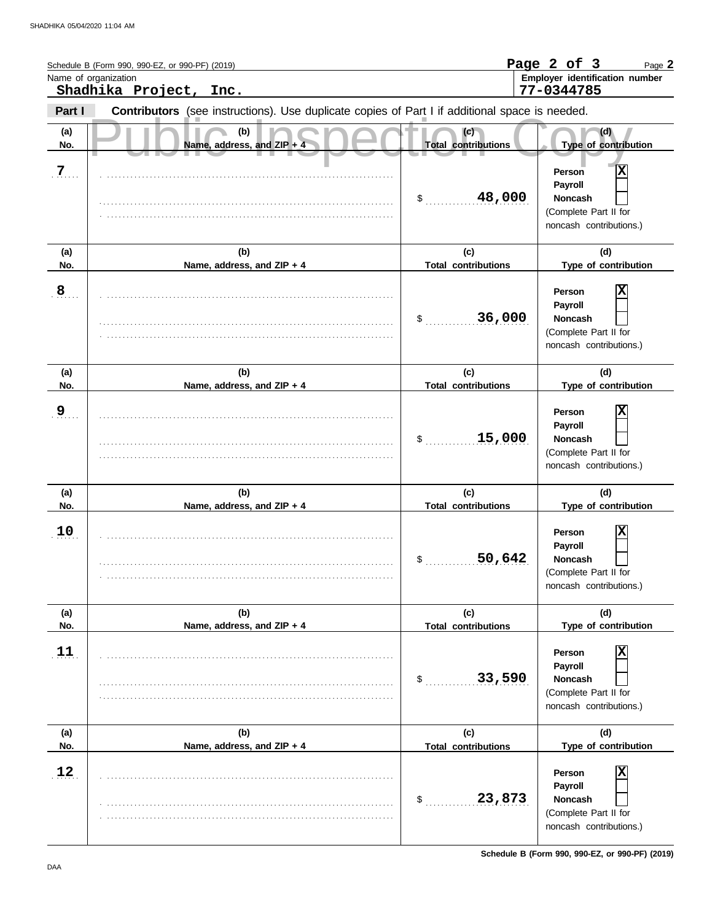|                | Schedule B (Form 990, 990-EZ, or 990-PF) (2019)<br>Name of organization                        |                                   | Page 2 of 3<br>Page 2<br>Employer identification number                                      |
|----------------|------------------------------------------------------------------------------------------------|-----------------------------------|----------------------------------------------------------------------------------------------|
|                | Shadhika Project, Inc.                                                                         |                                   | 77-0344785                                                                                   |
| Part I         | Contributors (see instructions). Use duplicate copies of Part I if additional space is needed. |                                   |                                                                                              |
| (a)<br>No.     | (b)<br>Name, address, and ZIP $+$ 4                                                            | (c)<br><b>Total contributions</b> | (d)<br>Type of contribution                                                                  |
| $\overline{7}$ |                                                                                                | 48,000<br>\$                      | X<br>Person<br>Payroll<br><b>Noncash</b><br>(Complete Part II for<br>noncash contributions.) |
| (a)            | (b)                                                                                            | (c)                               | (d)                                                                                          |
| No.            | Name, address, and ZIP + 4                                                                     | <b>Total contributions</b>        | Type of contribution                                                                         |
| 8              |                                                                                                | 36,000<br>\$                      | Person<br>Payroll<br><b>Noncash</b><br>(Complete Part II for<br>noncash contributions.)      |
| (a)            | (b)                                                                                            | (c)                               | (d)                                                                                          |
| No.            | Name, address, and ZIP + 4                                                                     | <b>Total contributions</b>        | Type of contribution                                                                         |
| 9              |                                                                                                | 15,000<br>\$                      | X<br>Person<br>Payroll<br><b>Noncash</b><br>(Complete Part II for<br>noncash contributions.) |
| (a)            | (b)                                                                                            | (c)                               | (d)                                                                                          |
| No.            | Name, address, and ZIP + 4                                                                     | <b>Total contributions</b>        | Type of contribution                                                                         |
| 10             |                                                                                                | 50,642<br>P.                      | Person<br>Payroll<br><b>Noncash</b><br>(Complete Part II for<br>noncash contributions.)      |
| (a)            | (b)                                                                                            | (c)                               | (d)                                                                                          |
| No.            | Name, address, and ZIP + 4                                                                     | <b>Total contributions</b>        | Type of contribution                                                                         |
| 11             |                                                                                                | 33,590<br>\$                      | Person<br>Payroll<br><b>Noncash</b><br>(Complete Part II for<br>noncash contributions.)      |
| (a)<br>No.     | (b)<br>Name, address, and ZIP + 4                                                              | (c)<br><b>Total contributions</b> | (d)<br>Type of contribution                                                                  |
|                |                                                                                                |                                   |                                                                                              |
| 12             |                                                                                                | 23,873<br>\$                      | Person<br>Payroll<br>Noncash<br>(Complete Part II for<br>noncash contributions.)             |

**Schedule B (Form 990, 990-EZ, or 990-PF) (2019)**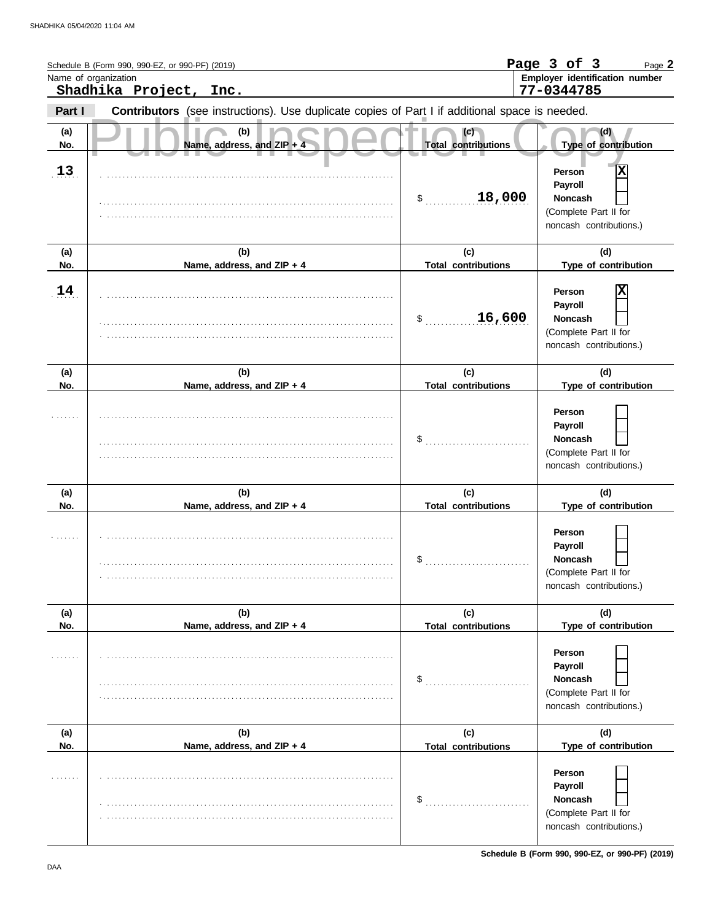|            | Schedule B (Form 990, 990-EZ, or 990-PF) (2019)<br>Name of organization                                                  |                                   | Page 3 of 3<br>Page 2<br>Employer identification number                                      |
|------------|--------------------------------------------------------------------------------------------------------------------------|-----------------------------------|----------------------------------------------------------------------------------------------|
| Part I     | Shadhika Project, Inc.<br>Contributors (see instructions). Use duplicate copies of Part I if additional space is needed. |                                   | 77-0344785                                                                                   |
| (a)<br>No. | (b)<br>Name, address, and ZIP + 4                                                                                        | (c)<br><b>Total contributions</b> | (d)<br>Type of contribution                                                                  |
| 13         |                                                                                                                          | 18,000<br>$\mathsf{\$}$           | X<br>Person<br>Payroll<br><b>Noncash</b><br>(Complete Part II for<br>noncash contributions.) |
| (a)<br>No. | (b)<br>Name, address, and ZIP + 4                                                                                        | (c)<br><b>Total contributions</b> | (d)<br>Type of contribution                                                                  |
| 14         |                                                                                                                          | 16,600<br>\$                      | X<br>Person<br>Payroll<br><b>Noncash</b><br>(Complete Part II for<br>noncash contributions.) |
| (a)<br>No. | (b)<br>Name, address, and ZIP + 4                                                                                        | (c)<br><b>Total contributions</b> | (d)<br>Type of contribution                                                                  |
|            |                                                                                                                          | \$                                | Person<br>Payroll<br><b>Noncash</b><br>(Complete Part II for<br>noncash contributions.)      |
| (a)<br>No. | (b)<br>Name, address, and ZIP + 4                                                                                        | (c)<br><b>Total contributions</b> | (d)<br>Type of contribution                                                                  |
|            |                                                                                                                          | \$                                | Person<br>Payroll<br><b>Noncash</b><br>(Complete Part II for<br>noncash contributions.)      |
| (a)<br>No. | (b)<br>Name, address, and ZIP + 4                                                                                        | (c)<br><b>Total contributions</b> | (d)<br>Type of contribution                                                                  |
|            |                                                                                                                          | \$                                | Person<br>Payroll<br><b>Noncash</b><br>(Complete Part II for<br>noncash contributions.)      |
| (a)<br>No. | (b)<br>Name, address, and ZIP + 4                                                                                        | (c)<br><b>Total contributions</b> | (d)<br>Type of contribution                                                                  |
|            |                                                                                                                          | \$                                | Person<br>Payroll<br><b>Noncash</b><br>(Complete Part II for<br>noncash contributions.)      |

**Schedule B (Form 990, 990-EZ, or 990-PF) (2019)**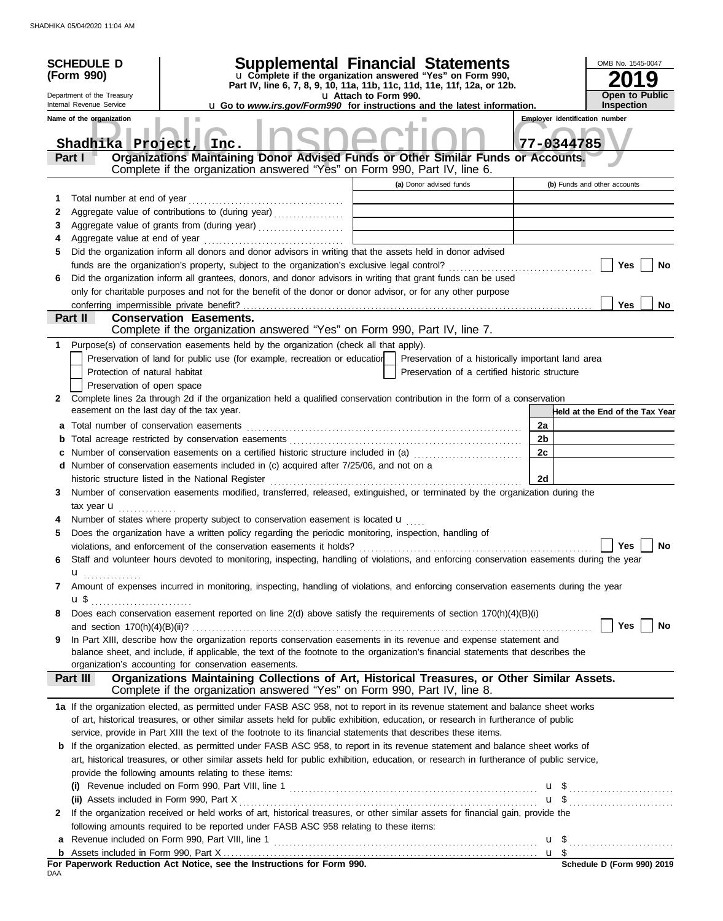| u Complete if the organization answered "Yes" on Form 990,<br>(Form 990)<br>Part IV, line 6, 7, 8, 9, 10, 11a, 11b, 11c, 11d, 11e, 11f, 12a, or 12b.<br><b>Open to Public</b><br>Department of the Treasury<br>u Attach to Form 990.<br><b>Inspection</b><br>Internal Revenue Service<br><b>u</b> Go to <i>www.irs.gov/Form990</i> for instructions and the latest information.<br>Name of the organization<br><b>Employer identification number</b><br>77-0344785<br>Shadhika Project, Inc.<br>Organizations Maintaining Donor Advised Funds or Other Similar Funds or Accounts.<br>Part I<br>Complete if the organization answered "Yes" on Form 990, Part IV, line 6.<br>(a) Donor advised funds<br>(b) Funds and other accounts<br>1<br>Aggregate value of contributions to (during year)<br>2<br>Aggregate value of grants from (during year) [[11][11] Aggregate value of grants from (during year)<br>3<br>4<br>Did the organization inform all donors and donor advisors in writing that the assets held in donor advised<br>5<br>Yes<br>No<br>Did the organization inform all grantees, donors, and donor advisors in writing that grant funds can be used<br>6<br>only for charitable purposes and not for the benefit of the donor or donor advisor, or for any other purpose<br><b>Yes</b><br><b>No</b><br>Part II<br><b>Conservation Easements.</b><br>Complete if the organization answered "Yes" on Form 990, Part IV, line 7.<br>Purpose(s) of conservation easements held by the organization (check all that apply).<br>1.<br>Preservation of land for public use (for example, recreation or education<br>Preservation of a historically important land area<br>Protection of natural habitat<br>Preservation of a certified historic structure<br>Preservation of open space<br>Complete lines 2a through 2d if the organization held a qualified conservation contribution in the form of a conservation<br>2<br>easement on the last day of the tax year.<br>Held at the End of the Tax Year<br>Total number of conservation easements<br>2a<br>a<br>2b<br>b<br>Number of conservation easements on a certified historic structure included in (a) [11] Number of conservation easements on a certified historic structure included in (a)<br>2c<br>c<br>d Number of conservation easements included in (c) acquired after 7/25/06, and not on a<br>historic structure listed in the National Register<br>2d<br>Number of conservation easements modified, transferred, released, extinguished, or terminated by the organization during the<br>3<br>tax year <b>u</b><br>Number of states where property subject to conservation easement is located $\mathbf u$<br>Does the organization have a written policy regarding the periodic monitoring, inspection, handling of<br>5<br>Yes $\Box$<br>No<br>Staff and volunteer hours devoted to monitoring, inspecting, handling of violations, and enforcing conservation easements during the year<br>6<br>u <sub></sub><br>Amount of expenses incurred in monitoring, inspecting, handling of violations, and enforcing conservation easements during the year<br>7<br>$\mathbf{u}$ \$ $\ldots$ $\ldots$ $\ldots$ $\ldots$ $\ldots$ $\ldots$ $\ldots$<br>Does each conservation easement reported on line 2(d) above satisfy the requirements of section 170(h)(4)(B)(i)<br>8<br>Yes  <br>No<br>In Part XIII, describe how the organization reports conservation easements in its revenue and expense statement and<br>9<br>balance sheet, and include, if applicable, the text of the footnote to the organization's financial statements that describes the<br>organization's accounting for conservation easements.<br>Organizations Maintaining Collections of Art, Historical Treasures, or Other Similar Assets.<br><b>Part III</b><br>Complete if the organization answered "Yes" on Form 990, Part IV, line 8.<br>1a If the organization elected, as permitted under FASB ASC 958, not to report in its revenue statement and balance sheet works<br>of art, historical treasures, or other similar assets held for public exhibition, education, or research in furtherance of public<br>service, provide in Part XIII the text of the footnote to its financial statements that describes these items.<br><b>b</b> If the organization elected, as permitted under FASB ASC 958, to report in its revenue statement and balance sheet works of<br>art, historical treasures, or other similar assets held for public exhibition, education, or research in furtherance of public service,<br>provide the following amounts relating to these items:<br>$\mathbf{u}$ \$<br>If the organization received or held works of art, historical treasures, or other similar assets for financial gain, provide the<br>2<br>following amounts required to be reported under FASB ASC 958 relating to these items:<br>a<br>b<br>For Paperwork Reduction Act Notice, see the Instructions for Form 990.<br>Schedule D (Form 990) 2019 | <b>SCHEDULE D</b> | Supplemental Financial Statements |  |  | OMB No. 1545-0047 |
|------------------------------------------------------------------------------------------------------------------------------------------------------------------------------------------------------------------------------------------------------------------------------------------------------------------------------------------------------------------------------------------------------------------------------------------------------------------------------------------------------------------------------------------------------------------------------------------------------------------------------------------------------------------------------------------------------------------------------------------------------------------------------------------------------------------------------------------------------------------------------------------------------------------------------------------------------------------------------------------------------------------------------------------------------------------------------------------------------------------------------------------------------------------------------------------------------------------------------------------------------------------------------------------------------------------------------------------------------------------------------------------------------------------------------------------------------------------------------------------------------------------------------------------------------------------------------------------------------------------------------------------------------------------------------------------------------------------------------------------------------------------------------------------------------------------------------------------------------------------------------------------------------------------------------------------------------------------------------------------------------------------------------------------------------------------------------------------------------------------------------------------------------------------------------------------------------------------------------------------------------------------------------------------------------------------------------------------------------------------------------------------------------------------------------------------------------------------------------------------------------------------------------------------------------------------------------------------------------------------------------------------------------------------------------------------------------------------------------------------------------------------------------------------------------------------------------------------------------------------------------------------------------------------------------------------------------------------------------------------------------------------------------------------------------------------------------------------------------------------------------------------------------------------------------------------------------------------------------------------------------------------------------------------------------------------------------------------------------------------------------------------------------------------------------------------------------------------------------------------------------------------------------------------------------------------------------------------------------------------------------------------------------------------------------------------------------------------------------------------------------------------------------------------------------------------------------------------------------------------------------------------------------------------------------------------------------------------------------------------------------------------------------------------------------------------------------------------------------------------------------------------------------------------------------------------------------------------------------------------------------------------------------------------------------------------------------------------------------------------------------------------------------------------------------------------------------------------------------------------------------------------------------------------------------------------------------------------------------------------------------------------------------------------------------------------------------------------------------------------------------------------------------------------------------------------------------------------------------------------------------------------------------------------------------------------------------------------------------------------------------------|-------------------|-----------------------------------|--|--|-------------------|
|                                                                                                                                                                                                                                                                                                                                                                                                                                                                                                                                                                                                                                                                                                                                                                                                                                                                                                                                                                                                                                                                                                                                                                                                                                                                                                                                                                                                                                                                                                                                                                                                                                                                                                                                                                                                                                                                                                                                                                                                                                                                                                                                                                                                                                                                                                                                                                                                                                                                                                                                                                                                                                                                                                                                                                                                                                                                                                                                                                                                                                                                                                                                                                                                                                                                                                                                                                                                                                                                                                                                                                                                                                                                                                                                                                                                                                                                                                                                                                                                                                                                                                                                                                                                                                                                                                                                                                                                                                                                                                                                                                                                                                                                                                                                                                                                                                                                                                                                                                                                            |                   |                                   |  |  |                   |
|                                                                                                                                                                                                                                                                                                                                                                                                                                                                                                                                                                                                                                                                                                                                                                                                                                                                                                                                                                                                                                                                                                                                                                                                                                                                                                                                                                                                                                                                                                                                                                                                                                                                                                                                                                                                                                                                                                                                                                                                                                                                                                                                                                                                                                                                                                                                                                                                                                                                                                                                                                                                                                                                                                                                                                                                                                                                                                                                                                                                                                                                                                                                                                                                                                                                                                                                                                                                                                                                                                                                                                                                                                                                                                                                                                                                                                                                                                                                                                                                                                                                                                                                                                                                                                                                                                                                                                                                                                                                                                                                                                                                                                                                                                                                                                                                                                                                                                                                                                                                            |                   |                                   |  |  |                   |
|                                                                                                                                                                                                                                                                                                                                                                                                                                                                                                                                                                                                                                                                                                                                                                                                                                                                                                                                                                                                                                                                                                                                                                                                                                                                                                                                                                                                                                                                                                                                                                                                                                                                                                                                                                                                                                                                                                                                                                                                                                                                                                                                                                                                                                                                                                                                                                                                                                                                                                                                                                                                                                                                                                                                                                                                                                                                                                                                                                                                                                                                                                                                                                                                                                                                                                                                                                                                                                                                                                                                                                                                                                                                                                                                                                                                                                                                                                                                                                                                                                                                                                                                                                                                                                                                                                                                                                                                                                                                                                                                                                                                                                                                                                                                                                                                                                                                                                                                                                                                            |                   |                                   |  |  |                   |
|                                                                                                                                                                                                                                                                                                                                                                                                                                                                                                                                                                                                                                                                                                                                                                                                                                                                                                                                                                                                                                                                                                                                                                                                                                                                                                                                                                                                                                                                                                                                                                                                                                                                                                                                                                                                                                                                                                                                                                                                                                                                                                                                                                                                                                                                                                                                                                                                                                                                                                                                                                                                                                                                                                                                                                                                                                                                                                                                                                                                                                                                                                                                                                                                                                                                                                                                                                                                                                                                                                                                                                                                                                                                                                                                                                                                                                                                                                                                                                                                                                                                                                                                                                                                                                                                                                                                                                                                                                                                                                                                                                                                                                                                                                                                                                                                                                                                                                                                                                                                            |                   |                                   |  |  |                   |
|                                                                                                                                                                                                                                                                                                                                                                                                                                                                                                                                                                                                                                                                                                                                                                                                                                                                                                                                                                                                                                                                                                                                                                                                                                                                                                                                                                                                                                                                                                                                                                                                                                                                                                                                                                                                                                                                                                                                                                                                                                                                                                                                                                                                                                                                                                                                                                                                                                                                                                                                                                                                                                                                                                                                                                                                                                                                                                                                                                                                                                                                                                                                                                                                                                                                                                                                                                                                                                                                                                                                                                                                                                                                                                                                                                                                                                                                                                                                                                                                                                                                                                                                                                                                                                                                                                                                                                                                                                                                                                                                                                                                                                                                                                                                                                                                                                                                                                                                                                                                            |                   |                                   |  |  |                   |
|                                                                                                                                                                                                                                                                                                                                                                                                                                                                                                                                                                                                                                                                                                                                                                                                                                                                                                                                                                                                                                                                                                                                                                                                                                                                                                                                                                                                                                                                                                                                                                                                                                                                                                                                                                                                                                                                                                                                                                                                                                                                                                                                                                                                                                                                                                                                                                                                                                                                                                                                                                                                                                                                                                                                                                                                                                                                                                                                                                                                                                                                                                                                                                                                                                                                                                                                                                                                                                                                                                                                                                                                                                                                                                                                                                                                                                                                                                                                                                                                                                                                                                                                                                                                                                                                                                                                                                                                                                                                                                                                                                                                                                                                                                                                                                                                                                                                                                                                                                                                            |                   |                                   |  |  |                   |
|                                                                                                                                                                                                                                                                                                                                                                                                                                                                                                                                                                                                                                                                                                                                                                                                                                                                                                                                                                                                                                                                                                                                                                                                                                                                                                                                                                                                                                                                                                                                                                                                                                                                                                                                                                                                                                                                                                                                                                                                                                                                                                                                                                                                                                                                                                                                                                                                                                                                                                                                                                                                                                                                                                                                                                                                                                                                                                                                                                                                                                                                                                                                                                                                                                                                                                                                                                                                                                                                                                                                                                                                                                                                                                                                                                                                                                                                                                                                                                                                                                                                                                                                                                                                                                                                                                                                                                                                                                                                                                                                                                                                                                                                                                                                                                                                                                                                                                                                                                                                            |                   |                                   |  |  |                   |
|                                                                                                                                                                                                                                                                                                                                                                                                                                                                                                                                                                                                                                                                                                                                                                                                                                                                                                                                                                                                                                                                                                                                                                                                                                                                                                                                                                                                                                                                                                                                                                                                                                                                                                                                                                                                                                                                                                                                                                                                                                                                                                                                                                                                                                                                                                                                                                                                                                                                                                                                                                                                                                                                                                                                                                                                                                                                                                                                                                                                                                                                                                                                                                                                                                                                                                                                                                                                                                                                                                                                                                                                                                                                                                                                                                                                                                                                                                                                                                                                                                                                                                                                                                                                                                                                                                                                                                                                                                                                                                                                                                                                                                                                                                                                                                                                                                                                                                                                                                                                            |                   |                                   |  |  |                   |
|                                                                                                                                                                                                                                                                                                                                                                                                                                                                                                                                                                                                                                                                                                                                                                                                                                                                                                                                                                                                                                                                                                                                                                                                                                                                                                                                                                                                                                                                                                                                                                                                                                                                                                                                                                                                                                                                                                                                                                                                                                                                                                                                                                                                                                                                                                                                                                                                                                                                                                                                                                                                                                                                                                                                                                                                                                                                                                                                                                                                                                                                                                                                                                                                                                                                                                                                                                                                                                                                                                                                                                                                                                                                                                                                                                                                                                                                                                                                                                                                                                                                                                                                                                                                                                                                                                                                                                                                                                                                                                                                                                                                                                                                                                                                                                                                                                                                                                                                                                                                            |                   |                                   |  |  |                   |
|                                                                                                                                                                                                                                                                                                                                                                                                                                                                                                                                                                                                                                                                                                                                                                                                                                                                                                                                                                                                                                                                                                                                                                                                                                                                                                                                                                                                                                                                                                                                                                                                                                                                                                                                                                                                                                                                                                                                                                                                                                                                                                                                                                                                                                                                                                                                                                                                                                                                                                                                                                                                                                                                                                                                                                                                                                                                                                                                                                                                                                                                                                                                                                                                                                                                                                                                                                                                                                                                                                                                                                                                                                                                                                                                                                                                                                                                                                                                                                                                                                                                                                                                                                                                                                                                                                                                                                                                                                                                                                                                                                                                                                                                                                                                                                                                                                                                                                                                                                                                            |                   |                                   |  |  |                   |
|                                                                                                                                                                                                                                                                                                                                                                                                                                                                                                                                                                                                                                                                                                                                                                                                                                                                                                                                                                                                                                                                                                                                                                                                                                                                                                                                                                                                                                                                                                                                                                                                                                                                                                                                                                                                                                                                                                                                                                                                                                                                                                                                                                                                                                                                                                                                                                                                                                                                                                                                                                                                                                                                                                                                                                                                                                                                                                                                                                                                                                                                                                                                                                                                                                                                                                                                                                                                                                                                                                                                                                                                                                                                                                                                                                                                                                                                                                                                                                                                                                                                                                                                                                                                                                                                                                                                                                                                                                                                                                                                                                                                                                                                                                                                                                                                                                                                                                                                                                                                            |                   |                                   |  |  |                   |
|                                                                                                                                                                                                                                                                                                                                                                                                                                                                                                                                                                                                                                                                                                                                                                                                                                                                                                                                                                                                                                                                                                                                                                                                                                                                                                                                                                                                                                                                                                                                                                                                                                                                                                                                                                                                                                                                                                                                                                                                                                                                                                                                                                                                                                                                                                                                                                                                                                                                                                                                                                                                                                                                                                                                                                                                                                                                                                                                                                                                                                                                                                                                                                                                                                                                                                                                                                                                                                                                                                                                                                                                                                                                                                                                                                                                                                                                                                                                                                                                                                                                                                                                                                                                                                                                                                                                                                                                                                                                                                                                                                                                                                                                                                                                                                                                                                                                                                                                                                                                            |                   |                                   |  |  |                   |
|                                                                                                                                                                                                                                                                                                                                                                                                                                                                                                                                                                                                                                                                                                                                                                                                                                                                                                                                                                                                                                                                                                                                                                                                                                                                                                                                                                                                                                                                                                                                                                                                                                                                                                                                                                                                                                                                                                                                                                                                                                                                                                                                                                                                                                                                                                                                                                                                                                                                                                                                                                                                                                                                                                                                                                                                                                                                                                                                                                                                                                                                                                                                                                                                                                                                                                                                                                                                                                                                                                                                                                                                                                                                                                                                                                                                                                                                                                                                                                                                                                                                                                                                                                                                                                                                                                                                                                                                                                                                                                                                                                                                                                                                                                                                                                                                                                                                                                                                                                                                            |                   |                                   |  |  |                   |
|                                                                                                                                                                                                                                                                                                                                                                                                                                                                                                                                                                                                                                                                                                                                                                                                                                                                                                                                                                                                                                                                                                                                                                                                                                                                                                                                                                                                                                                                                                                                                                                                                                                                                                                                                                                                                                                                                                                                                                                                                                                                                                                                                                                                                                                                                                                                                                                                                                                                                                                                                                                                                                                                                                                                                                                                                                                                                                                                                                                                                                                                                                                                                                                                                                                                                                                                                                                                                                                                                                                                                                                                                                                                                                                                                                                                                                                                                                                                                                                                                                                                                                                                                                                                                                                                                                                                                                                                                                                                                                                                                                                                                                                                                                                                                                                                                                                                                                                                                                                                            |                   |                                   |  |  |                   |
|                                                                                                                                                                                                                                                                                                                                                                                                                                                                                                                                                                                                                                                                                                                                                                                                                                                                                                                                                                                                                                                                                                                                                                                                                                                                                                                                                                                                                                                                                                                                                                                                                                                                                                                                                                                                                                                                                                                                                                                                                                                                                                                                                                                                                                                                                                                                                                                                                                                                                                                                                                                                                                                                                                                                                                                                                                                                                                                                                                                                                                                                                                                                                                                                                                                                                                                                                                                                                                                                                                                                                                                                                                                                                                                                                                                                                                                                                                                                                                                                                                                                                                                                                                                                                                                                                                                                                                                                                                                                                                                                                                                                                                                                                                                                                                                                                                                                                                                                                                                                            |                   |                                   |  |  |                   |
|                                                                                                                                                                                                                                                                                                                                                                                                                                                                                                                                                                                                                                                                                                                                                                                                                                                                                                                                                                                                                                                                                                                                                                                                                                                                                                                                                                                                                                                                                                                                                                                                                                                                                                                                                                                                                                                                                                                                                                                                                                                                                                                                                                                                                                                                                                                                                                                                                                                                                                                                                                                                                                                                                                                                                                                                                                                                                                                                                                                                                                                                                                                                                                                                                                                                                                                                                                                                                                                                                                                                                                                                                                                                                                                                                                                                                                                                                                                                                                                                                                                                                                                                                                                                                                                                                                                                                                                                                                                                                                                                                                                                                                                                                                                                                                                                                                                                                                                                                                                                            |                   |                                   |  |  |                   |
|                                                                                                                                                                                                                                                                                                                                                                                                                                                                                                                                                                                                                                                                                                                                                                                                                                                                                                                                                                                                                                                                                                                                                                                                                                                                                                                                                                                                                                                                                                                                                                                                                                                                                                                                                                                                                                                                                                                                                                                                                                                                                                                                                                                                                                                                                                                                                                                                                                                                                                                                                                                                                                                                                                                                                                                                                                                                                                                                                                                                                                                                                                                                                                                                                                                                                                                                                                                                                                                                                                                                                                                                                                                                                                                                                                                                                                                                                                                                                                                                                                                                                                                                                                                                                                                                                                                                                                                                                                                                                                                                                                                                                                                                                                                                                                                                                                                                                                                                                                                                            |                   |                                   |  |  |                   |
|                                                                                                                                                                                                                                                                                                                                                                                                                                                                                                                                                                                                                                                                                                                                                                                                                                                                                                                                                                                                                                                                                                                                                                                                                                                                                                                                                                                                                                                                                                                                                                                                                                                                                                                                                                                                                                                                                                                                                                                                                                                                                                                                                                                                                                                                                                                                                                                                                                                                                                                                                                                                                                                                                                                                                                                                                                                                                                                                                                                                                                                                                                                                                                                                                                                                                                                                                                                                                                                                                                                                                                                                                                                                                                                                                                                                                                                                                                                                                                                                                                                                                                                                                                                                                                                                                                                                                                                                                                                                                                                                                                                                                                                                                                                                                                                                                                                                                                                                                                                                            |                   |                                   |  |  |                   |
|                                                                                                                                                                                                                                                                                                                                                                                                                                                                                                                                                                                                                                                                                                                                                                                                                                                                                                                                                                                                                                                                                                                                                                                                                                                                                                                                                                                                                                                                                                                                                                                                                                                                                                                                                                                                                                                                                                                                                                                                                                                                                                                                                                                                                                                                                                                                                                                                                                                                                                                                                                                                                                                                                                                                                                                                                                                                                                                                                                                                                                                                                                                                                                                                                                                                                                                                                                                                                                                                                                                                                                                                                                                                                                                                                                                                                                                                                                                                                                                                                                                                                                                                                                                                                                                                                                                                                                                                                                                                                                                                                                                                                                                                                                                                                                                                                                                                                                                                                                                                            |                   |                                   |  |  |                   |
|                                                                                                                                                                                                                                                                                                                                                                                                                                                                                                                                                                                                                                                                                                                                                                                                                                                                                                                                                                                                                                                                                                                                                                                                                                                                                                                                                                                                                                                                                                                                                                                                                                                                                                                                                                                                                                                                                                                                                                                                                                                                                                                                                                                                                                                                                                                                                                                                                                                                                                                                                                                                                                                                                                                                                                                                                                                                                                                                                                                                                                                                                                                                                                                                                                                                                                                                                                                                                                                                                                                                                                                                                                                                                                                                                                                                                                                                                                                                                                                                                                                                                                                                                                                                                                                                                                                                                                                                                                                                                                                                                                                                                                                                                                                                                                                                                                                                                                                                                                                                            |                   |                                   |  |  |                   |
|                                                                                                                                                                                                                                                                                                                                                                                                                                                                                                                                                                                                                                                                                                                                                                                                                                                                                                                                                                                                                                                                                                                                                                                                                                                                                                                                                                                                                                                                                                                                                                                                                                                                                                                                                                                                                                                                                                                                                                                                                                                                                                                                                                                                                                                                                                                                                                                                                                                                                                                                                                                                                                                                                                                                                                                                                                                                                                                                                                                                                                                                                                                                                                                                                                                                                                                                                                                                                                                                                                                                                                                                                                                                                                                                                                                                                                                                                                                                                                                                                                                                                                                                                                                                                                                                                                                                                                                                                                                                                                                                                                                                                                                                                                                                                                                                                                                                                                                                                                                                            |                   |                                   |  |  |                   |
|                                                                                                                                                                                                                                                                                                                                                                                                                                                                                                                                                                                                                                                                                                                                                                                                                                                                                                                                                                                                                                                                                                                                                                                                                                                                                                                                                                                                                                                                                                                                                                                                                                                                                                                                                                                                                                                                                                                                                                                                                                                                                                                                                                                                                                                                                                                                                                                                                                                                                                                                                                                                                                                                                                                                                                                                                                                                                                                                                                                                                                                                                                                                                                                                                                                                                                                                                                                                                                                                                                                                                                                                                                                                                                                                                                                                                                                                                                                                                                                                                                                                                                                                                                                                                                                                                                                                                                                                                                                                                                                                                                                                                                                                                                                                                                                                                                                                                                                                                                                                            |                   |                                   |  |  |                   |
|                                                                                                                                                                                                                                                                                                                                                                                                                                                                                                                                                                                                                                                                                                                                                                                                                                                                                                                                                                                                                                                                                                                                                                                                                                                                                                                                                                                                                                                                                                                                                                                                                                                                                                                                                                                                                                                                                                                                                                                                                                                                                                                                                                                                                                                                                                                                                                                                                                                                                                                                                                                                                                                                                                                                                                                                                                                                                                                                                                                                                                                                                                                                                                                                                                                                                                                                                                                                                                                                                                                                                                                                                                                                                                                                                                                                                                                                                                                                                                                                                                                                                                                                                                                                                                                                                                                                                                                                                                                                                                                                                                                                                                                                                                                                                                                                                                                                                                                                                                                                            |                   |                                   |  |  |                   |
|                                                                                                                                                                                                                                                                                                                                                                                                                                                                                                                                                                                                                                                                                                                                                                                                                                                                                                                                                                                                                                                                                                                                                                                                                                                                                                                                                                                                                                                                                                                                                                                                                                                                                                                                                                                                                                                                                                                                                                                                                                                                                                                                                                                                                                                                                                                                                                                                                                                                                                                                                                                                                                                                                                                                                                                                                                                                                                                                                                                                                                                                                                                                                                                                                                                                                                                                                                                                                                                                                                                                                                                                                                                                                                                                                                                                                                                                                                                                                                                                                                                                                                                                                                                                                                                                                                                                                                                                                                                                                                                                                                                                                                                                                                                                                                                                                                                                                                                                                                                                            |                   |                                   |  |  |                   |
|                                                                                                                                                                                                                                                                                                                                                                                                                                                                                                                                                                                                                                                                                                                                                                                                                                                                                                                                                                                                                                                                                                                                                                                                                                                                                                                                                                                                                                                                                                                                                                                                                                                                                                                                                                                                                                                                                                                                                                                                                                                                                                                                                                                                                                                                                                                                                                                                                                                                                                                                                                                                                                                                                                                                                                                                                                                                                                                                                                                                                                                                                                                                                                                                                                                                                                                                                                                                                                                                                                                                                                                                                                                                                                                                                                                                                                                                                                                                                                                                                                                                                                                                                                                                                                                                                                                                                                                                                                                                                                                                                                                                                                                                                                                                                                                                                                                                                                                                                                                                            |                   |                                   |  |  |                   |
|                                                                                                                                                                                                                                                                                                                                                                                                                                                                                                                                                                                                                                                                                                                                                                                                                                                                                                                                                                                                                                                                                                                                                                                                                                                                                                                                                                                                                                                                                                                                                                                                                                                                                                                                                                                                                                                                                                                                                                                                                                                                                                                                                                                                                                                                                                                                                                                                                                                                                                                                                                                                                                                                                                                                                                                                                                                                                                                                                                                                                                                                                                                                                                                                                                                                                                                                                                                                                                                                                                                                                                                                                                                                                                                                                                                                                                                                                                                                                                                                                                                                                                                                                                                                                                                                                                                                                                                                                                                                                                                                                                                                                                                                                                                                                                                                                                                                                                                                                                                                            |                   |                                   |  |  |                   |
|                                                                                                                                                                                                                                                                                                                                                                                                                                                                                                                                                                                                                                                                                                                                                                                                                                                                                                                                                                                                                                                                                                                                                                                                                                                                                                                                                                                                                                                                                                                                                                                                                                                                                                                                                                                                                                                                                                                                                                                                                                                                                                                                                                                                                                                                                                                                                                                                                                                                                                                                                                                                                                                                                                                                                                                                                                                                                                                                                                                                                                                                                                                                                                                                                                                                                                                                                                                                                                                                                                                                                                                                                                                                                                                                                                                                                                                                                                                                                                                                                                                                                                                                                                                                                                                                                                                                                                                                                                                                                                                                                                                                                                                                                                                                                                                                                                                                                                                                                                                                            |                   |                                   |  |  |                   |
|                                                                                                                                                                                                                                                                                                                                                                                                                                                                                                                                                                                                                                                                                                                                                                                                                                                                                                                                                                                                                                                                                                                                                                                                                                                                                                                                                                                                                                                                                                                                                                                                                                                                                                                                                                                                                                                                                                                                                                                                                                                                                                                                                                                                                                                                                                                                                                                                                                                                                                                                                                                                                                                                                                                                                                                                                                                                                                                                                                                                                                                                                                                                                                                                                                                                                                                                                                                                                                                                                                                                                                                                                                                                                                                                                                                                                                                                                                                                                                                                                                                                                                                                                                                                                                                                                                                                                                                                                                                                                                                                                                                                                                                                                                                                                                                                                                                                                                                                                                                                            |                   |                                   |  |  |                   |
|                                                                                                                                                                                                                                                                                                                                                                                                                                                                                                                                                                                                                                                                                                                                                                                                                                                                                                                                                                                                                                                                                                                                                                                                                                                                                                                                                                                                                                                                                                                                                                                                                                                                                                                                                                                                                                                                                                                                                                                                                                                                                                                                                                                                                                                                                                                                                                                                                                                                                                                                                                                                                                                                                                                                                                                                                                                                                                                                                                                                                                                                                                                                                                                                                                                                                                                                                                                                                                                                                                                                                                                                                                                                                                                                                                                                                                                                                                                                                                                                                                                                                                                                                                                                                                                                                                                                                                                                                                                                                                                                                                                                                                                                                                                                                                                                                                                                                                                                                                                                            |                   |                                   |  |  |                   |
|                                                                                                                                                                                                                                                                                                                                                                                                                                                                                                                                                                                                                                                                                                                                                                                                                                                                                                                                                                                                                                                                                                                                                                                                                                                                                                                                                                                                                                                                                                                                                                                                                                                                                                                                                                                                                                                                                                                                                                                                                                                                                                                                                                                                                                                                                                                                                                                                                                                                                                                                                                                                                                                                                                                                                                                                                                                                                                                                                                                                                                                                                                                                                                                                                                                                                                                                                                                                                                                                                                                                                                                                                                                                                                                                                                                                                                                                                                                                                                                                                                                                                                                                                                                                                                                                                                                                                                                                                                                                                                                                                                                                                                                                                                                                                                                                                                                                                                                                                                                                            |                   |                                   |  |  |                   |
|                                                                                                                                                                                                                                                                                                                                                                                                                                                                                                                                                                                                                                                                                                                                                                                                                                                                                                                                                                                                                                                                                                                                                                                                                                                                                                                                                                                                                                                                                                                                                                                                                                                                                                                                                                                                                                                                                                                                                                                                                                                                                                                                                                                                                                                                                                                                                                                                                                                                                                                                                                                                                                                                                                                                                                                                                                                                                                                                                                                                                                                                                                                                                                                                                                                                                                                                                                                                                                                                                                                                                                                                                                                                                                                                                                                                                                                                                                                                                                                                                                                                                                                                                                                                                                                                                                                                                                                                                                                                                                                                                                                                                                                                                                                                                                                                                                                                                                                                                                                                            |                   |                                   |  |  |                   |
|                                                                                                                                                                                                                                                                                                                                                                                                                                                                                                                                                                                                                                                                                                                                                                                                                                                                                                                                                                                                                                                                                                                                                                                                                                                                                                                                                                                                                                                                                                                                                                                                                                                                                                                                                                                                                                                                                                                                                                                                                                                                                                                                                                                                                                                                                                                                                                                                                                                                                                                                                                                                                                                                                                                                                                                                                                                                                                                                                                                                                                                                                                                                                                                                                                                                                                                                                                                                                                                                                                                                                                                                                                                                                                                                                                                                                                                                                                                                                                                                                                                                                                                                                                                                                                                                                                                                                                                                                                                                                                                                                                                                                                                                                                                                                                                                                                                                                                                                                                                                            |                   |                                   |  |  |                   |
|                                                                                                                                                                                                                                                                                                                                                                                                                                                                                                                                                                                                                                                                                                                                                                                                                                                                                                                                                                                                                                                                                                                                                                                                                                                                                                                                                                                                                                                                                                                                                                                                                                                                                                                                                                                                                                                                                                                                                                                                                                                                                                                                                                                                                                                                                                                                                                                                                                                                                                                                                                                                                                                                                                                                                                                                                                                                                                                                                                                                                                                                                                                                                                                                                                                                                                                                                                                                                                                                                                                                                                                                                                                                                                                                                                                                                                                                                                                                                                                                                                                                                                                                                                                                                                                                                                                                                                                                                                                                                                                                                                                                                                                                                                                                                                                                                                                                                                                                                                                                            |                   |                                   |  |  |                   |
|                                                                                                                                                                                                                                                                                                                                                                                                                                                                                                                                                                                                                                                                                                                                                                                                                                                                                                                                                                                                                                                                                                                                                                                                                                                                                                                                                                                                                                                                                                                                                                                                                                                                                                                                                                                                                                                                                                                                                                                                                                                                                                                                                                                                                                                                                                                                                                                                                                                                                                                                                                                                                                                                                                                                                                                                                                                                                                                                                                                                                                                                                                                                                                                                                                                                                                                                                                                                                                                                                                                                                                                                                                                                                                                                                                                                                                                                                                                                                                                                                                                                                                                                                                                                                                                                                                                                                                                                                                                                                                                                                                                                                                                                                                                                                                                                                                                                                                                                                                                                            |                   |                                   |  |  |                   |
|                                                                                                                                                                                                                                                                                                                                                                                                                                                                                                                                                                                                                                                                                                                                                                                                                                                                                                                                                                                                                                                                                                                                                                                                                                                                                                                                                                                                                                                                                                                                                                                                                                                                                                                                                                                                                                                                                                                                                                                                                                                                                                                                                                                                                                                                                                                                                                                                                                                                                                                                                                                                                                                                                                                                                                                                                                                                                                                                                                                                                                                                                                                                                                                                                                                                                                                                                                                                                                                                                                                                                                                                                                                                                                                                                                                                                                                                                                                                                                                                                                                                                                                                                                                                                                                                                                                                                                                                                                                                                                                                                                                                                                                                                                                                                                                                                                                                                                                                                                                                            |                   |                                   |  |  |                   |
|                                                                                                                                                                                                                                                                                                                                                                                                                                                                                                                                                                                                                                                                                                                                                                                                                                                                                                                                                                                                                                                                                                                                                                                                                                                                                                                                                                                                                                                                                                                                                                                                                                                                                                                                                                                                                                                                                                                                                                                                                                                                                                                                                                                                                                                                                                                                                                                                                                                                                                                                                                                                                                                                                                                                                                                                                                                                                                                                                                                                                                                                                                                                                                                                                                                                                                                                                                                                                                                                                                                                                                                                                                                                                                                                                                                                                                                                                                                                                                                                                                                                                                                                                                                                                                                                                                                                                                                                                                                                                                                                                                                                                                                                                                                                                                                                                                                                                                                                                                                                            |                   |                                   |  |  |                   |
|                                                                                                                                                                                                                                                                                                                                                                                                                                                                                                                                                                                                                                                                                                                                                                                                                                                                                                                                                                                                                                                                                                                                                                                                                                                                                                                                                                                                                                                                                                                                                                                                                                                                                                                                                                                                                                                                                                                                                                                                                                                                                                                                                                                                                                                                                                                                                                                                                                                                                                                                                                                                                                                                                                                                                                                                                                                                                                                                                                                                                                                                                                                                                                                                                                                                                                                                                                                                                                                                                                                                                                                                                                                                                                                                                                                                                                                                                                                                                                                                                                                                                                                                                                                                                                                                                                                                                                                                                                                                                                                                                                                                                                                                                                                                                                                                                                                                                                                                                                                                            |                   |                                   |  |  |                   |
|                                                                                                                                                                                                                                                                                                                                                                                                                                                                                                                                                                                                                                                                                                                                                                                                                                                                                                                                                                                                                                                                                                                                                                                                                                                                                                                                                                                                                                                                                                                                                                                                                                                                                                                                                                                                                                                                                                                                                                                                                                                                                                                                                                                                                                                                                                                                                                                                                                                                                                                                                                                                                                                                                                                                                                                                                                                                                                                                                                                                                                                                                                                                                                                                                                                                                                                                                                                                                                                                                                                                                                                                                                                                                                                                                                                                                                                                                                                                                                                                                                                                                                                                                                                                                                                                                                                                                                                                                                                                                                                                                                                                                                                                                                                                                                                                                                                                                                                                                                                                            |                   |                                   |  |  |                   |
|                                                                                                                                                                                                                                                                                                                                                                                                                                                                                                                                                                                                                                                                                                                                                                                                                                                                                                                                                                                                                                                                                                                                                                                                                                                                                                                                                                                                                                                                                                                                                                                                                                                                                                                                                                                                                                                                                                                                                                                                                                                                                                                                                                                                                                                                                                                                                                                                                                                                                                                                                                                                                                                                                                                                                                                                                                                                                                                                                                                                                                                                                                                                                                                                                                                                                                                                                                                                                                                                                                                                                                                                                                                                                                                                                                                                                                                                                                                                                                                                                                                                                                                                                                                                                                                                                                                                                                                                                                                                                                                                                                                                                                                                                                                                                                                                                                                                                                                                                                                                            |                   |                                   |  |  |                   |
|                                                                                                                                                                                                                                                                                                                                                                                                                                                                                                                                                                                                                                                                                                                                                                                                                                                                                                                                                                                                                                                                                                                                                                                                                                                                                                                                                                                                                                                                                                                                                                                                                                                                                                                                                                                                                                                                                                                                                                                                                                                                                                                                                                                                                                                                                                                                                                                                                                                                                                                                                                                                                                                                                                                                                                                                                                                                                                                                                                                                                                                                                                                                                                                                                                                                                                                                                                                                                                                                                                                                                                                                                                                                                                                                                                                                                                                                                                                                                                                                                                                                                                                                                                                                                                                                                                                                                                                                                                                                                                                                                                                                                                                                                                                                                                                                                                                                                                                                                                                                            |                   |                                   |  |  |                   |
|                                                                                                                                                                                                                                                                                                                                                                                                                                                                                                                                                                                                                                                                                                                                                                                                                                                                                                                                                                                                                                                                                                                                                                                                                                                                                                                                                                                                                                                                                                                                                                                                                                                                                                                                                                                                                                                                                                                                                                                                                                                                                                                                                                                                                                                                                                                                                                                                                                                                                                                                                                                                                                                                                                                                                                                                                                                                                                                                                                                                                                                                                                                                                                                                                                                                                                                                                                                                                                                                                                                                                                                                                                                                                                                                                                                                                                                                                                                                                                                                                                                                                                                                                                                                                                                                                                                                                                                                                                                                                                                                                                                                                                                                                                                                                                                                                                                                                                                                                                                                            |                   |                                   |  |  |                   |
|                                                                                                                                                                                                                                                                                                                                                                                                                                                                                                                                                                                                                                                                                                                                                                                                                                                                                                                                                                                                                                                                                                                                                                                                                                                                                                                                                                                                                                                                                                                                                                                                                                                                                                                                                                                                                                                                                                                                                                                                                                                                                                                                                                                                                                                                                                                                                                                                                                                                                                                                                                                                                                                                                                                                                                                                                                                                                                                                                                                                                                                                                                                                                                                                                                                                                                                                                                                                                                                                                                                                                                                                                                                                                                                                                                                                                                                                                                                                                                                                                                                                                                                                                                                                                                                                                                                                                                                                                                                                                                                                                                                                                                                                                                                                                                                                                                                                                                                                                                                                            |                   |                                   |  |  |                   |
|                                                                                                                                                                                                                                                                                                                                                                                                                                                                                                                                                                                                                                                                                                                                                                                                                                                                                                                                                                                                                                                                                                                                                                                                                                                                                                                                                                                                                                                                                                                                                                                                                                                                                                                                                                                                                                                                                                                                                                                                                                                                                                                                                                                                                                                                                                                                                                                                                                                                                                                                                                                                                                                                                                                                                                                                                                                                                                                                                                                                                                                                                                                                                                                                                                                                                                                                                                                                                                                                                                                                                                                                                                                                                                                                                                                                                                                                                                                                                                                                                                                                                                                                                                                                                                                                                                                                                                                                                                                                                                                                                                                                                                                                                                                                                                                                                                                                                                                                                                                                            |                   |                                   |  |  |                   |
|                                                                                                                                                                                                                                                                                                                                                                                                                                                                                                                                                                                                                                                                                                                                                                                                                                                                                                                                                                                                                                                                                                                                                                                                                                                                                                                                                                                                                                                                                                                                                                                                                                                                                                                                                                                                                                                                                                                                                                                                                                                                                                                                                                                                                                                                                                                                                                                                                                                                                                                                                                                                                                                                                                                                                                                                                                                                                                                                                                                                                                                                                                                                                                                                                                                                                                                                                                                                                                                                                                                                                                                                                                                                                                                                                                                                                                                                                                                                                                                                                                                                                                                                                                                                                                                                                                                                                                                                                                                                                                                                                                                                                                                                                                                                                                                                                                                                                                                                                                                                            |                   |                                   |  |  |                   |
|                                                                                                                                                                                                                                                                                                                                                                                                                                                                                                                                                                                                                                                                                                                                                                                                                                                                                                                                                                                                                                                                                                                                                                                                                                                                                                                                                                                                                                                                                                                                                                                                                                                                                                                                                                                                                                                                                                                                                                                                                                                                                                                                                                                                                                                                                                                                                                                                                                                                                                                                                                                                                                                                                                                                                                                                                                                                                                                                                                                                                                                                                                                                                                                                                                                                                                                                                                                                                                                                                                                                                                                                                                                                                                                                                                                                                                                                                                                                                                                                                                                                                                                                                                                                                                                                                                                                                                                                                                                                                                                                                                                                                                                                                                                                                                                                                                                                                                                                                                                                            |                   |                                   |  |  |                   |
|                                                                                                                                                                                                                                                                                                                                                                                                                                                                                                                                                                                                                                                                                                                                                                                                                                                                                                                                                                                                                                                                                                                                                                                                                                                                                                                                                                                                                                                                                                                                                                                                                                                                                                                                                                                                                                                                                                                                                                                                                                                                                                                                                                                                                                                                                                                                                                                                                                                                                                                                                                                                                                                                                                                                                                                                                                                                                                                                                                                                                                                                                                                                                                                                                                                                                                                                                                                                                                                                                                                                                                                                                                                                                                                                                                                                                                                                                                                                                                                                                                                                                                                                                                                                                                                                                                                                                                                                                                                                                                                                                                                                                                                                                                                                                                                                                                                                                                                                                                                                            |                   |                                   |  |  |                   |
|                                                                                                                                                                                                                                                                                                                                                                                                                                                                                                                                                                                                                                                                                                                                                                                                                                                                                                                                                                                                                                                                                                                                                                                                                                                                                                                                                                                                                                                                                                                                                                                                                                                                                                                                                                                                                                                                                                                                                                                                                                                                                                                                                                                                                                                                                                                                                                                                                                                                                                                                                                                                                                                                                                                                                                                                                                                                                                                                                                                                                                                                                                                                                                                                                                                                                                                                                                                                                                                                                                                                                                                                                                                                                                                                                                                                                                                                                                                                                                                                                                                                                                                                                                                                                                                                                                                                                                                                                                                                                                                                                                                                                                                                                                                                                                                                                                                                                                                                                                                                            |                   |                                   |  |  |                   |
|                                                                                                                                                                                                                                                                                                                                                                                                                                                                                                                                                                                                                                                                                                                                                                                                                                                                                                                                                                                                                                                                                                                                                                                                                                                                                                                                                                                                                                                                                                                                                                                                                                                                                                                                                                                                                                                                                                                                                                                                                                                                                                                                                                                                                                                                                                                                                                                                                                                                                                                                                                                                                                                                                                                                                                                                                                                                                                                                                                                                                                                                                                                                                                                                                                                                                                                                                                                                                                                                                                                                                                                                                                                                                                                                                                                                                                                                                                                                                                                                                                                                                                                                                                                                                                                                                                                                                                                                                                                                                                                                                                                                                                                                                                                                                                                                                                                                                                                                                                                                            |                   |                                   |  |  |                   |
|                                                                                                                                                                                                                                                                                                                                                                                                                                                                                                                                                                                                                                                                                                                                                                                                                                                                                                                                                                                                                                                                                                                                                                                                                                                                                                                                                                                                                                                                                                                                                                                                                                                                                                                                                                                                                                                                                                                                                                                                                                                                                                                                                                                                                                                                                                                                                                                                                                                                                                                                                                                                                                                                                                                                                                                                                                                                                                                                                                                                                                                                                                                                                                                                                                                                                                                                                                                                                                                                                                                                                                                                                                                                                                                                                                                                                                                                                                                                                                                                                                                                                                                                                                                                                                                                                                                                                                                                                                                                                                                                                                                                                                                                                                                                                                                                                                                                                                                                                                                                            |                   |                                   |  |  |                   |
|                                                                                                                                                                                                                                                                                                                                                                                                                                                                                                                                                                                                                                                                                                                                                                                                                                                                                                                                                                                                                                                                                                                                                                                                                                                                                                                                                                                                                                                                                                                                                                                                                                                                                                                                                                                                                                                                                                                                                                                                                                                                                                                                                                                                                                                                                                                                                                                                                                                                                                                                                                                                                                                                                                                                                                                                                                                                                                                                                                                                                                                                                                                                                                                                                                                                                                                                                                                                                                                                                                                                                                                                                                                                                                                                                                                                                                                                                                                                                                                                                                                                                                                                                                                                                                                                                                                                                                                                                                                                                                                                                                                                                                                                                                                                                                                                                                                                                                                                                                                                            |                   |                                   |  |  |                   |
|                                                                                                                                                                                                                                                                                                                                                                                                                                                                                                                                                                                                                                                                                                                                                                                                                                                                                                                                                                                                                                                                                                                                                                                                                                                                                                                                                                                                                                                                                                                                                                                                                                                                                                                                                                                                                                                                                                                                                                                                                                                                                                                                                                                                                                                                                                                                                                                                                                                                                                                                                                                                                                                                                                                                                                                                                                                                                                                                                                                                                                                                                                                                                                                                                                                                                                                                                                                                                                                                                                                                                                                                                                                                                                                                                                                                                                                                                                                                                                                                                                                                                                                                                                                                                                                                                                                                                                                                                                                                                                                                                                                                                                                                                                                                                                                                                                                                                                                                                                                                            |                   |                                   |  |  |                   |
|                                                                                                                                                                                                                                                                                                                                                                                                                                                                                                                                                                                                                                                                                                                                                                                                                                                                                                                                                                                                                                                                                                                                                                                                                                                                                                                                                                                                                                                                                                                                                                                                                                                                                                                                                                                                                                                                                                                                                                                                                                                                                                                                                                                                                                                                                                                                                                                                                                                                                                                                                                                                                                                                                                                                                                                                                                                                                                                                                                                                                                                                                                                                                                                                                                                                                                                                                                                                                                                                                                                                                                                                                                                                                                                                                                                                                                                                                                                                                                                                                                                                                                                                                                                                                                                                                                                                                                                                                                                                                                                                                                                                                                                                                                                                                                                                                                                                                                                                                                                                            |                   |                                   |  |  |                   |
|                                                                                                                                                                                                                                                                                                                                                                                                                                                                                                                                                                                                                                                                                                                                                                                                                                                                                                                                                                                                                                                                                                                                                                                                                                                                                                                                                                                                                                                                                                                                                                                                                                                                                                                                                                                                                                                                                                                                                                                                                                                                                                                                                                                                                                                                                                                                                                                                                                                                                                                                                                                                                                                                                                                                                                                                                                                                                                                                                                                                                                                                                                                                                                                                                                                                                                                                                                                                                                                                                                                                                                                                                                                                                                                                                                                                                                                                                                                                                                                                                                                                                                                                                                                                                                                                                                                                                                                                                                                                                                                                                                                                                                                                                                                                                                                                                                                                                                                                                                                                            |                   |                                   |  |  |                   |
|                                                                                                                                                                                                                                                                                                                                                                                                                                                                                                                                                                                                                                                                                                                                                                                                                                                                                                                                                                                                                                                                                                                                                                                                                                                                                                                                                                                                                                                                                                                                                                                                                                                                                                                                                                                                                                                                                                                                                                                                                                                                                                                                                                                                                                                                                                                                                                                                                                                                                                                                                                                                                                                                                                                                                                                                                                                                                                                                                                                                                                                                                                                                                                                                                                                                                                                                                                                                                                                                                                                                                                                                                                                                                                                                                                                                                                                                                                                                                                                                                                                                                                                                                                                                                                                                                                                                                                                                                                                                                                                                                                                                                                                                                                                                                                                                                                                                                                                                                                                                            |                   |                                   |  |  |                   |
|                                                                                                                                                                                                                                                                                                                                                                                                                                                                                                                                                                                                                                                                                                                                                                                                                                                                                                                                                                                                                                                                                                                                                                                                                                                                                                                                                                                                                                                                                                                                                                                                                                                                                                                                                                                                                                                                                                                                                                                                                                                                                                                                                                                                                                                                                                                                                                                                                                                                                                                                                                                                                                                                                                                                                                                                                                                                                                                                                                                                                                                                                                                                                                                                                                                                                                                                                                                                                                                                                                                                                                                                                                                                                                                                                                                                                                                                                                                                                                                                                                                                                                                                                                                                                                                                                                                                                                                                                                                                                                                                                                                                                                                                                                                                                                                                                                                                                                                                                                                                            |                   |                                   |  |  |                   |

DAA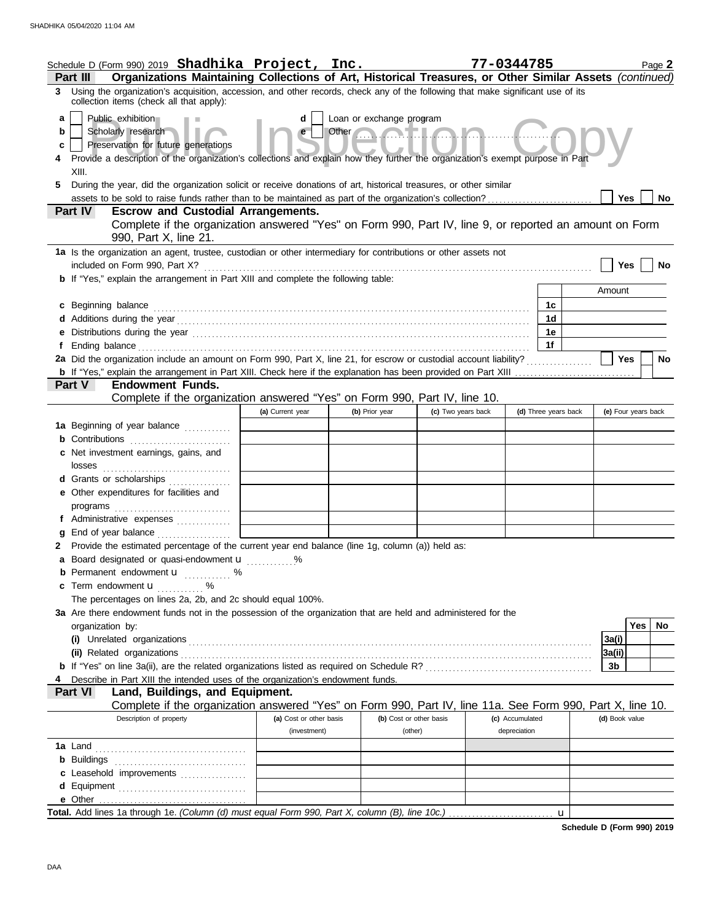|                   | Schedule D (Form 990) 2019 Shadhika Project, Inc.                                                                                                                                                                                                                                                                                                                                          |                         |                                                         |                    | 77-0344785           | Page 2              |
|-------------------|--------------------------------------------------------------------------------------------------------------------------------------------------------------------------------------------------------------------------------------------------------------------------------------------------------------------------------------------------------------------------------------------|-------------------------|---------------------------------------------------------|--------------------|----------------------|---------------------|
| 3                 | Organizations Maintaining Collections of Art, Historical Treasures, or Other Similar Assets (continued)<br>Part III<br>Using the organization's acquisition, accession, and other records, check any of the following that make significant use of its                                                                                                                                     |                         |                                                         |                    |                      |                     |
| a<br>b<br>c<br>5. | collection items (check all that apply):<br>Public exhibition<br>Scholarly research<br>Preservation for future generations<br>Provide a description of the organization's collections and explain how they further the organization's exempt purpose in Part<br>XIII.<br>During the year, did the organization solicit or receive donations of art, historical treasures, or other similar | d<br>e                  | Loan or exchange program<br>Other <b>Contract Lines</b> |                    |                      |                     |
|                   | assets to be sold to raise funds rather than to be maintained as part of the organization's collection?                                                                                                                                                                                                                                                                                    |                         |                                                         |                    |                      | Yes<br>No           |
|                   | Part IV<br><b>Escrow and Custodial Arrangements.</b><br>Complete if the organization answered "Yes" on Form 990, Part IV, line 9, or reported an amount on Form<br>990, Part X, line 21.                                                                                                                                                                                                   |                         |                                                         |                    |                      |                     |
|                   | 1a Is the organization an agent, trustee, custodian or other intermediary for contributions or other assets not                                                                                                                                                                                                                                                                            |                         |                                                         |                    |                      |                     |
|                   | included on Form 990, Part X?<br><b>b</b> If "Yes," explain the arrangement in Part XIII and complete the following table:                                                                                                                                                                                                                                                                 |                         |                                                         |                    |                      | Yes<br>No           |
|                   |                                                                                                                                                                                                                                                                                                                                                                                            |                         |                                                         |                    |                      | Amount              |
|                   | c Beginning balance                                                                                                                                                                                                                                                                                                                                                                        |                         |                                                         |                    | 1c                   |                     |
|                   |                                                                                                                                                                                                                                                                                                                                                                                            |                         |                                                         |                    | 1 <sub>d</sub>       |                     |
|                   | e Distributions during the year manufactured contains and the year manufactured with the set of the set of the                                                                                                                                                                                                                                                                             |                         |                                                         |                    | 1e                   |                     |
| f                 |                                                                                                                                                                                                                                                                                                                                                                                            |                         |                                                         |                    | 1f                   |                     |
|                   | 2a Did the organization include an amount on Form 990, Part X, line 21, for escrow or custodial account liability?                                                                                                                                                                                                                                                                         |                         |                                                         |                    |                      | <b>Yes</b><br>No    |
|                   | <b>Endowment Funds.</b><br>Part V                                                                                                                                                                                                                                                                                                                                                          |                         |                                                         |                    |                      |                     |
|                   | Complete if the organization answered "Yes" on Form 990, Part IV, line 10.                                                                                                                                                                                                                                                                                                                 |                         |                                                         |                    |                      |                     |
|                   |                                                                                                                                                                                                                                                                                                                                                                                            | (a) Current year        | (b) Prior year                                          | (c) Two years back | (d) Three years back | (e) Four years back |
|                   | 1a Beginning of year balance                                                                                                                                                                                                                                                                                                                                                               |                         |                                                         |                    |                      |                     |
|                   | <b>b</b> Contributions                                                                                                                                                                                                                                                                                                                                                                     |                         |                                                         |                    |                      |                     |
|                   | c Net investment earnings, gains, and<br>losses                                                                                                                                                                                                                                                                                                                                            |                         |                                                         |                    |                      |                     |
|                   | d Grants or scholarships                                                                                                                                                                                                                                                                                                                                                                   |                         |                                                         |                    |                      |                     |
|                   | e Other expenditures for facilities and                                                                                                                                                                                                                                                                                                                                                    |                         |                                                         |                    |                      |                     |
|                   |                                                                                                                                                                                                                                                                                                                                                                                            |                         |                                                         |                    |                      |                     |
|                   | f Administrative expenses                                                                                                                                                                                                                                                                                                                                                                  |                         |                                                         |                    |                      |                     |
| g<br>2            | Provide the estimated percentage of the current year end balance (line 1g, column (a)) held as:                                                                                                                                                                                                                                                                                            |                         |                                                         |                    |                      |                     |
|                   | a Board designated or quasi-endowment <b>u</b> %                                                                                                                                                                                                                                                                                                                                           |                         |                                                         |                    |                      |                     |
|                   | <b>b</b> Permanent endowment <b>u</b> %                                                                                                                                                                                                                                                                                                                                                    |                         |                                                         |                    |                      |                     |
|                   | <b>c</b> Term endowment $\mathbf{u}$                                                                                                                                                                                                                                                                                                                                                       |                         |                                                         |                    |                      |                     |
|                   | The percentages on lines 2a, 2b, and 2c should equal 100%.                                                                                                                                                                                                                                                                                                                                 |                         |                                                         |                    |                      |                     |
|                   | 3a Are there endowment funds not in the possession of the organization that are held and administered for the                                                                                                                                                                                                                                                                              |                         |                                                         |                    |                      |                     |
|                   | organization by:                                                                                                                                                                                                                                                                                                                                                                           |                         |                                                         |                    |                      | <b>Yes</b><br>No    |
|                   |                                                                                                                                                                                                                                                                                                                                                                                            |                         |                                                         |                    |                      | 3a(i)               |
|                   |                                                                                                                                                                                                                                                                                                                                                                                            |                         |                                                         |                    |                      | 3a(ii)              |
|                   | Describe in Part XIII the intended uses of the organization's endowment funds.                                                                                                                                                                                                                                                                                                             |                         |                                                         |                    |                      | 3b                  |
|                   | Land, Buildings, and Equipment.<br><b>Part VI</b>                                                                                                                                                                                                                                                                                                                                          |                         |                                                         |                    |                      |                     |
|                   | Complete if the organization answered "Yes" on Form 990, Part IV, line 11a. See Form 990, Part X, line 10.                                                                                                                                                                                                                                                                                 |                         |                                                         |                    |                      |                     |
|                   | Description of property                                                                                                                                                                                                                                                                                                                                                                    | (a) Cost or other basis | (b) Cost or other basis                                 |                    | (c) Accumulated      | (d) Book value      |
|                   |                                                                                                                                                                                                                                                                                                                                                                                            | (investment)            | (other)                                                 |                    | depreciation         |                     |
|                   |                                                                                                                                                                                                                                                                                                                                                                                            |                         |                                                         |                    |                      |                     |
|                   |                                                                                                                                                                                                                                                                                                                                                                                            |                         |                                                         |                    |                      |                     |
|                   | c Leasehold improvements                                                                                                                                                                                                                                                                                                                                                                   |                         |                                                         |                    |                      |                     |
|                   | d Equipment                                                                                                                                                                                                                                                                                                                                                                                |                         |                                                         |                    |                      |                     |
|                   |                                                                                                                                                                                                                                                                                                                                                                                            |                         |                                                         |                    | $\mathbf{u}$         |                     |

**Schedule D (Form 990) 2019**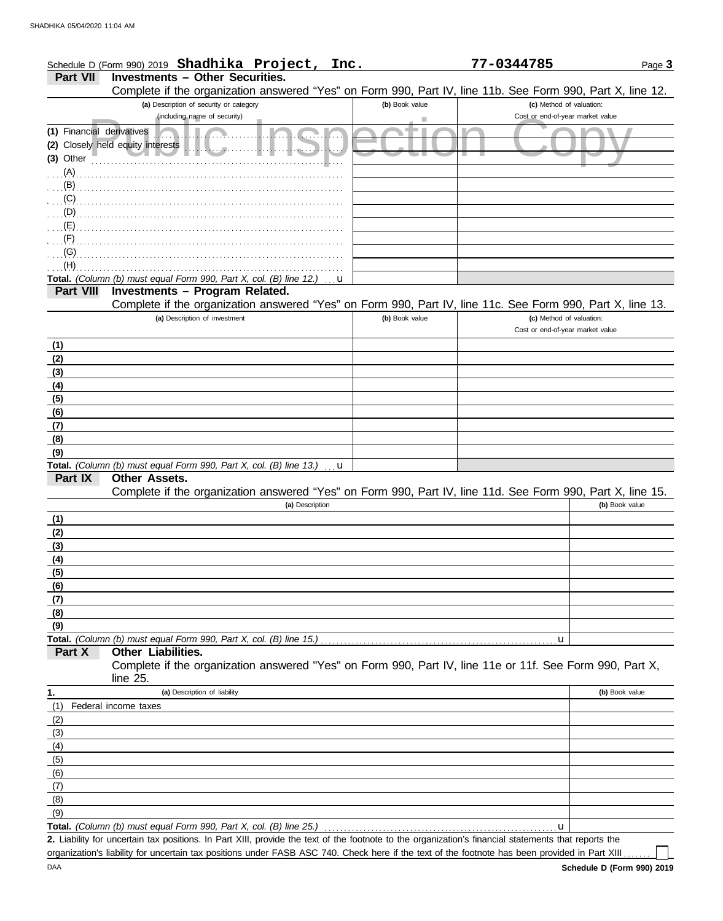| Schedule D (Form 990) 2019 Shadhika Project, Inc.                                                          |  | 77-0344785 |                                                     | Page 3 |
|------------------------------------------------------------------------------------------------------------|--|------------|-----------------------------------------------------|--------|
| Part VII Investments - Other Securities.                                                                   |  |            |                                                     |        |
| Complete if the organization answered "Yes" on Form 990, Part IV, line 11b. See Form 990, Part X, line 12. |  |            |                                                     |        |
|                                                                                                            |  |            | $f = 1$ . A $f = 1$ $f = 1$ and $f = 1$ and $f = 1$ |        |

|                           | (a) Description of security or category                                                                                                              | (b) Book value | (c) Method of valuation:         |                |
|---------------------------|------------------------------------------------------------------------------------------------------------------------------------------------------|----------------|----------------------------------|----------------|
|                           | (including name of security)                                                                                                                         |                | Cost or end-of-year market value |                |
| (1) Financial derivatives |                                                                                                                                                      |                |                                  |                |
|                           | (2) Closely held equity interests<br>.                                                                                                               |                |                                  |                |
| (3) Other                 |                                                                                                                                                      |                |                                  |                |
| $\ldots$ (A).             |                                                                                                                                                      |                |                                  |                |
| $(B)$ .                   |                                                                                                                                                      |                |                                  |                |
| (C)                       |                                                                                                                                                      |                |                                  |                |
| (D)                       |                                                                                                                                                      |                |                                  |                |
| (E)<br>$(F)$ .            |                                                                                                                                                      |                |                                  |                |
| (G)                       |                                                                                                                                                      |                |                                  |                |
| (H)                       |                                                                                                                                                      |                |                                  |                |
|                           | Total. (Column (b) must equal Form 990, Part X, col. (B) line 12.)<br>u                                                                              |                |                                  |                |
| <b>Part VIII</b>          | Investments - Program Related.                                                                                                                       |                |                                  |                |
|                           | Complete if the organization answered "Yes" on Form 990, Part IV, line 11c. See Form 990, Part X, line 13.                                           |                |                                  |                |
|                           | (a) Description of investment                                                                                                                        | (b) Book value | (c) Method of valuation:         |                |
|                           |                                                                                                                                                      |                | Cost or end-of-year market value |                |
| (1)                       |                                                                                                                                                      |                |                                  |                |
| (2)                       |                                                                                                                                                      |                |                                  |                |
| (3)                       |                                                                                                                                                      |                |                                  |                |
| (4)                       |                                                                                                                                                      |                |                                  |                |
| (5)                       |                                                                                                                                                      |                |                                  |                |
| (6)                       |                                                                                                                                                      |                |                                  |                |
| (7)                       |                                                                                                                                                      |                |                                  |                |
| (8)                       |                                                                                                                                                      |                |                                  |                |
| (9)                       |                                                                                                                                                      |                |                                  |                |
|                           | Total. (Column (b) must equal Form 990, Part X, col. (B) line 13.)<br>u                                                                              |                |                                  |                |
| Part IX                   | Other Assets.                                                                                                                                        |                |                                  |                |
|                           | Complete if the organization answered "Yes" on Form 990, Part IV, line 11d. See Form 990, Part X, line 15.<br>(a) Description                        |                |                                  | (b) Book value |
|                           |                                                                                                                                                      |                |                                  |                |
| (1)<br>(2)                |                                                                                                                                                      |                |                                  |                |
| (3)                       |                                                                                                                                                      |                |                                  |                |
| (4)                       |                                                                                                                                                      |                |                                  |                |
| (5)                       |                                                                                                                                                      |                |                                  |                |
| (6)                       |                                                                                                                                                      |                |                                  |                |
| (7)                       |                                                                                                                                                      |                |                                  |                |
| (8)                       |                                                                                                                                                      |                |                                  |                |
| (9)                       |                                                                                                                                                      |                |                                  |                |
|                           | Total. (Column (b) must equal Form 990, Part X, col. (B) line 15.)                                                                                   |                | u                                |                |
| Part X                    | Other Liabilities.                                                                                                                                   |                |                                  |                |
|                           | Complete if the organization answered "Yes" on Form 990, Part IV, line 11e or 11f. See Form 990, Part X,                                             |                |                                  |                |
|                           | line $25$ .                                                                                                                                          |                |                                  |                |
| 1.                        | (a) Description of liability                                                                                                                         |                |                                  | (b) Book value |
| (1)                       | Federal income taxes                                                                                                                                 |                |                                  |                |
| (2)                       |                                                                                                                                                      |                |                                  |                |
| (3)                       |                                                                                                                                                      |                |                                  |                |
| (4)                       |                                                                                                                                                      |                |                                  |                |
| (5)                       |                                                                                                                                                      |                |                                  |                |
| (6)                       |                                                                                                                                                      |                |                                  |                |
| (7)                       |                                                                                                                                                      |                |                                  |                |
| (8)<br>(9)                |                                                                                                                                                      |                |                                  |                |
|                           | Total. (Column (b) must equal Form 990, Part X, col. (B) line 25.)                                                                                   |                | u                                |                |
|                           | 2. Liability for uncertain tax positions. In Part XIII, provide the text of the footnote to the organization's financial statements that reports the |                |                                  |                |

organization's liability for uncertain tax positions under FASB ASC 740. Check here if the text of the footnote has been provided in Part XIII . . . . . .

 $\Box$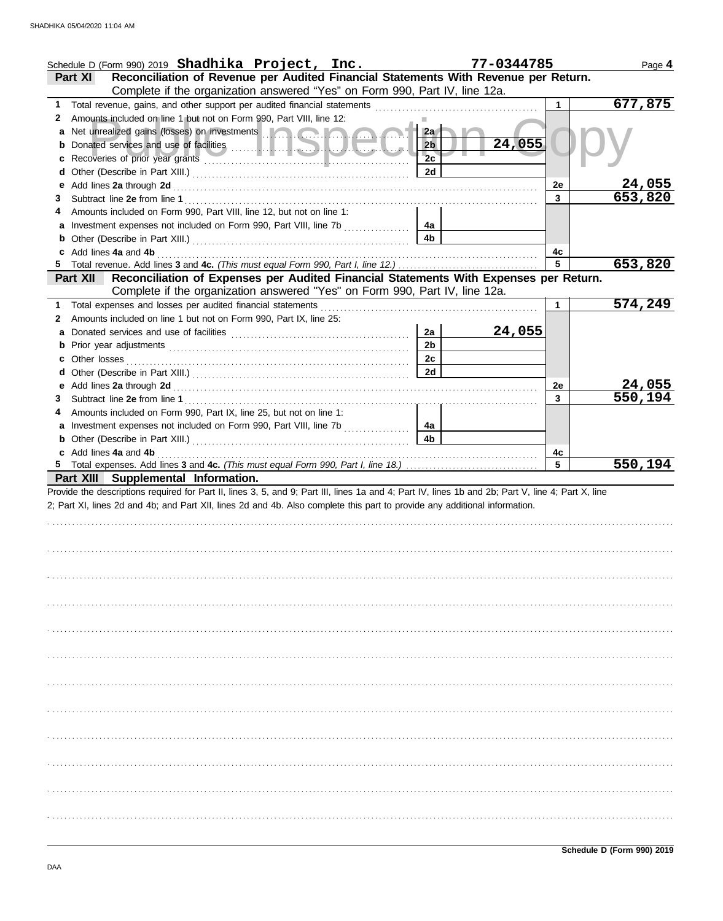|    | Schedule D (Form 990) 2019 Shadhika Project, Inc.                                                                                                                                                                                    |                | 77-0344785 |    | Page 4  |
|----|--------------------------------------------------------------------------------------------------------------------------------------------------------------------------------------------------------------------------------------|----------------|------------|----|---------|
|    | Reconciliation of Revenue per Audited Financial Statements With Revenue per Return.<br>Part XI                                                                                                                                       |                |            |    |         |
| 1. | Complete if the organization answered "Yes" on Form 990, Part IV, line 12a.                                                                                                                                                          |                |            |    | 677,875 |
| 2  | Amounts included on line 1 but not on Form 990, Part VIII, line 12:                                                                                                                                                                  |                |            |    |         |
| a  | Net unrealized gains (losses) on investments <b>and a state of the state of the state of the state of the state of the state of the state of the state of the state of the state of the state of the state of the state of the s</b> | 2a             |            |    |         |
|    |                                                                                                                                                                                                                                      | 2 <sub>b</sub> | 24,055     |    |         |
| c  |                                                                                                                                                                                                                                      | 2c             |            |    |         |
| d  |                                                                                                                                                                                                                                      | 2d             |            |    |         |
| е  |                                                                                                                                                                                                                                      |                |            | 2e | 24,055  |
| 3  |                                                                                                                                                                                                                                      |                |            | 3  | 653,820 |
|    | Amounts included on Form 990, Part VIII, line 12, but not on line 1:                                                                                                                                                                 |                |            |    |         |
|    | a Investment expenses not included on Form 990, Part VIII, line 7b                                                                                                                                                                   | 4a             |            |    |         |
|    | <b>b</b> Other (Describe in Part XIII.) <b>CONSIDENT DESCRIPTION</b>                                                                                                                                                                 | 4 <sub>b</sub> |            |    |         |
| c  |                                                                                                                                                                                                                                      |                |            | 4с |         |
|    | 5 Total revenue. Add lines 3 and 4c. (This must equal Form 990, Part I, line 12.)                                                                                                                                                    |                |            | 5  | 653,820 |
|    | Reconciliation of Expenses per Audited Financial Statements With Expenses per Return.<br><b>Part XII</b>                                                                                                                             |                |            |    |         |
|    | Complete if the organization answered "Yes" on Form 990, Part IV, line 12a.                                                                                                                                                          |                |            |    |         |
| 1. |                                                                                                                                                                                                                                      |                |            | 1  | 574,249 |
| 2  | Amounts included on line 1 but not on Form 990, Part IX, line 25:                                                                                                                                                                    | 2a             |            |    |         |
| a  |                                                                                                                                                                                                                                      | 2 <sub>b</sub> | 24,055     |    |         |
| c  |                                                                                                                                                                                                                                      | 2c             |            |    |         |
| d  |                                                                                                                                                                                                                                      | 2d             |            |    |         |
| е  |                                                                                                                                                                                                                                      |                |            | 2e | 24,055  |
| 3  |                                                                                                                                                                                                                                      |                |            | 3  | 550,194 |
|    | Amounts included on Form 990, Part IX, line 25, but not on line 1:                                                                                                                                                                   |                |            |    |         |
|    |                                                                                                                                                                                                                                      | 4a             |            |    |         |
|    |                                                                                                                                                                                                                                      | 4 <sub>b</sub> |            |    |         |
|    | c Add lines 4a and 4b (a) and the contract of the contract of the contract of the contract of the contract of the contract of the contract of the contract of the contract of the contract of the contract of the contract of        |                |            | 4с |         |
|    |                                                                                                                                                                                                                                      |                |            | 5  | 550,194 |
|    | Part XIII Supplemental Information.                                                                                                                                                                                                  |                |            |    |         |
|    | Provide the descriptions required for Part II, lines 3, 5, and 9; Part III, lines 1a and 4; Part IV, lines 1b and 2b; Part V, line 4; Part X, line                                                                                   |                |            |    |         |
|    | 2; Part XI, lines 2d and 4b; and Part XII, lines 2d and 4b. Also complete this part to provide any additional information.                                                                                                           |                |            |    |         |
|    |                                                                                                                                                                                                                                      |                |            |    |         |
|    |                                                                                                                                                                                                                                      |                |            |    |         |
|    |                                                                                                                                                                                                                                      |                |            |    |         |
|    |                                                                                                                                                                                                                                      |                |            |    |         |
|    |                                                                                                                                                                                                                                      |                |            |    |         |
|    |                                                                                                                                                                                                                                      |                |            |    |         |
|    |                                                                                                                                                                                                                                      |                |            |    |         |
|    |                                                                                                                                                                                                                                      |                |            |    |         |
|    |                                                                                                                                                                                                                                      |                |            |    |         |
|    |                                                                                                                                                                                                                                      |                |            |    |         |
|    |                                                                                                                                                                                                                                      |                |            |    |         |
|    |                                                                                                                                                                                                                                      |                |            |    |         |
|    |                                                                                                                                                                                                                                      |                |            |    |         |
|    |                                                                                                                                                                                                                                      |                |            |    |         |
|    |                                                                                                                                                                                                                                      |                |            |    |         |
|    |                                                                                                                                                                                                                                      |                |            |    |         |
|    |                                                                                                                                                                                                                                      |                |            |    |         |
|    |                                                                                                                                                                                                                                      |                |            |    |         |
|    |                                                                                                                                                                                                                                      |                |            |    |         |
|    |                                                                                                                                                                                                                                      |                |            |    |         |
|    |                                                                                                                                                                                                                                      |                |            |    |         |
|    |                                                                                                                                                                                                                                      |                |            |    |         |
|    |                                                                                                                                                                                                                                      |                |            |    |         |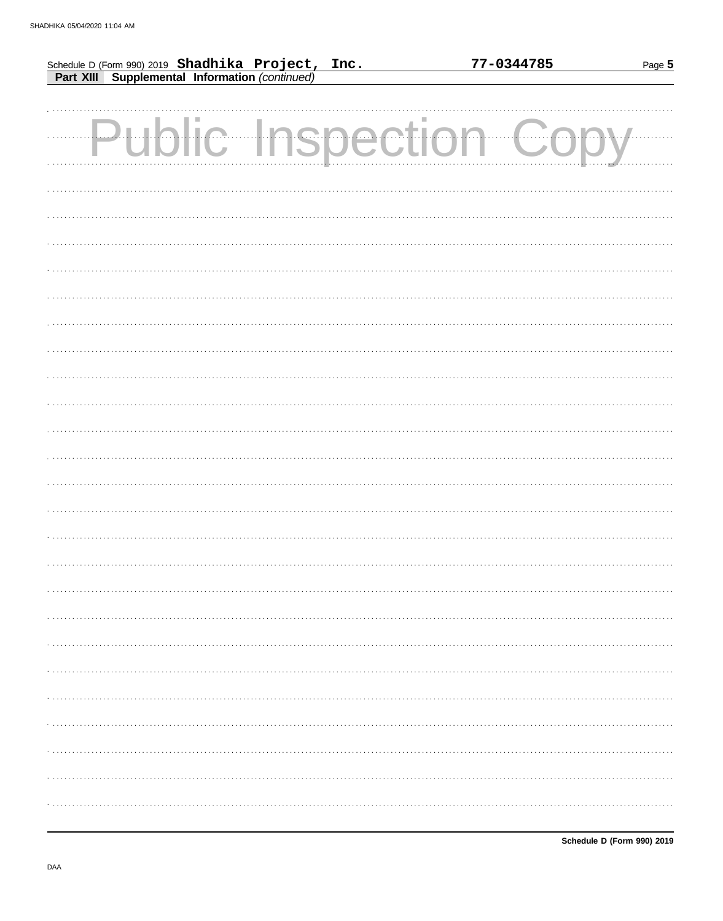|                                                                                                     |            |  | 77-0344785 | Page 5 |
|-----------------------------------------------------------------------------------------------------|------------|--|------------|--------|
| Schedule D (Form 990) 2019 Shadhika Project, Inc.<br>Part XIII Supplemental Information (continued) |            |  |            |        |
|                                                                                                     |            |  |            |        |
|                                                                                                     |            |  |            |        |
|                                                                                                     | c Inspecti |  | $\cdots$   |        |
|                                                                                                     |            |  |            |        |
|                                                                                                     |            |  |            |        |
|                                                                                                     |            |  |            |        |
|                                                                                                     |            |  |            |        |
|                                                                                                     |            |  |            |        |
|                                                                                                     |            |  |            |        |
|                                                                                                     |            |  |            |        |
|                                                                                                     |            |  |            |        |
|                                                                                                     |            |  |            |        |
|                                                                                                     |            |  |            |        |
|                                                                                                     |            |  |            |        |
|                                                                                                     |            |  |            |        |
|                                                                                                     |            |  |            |        |
|                                                                                                     |            |  |            |        |
|                                                                                                     |            |  |            |        |
|                                                                                                     |            |  |            |        |
|                                                                                                     |            |  |            |        |
|                                                                                                     |            |  |            |        |
|                                                                                                     |            |  |            |        |
|                                                                                                     |            |  |            |        |
|                                                                                                     |            |  |            |        |
|                                                                                                     |            |  |            |        |
|                                                                                                     |            |  |            |        |
|                                                                                                     |            |  |            |        |
|                                                                                                     |            |  |            |        |
|                                                                                                     |            |  |            |        |
|                                                                                                     |            |  |            |        |
|                                                                                                     |            |  |            |        |
|                                                                                                     |            |  |            |        |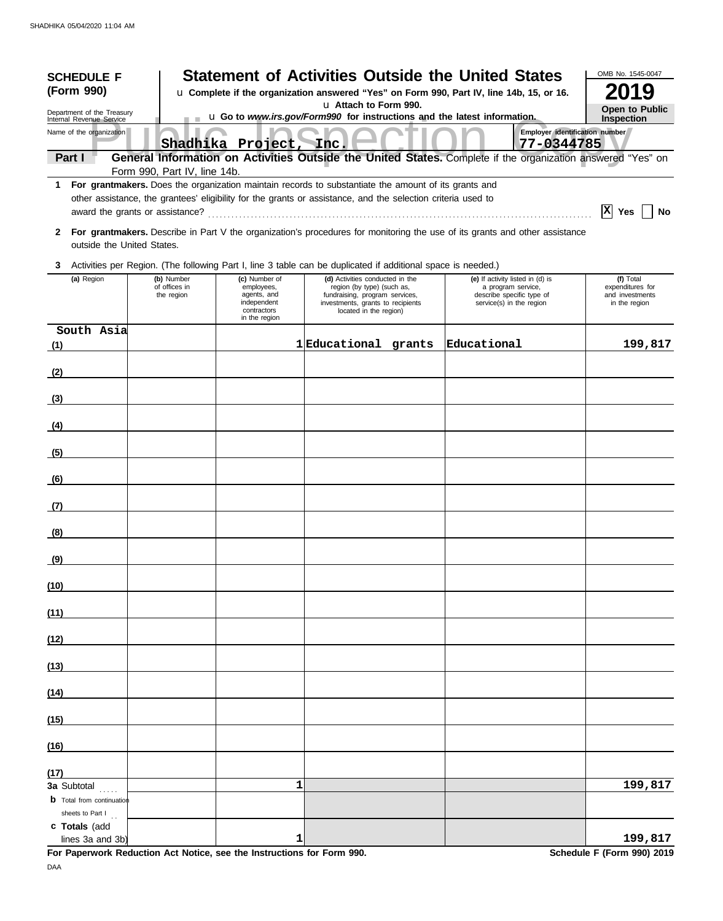| <b>SCHEDULE F</b><br>(Form 990)                        |                                                                                                   |                                                                                           |                                                                                                                                                                | <b>Statement of Activities Outside the United States</b><br>u Complete if the organization answered "Yes" on Form 990, Part IV, line 14b, 15, or 16. | OMB No. 1545-0047<br>019                                          |  |  |  |  |
|--------------------------------------------------------|---------------------------------------------------------------------------------------------------|-------------------------------------------------------------------------------------------|----------------------------------------------------------------------------------------------------------------------------------------------------------------|------------------------------------------------------------------------------------------------------------------------------------------------------|-------------------------------------------------------------------|--|--|--|--|
| Department of the Treasury<br>Internal Revenue Service | u Attach to Form 990.<br>u Go to www.irs.gov/Form990 for instructions and the latest information. |                                                                                           |                                                                                                                                                                |                                                                                                                                                      |                                                                   |  |  |  |  |
| Name of the organization                               |                                                                                                   | Shadhika Project,                                                                         |                                                                                                                                                                | 77-0344785                                                                                                                                           | Employer identification number                                    |  |  |  |  |
| Part I                                                 |                                                                                                   |                                                                                           | Inc.                                                                                                                                                           | General Information on Activities Outside the United States. Complete if the organization answered "Yes" on                                          |                                                                   |  |  |  |  |
| 1.                                                     | Form 990, Part IV, line 14b.                                                                      |                                                                                           | For grantmakers. Does the organization maintain records to substantiate the amount of its grants and                                                           |                                                                                                                                                      |                                                                   |  |  |  |  |
|                                                        |                                                                                                   |                                                                                           | other assistance, the grantees' eligibility for the grants or assistance, and the selection criteria used to                                                   |                                                                                                                                                      | $ X $ Yes<br>No                                                   |  |  |  |  |
| outside the United States.                             |                                                                                                   |                                                                                           |                                                                                                                                                                | 2 For grantmakers. Describe in Part V the organization's procedures for monitoring the use of its grants and other assistance                        |                                                                   |  |  |  |  |
| 3                                                      |                                                                                                   |                                                                                           | Activities per Region. (The following Part I, line 3 table can be duplicated if additional space is needed.)                                                   |                                                                                                                                                      |                                                                   |  |  |  |  |
| (a) Region                                             | (b) Number<br>of offices in<br>the region                                                         | (c) Number of<br>employees,<br>agents, and<br>independent<br>contractors<br>in the region | (d) Activities conducted in the<br>region (by type) (such as,<br>fundraising, program services,<br>investments, grants to recipients<br>located in the region) | (e) If activity listed in (d) is<br>a program service,<br>describe specific type of<br>service(s) in the region                                      | (f) Total<br>expenditures for<br>and investments<br>in the region |  |  |  |  |
| South Asia<br>(1)                                      |                                                                                                   |                                                                                           | 1 Educational grants                                                                                                                                           | Educational                                                                                                                                          | 199,817                                                           |  |  |  |  |
| (2)                                                    |                                                                                                   |                                                                                           |                                                                                                                                                                |                                                                                                                                                      |                                                                   |  |  |  |  |
| (3)                                                    |                                                                                                   |                                                                                           |                                                                                                                                                                |                                                                                                                                                      |                                                                   |  |  |  |  |
| (4)                                                    |                                                                                                   |                                                                                           |                                                                                                                                                                |                                                                                                                                                      |                                                                   |  |  |  |  |
| (5)                                                    |                                                                                                   |                                                                                           |                                                                                                                                                                |                                                                                                                                                      |                                                                   |  |  |  |  |
| (6)                                                    |                                                                                                   |                                                                                           |                                                                                                                                                                |                                                                                                                                                      |                                                                   |  |  |  |  |
| (7)                                                    |                                                                                                   |                                                                                           |                                                                                                                                                                |                                                                                                                                                      |                                                                   |  |  |  |  |
| (8)                                                    |                                                                                                   |                                                                                           |                                                                                                                                                                |                                                                                                                                                      |                                                                   |  |  |  |  |
| <u>(9)</u>                                             |                                                                                                   |                                                                                           |                                                                                                                                                                |                                                                                                                                                      |                                                                   |  |  |  |  |
| (10)                                                   |                                                                                                   |                                                                                           |                                                                                                                                                                |                                                                                                                                                      |                                                                   |  |  |  |  |
| (11)                                                   |                                                                                                   |                                                                                           |                                                                                                                                                                |                                                                                                                                                      |                                                                   |  |  |  |  |
| (12)                                                   |                                                                                                   |                                                                                           |                                                                                                                                                                |                                                                                                                                                      |                                                                   |  |  |  |  |
| (13)                                                   |                                                                                                   |                                                                                           |                                                                                                                                                                |                                                                                                                                                      |                                                                   |  |  |  |  |
| (14)                                                   |                                                                                                   |                                                                                           |                                                                                                                                                                |                                                                                                                                                      |                                                                   |  |  |  |  |
| (15)                                                   |                                                                                                   |                                                                                           |                                                                                                                                                                |                                                                                                                                                      |                                                                   |  |  |  |  |
| (16)                                                   |                                                                                                   |                                                                                           |                                                                                                                                                                |                                                                                                                                                      |                                                                   |  |  |  |  |
| (17)<br>3a Subtotal                                    |                                                                                                   | 1                                                                                         |                                                                                                                                                                |                                                                                                                                                      | 199,817                                                           |  |  |  |  |
| <b>b</b> Total from continuation<br>sheets to Part $I$ |                                                                                                   |                                                                                           |                                                                                                                                                                |                                                                                                                                                      |                                                                   |  |  |  |  |
| c Totals (add<br>lines 3a and 3b                       |                                                                                                   | 1                                                                                         |                                                                                                                                                                |                                                                                                                                                      | 199,817                                                           |  |  |  |  |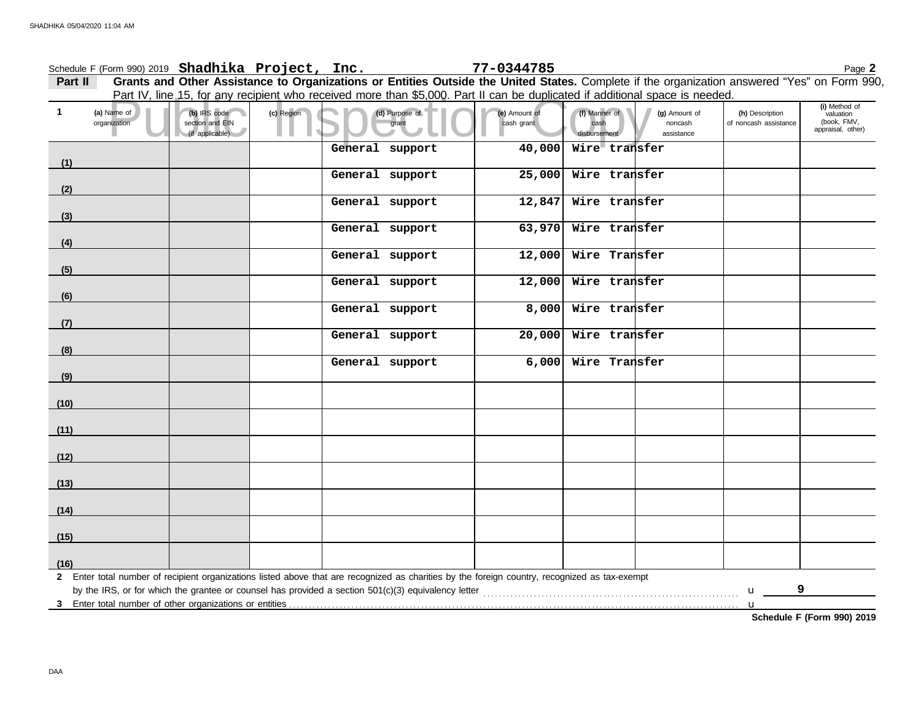## Part IV, line 15, for any recipient who received more than \$5,000. Part II can be duplicated if additional space is needed.<br>
(a) Purpose of the Amount of the Amount of the Amount of the Amount of the Amount of the Amount o **(h)** Description noncash of noncash assistance **(a)** Name of **(b)** IRS code **(c)** Region **(d)** Purpose of **(e)** Amount of **(f)** Manner of **(g)** Amount of section and EIN grant cash grant cash grant cash grant cash grant cash grant cash grant cash grant cash grant cash grant cash grant cash grant cash grant cash grant cash grant cash grant cash grant cash grant cash grant ca disbursement **1 Part II Grants and Other Assistance to Organizations or Entities Outside the United States.** Complete if the organization answered "Yes" on Form 990, Schedule F (Form 990) 2019 Page **2 Shadhika Project, Inc. 77-0344785 2** Enter total number of recipient organizations listed above that are recognized as charities by the foreign country, recognized as tax-exempt **3** Enter total number of other organizations or entities . . . . . . . . . . . . . . . . . . . . . . . . . . . . . . . . . . . . . . . . . . . . . . . . . . . . . . . . . . . . . . . . . . . . . . . . . . . . . . . . . . . . . . . . . . . . . . . . . . . . . . . . . . . . . . . . . . . . by the IRS, or for which the grantee or counsel has provided a section 501(c)(3) equivalency letter . . . . . . . . . . . . . . . . . . . . . . . . . . . . . . . . . . . . . . . . . . . . . . . . . . . . . . . . . . . . . . . . . .  $\mathbf{u}$   $\qquad$ u (if applicable) **(16) (15) (14) (13) (12) (11) (10) (9) (8) (7) (6) (5) (4) (3) (2) (1)** appraisal, other) (book, FMV, valuation **(i)** Method of organization assistance **General support 40,000 Wire transfer General support 25,000 Wire transfer General support 12,847 Wire transfer General support 63,970 Wire transfer General support 12,000 Wire Transfer General support 12,000 Wire transfer General support 8,000 Wire transfer General support 20,000 Wire transfer General support 6,000 Wire Transfer 9**

**Schedule F (Form 990) 2019**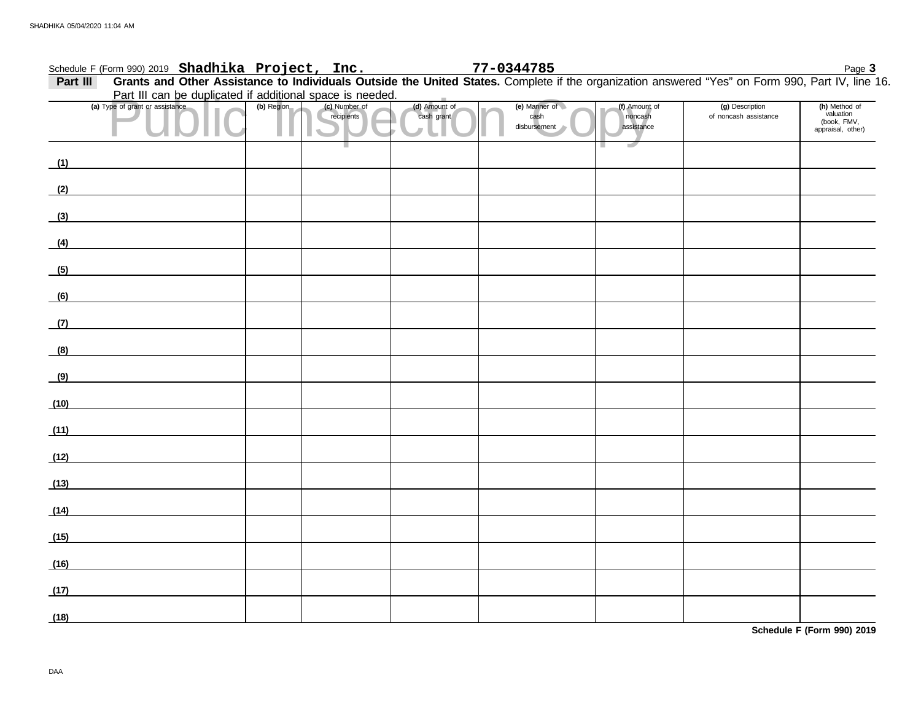|              | Schedule F (Form 990) 2019 Shadhika Project, Inc.                                                                                                |            |                             |                             | 77-0344785                            |                                        |                                          | Page 3                                                         |
|--------------|--------------------------------------------------------------------------------------------------------------------------------------------------|------------|-----------------------------|-----------------------------|---------------------------------------|----------------------------------------|------------------------------------------|----------------------------------------------------------------|
| Part III     | Grants and Other Assistance to Individuals Outside the United States. Complete if the organization answered "Yes" on Form 990, Part IV, line 16. |            |                             |                             |                                       |                                        |                                          |                                                                |
|              | Part III can be duplicated if additional space is needed.                                                                                        |            |                             |                             |                                       |                                        |                                          |                                                                |
|              | (a) Type of grant or assistance                                                                                                                  | (b) Region | (c) Number of<br>recipients | (d) Amount of<br>cash grant | (e) Manner of<br>cash<br>disbursement | (f) Amount of<br>noncash<br>assistance | (g) Description<br>of noncash assistance | (h) Method of<br>valuation<br>(book, FMV,<br>appraisal, other) |
| (1)          |                                                                                                                                                  |            |                             |                             |                                       |                                        |                                          |                                                                |
| (2)          |                                                                                                                                                  |            |                             |                             |                                       |                                        |                                          |                                                                |
| (3)          |                                                                                                                                                  |            |                             |                             |                                       |                                        |                                          |                                                                |
| (4)          |                                                                                                                                                  |            |                             |                             |                                       |                                        |                                          |                                                                |
| (5)          |                                                                                                                                                  |            |                             |                             |                                       |                                        |                                          |                                                                |
| (6)          |                                                                                                                                                  |            |                             |                             |                                       |                                        |                                          |                                                                |
| (7)          |                                                                                                                                                  |            |                             |                             |                                       |                                        |                                          |                                                                |
| (8)          |                                                                                                                                                  |            |                             |                             |                                       |                                        |                                          |                                                                |
| (9)          |                                                                                                                                                  |            |                             |                             |                                       |                                        |                                          |                                                                |
| (10)         |                                                                                                                                                  |            |                             |                             |                                       |                                        |                                          |                                                                |
| (11)         |                                                                                                                                                  |            |                             |                             |                                       |                                        |                                          |                                                                |
| (12)         |                                                                                                                                                  |            |                             |                             |                                       |                                        |                                          |                                                                |
| (13)         |                                                                                                                                                  |            |                             |                             |                                       |                                        |                                          |                                                                |
| (14)         |                                                                                                                                                  |            |                             |                             |                                       |                                        |                                          |                                                                |
| (15)         |                                                                                                                                                  |            |                             |                             |                                       |                                        |                                          |                                                                |
| (16)         |                                                                                                                                                  |            |                             |                             |                                       |                                        |                                          |                                                                |
| (17)<br>(18) |                                                                                                                                                  |            |                             |                             |                                       |                                        |                                          |                                                                |

**Schedule F (Form 990) 2019**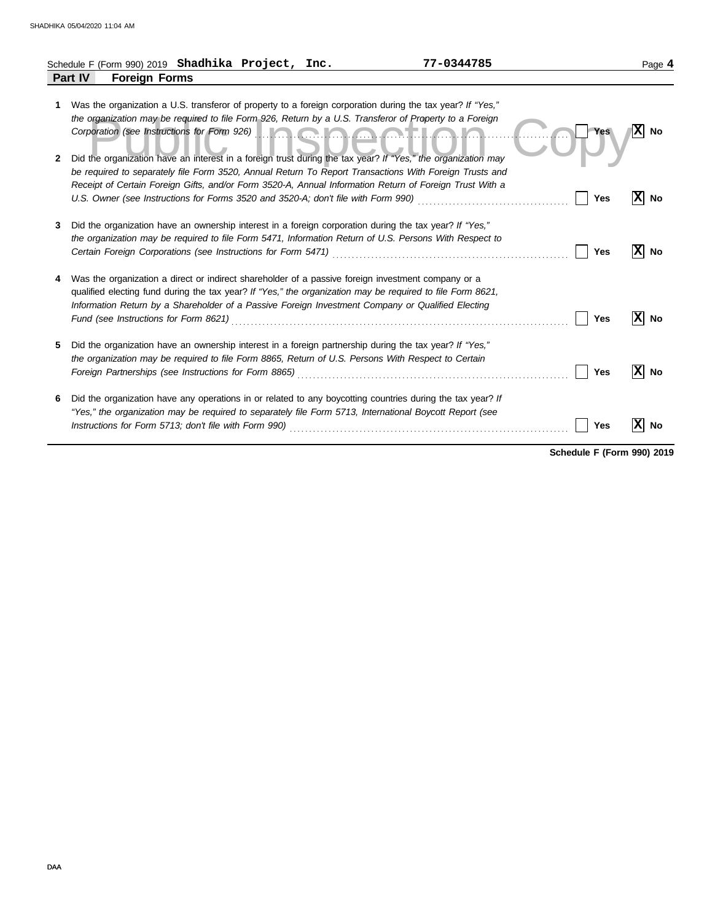|        | 77-0344785<br>Schedule F (Form 990) 2019 Shadhika Project, Inc.                                                                                                                                                                                                                                                                                                                                                                     |            | Page 4          |
|--------|-------------------------------------------------------------------------------------------------------------------------------------------------------------------------------------------------------------------------------------------------------------------------------------------------------------------------------------------------------------------------------------------------------------------------------------|------------|-----------------|
|        | Part IV<br><b>Foreign Forms</b>                                                                                                                                                                                                                                                                                                                                                                                                     |            |                 |
| 1<br>2 | Was the organization a U.S. transferor of property to a foreign corporation during the tax year? If "Yes,"<br>the organization may be required to file Form 926, Return by a U.S. Transferor of Property to a Foreign<br>Corporation (see Instructions for Form 926) <b>The Corporation Corporation Corporation</b><br>Did the organization have an interest in a foreign trust during the tax year? If "Yes," the organization may | <b>Yes</b> | X <br><b>No</b> |
|        | be required to separately file Form 3520, Annual Return To Report Transactions With Foreign Trusts and<br>Receipt of Certain Foreign Gifts, and/or Form 3520-A, Annual Information Return of Foreign Trust With a                                                                                                                                                                                                                   | Yes        | X<br>No         |
| 3      | Did the organization have an ownership interest in a foreign corporation during the tax year? If "Yes,"<br>the organization may be required to file Form 5471, Information Return of U.S. Persons With Respect to<br>Certain Foreign Corporations (see Instructions for Form 5471)                                                                                                                                                  | <b>Yes</b> | X<br>No         |
| 4      | Was the organization a direct or indirect shareholder of a passive foreign investment company or a<br>qualified electing fund during the tax year? If "Yes," the organization may be required to file Form 8621,<br>Information Return by a Shareholder of a Passive Foreign Investment Company or Qualified Electing                                                                                                               | Yes        | X<br>No         |
| 5      | Did the organization have an ownership interest in a foreign partnership during the tax year? If "Yes,"<br>the organization may be required to file Form 8865, Return of U.S. Persons With Respect to Certain<br>Foreign Partnerships (see Instructions for Form 8865) [11] Consumer Consumer Consumer Consumer Consumer Consum                                                                                                     | Yes        | x <br>No        |
| 6      | Did the organization have any operations in or related to any boycotting countries during the tax year? If<br>"Yes," the organization may be required to separately file Form 5713, International Boycott Report (see<br>Instructions for Form 5713; don't file with Form 990)                                                                                                                                                      | Yes        | <b>No</b>       |

**Schedule F (Form 990) 2019**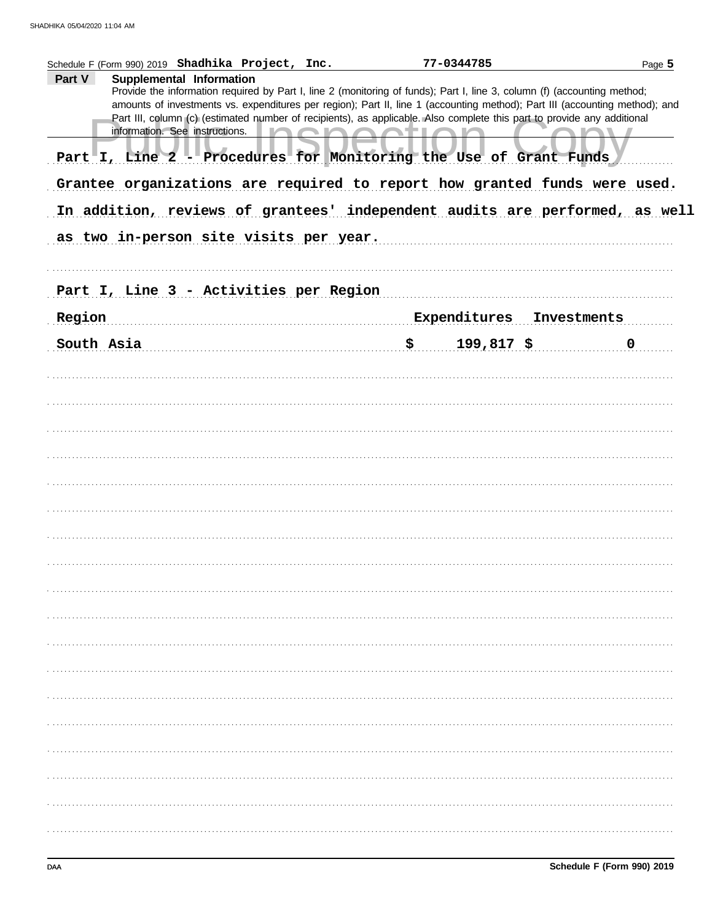|        | Schedule F (Form 990) 2019 Shadhika Project, Inc.                           | 77-0344785                                                                                                                                                                                                                                             | Page 5      |
|--------|-----------------------------------------------------------------------------|--------------------------------------------------------------------------------------------------------------------------------------------------------------------------------------------------------------------------------------------------------|-------------|
| Part V | Supplemental Information                                                    | Provide the information required by Part I, line 2 (monitoring of funds); Part I, line 3, column (f) (accounting method;                                                                                                                               |             |
|        |                                                                             | amounts of investments vs. expenditures per region); Part II, line 1 (accounting method); Part III (accounting method); and<br>Part III, column (c) (estimated number of recipients), as applicable. Also complete this part to provide any additional |             |
|        | information. See instructions.                                              |                                                                                                                                                                                                                                                        |             |
|        | Part I, Line 2 - Procedures for Monitoring the Use of Grant Funds           |                                                                                                                                                                                                                                                        |             |
|        | Grantee organizations are required to report how granted funds were used.   |                                                                                                                                                                                                                                                        |             |
|        | In addition, reviews of grantees' independent audits are performed, as well |                                                                                                                                                                                                                                                        |             |
|        | as two in-person site visits per year.                                      |                                                                                                                                                                                                                                                        |             |
|        | Part I, Line 3 - Activities per Region                                      |                                                                                                                                                                                                                                                        |             |
| Region |                                                                             | Expenditures                                                                                                                                                                                                                                           | Investments |
|        | South Asia                                                                  | 199,817 \$<br>\$                                                                                                                                                                                                                                       | $\mathbf 0$ |
|        |                                                                             |                                                                                                                                                                                                                                                        |             |
|        |                                                                             |                                                                                                                                                                                                                                                        |             |
|        |                                                                             |                                                                                                                                                                                                                                                        |             |
|        |                                                                             |                                                                                                                                                                                                                                                        |             |
|        |                                                                             |                                                                                                                                                                                                                                                        |             |
|        |                                                                             |                                                                                                                                                                                                                                                        |             |
|        |                                                                             |                                                                                                                                                                                                                                                        |             |
|        |                                                                             |                                                                                                                                                                                                                                                        |             |
|        |                                                                             |                                                                                                                                                                                                                                                        |             |
|        |                                                                             |                                                                                                                                                                                                                                                        |             |
|        |                                                                             |                                                                                                                                                                                                                                                        |             |
|        |                                                                             |                                                                                                                                                                                                                                                        |             |
|        |                                                                             |                                                                                                                                                                                                                                                        |             |
|        |                                                                             |                                                                                                                                                                                                                                                        |             |
|        |                                                                             |                                                                                                                                                                                                                                                        |             |
|        |                                                                             |                                                                                                                                                                                                                                                        |             |
|        |                                                                             |                                                                                                                                                                                                                                                        |             |
|        |                                                                             |                                                                                                                                                                                                                                                        |             |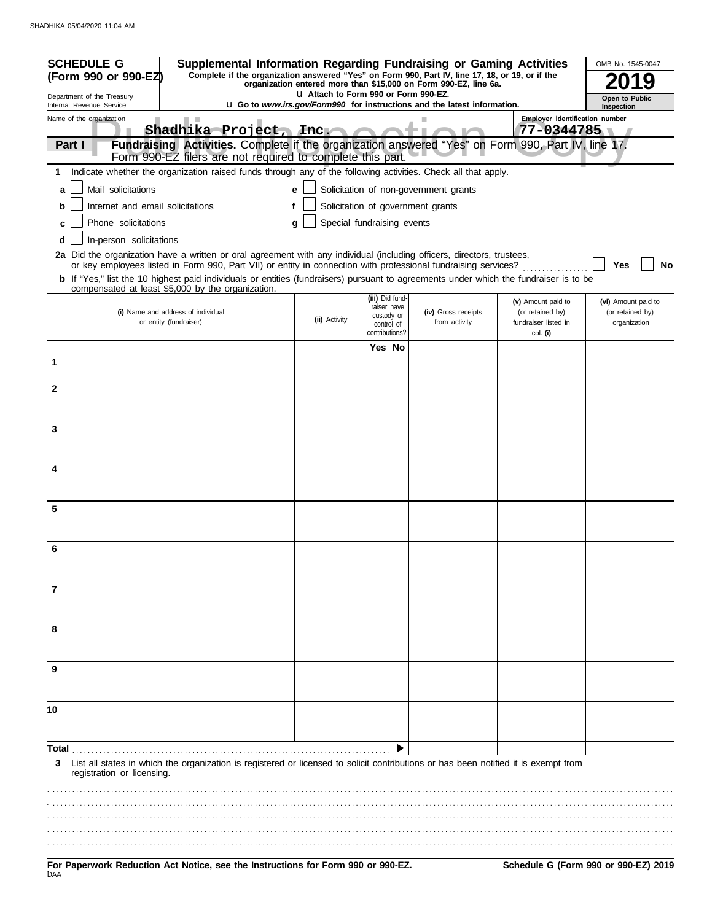| <b>SCHEDULE G</b><br>Supplemental Information Regarding Fundraising or Gaming Activities<br>Complete if the organization answered "Yes" on Form 990, Part IV, line 17, 18, or 19, or if the<br>(Form 990 or 990-EZ)<br>organization entered more than \$15,000 on Form 990-EZ, line 6a. |                                                                                                                                                                                                                                                                |                                       |                                                            |                | OMB No. 1545-0047                     |                                                                |                                         |  |
|-----------------------------------------------------------------------------------------------------------------------------------------------------------------------------------------------------------------------------------------------------------------------------------------|----------------------------------------------------------------------------------------------------------------------------------------------------------------------------------------------------------------------------------------------------------------|---------------------------------------|------------------------------------------------------------|----------------|---------------------------------------|----------------------------------------------------------------|-----------------------------------------|--|
| Department of the Treasury                                                                                                                                                                                                                                                              |                                                                                                                                                                                                                                                                | LI Attach to Form 990 or Form 990-EZ. |                                                            |                |                                       |                                                                | Open to Public                          |  |
| <b>u</b> Go to www.irs.gov/Form990 for instructions and the latest information.<br>Internal Revenue Service<br>Inspection<br>Employer identification number<br>Name of the organization                                                                                                 |                                                                                                                                                                                                                                                                |                                       |                                                            |                |                                       |                                                                |                                         |  |
| Part I                                                                                                                                                                                                                                                                                  | Shadhika Project, Inc.<br>Fundraising Activities. Complete if the organization answered "Yes" on Form 990, Part IV, line 17.                                                                                                                                   |                                       |                                                            |                |                                       | 77-0344785                                                     |                                         |  |
|                                                                                                                                                                                                                                                                                         | Form 990-EZ filers are not required to complete this part.                                                                                                                                                                                                     |                                       |                                                            |                |                                       |                                                                |                                         |  |
| 1.                                                                                                                                                                                                                                                                                      | Indicate whether the organization raised funds through any of the following activities. Check all that apply.                                                                                                                                                  |                                       |                                                            |                |                                       |                                                                |                                         |  |
| Mail solicitations<br>a                                                                                                                                                                                                                                                                 |                                                                                                                                                                                                                                                                | e                                     |                                                            |                | Solicitation of non-government grants |                                                                |                                         |  |
| Internet and email solicitations<br>b                                                                                                                                                                                                                                                   |                                                                                                                                                                                                                                                                |                                       |                                                            |                | Solicitation of government grants     |                                                                |                                         |  |
|                                                                                                                                                                                                                                                                                         | Special fundraising events<br>Phone solicitations<br>g                                                                                                                                                                                                         |                                       |                                                            |                |                                       |                                                                |                                         |  |
| In-person solicitations<br>d                                                                                                                                                                                                                                                            |                                                                                                                                                                                                                                                                |                                       |                                                            |                |                                       |                                                                |                                         |  |
|                                                                                                                                                                                                                                                                                         | 2a Did the organization have a written or oral agreement with any individual (including officers, directors, trustees,                                                                                                                                         |                                       |                                                            |                |                                       |                                                                |                                         |  |
|                                                                                                                                                                                                                                                                                         | or key employees listed in Form 990, Part VII) or entity in connection with professional fundraising services?<br><b>b</b> If "Yes," list the 10 highest paid individuals or entities (fundraisers) pursuant to agreements under which the fundraiser is to be |                                       |                                                            |                |                                       |                                                                | Yes<br>No                               |  |
|                                                                                                                                                                                                                                                                                         | compensated at least \$5,000 by the organization.                                                                                                                                                                                                              |                                       |                                                            |                |                                       |                                                                |                                         |  |
|                                                                                                                                                                                                                                                                                         | (i) Name and address of individual                                                                                                                                                                                                                             | (ii) Activity                         | (iii) Did fund-<br>raiser have<br>custody or<br>control of |                | (iv) Gross receipts<br>from activity  | (v) Amount paid to<br>(or retained by)<br>fundraiser listed in | (vi) Amount paid to<br>(or retained by) |  |
|                                                                                                                                                                                                                                                                                         | or entity (fundraiser)                                                                                                                                                                                                                                         |                                       |                                                            |                |                                       |                                                                | organization                            |  |
|                                                                                                                                                                                                                                                                                         |                                                                                                                                                                                                                                                                |                                       |                                                            | contributions? |                                       | col. (i)                                                       |                                         |  |
| 1                                                                                                                                                                                                                                                                                       |                                                                                                                                                                                                                                                                |                                       |                                                            | Yes  No        |                                       |                                                                |                                         |  |
|                                                                                                                                                                                                                                                                                         |                                                                                                                                                                                                                                                                |                                       |                                                            |                |                                       |                                                                |                                         |  |
| $\mathbf{2}$                                                                                                                                                                                                                                                                            |                                                                                                                                                                                                                                                                |                                       |                                                            |                |                                       |                                                                |                                         |  |
|                                                                                                                                                                                                                                                                                         |                                                                                                                                                                                                                                                                |                                       |                                                            |                |                                       |                                                                |                                         |  |
| 3                                                                                                                                                                                                                                                                                       |                                                                                                                                                                                                                                                                |                                       |                                                            |                |                                       |                                                                |                                         |  |
|                                                                                                                                                                                                                                                                                         |                                                                                                                                                                                                                                                                |                                       |                                                            |                |                                       |                                                                |                                         |  |
|                                                                                                                                                                                                                                                                                         |                                                                                                                                                                                                                                                                |                                       |                                                            |                |                                       |                                                                |                                         |  |
| 4                                                                                                                                                                                                                                                                                       |                                                                                                                                                                                                                                                                |                                       |                                                            |                |                                       |                                                                |                                         |  |
|                                                                                                                                                                                                                                                                                         |                                                                                                                                                                                                                                                                |                                       |                                                            |                |                                       |                                                                |                                         |  |
| 5                                                                                                                                                                                                                                                                                       |                                                                                                                                                                                                                                                                |                                       |                                                            |                |                                       |                                                                |                                         |  |
|                                                                                                                                                                                                                                                                                         |                                                                                                                                                                                                                                                                |                                       |                                                            |                |                                       |                                                                |                                         |  |
| 6                                                                                                                                                                                                                                                                                       |                                                                                                                                                                                                                                                                |                                       |                                                            |                |                                       |                                                                |                                         |  |
|                                                                                                                                                                                                                                                                                         |                                                                                                                                                                                                                                                                |                                       |                                                            |                |                                       |                                                                |                                         |  |
|                                                                                                                                                                                                                                                                                         |                                                                                                                                                                                                                                                                |                                       |                                                            |                |                                       |                                                                |                                         |  |
| 7                                                                                                                                                                                                                                                                                       |                                                                                                                                                                                                                                                                |                                       |                                                            |                |                                       |                                                                |                                         |  |
|                                                                                                                                                                                                                                                                                         |                                                                                                                                                                                                                                                                |                                       |                                                            |                |                                       |                                                                |                                         |  |
| 8                                                                                                                                                                                                                                                                                       |                                                                                                                                                                                                                                                                |                                       |                                                            |                |                                       |                                                                |                                         |  |
|                                                                                                                                                                                                                                                                                         |                                                                                                                                                                                                                                                                |                                       |                                                            |                |                                       |                                                                |                                         |  |
|                                                                                                                                                                                                                                                                                         |                                                                                                                                                                                                                                                                |                                       |                                                            |                |                                       |                                                                |                                         |  |
| 9                                                                                                                                                                                                                                                                                       |                                                                                                                                                                                                                                                                |                                       |                                                            |                |                                       |                                                                |                                         |  |
|                                                                                                                                                                                                                                                                                         |                                                                                                                                                                                                                                                                |                                       |                                                            |                |                                       |                                                                |                                         |  |
| 10                                                                                                                                                                                                                                                                                      |                                                                                                                                                                                                                                                                |                                       |                                                            |                |                                       |                                                                |                                         |  |
|                                                                                                                                                                                                                                                                                         |                                                                                                                                                                                                                                                                |                                       |                                                            |                |                                       |                                                                |                                         |  |
| Total                                                                                                                                                                                                                                                                                   |                                                                                                                                                                                                                                                                |                                       |                                                            |                |                                       |                                                                |                                         |  |
| 3<br>registration or licensing.                                                                                                                                                                                                                                                         | List all states in which the organization is registered or licensed to solicit contributions or has been notified it is exempt from                                                                                                                            |                                       |                                                            |                |                                       |                                                                |                                         |  |
|                                                                                                                                                                                                                                                                                         |                                                                                                                                                                                                                                                                |                                       |                                                            |                |                                       |                                                                |                                         |  |
|                                                                                                                                                                                                                                                                                         |                                                                                                                                                                                                                                                                |                                       |                                                            |                |                                       |                                                                |                                         |  |
|                                                                                                                                                                                                                                                                                         |                                                                                                                                                                                                                                                                |                                       |                                                            |                |                                       |                                                                |                                         |  |
|                                                                                                                                                                                                                                                                                         |                                                                                                                                                                                                                                                                |                                       |                                                            |                |                                       |                                                                |                                         |  |
|                                                                                                                                                                                                                                                                                         | <b>Donorwork Poduction, Act Notice, can the Instructions for Ferm 000 or 000 F7</b>                                                                                                                                                                            |                                       |                                                            |                |                                       |                                                                | Schodule G (Form 000 or 000 FZ) 2010    |  |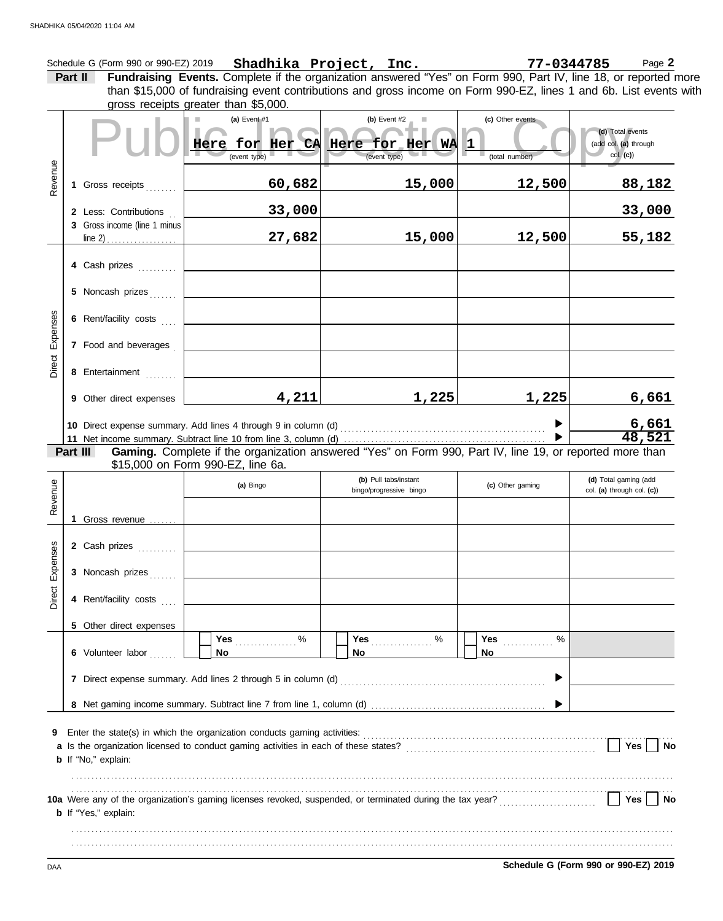|                                                                                                                                                                                                                                                                                          | Schedule G (Form 990 or 990-EZ) 2019 Shadhika Project, Inc.<br>77-0344785<br>Page 2 |                              |                                                                                                                                               |      |                                                  |                                         |                                                       |
|------------------------------------------------------------------------------------------------------------------------------------------------------------------------------------------------------------------------------------------------------------------------------------------|-------------------------------------------------------------------------------------|------------------------------|-----------------------------------------------------------------------------------------------------------------------------------------------|------|--------------------------------------------------|-----------------------------------------|-------------------------------------------------------|
| Fundraising Events. Complete if the organization answered "Yes" on Form 990, Part IV, line 18, or reported more<br>Part II<br>than \$15,000 of fundraising event contributions and gross income on Form 990-EZ, lines 1 and 6b. List events with<br>gross receipts greater than \$5,000. |                                                                                     |                              |                                                                                                                                               |      |                                                  |                                         |                                                       |
|                                                                                                                                                                                                                                                                                          |                                                                                     |                              | (a) Event $#1$<br><b>I</b><br>Here for Her CA Here for Her WA<br>(event type)                                                                 |      | (b) Event $#2$<br>ш<br>(event type)              | (c) Other events<br>1<br>(total number) | (d) Total events<br>(add col. (a) through<br>col. (c) |
| Revenue                                                                                                                                                                                                                                                                                  |                                                                                     | 1 Gross receipts             | 60,682                                                                                                                                        |      | 15,000                                           | 12,500                                  | 88,182                                                |
|                                                                                                                                                                                                                                                                                          |                                                                                     | 2 Less: Contributions        | 33,000                                                                                                                                        |      |                                                  |                                         | 33,000                                                |
|                                                                                                                                                                                                                                                                                          |                                                                                     | 3 Gross income (line 1 minus | 27,682                                                                                                                                        |      | 15,000                                           | 12,500                                  | 55,182                                                |
|                                                                                                                                                                                                                                                                                          |                                                                                     | 4 Cash prizes                |                                                                                                                                               |      |                                                  |                                         |                                                       |
|                                                                                                                                                                                                                                                                                          |                                                                                     | 5 Noncash prizes             |                                                                                                                                               |      |                                                  |                                         |                                                       |
| Expenses                                                                                                                                                                                                                                                                                 |                                                                                     | 6 Rent/facility costs        |                                                                                                                                               |      |                                                  |                                         |                                                       |
|                                                                                                                                                                                                                                                                                          |                                                                                     | 7 Food and beverages         |                                                                                                                                               |      |                                                  |                                         |                                                       |
| Direct                                                                                                                                                                                                                                                                                   |                                                                                     | 8 Entertainment              |                                                                                                                                               |      |                                                  |                                         |                                                       |
|                                                                                                                                                                                                                                                                                          |                                                                                     | 9 Other direct expenses      | 4,211                                                                                                                                         |      | 1,225                                            | 1,225                                   | 6,661                                                 |
|                                                                                                                                                                                                                                                                                          |                                                                                     |                              |                                                                                                                                               |      |                                                  |                                         | $\frac{6,661}{48,521}$                                |
|                                                                                                                                                                                                                                                                                          |                                                                                     | Part III                     | Gaming. Complete if the organization answered "Yes" on Form 990, Part IV, line 19, or reported more than<br>\$15,000 on Form 990-EZ, line 6a. |      |                                                  |                                         |                                                       |
| Revenue                                                                                                                                                                                                                                                                                  |                                                                                     |                              | (a) Bingo                                                                                                                                     |      | (b) Pull tabs/instant<br>bingo/progressive bingo | (c) Other gaming                        | (d) Total gaming (add<br>col. (a) through col. (c))   |
|                                                                                                                                                                                                                                                                                          |                                                                                     | 1 Gross revenue              |                                                                                                                                               |      |                                                  |                                         |                                                       |
| 89                                                                                                                                                                                                                                                                                       |                                                                                     | 2 Cash prizes                |                                                                                                                                               |      |                                                  |                                         |                                                       |
| Direct Expens                                                                                                                                                                                                                                                                            |                                                                                     | 3 Noncash prizes             |                                                                                                                                               |      |                                                  |                                         |                                                       |
|                                                                                                                                                                                                                                                                                          |                                                                                     | 4 Rent/facility costs        |                                                                                                                                               |      |                                                  |                                         |                                                       |
|                                                                                                                                                                                                                                                                                          |                                                                                     | 5 Other direct expenses      | Yes                                                                                                                                           | $\%$ | ℅                                                | Yes                                     | $\%$                                                  |
|                                                                                                                                                                                                                                                                                          |                                                                                     | 6 Volunteer labor            | No                                                                                                                                            | No   |                                                  | No                                      |                                                       |
|                                                                                                                                                                                                                                                                                          |                                                                                     |                              |                                                                                                                                               |      |                                                  |                                         |                                                       |
|                                                                                                                                                                                                                                                                                          |                                                                                     |                              |                                                                                                                                               |      |                                                  |                                         |                                                       |
| 9                                                                                                                                                                                                                                                                                        |                                                                                     | <b>b</b> If "No," explain:   |                                                                                                                                               |      |                                                  |                                         | Yes $\vert \ \vert$<br>No                             |
|                                                                                                                                                                                                                                                                                          |                                                                                     | <b>b</b> If "Yes," explain:  | 10a Were any of the organization's gaming licenses revoked, suspended, or terminated during the tax year?                                     |      |                                                  |                                         | Yes  <br>No                                           |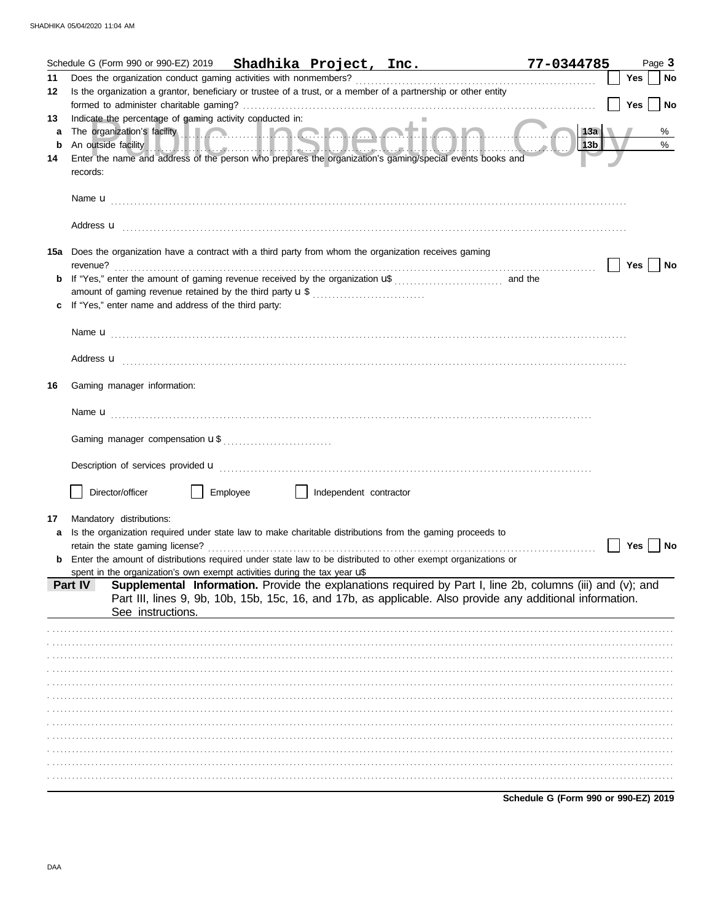|    |                                                                          |          |                        | Schedule G (Form 990 or 990-EZ) 2019 Shadhika Project, Inc. 77-0344785                                                                                                                                                               |                                      |       | Page 3    |
|----|--------------------------------------------------------------------------|----------|------------------------|--------------------------------------------------------------------------------------------------------------------------------------------------------------------------------------------------------------------------------------|--------------------------------------|-------|-----------|
| 11 |                                                                          |          |                        |                                                                                                                                                                                                                                      |                                      | Yes   | <b>No</b> |
| 12 |                                                                          |          |                        | Is the organization a grantor, beneficiary or trustee of a trust, or a member of a partnership or other entity                                                                                                                       |                                      |       |           |
|    |                                                                          |          |                        |                                                                                                                                                                                                                                      |                                      | Yes   | <b>No</b> |
| 13 | Indicate the percentage of gaming activity conducted in:                 |          |                        |                                                                                                                                                                                                                                      |                                      |       |           |
| a  |                                                                          |          |                        | The organization's facility <b>and a community of the organization's facility</b>                                                                                                                                                    | $\vert$ 13a                          |       | %         |
| b  |                                                                          |          |                        | An outside facility <b>And the Contract of the Contract of the Contract of Andrew Contract of Andrew Contract of Andrew Contract of Andrew Contract of Andrew Contract of Andrew Contract of Andrew Contract of Andrew Contract </b> | 13b                                  |       | $\%$      |
| 14 |                                                                          |          |                        | Enter the name and address of the person who prepares the organization's gaming/special events books and                                                                                                                             |                                      |       |           |
|    | records:                                                                 |          |                        |                                                                                                                                                                                                                                      |                                      |       |           |
|    |                                                                          |          |                        |                                                                                                                                                                                                                                      |                                      |       |           |
|    |                                                                          |          |                        |                                                                                                                                                                                                                                      |                                      |       |           |
|    |                                                                          |          |                        |                                                                                                                                                                                                                                      |                                      |       |           |
|    |                                                                          |          |                        |                                                                                                                                                                                                                                      |                                      |       |           |
|    |                                                                          |          |                        | 15a Does the organization have a contract with a third party from whom the organization receives gaming                                                                                                                              |                                      |       |           |
|    | revenue?                                                                 |          |                        |                                                                                                                                                                                                                                      |                                      | Yes   | No        |
| b  |                                                                          |          |                        |                                                                                                                                                                                                                                      |                                      |       |           |
|    | amount of gaming revenue retained by the third party <b>u</b> \$         |          |                        |                                                                                                                                                                                                                                      |                                      |       |           |
|    | If "Yes," enter name and address of the third party:                     |          |                        |                                                                                                                                                                                                                                      |                                      |       |           |
|    |                                                                          |          |                        |                                                                                                                                                                                                                                      |                                      |       |           |
|    |                                                                          |          |                        |                                                                                                                                                                                                                                      |                                      |       |           |
|    |                                                                          |          |                        |                                                                                                                                                                                                                                      |                                      |       |           |
|    |                                                                          |          |                        |                                                                                                                                                                                                                                      |                                      |       |           |
| 16 | Gaming manager information:                                              |          |                        |                                                                                                                                                                                                                                      |                                      |       |           |
|    |                                                                          |          |                        |                                                                                                                                                                                                                                      |                                      |       |           |
|    |                                                                          |          |                        |                                                                                                                                                                                                                                      |                                      |       |           |
|    |                                                                          |          |                        |                                                                                                                                                                                                                                      |                                      |       |           |
|    |                                                                          |          |                        |                                                                                                                                                                                                                                      |                                      |       |           |
|    |                                                                          |          |                        |                                                                                                                                                                                                                                      |                                      |       |           |
|    |                                                                          |          |                        |                                                                                                                                                                                                                                      |                                      |       |           |
|    |                                                                          |          |                        |                                                                                                                                                                                                                                      |                                      |       |           |
|    | Director/officer                                                         | Employee | Independent contractor |                                                                                                                                                                                                                                      |                                      |       |           |
| 17 | Mandatory distributions:                                                 |          |                        |                                                                                                                                                                                                                                      |                                      |       |           |
|    |                                                                          |          |                        | Is the organization required under state law to make charitable distributions from the gaming proceeds to                                                                                                                            |                                      |       |           |
|    | retain the state gaming license?                                         |          |                        |                                                                                                                                                                                                                                      |                                      | Yes I | No        |
|    |                                                                          |          |                        | <b>b</b> Enter the amount of distributions required under state law to be distributed to other exempt organizations or                                                                                                               |                                      |       |           |
|    | spent in the organization's own exempt activities during the tax year uf |          |                        |                                                                                                                                                                                                                                      |                                      |       |           |
|    | Part IV                                                                  |          |                        | Supplemental Information. Provide the explanations required by Part I, line 2b, columns (iii) and (v); and                                                                                                                           |                                      |       |           |
|    |                                                                          |          |                        | Part III, lines 9, 9b, 10b, 15b, 15c, 16, and 17b, as applicable. Also provide any additional information.                                                                                                                           |                                      |       |           |
|    | See instructions.                                                        |          |                        |                                                                                                                                                                                                                                      |                                      |       |           |
|    |                                                                          |          |                        |                                                                                                                                                                                                                                      |                                      |       |           |
|    |                                                                          |          |                        |                                                                                                                                                                                                                                      |                                      |       |           |
|    |                                                                          |          |                        |                                                                                                                                                                                                                                      |                                      |       |           |
|    |                                                                          |          |                        |                                                                                                                                                                                                                                      |                                      |       |           |
|    |                                                                          |          |                        |                                                                                                                                                                                                                                      |                                      |       |           |
|    |                                                                          |          |                        |                                                                                                                                                                                                                                      |                                      |       |           |
|    |                                                                          |          |                        |                                                                                                                                                                                                                                      |                                      |       |           |
|    |                                                                          |          |                        |                                                                                                                                                                                                                                      |                                      |       |           |
|    |                                                                          |          |                        |                                                                                                                                                                                                                                      |                                      |       |           |
|    |                                                                          |          |                        |                                                                                                                                                                                                                                      |                                      |       |           |
|    |                                                                          |          |                        |                                                                                                                                                                                                                                      |                                      |       |           |
|    |                                                                          |          |                        |                                                                                                                                                                                                                                      |                                      |       |           |
|    |                                                                          |          |                        |                                                                                                                                                                                                                                      | Schedule G (Form 990 or 990-EZ) 2019 |       |           |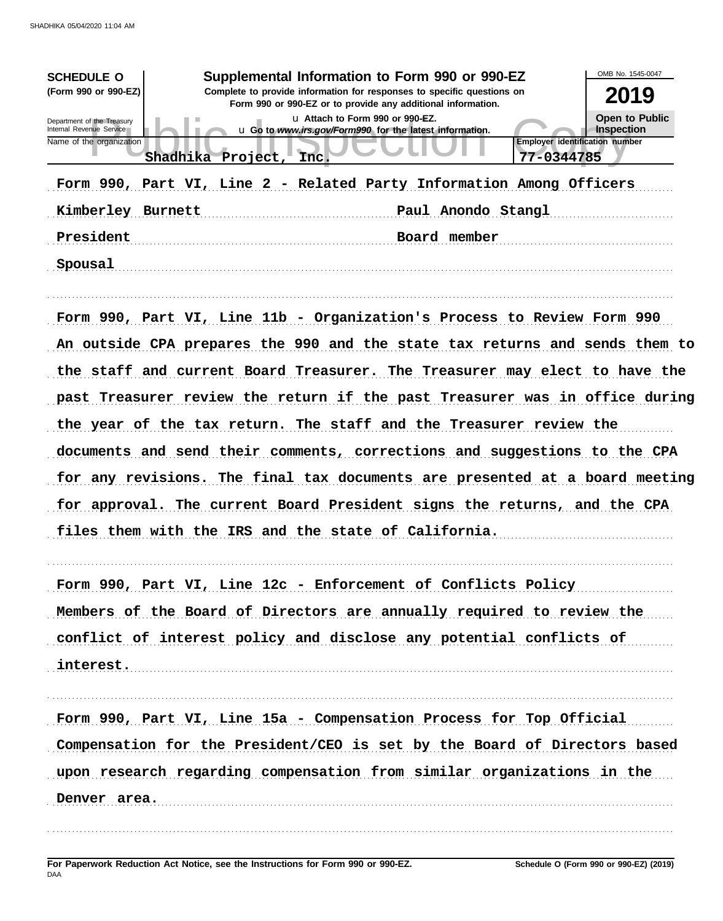| <b>SCHEDULE O</b><br>(Form 990 or 990-EZ)<br>Department of the Treasury<br>Internal Revenue Service<br>Name of the organization<br>Kimberley Burnett<br>President | Supplemental Information to Form 990 or 990-EZ<br>Complete to provide information for responses to specific questions on<br>Shadhika Project, Inc.<br>Form 990, Part VI, Line 2 - Related Party Information Among Officers                                                                                                                                                                                                                                                                                                                                                                                                                                                                | Form 990 or 990-EZ or to provide any additional information.<br>u Attach to Form 990 or 990-EZ.<br>u Go to www.irs.gov/Form990 for the latest information.<br>Paul Anondo Stangl<br>Board member | <b>Employer identification number</b><br>77-0344785 | OMB No. 1545-0047<br>2019<br>Open to Public<br><b>Inspection</b> |
|-------------------------------------------------------------------------------------------------------------------------------------------------------------------|-------------------------------------------------------------------------------------------------------------------------------------------------------------------------------------------------------------------------------------------------------------------------------------------------------------------------------------------------------------------------------------------------------------------------------------------------------------------------------------------------------------------------------------------------------------------------------------------------------------------------------------------------------------------------------------------|--------------------------------------------------------------------------------------------------------------------------------------------------------------------------------------------------|-----------------------------------------------------|------------------------------------------------------------------|
| Spousal                                                                                                                                                           |                                                                                                                                                                                                                                                                                                                                                                                                                                                                                                                                                                                                                                                                                           |                                                                                                                                                                                                  |                                                     |                                                                  |
|                                                                                                                                                                   | Form 990, Part VI, Line 11b - Organization's Process to Review Form 990<br>An outside CPA prepares the 990 and the state tax returns and sends them to<br>the staff and current Board Treasurer. The Treasurer may elect to have the<br>past Treasurer review the return if the past Treasurer was in office during<br>the year of the tax return. The staff and the Treasurer review the<br>documents and send their comments, corrections and suggestions to the CPA<br>for any revisions. The final tax documents are presented at a board meeting<br>for approval. The current Board President signs the returns, and the CPA<br>files them with the IRS and the state of California. |                                                                                                                                                                                                  |                                                     |                                                                  |
|                                                                                                                                                                   | Form 990, Part VI, Line 12c - Enforcement of Conflicts Policy                                                                                                                                                                                                                                                                                                                                                                                                                                                                                                                                                                                                                             |                                                                                                                                                                                                  |                                                     |                                                                  |
|                                                                                                                                                                   | Members of the Board of Directors are annually required to review the                                                                                                                                                                                                                                                                                                                                                                                                                                                                                                                                                                                                                     |                                                                                                                                                                                                  |                                                     |                                                                  |
|                                                                                                                                                                   | conflict of interest policy and disclose any potential conflicts of                                                                                                                                                                                                                                                                                                                                                                                                                                                                                                                                                                                                                       |                                                                                                                                                                                                  |                                                     |                                                                  |
| interest.                                                                                                                                                         |                                                                                                                                                                                                                                                                                                                                                                                                                                                                                                                                                                                                                                                                                           |                                                                                                                                                                                                  |                                                     |                                                                  |
|                                                                                                                                                                   | Form 990, Part VI, Line 15a - Compensation Process for Top Official                                                                                                                                                                                                                                                                                                                                                                                                                                                                                                                                                                                                                       |                                                                                                                                                                                                  |                                                     |                                                                  |
|                                                                                                                                                                   | Compensation for the President/CEO is set by the Board of Directors based                                                                                                                                                                                                                                                                                                                                                                                                                                                                                                                                                                                                                 |                                                                                                                                                                                                  |                                                     |                                                                  |
|                                                                                                                                                                   | upon research regarding compensation from similar organizations in the                                                                                                                                                                                                                                                                                                                                                                                                                                                                                                                                                                                                                    |                                                                                                                                                                                                  |                                                     |                                                                  |
| Denver area.                                                                                                                                                      |                                                                                                                                                                                                                                                                                                                                                                                                                                                                                                                                                                                                                                                                                           |                                                                                                                                                                                                  |                                                     |                                                                  |
|                                                                                                                                                                   |                                                                                                                                                                                                                                                                                                                                                                                                                                                                                                                                                                                                                                                                                           |                                                                                                                                                                                                  |                                                     |                                                                  |